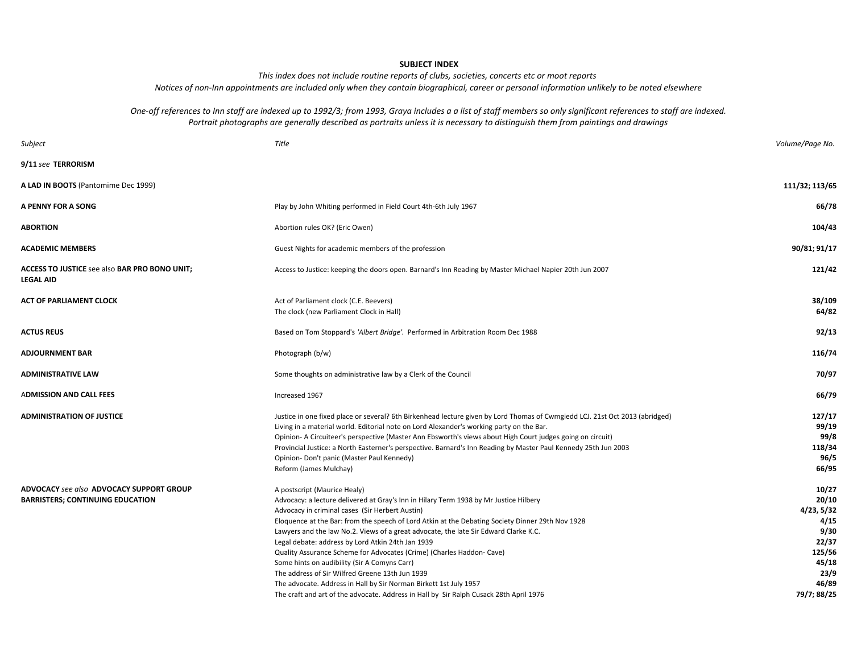#### **SUBJECT INDEX**

*This index does not include routine reports of clubs, societies, concerts etc or moot reports Notices of non-Inn appointments are included only when they contain biographical, career or personal information unlikely to be noted elsewhere*

*Portrait photographs are generally described as portraits unless it is necessary to distinguish them from paintings and drawings One-off references to Inn staff are indexed up to 1992/3; from 1993, Graya includes a a list of staff members so only significant references to staff are indexed.*

| Subject                                                                             | Title                                                                                                                                                                                                                                                                                                                                                                                                                                                                                                                                                                                                                                                                                                                                                                | Volume/Page No.                                                                                          |
|-------------------------------------------------------------------------------------|----------------------------------------------------------------------------------------------------------------------------------------------------------------------------------------------------------------------------------------------------------------------------------------------------------------------------------------------------------------------------------------------------------------------------------------------------------------------------------------------------------------------------------------------------------------------------------------------------------------------------------------------------------------------------------------------------------------------------------------------------------------------|----------------------------------------------------------------------------------------------------------|
| 9/11 see TERRORISM                                                                  |                                                                                                                                                                                                                                                                                                                                                                                                                                                                                                                                                                                                                                                                                                                                                                      |                                                                                                          |
| A LAD IN BOOTS (Pantomime Dec 1999)                                                 |                                                                                                                                                                                                                                                                                                                                                                                                                                                                                                                                                                                                                                                                                                                                                                      | 111/32; 113/65                                                                                           |
| A PENNY FOR A SONG                                                                  | Play by John Whiting performed in Field Court 4th-6th July 1967                                                                                                                                                                                                                                                                                                                                                                                                                                                                                                                                                                                                                                                                                                      | 66/78                                                                                                    |
| <b>ABORTION</b>                                                                     | Abortion rules OK? (Eric Owen)                                                                                                                                                                                                                                                                                                                                                                                                                                                                                                                                                                                                                                                                                                                                       | 104/43                                                                                                   |
| <b>ACADEMIC MEMBERS</b>                                                             | Guest Nights for academic members of the profession                                                                                                                                                                                                                                                                                                                                                                                                                                                                                                                                                                                                                                                                                                                  | 90/81; 91/17                                                                                             |
| ACCESS TO JUSTICE see also BAR PRO BONO UNIT;<br><b>LEGAL AID</b>                   | Access to Justice: keeping the doors open. Barnard's Inn Reading by Master Michael Napier 20th Jun 2007                                                                                                                                                                                                                                                                                                                                                                                                                                                                                                                                                                                                                                                              | 121/42                                                                                                   |
| <b>ACT OF PARLIAMENT CLOCK</b>                                                      | Act of Parliament clock (C.E. Beevers)<br>The clock (new Parliament Clock in Hall)                                                                                                                                                                                                                                                                                                                                                                                                                                                                                                                                                                                                                                                                                   | 38/109<br>64/82                                                                                          |
| <b>ACTUS REUS</b>                                                                   | Based on Tom Stoppard's 'Albert Bridge'. Performed in Arbitration Room Dec 1988                                                                                                                                                                                                                                                                                                                                                                                                                                                                                                                                                                                                                                                                                      | 92/13                                                                                                    |
| <b>ADJOURNMENT BAR</b>                                                              | Photograph (b/w)                                                                                                                                                                                                                                                                                                                                                                                                                                                                                                                                                                                                                                                                                                                                                     | 116/74                                                                                                   |
| <b>ADMINISTRATIVE LAW</b>                                                           | Some thoughts on administrative law by a Clerk of the Council                                                                                                                                                                                                                                                                                                                                                                                                                                                                                                                                                                                                                                                                                                        | 70/97                                                                                                    |
| <b>ADMISSION AND CALL FEES</b>                                                      | Increased 1967                                                                                                                                                                                                                                                                                                                                                                                                                                                                                                                                                                                                                                                                                                                                                       | 66/79                                                                                                    |
| <b>ADMINISTRATION OF JUSTICE</b>                                                    | Justice in one fixed place or several? 6th Birkenhead lecture given by Lord Thomas of Cwmgiedd LCJ. 21st Oct 2013 (abridged)<br>Living in a material world. Editorial note on Lord Alexander's working party on the Bar.<br>Opinion- A Circuiteer's perspective (Master Ann Ebsworth's views about High Court judges going on circuit)<br>Provincial Justice: a North Easterner's perspective. Barnard's Inn Reading by Master Paul Kennedy 25th Jun 2003<br>Opinion- Don't panic (Master Paul Kennedy)<br>Reform (James Mulchay)                                                                                                                                                                                                                                    | 127/17<br>99/19<br>99/8<br>118/34<br>96/5<br>66/95                                                       |
| ADVOCACY see also ADVOCACY SUPPORT GROUP<br><b>BARRISTERS; CONTINUING EDUCATION</b> | A postscript (Maurice Healy)<br>Advocacy: a lecture delivered at Gray's Inn in Hilary Term 1938 by Mr Justice Hilbery<br>Advocacy in criminal cases (Sir Herbert Austin)<br>Eloquence at the Bar: from the speech of Lord Atkin at the Debating Society Dinner 29th Nov 1928<br>Lawyers and the law No.2. Views of a great advocate, the late Sir Edward Clarke K.C.<br>Legal debate: address by Lord Atkin 24th Jan 1939<br>Quality Assurance Scheme for Advocates (Crime) (Charles Haddon- Cave)<br>Some hints on audibility (Sir A Comyns Carr)<br>The address of Sir Wilfred Greene 13th Jun 1939<br>The advocate. Address in Hall by Sir Norman Birkett 1st July 1957<br>The craft and art of the advocate. Address in Hall by Sir Ralph Cusack 28th April 1976 | 10/27<br>20/10<br>4/23, 5/32<br>4/15<br>9/30<br>22/37<br>125/56<br>45/18<br>23/9<br>46/89<br>79/7; 88/25 |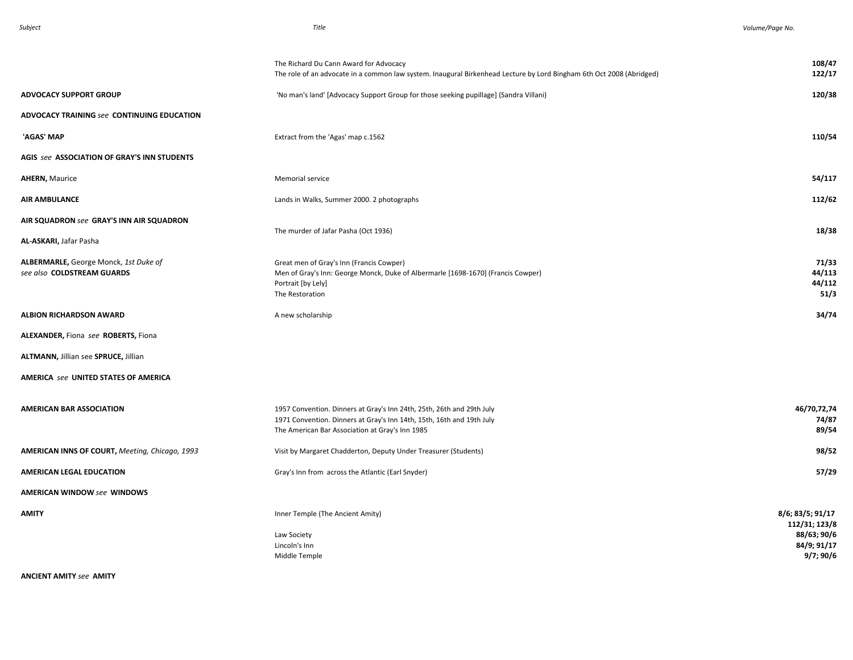|                                                                     | The Richard Du Cann Award for Advocacy<br>The role of an advocate in a common law system. Inaugural Birkenhead Lecture by Lord Bingham 6th Oct 2008 (Abridged)                                    | 108/47<br>122/17                        |
|---------------------------------------------------------------------|---------------------------------------------------------------------------------------------------------------------------------------------------------------------------------------------------|-----------------------------------------|
| <b>ADVOCACY SUPPORT GROUP</b>                                       | 'No man's land' [Advocacy Support Group for those seeking pupillage] (Sandra Villani)                                                                                                             | 120/38                                  |
| ADVOCACY TRAINING see CONTINUING EDUCATION                          |                                                                                                                                                                                                   |                                         |
| 'AGAS' MAP                                                          | Extract from the 'Agas' map c.1562                                                                                                                                                                | 110/54                                  |
| AGIS see ASSOCIATION OF GRAY'S INN STUDENTS                         |                                                                                                                                                                                                   |                                         |
| <b>AHERN, Maurice</b>                                               | Memorial service                                                                                                                                                                                  | 54/117                                  |
| <b>AIR AMBULANCE</b>                                                | Lands in Walks, Summer 2000. 2 photographs                                                                                                                                                        | 112/62                                  |
| AIR SQUADRON see GRAY'S INN AIR SQUADRON<br>AL-ASKARI, Jafar Pasha  | The murder of Jafar Pasha (Oct 1936)                                                                                                                                                              | 18/38                                   |
| ALBERMARLE, George Monck, 1st Duke of<br>see also COLDSTREAM GUARDS | Great men of Gray's Inn (Francis Cowper)<br>Men of Gray's Inn: George Monck, Duke of Albermarle [1698-1670] (Francis Cowper)<br>Portrait [by Lely]<br>The Restoration                             | 71/33<br>44/113<br>44/112<br>51/3       |
| <b>ALBION RICHARDSON AWARD</b>                                      | A new scholarship                                                                                                                                                                                 | 34/74                                   |
| ALEXANDER, Fiona see ROBERTS, Fiona                                 |                                                                                                                                                                                                   |                                         |
| ALTMANN, Jillian see SPRUCE, Jillian                                |                                                                                                                                                                                                   |                                         |
| AMERICA see UNITED STATES OF AMERICA                                |                                                                                                                                                                                                   |                                         |
| <b>AMERICAN BAR ASSOCIATION</b>                                     | 1957 Convention. Dinners at Gray's Inn 24th, 25th, 26th and 29th July<br>1971 Convention. Dinners at Gray's Inn 14th, 15th, 16th and 19th July<br>The American Bar Association at Gray's Inn 1985 | 46/70,72,74<br>74/87<br>89/54           |
| AMERICAN INNS OF COURT, Meeting, Chicago, 1993                      | Visit by Margaret Chadderton, Deputy Under Treasurer (Students)                                                                                                                                   | 98/52                                   |
| <b>AMERICAN LEGAL EDUCATION</b>                                     | Gray's Inn from across the Atlantic (Earl Snyder)                                                                                                                                                 | 57/29                                   |
| <b>AMERICAN WINDOW see WINDOWS</b>                                  |                                                                                                                                                                                                   |                                         |
| <b>AMITY</b>                                                        | Inner Temple (The Ancient Amity)                                                                                                                                                                  | 8/6; 83/5; 91/17<br>112/31; 123/8       |
|                                                                     | Law Society<br>Lincoln's Inn<br>Middle Temple                                                                                                                                                     | 88/63; 90/6<br>84/9; 91/17<br>9/7; 90/6 |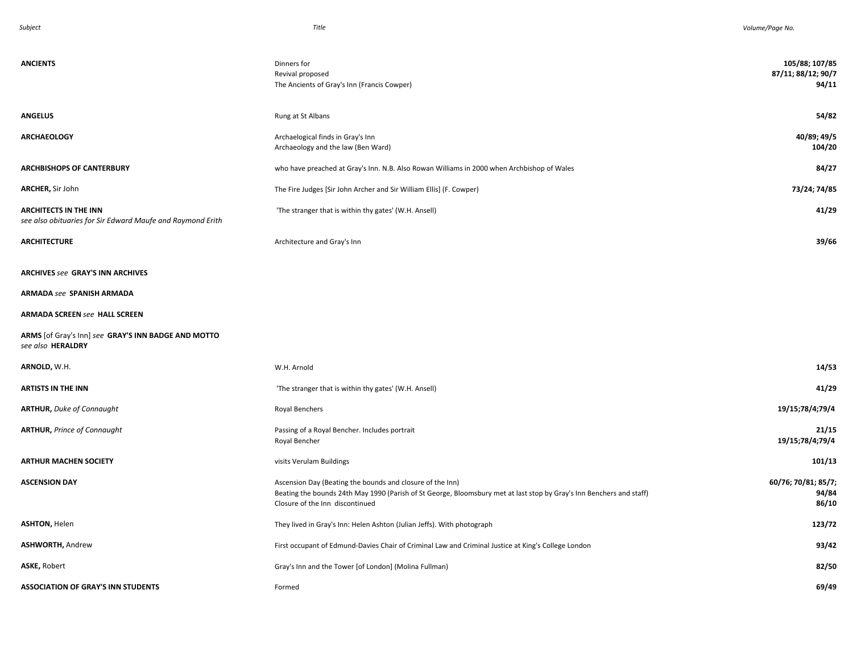| <b>ANCIENTS</b>                                                                            | Dinners for<br>Revival proposed<br>The Ancients of Gray's Inn (Francis Cowper)                                                                                                                                       | 105/88; 107/85<br>87/11; 88/12; 90/7<br>94/11 |
|--------------------------------------------------------------------------------------------|----------------------------------------------------------------------------------------------------------------------------------------------------------------------------------------------------------------------|-----------------------------------------------|
| <b>ANGELUS</b>                                                                             | Rung at St Albans                                                                                                                                                                                                    | 54/82                                         |
| <b>ARCHAEOLOGY</b>                                                                         | Archaelogical finds in Gray's Inn<br>Archaeology and the law (Ben Ward)                                                                                                                                              | 40/89; 49/5<br>104/20                         |
| <b>ARCHBISHOPS OF CANTERBURY</b>                                                           | who have preached at Gray's Inn. N.B. Also Rowan Williams in 2000 when Archbishop of Wales                                                                                                                           | 84/27                                         |
| ARCHER, Sir John                                                                           | The Fire Judges [Sir John Archer and Sir William Ellis] (F. Cowper)                                                                                                                                                  | 73/24; 74/85                                  |
| <b>ARCHITECTS IN THE INN</b><br>see also obituaries for Sir Edward Maufe and Raymond Erith | 'The stranger that is within thy gates' (W.H. Ansell)                                                                                                                                                                | 41/29                                         |
| <b>ARCHITECTURE</b>                                                                        | Architecture and Gray's Inn                                                                                                                                                                                          | 39/66                                         |
| <b>ARCHIVES see GRAY'S INN ARCHIVES</b>                                                    |                                                                                                                                                                                                                      |                                               |
| <b>ARMADA see SPANISH ARMADA</b>                                                           |                                                                                                                                                                                                                      |                                               |
| <b>ARMADA SCREEN see HALL SCREEN</b>                                                       |                                                                                                                                                                                                                      |                                               |
| ARMS [of Gray's Inn] see GRAY'S INN BADGE AND MOTTO<br>see also HERALDRY                   |                                                                                                                                                                                                                      |                                               |
| ARNOLD, W.H.                                                                               | W.H. Arnold                                                                                                                                                                                                          | 14/53                                         |
| <b>ARTISTS IN THE INN</b>                                                                  | 'The stranger that is within thy gates' (W.H. Ansell)                                                                                                                                                                | 41/29                                         |
| <b>ARTHUR, Duke of Connaught</b>                                                           | Royal Benchers                                                                                                                                                                                                       | 19/15;78/4;79/4                               |
| <b>ARTHUR, Prince of Connaught</b>                                                         | Passing of a Royal Bencher. Includes portrait<br>Royal Bencher                                                                                                                                                       | 21/15<br>19/15;78/4;79/4                      |
| <b>ARTHUR MACHEN SOCIETY</b>                                                               | visits Verulam Buildings                                                                                                                                                                                             | 101/13                                        |
| <b>ASCENSION DAY</b>                                                                       | Ascension Day (Beating the bounds and closure of the Inn)<br>Beating the bounds 24th May 1990 (Parish of St George, Bloomsbury met at last stop by Gray's Inn Benchers and staff)<br>Closure of the Inn discontinued | 60/76; 70/81; 85/7;<br>94/84<br>86/10         |
| <b>ASHTON, Helen</b>                                                                       | They lived in Gray's Inn: Helen Ashton (Julian Jeffs). With photograph                                                                                                                                               | 123/72                                        |
| <b>ASHWORTH, Andrew</b>                                                                    | First occupant of Edmund-Davies Chair of Criminal Law and Criminal Justice at King's College London                                                                                                                  | 93/42                                         |
| ASKE, Robert                                                                               | Gray's Inn and the Tower [of London] (Molina Fullman)                                                                                                                                                                | 82/50                                         |
| <b>ASSOCIATION OF GRAY'S INN STUDENTS</b>                                                  | Formed                                                                                                                                                                                                               | 69/49                                         |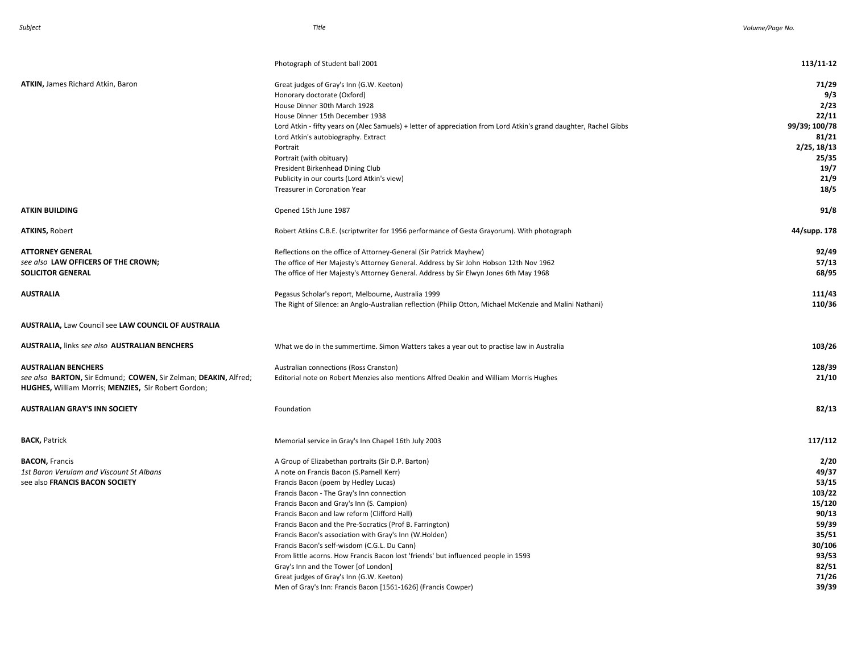|                                                                                                                                                      | Photograph of Student ball 2001                                                                                                                                                                                                                                                                                                                                                                                                                                                                                                                                                                                                                                                                   | 113/11-12                                                                                                           |
|------------------------------------------------------------------------------------------------------------------------------------------------------|---------------------------------------------------------------------------------------------------------------------------------------------------------------------------------------------------------------------------------------------------------------------------------------------------------------------------------------------------------------------------------------------------------------------------------------------------------------------------------------------------------------------------------------------------------------------------------------------------------------------------------------------------------------------------------------------------|---------------------------------------------------------------------------------------------------------------------|
| <b>ATKIN, James Richard Atkin, Baron</b>                                                                                                             | Great judges of Gray's Inn (G.W. Keeton)<br>Honorary doctorate (Oxford)<br>House Dinner 30th March 1928<br>House Dinner 15th December 1938<br>Lord Atkin - fifty years on (Alec Samuels) + letter of appreciation from Lord Atkin's grand daughter, Rachel Gibbs<br>Lord Atkin's autobiography. Extract<br>Portrait<br>Portrait (with obituary)<br>President Birkenhead Dining Club<br>Publicity in our courts (Lord Atkin's view)<br>Treasurer in Coronation Year                                                                                                                                                                                                                                | 71/29<br>9/3<br>2/23<br>22/11<br>99/39; 100/78<br>81/21<br>2/25, 18/13<br>25/35<br>19/7<br>21/9<br>18/5             |
| <b>ATKIN BUILDING</b>                                                                                                                                | Opened 15th June 1987                                                                                                                                                                                                                                                                                                                                                                                                                                                                                                                                                                                                                                                                             | 91/8                                                                                                                |
| <b>ATKINS, Robert</b>                                                                                                                                | Robert Atkins C.B.E. (scriptwriter for 1956 performance of Gesta Grayorum). With photograph                                                                                                                                                                                                                                                                                                                                                                                                                                                                                                                                                                                                       | 44/supp. 178                                                                                                        |
| <b>ATTORNEY GENERAL</b><br>see also LAW OFFICERS OF THE CROWN;<br><b>SOLICITOR GENERAL</b>                                                           | Reflections on the office of Attorney-General (Sir Patrick Mayhew)<br>The office of Her Majesty's Attorney General. Address by Sir John Hobson 12th Nov 1962<br>The office of Her Majesty's Attorney General. Address by Sir Elwyn Jones 6th May 1968                                                                                                                                                                                                                                                                                                                                                                                                                                             | 92/49<br>57/13<br>68/95                                                                                             |
| <b>AUSTRALIA</b>                                                                                                                                     | Pegasus Scholar's report, Melbourne, Australia 1999<br>The Right of Silence: an Anglo-Australian reflection (Philip Otton, Michael McKenzie and Malini Nathani)                                                                                                                                                                                                                                                                                                                                                                                                                                                                                                                                   | 111/43<br>110/36                                                                                                    |
| <b>AUSTRALIA, Law Council see LAW COUNCIL OF AUSTRALIA</b>                                                                                           |                                                                                                                                                                                                                                                                                                                                                                                                                                                                                                                                                                                                                                                                                                   |                                                                                                                     |
| <b>AUSTRALIA, links see also AUSTRALIAN BENCHERS</b>                                                                                                 | What we do in the summertime. Simon Watters takes a year out to practise law in Australia                                                                                                                                                                                                                                                                                                                                                                                                                                                                                                                                                                                                         | 103/26                                                                                                              |
| <b>AUSTRALIAN BENCHERS</b><br>see also BARTON, Sir Edmund; COWEN, Sir Zelman; DEAKIN, Alfred;<br>HUGHES, William Morris; MENZIES, Sir Robert Gordon; | Australian connections (Ross Cranston)<br>Editorial note on Robert Menzies also mentions Alfred Deakin and William Morris Hughes                                                                                                                                                                                                                                                                                                                                                                                                                                                                                                                                                                  | 128/39<br>21/10                                                                                                     |
| <b>AUSTRALIAN GRAY'S INN SOCIETY</b>                                                                                                                 | Foundation                                                                                                                                                                                                                                                                                                                                                                                                                                                                                                                                                                                                                                                                                        | 82/13                                                                                                               |
| <b>BACK, Patrick</b>                                                                                                                                 | Memorial service in Gray's Inn Chapel 16th July 2003                                                                                                                                                                                                                                                                                                                                                                                                                                                                                                                                                                                                                                              | 117/112                                                                                                             |
| <b>BACON, Francis</b><br>1st Baron Verulam and Viscount St Albans<br>see also FRANCIS BACON SOCIETY                                                  | A Group of Elizabethan portraits (Sir D.P. Barton)<br>A note on Francis Bacon (S.Parnell Kerr)<br>Francis Bacon (poem by Hedley Lucas)<br>Francis Bacon - The Gray's Inn connection<br>Francis Bacon and Gray's Inn (S. Campion)<br>Francis Bacon and law reform (Clifford Hall)<br>Francis Bacon and the Pre-Socratics (Prof B. Farrington)<br>Francis Bacon's association with Gray's Inn (W.Holden)<br>Francis Bacon's self-wisdom (C.G.L. Du Cann)<br>From little acorns. How Francis Bacon lost 'friends' but influenced people in 1593<br>Gray's Inn and the Tower [of London]<br>Great judges of Gray's Inn (G.W. Keeton)<br>Men of Gray's Inn: Francis Bacon [1561-1626] (Francis Cowper) | 2/20<br>49/37<br>53/15<br>103/22<br>15/120<br>90/13<br>59/39<br>35/51<br>30/106<br>93/53<br>82/51<br>71/26<br>39/39 |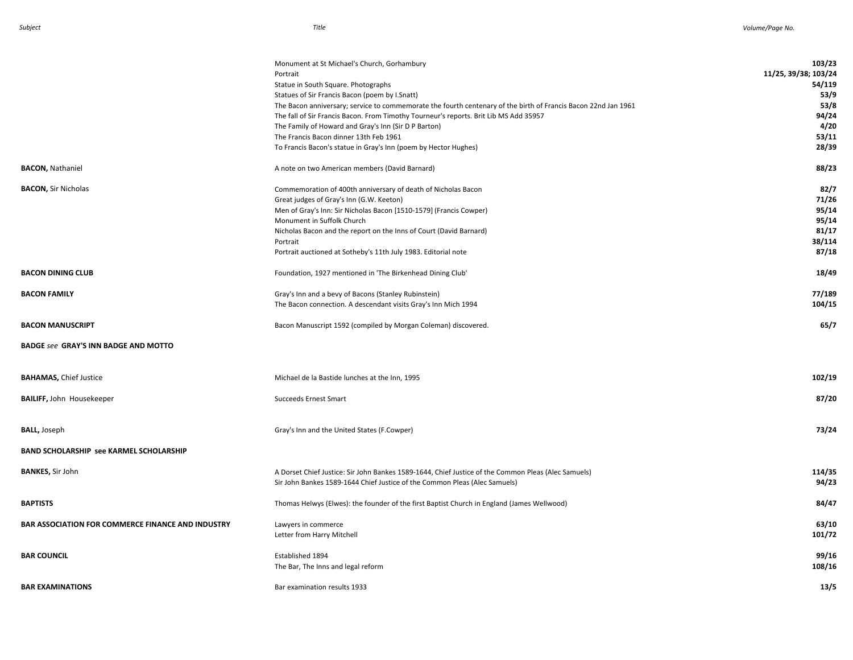|                                                          | Monument at St Michael's Church, Gorhambury                                                                    | 103/23               |
|----------------------------------------------------------|----------------------------------------------------------------------------------------------------------------|----------------------|
|                                                          | Portrait                                                                                                       | 11/25, 39/38; 103/24 |
|                                                          | Statue in South Square. Photographs                                                                            | 54/119               |
|                                                          | Statues of Sir Francis Bacon (poem by I.Snatt)                                                                 | 53/9                 |
|                                                          | The Bacon anniversary; service to commemorate the fourth centenary of the birth of Francis Bacon 22nd Jan 1961 | 53/8                 |
|                                                          | The fall of Sir Francis Bacon. From Timothy Tourneur's reports. Brit Lib MS Add 35957                          | 94/24                |
|                                                          | The Family of Howard and Gray's Inn (Sir D P Barton)                                                           | 4/20                 |
|                                                          | The Francis Bacon dinner 13th Feb 1961                                                                         | 53/11                |
|                                                          | To Francis Bacon's statue in Gray's Inn (poem by Hector Hughes)                                                | 28/39                |
|                                                          |                                                                                                                |                      |
| <b>BACON, Nathaniel</b>                                  | A note on two American members (David Barnard)                                                                 | 88/23                |
| <b>BACON, Sir Nicholas</b>                               | Commemoration of 400th anniversary of death of Nicholas Bacon                                                  | 82/7                 |
|                                                          | Great judges of Gray's Inn (G.W. Keeton)                                                                       | 71/26                |
|                                                          | Men of Gray's Inn: Sir Nicholas Bacon [1510-1579] (Francis Cowper)                                             | 95/14                |
|                                                          | Monument in Suffolk Church                                                                                     | 95/14                |
|                                                          | Nicholas Bacon and the report on the Inns of Court (David Barnard)                                             | 81/17                |
|                                                          | Portrait                                                                                                       | 38/114               |
|                                                          |                                                                                                                | 87/18                |
|                                                          | Portrait auctioned at Sotheby's 11th July 1983. Editorial note                                                 |                      |
| <b>BACON DINING CLUB</b>                                 | Foundation, 1927 mentioned in 'The Birkenhead Dining Club'                                                     | 18/49                |
| <b>BACON FAMILY</b>                                      | Gray's Inn and a bevy of Bacons (Stanley Rubinstein)                                                           | 77/189               |
|                                                          | The Bacon connection. A descendant visits Gray's Inn Mich 1994                                                 | 104/15               |
|                                                          |                                                                                                                |                      |
| <b>BACON MANUSCRIPT</b>                                  | Bacon Manuscript 1592 (compiled by Morgan Coleman) discovered.                                                 | 65/7                 |
| <b>BADGE see GRAY'S INN BADGE AND MOTTO</b>              |                                                                                                                |                      |
| <b>BAHAMAS, Chief Justice</b>                            | Michael de la Bastide lunches at the Inn, 1995                                                                 | 102/19               |
|                                                          |                                                                                                                |                      |
| <b>BAILIFF, John Housekeeper</b>                         | <b>Succeeds Ernest Smart</b>                                                                                   | 87/20                |
|                                                          |                                                                                                                |                      |
| <b>BALL, Joseph</b>                                      | Gray's Inn and the United States (F.Cowper)                                                                    | 73/24                |
| <b>BAND SCHOLARSHIP see KARMEL SCHOLARSHIP</b>           |                                                                                                                |                      |
|                                                          |                                                                                                                |                      |
| <b>BANKES, Sir John</b>                                  | A Dorset Chief Justice: Sir John Bankes 1589-1644, Chief Justice of the Common Pleas (Alec Samuels)            | 114/35               |
|                                                          | Sir John Bankes 1589-1644 Chief Justice of the Common Pleas (Alec Samuels)                                     | 94/23                |
|                                                          |                                                                                                                |                      |
| <b>BAPTISTS</b>                                          | Thomas Helwys (Elwes): the founder of the first Baptist Church in England (James Wellwood)                     | 84/47                |
|                                                          |                                                                                                                |                      |
| <b>BAR ASSOCIATION FOR COMMERCE FINANCE AND INDUSTRY</b> | Lawyers in commerce                                                                                            | 63/10                |
|                                                          | Letter from Harry Mitchell                                                                                     | 101/72               |
|                                                          |                                                                                                                |                      |
| <b>BAR COUNCIL</b>                                       | Established 1894                                                                                               | 99/16                |
|                                                          | The Bar, The Inns and legal reform                                                                             | 108/16               |
|                                                          |                                                                                                                |                      |
| <b>BAR EXAMINATIONS</b>                                  | Bar examination results 1933                                                                                   | 13/5                 |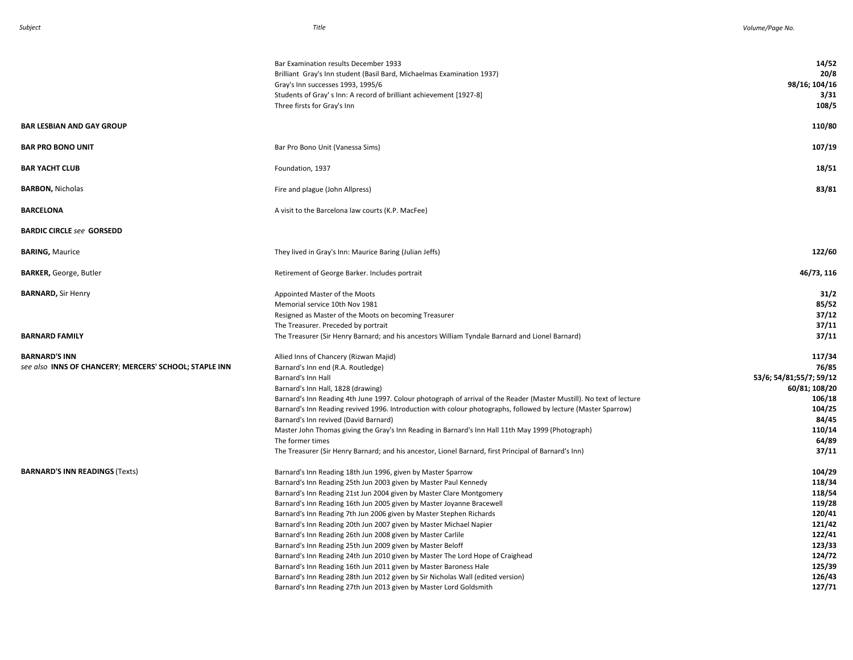|                                                        | Bar Examination results December 1933<br>Brilliant Gray's Inn student (Basil Bard, Michaelmas Examination 1937)<br>Gray's Inn successes 1993, 1995/6 | 14/52<br>20/8<br>98/16; 104/16 |
|--------------------------------------------------------|------------------------------------------------------------------------------------------------------------------------------------------------------|--------------------------------|
|                                                        | Students of Gray's Inn: A record of brilliant achievement [1927-8]<br>Three firsts for Gray's Inn                                                    | 3/31<br>108/5                  |
| <b>BAR LESBIAN AND GAY GROUP</b>                       |                                                                                                                                                      | 110/80                         |
| <b>BAR PRO BONO UNIT</b>                               | Bar Pro Bono Unit (Vanessa Sims)                                                                                                                     | 107/19                         |
| BAR YACHT CLUB                                         | Foundation, 1937                                                                                                                                     | 18/51                          |
| <b>BARBON, Nicholas</b>                                | Fire and plague (John Allpress)                                                                                                                      | 83/81                          |
| <b>BARCELONA</b>                                       | A visit to the Barcelona law courts (K.P. MacFee)                                                                                                    |                                |
| <b>BARDIC CIRCLE see GORSEDD</b>                       |                                                                                                                                                      |                                |
| <b>BARING, Maurice</b>                                 | They lived in Gray's Inn: Maurice Baring (Julian Jeffs)                                                                                              | 122/60                         |
| <b>BARKER, George, Butler</b>                          | Retirement of George Barker. Includes portrait                                                                                                       | 46/73, 116                     |
| <b>BARNARD, Sir Henry</b>                              | Appointed Master of the Moots                                                                                                                        | 31/2                           |
|                                                        | Memorial service 10th Nov 1981                                                                                                                       | 85/52                          |
|                                                        | Resigned as Master of the Moots on becoming Treasurer                                                                                                | 37/12                          |
|                                                        | The Treasurer. Preceded by portrait                                                                                                                  | 37/11                          |
| BARNARD FAMILY                                         | The Treasurer (Sir Henry Barnard; and his ancestors William Tyndale Barnard and Lionel Barnard)                                                      | 37/11                          |
| <b>BARNARD'S INN</b>                                   | Allied Inns of Chancery (Rizwan Majid)                                                                                                               | 117/34                         |
| see also INNS OF CHANCERY; MERCERS' SCHOOL; STAPLE INN | Barnard's Inn end (R.A. Routledge)                                                                                                                   | 76/85                          |
|                                                        | Barnard's Inn Hall                                                                                                                                   | 53/6; 54/81;55/7; 59/12        |
|                                                        | Barnard's Inn Hall, 1828 (drawing)                                                                                                                   | 60/81; 108/20                  |
|                                                        | Barnard's Inn Reading 4th June 1997. Colour photograph of arrival of the Reader (Master Mustill). No text of lecture                                 | 106/18                         |
|                                                        | Barnard's Inn Reading revived 1996. Introduction with colour photographs, followed by lecture (Master Sparrow)                                       | 104/25                         |
|                                                        | Barnard's Inn revived (David Barnard)                                                                                                                | 84/45                          |
|                                                        | Master John Thomas giving the Gray's Inn Reading in Barnard's Inn Hall 11th May 1999 (Photograph)                                                    | 110/14                         |
|                                                        | The former times                                                                                                                                     | 64/89                          |
|                                                        | The Treasurer (Sir Henry Barnard; and his ancestor, Lionel Barnard, first Principal of Barnard's Inn)                                                | 37/11                          |
| <b>BARNARD'S INN READINGS (Texts)</b>                  | Barnard's Inn Reading 18th Jun 1996, given by Master Sparrow                                                                                         | 104/29                         |
|                                                        | Barnard's Inn Reading 25th Jun 2003 given by Master Paul Kennedy                                                                                     | 118/34                         |
|                                                        | Barnard's Inn Reading 21st Jun 2004 given by Master Clare Montgomery                                                                                 | 118/54                         |
|                                                        | Barnard's Inn Reading 16th Jun 2005 given by Master Joyanne Bracewell                                                                                | 119/28                         |
|                                                        | Barnard's Inn Reading 7th Jun 2006 given by Master Stephen Richards                                                                                  | 120/41                         |
|                                                        | Barnard's Inn Reading 20th Jun 2007 given by Master Michael Napier                                                                                   | 121/42                         |
|                                                        | Barnard's Inn Reading 26th Jun 2008 given by Master Carlile                                                                                          | 122/41                         |
|                                                        | Barnard's Inn Reading 25th Jun 2009 given by Master Beloff                                                                                           | 123/33                         |
|                                                        | Barnard's Inn Reading 24th Jun 2010 given by Master The Lord Hope of Craighead                                                                       | 124/72                         |
|                                                        | Barnard's Inn Reading 16th Jun 2011 given by Master Baroness Hale                                                                                    | 125/39                         |
|                                                        | Barnard's Inn Reading 28th Jun 2012 given by Sir Nicholas Wall (edited version)                                                                      | 126/43                         |
|                                                        | Barnard's Inn Reading 27th Jun 2013 given by Master Lord Goldsmith                                                                                   | 127/71                         |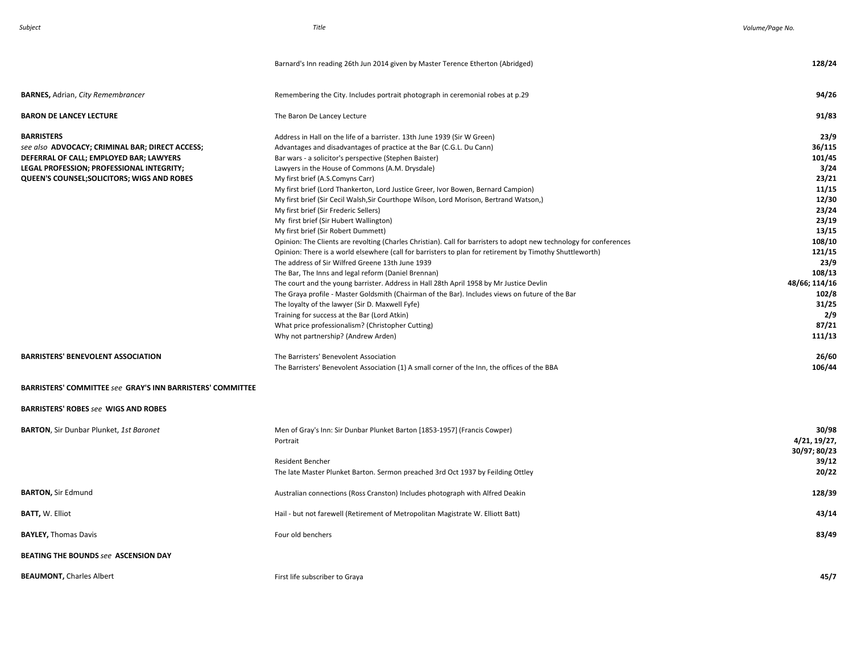|                                                                                                                                                                                                             | Barnard's Inn reading 26th Jun 2014 given by Master Terence Etherton (Abridged)                                                                                                                                                                                                                                                                                                                                                                                                                                                                                                                                                                                                                                                                                                                                                                                                                                                                                                                                                                                                                                                                                                                                                                                                                                | 128/24                                                                                                                                                                          |
|-------------------------------------------------------------------------------------------------------------------------------------------------------------------------------------------------------------|----------------------------------------------------------------------------------------------------------------------------------------------------------------------------------------------------------------------------------------------------------------------------------------------------------------------------------------------------------------------------------------------------------------------------------------------------------------------------------------------------------------------------------------------------------------------------------------------------------------------------------------------------------------------------------------------------------------------------------------------------------------------------------------------------------------------------------------------------------------------------------------------------------------------------------------------------------------------------------------------------------------------------------------------------------------------------------------------------------------------------------------------------------------------------------------------------------------------------------------------------------------------------------------------------------------|---------------------------------------------------------------------------------------------------------------------------------------------------------------------------------|
| <b>BARNES, Adrian, City Remembrancer</b>                                                                                                                                                                    | Remembering the City. Includes portrait photograph in ceremonial robes at p.29                                                                                                                                                                                                                                                                                                                                                                                                                                                                                                                                                                                                                                                                                                                                                                                                                                                                                                                                                                                                                                                                                                                                                                                                                                 | 94/26                                                                                                                                                                           |
| <b>BARON DE LANCEY LECTURE</b>                                                                                                                                                                              | The Baron De Lancey Lecture                                                                                                                                                                                                                                                                                                                                                                                                                                                                                                                                                                                                                                                                                                                                                                                                                                                                                                                                                                                                                                                                                                                                                                                                                                                                                    | 91/83                                                                                                                                                                           |
| <b>BARRISTERS</b><br>see also ADVOCACY; CRIMINAL BAR; DIRECT ACCESS;<br>DEFERRAL OF CALL; EMPLOYED BAR; LAWYERS<br>LEGAL PROFESSION; PROFESSIONAL INTEGRITY;<br>QUEEN'S COUNSEL; SOLICITORS; WIGS AND ROBES | Address in Hall on the life of a barrister. 13th June 1939 (Sir W Green)<br>Advantages and disadvantages of practice at the Bar (C.G.L. Du Cann)<br>Bar wars - a solicitor's perspective (Stephen Baister)<br>Lawyers in the House of Commons (A.M. Drysdale)<br>My first brief (A.S.Comyns Carr)<br>My first brief (Lord Thankerton, Lord Justice Greer, Ivor Bowen, Bernard Campion)<br>My first brief (Sir Cecil Walsh, Sir Courthope Wilson, Lord Morison, Bertrand Watson,)<br>My first brief (Sir Frederic Sellers)<br>My first brief (Sir Hubert Wallington)<br>My first brief (Sir Robert Dummett)<br>Opinion: The Clients are revolting (Charles Christian). Call for barristers to adopt new technology for conferences<br>Opinion: There is a world elsewhere (call for barristers to plan for retirement by Timothy Shuttleworth)<br>The address of Sir Wilfred Greene 13th June 1939<br>The Bar, The Inns and legal reform (Daniel Brennan)<br>The court and the young barrister. Address in Hall 28th April 1958 by Mr Justice Devlin<br>The Graya profile - Master Goldsmith (Chairman of the Bar). Includes views on future of the Bar<br>The loyalty of the lawyer (Sir D. Maxwell Fyfe)<br>Training for success at the Bar (Lord Atkin)<br>What price professionalism? (Christopher Cutting) | 23/9<br>36/115<br>101/45<br>3/24<br>23/21<br>11/15<br>12/30<br>23/24<br>23/19<br>13/15<br>108/10<br>121/15<br>23/9<br>108/13<br>48/66; 114/16<br>102/8<br>31/25<br>2/9<br>87/21 |
| <b>BARRISTERS' BENEVOLENT ASSOCIATION</b>                                                                                                                                                                   | Why not partnership? (Andrew Arden)<br>The Barristers' Benevolent Association                                                                                                                                                                                                                                                                                                                                                                                                                                                                                                                                                                                                                                                                                                                                                                                                                                                                                                                                                                                                                                                                                                                                                                                                                                  | 111/13<br>26/60                                                                                                                                                                 |
| <b>BARRISTERS' COMMITTEE see GRAY'S INN BARRISTERS' COMMITTEE</b><br><b>BARRISTERS' ROBES see WIGS AND ROBES</b>                                                                                            | The Barristers' Benevolent Association (1) A small corner of the Inn, the offices of the BBA                                                                                                                                                                                                                                                                                                                                                                                                                                                                                                                                                                                                                                                                                                                                                                                                                                                                                                                                                                                                                                                                                                                                                                                                                   | 106/44                                                                                                                                                                          |
| <b>BARTON, Sir Dunbar Plunket, 1st Baronet</b>                                                                                                                                                              | Men of Gray's Inn: Sir Dunbar Plunket Barton [1853-1957] (Francis Cowper)<br>Portrait<br>Resident Bencher<br>The late Master Plunket Barton. Sermon preached 3rd Oct 1937 by Feilding Ottley                                                                                                                                                                                                                                                                                                                                                                                                                                                                                                                                                                                                                                                                                                                                                                                                                                                                                                                                                                                                                                                                                                                   | 30/98<br>4/21, 19/27,<br>30/97; 80/23<br>39/12<br>20/22                                                                                                                         |
| <b>BARTON, Sir Edmund</b>                                                                                                                                                                                   | Australian connections (Ross Cranston) Includes photograph with Alfred Deakin                                                                                                                                                                                                                                                                                                                                                                                                                                                                                                                                                                                                                                                                                                                                                                                                                                                                                                                                                                                                                                                                                                                                                                                                                                  | 128/39                                                                                                                                                                          |
| <b>BATT, W. Elliot</b>                                                                                                                                                                                      | Hail - but not farewell (Retirement of Metropolitan Magistrate W. Elliott Batt)                                                                                                                                                                                                                                                                                                                                                                                                                                                                                                                                                                                                                                                                                                                                                                                                                                                                                                                                                                                                                                                                                                                                                                                                                                | 43/14                                                                                                                                                                           |
| <b>BAYLEY, Thomas Davis</b>                                                                                                                                                                                 | Four old benchers                                                                                                                                                                                                                                                                                                                                                                                                                                                                                                                                                                                                                                                                                                                                                                                                                                                                                                                                                                                                                                                                                                                                                                                                                                                                                              | 83/49                                                                                                                                                                           |
| <b>BEATING THE BOUNDS see ASCENSION DAY</b>                                                                                                                                                                 |                                                                                                                                                                                                                                                                                                                                                                                                                                                                                                                                                                                                                                                                                                                                                                                                                                                                                                                                                                                                                                                                                                                                                                                                                                                                                                                |                                                                                                                                                                                 |
| <b>BEAUMONT, Charles Albert</b>                                                                                                                                                                             | First life subscriber to Grava                                                                                                                                                                                                                                                                                                                                                                                                                                                                                                                                                                                                                                                                                                                                                                                                                                                                                                                                                                                                                                                                                                                                                                                                                                                                                 | 45/7                                                                                                                                                                            |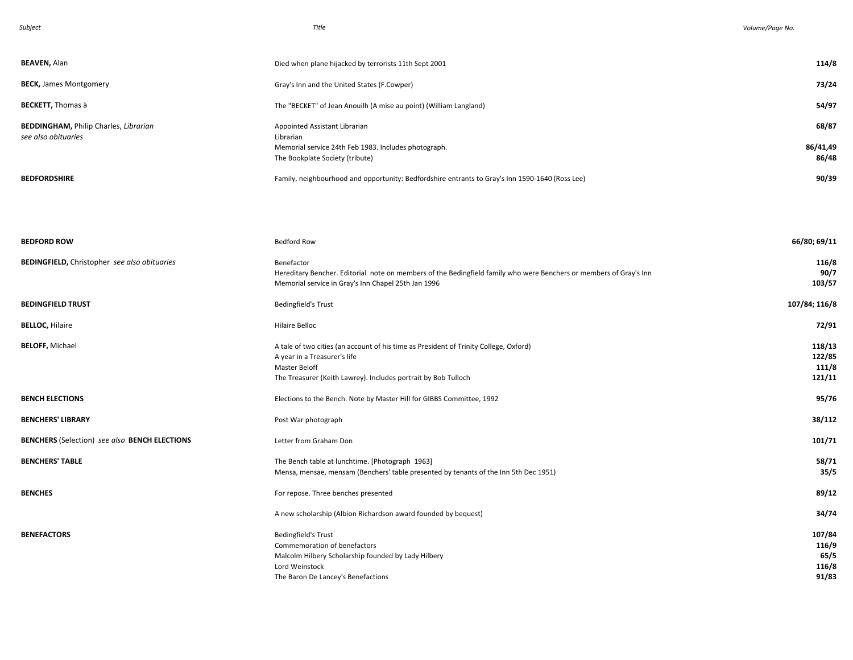| Subject                                              | Title                                                                                                                                                                                                    | Volume/Page No.                           |
|------------------------------------------------------|----------------------------------------------------------------------------------------------------------------------------------------------------------------------------------------------------------|-------------------------------------------|
| <b>BEAVEN, Alan</b>                                  | Died when plane hijacked by terrorists 11th Sept 2001                                                                                                                                                    | 114/8                                     |
| <b>BECK, James Montgomery</b>                        | Gray's Inn and the United States (F.Cowper)                                                                                                                                                              | 73/24                                     |
| <b>BECKETT, Thomas à</b>                             | The "BECKET" of Jean Anouilh (A mise au point) (William Langland)                                                                                                                                        | 54/97                                     |
| <b>BEDDINGHAM, Philip Charles, Librarian</b>         | Appointed Assistant Librarian                                                                                                                                                                            | 68/87                                     |
| see also obituaries                                  | Librarian<br>Memorial service 24th Feb 1983. Includes photograph.<br>The Bookplate Society (tribute)                                                                                                     | 86/41,49<br>86/48                         |
| <b>BEDFORDSHIRE</b>                                  | Family, neighbourhood and opportunity: Bedfordshire entrants to Gray's Inn 1590-1640 (Ross Lee)                                                                                                          | 90/39                                     |
|                                                      |                                                                                                                                                                                                          |                                           |
| <b>BEDFORD ROW</b>                                   | <b>Bedford Row</b>                                                                                                                                                                                       | 66/80; 69/11                              |
| <b>BEDINGFIELD, Christopher see also obituaries</b>  | Benefactor<br>Hereditary Bencher. Editorial note on members of the Bedingfield family who were Benchers or members of Gray's Inn<br>Memorial service in Gray's Inn Chapel 25th Jan 1996                  | 116/8<br>90/7<br>103/57                   |
| <b>BEDINGFIELD TRUST</b>                             | <b>Bedingfield's Trust</b>                                                                                                                                                                               | 107/84; 116/8                             |
| <b>BELLOC, Hilaire</b>                               | <b>Hilaire Belloc</b>                                                                                                                                                                                    | 72/91                                     |
| <b>BELOFF, Michael</b>                               | A tale of two cities (an account of his time as President of Trinity College, Oxford)<br>A year in a Treasurer's life<br>Master Beloff<br>The Treasurer (Keith Lawrey). Includes portrait by Bob Tulloch | 118/13<br>122/85<br>111/8<br>121/11       |
| <b>BENCH ELECTIONS</b>                               | Elections to the Bench. Note by Master Hill for GIBBS Committee, 1992                                                                                                                                    | 95/76                                     |
| <b>BENCHERS' LIBRARY</b>                             | Post War photograph                                                                                                                                                                                      | 38/112                                    |
| <b>BENCHERS (Selection) see also BENCH ELECTIONS</b> | Letter from Graham Don                                                                                                                                                                                   | 101/71                                    |
| <b>BENCHERS' TABLE</b>                               | The Bench table at lunchtime. [Photograph 1963]<br>Mensa, mensae, mensam (Benchers' table presented by tenants of the Inn 5th Dec 1951)                                                                  | 58/71<br>35/5                             |
| <b>BENCHES</b>                                       | For repose. Three benches presented                                                                                                                                                                      | 89/12                                     |
|                                                      | A new scholarship (Albion Richardson award founded by bequest)                                                                                                                                           | 34/74                                     |
| <b>BENEFACTORS</b>                                   | <b>Bedingfield's Trust</b><br>Commemoration of benefactors<br>Malcolm Hilbery Scholarship founded by Lady Hilbery<br>Lord Weinstock<br>The Baron De Lancey's Benefactions                                | 107/84<br>116/9<br>65/5<br>116/8<br>91/83 |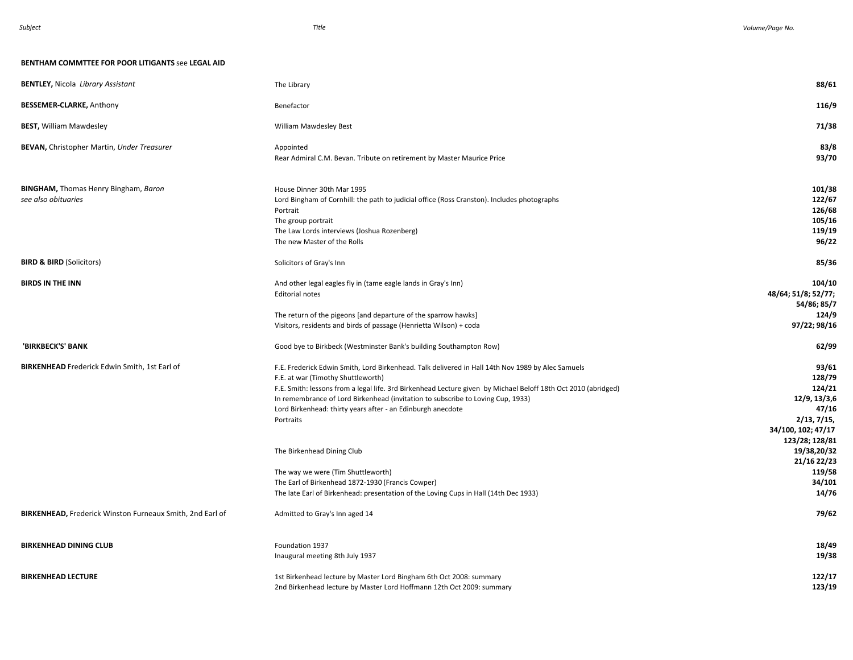#### **BENTHAM COMMTTEE FOR POOR LITIGANTS** see **LEGAL AID**

| <b>BENTLEY, Nicola Library Assistant</b>                           | The Library                                                                                                                                                                                                                                                                                                                                                                                                              | 88/61                                                                                                     |
|--------------------------------------------------------------------|--------------------------------------------------------------------------------------------------------------------------------------------------------------------------------------------------------------------------------------------------------------------------------------------------------------------------------------------------------------------------------------------------------------------------|-----------------------------------------------------------------------------------------------------------|
| <b>BESSEMER-CLARKE, Anthony</b>                                    | Benefactor                                                                                                                                                                                                                                                                                                                                                                                                               | 116/9                                                                                                     |
| <b>BEST, William Mawdesley</b>                                     | William Mawdesley Best                                                                                                                                                                                                                                                                                                                                                                                                   | 71/38                                                                                                     |
| <b>BEVAN, Christopher Martin, Under Treasurer</b>                  | Appointed<br>Rear Admiral C.M. Bevan. Tribute on retirement by Master Maurice Price                                                                                                                                                                                                                                                                                                                                      | 83/8<br>93/70                                                                                             |
| <b>BINGHAM, Thomas Henry Bingham, Baron</b><br>see also obituaries | House Dinner 30th Mar 1995<br>Lord Bingham of Cornhill: the path to judicial office (Ross Cranston). Includes photographs<br>Portrait<br>The group portrait<br>The Law Lords interviews (Joshua Rozenberg)<br>The new Master of the Rolls                                                                                                                                                                                | 101/38<br>122/67<br>126/68<br>105/16<br>119/19<br>96/22                                                   |
| <b>BIRD &amp; BIRD (Solicitors)</b>                                | Solicitors of Gray's Inn                                                                                                                                                                                                                                                                                                                                                                                                 | 85/36                                                                                                     |
| <b>BIRDS IN THE INN</b>                                            | And other legal eagles fly in (tame eagle lands in Gray's Inn)<br><b>Editorial notes</b><br>The return of the pigeons [and departure of the sparrow hawks]                                                                                                                                                                                                                                                               | 104/10<br>48/64; 51/8; 52/77;<br>54/86; 85/7<br>124/9                                                     |
|                                                                    | Visitors, residents and birds of passage (Henrietta Wilson) + coda                                                                                                                                                                                                                                                                                                                                                       | 97/22; 98/16                                                                                              |
| 'BIRKBECK'S' BANK                                                  | Good bye to Birkbeck (Westminster Bank's building Southampton Row)                                                                                                                                                                                                                                                                                                                                                       | 62/99                                                                                                     |
| <b>BIRKENHEAD</b> Frederick Edwin Smith, 1st Earl of               | F.E. Frederick Edwin Smith, Lord Birkenhead. Talk delivered in Hall 14th Nov 1989 by Alec Samuels<br>F.E. at war (Timothy Shuttleworth)<br>F.E. Smith: lessons from a legal life. 3rd Birkenhead Lecture given by Michael Beloff 18th Oct 2010 (abridged)<br>In remembrance of Lord Birkenhead (invitation to subscribe to Loving Cup, 1933)<br>Lord Birkenhead: thirty years after - an Edinburgh anecdote<br>Portraits | 93/61<br>128/79<br>124/21<br>12/9, 13/3,6<br>47/16<br>2/13, 7/15,<br>34/100, 102; 47/17<br>123/28; 128/81 |
|                                                                    | The Birkenhead Dining Club                                                                                                                                                                                                                                                                                                                                                                                               | 19/38,20/32<br>21/16 22/23                                                                                |
|                                                                    | The way we were (Tim Shuttleworth)<br>The Earl of Birkenhead 1872-1930 (Francis Cowper)<br>The late Earl of Birkenhead: presentation of the Loving Cups in Hall (14th Dec 1933)                                                                                                                                                                                                                                          | 119/58<br>34/101<br>14/76                                                                                 |
| BIRKENHEAD, Frederick Winston Furneaux Smith, 2nd Earl of          |                                                                                                                                                                                                                                                                                                                                                                                                                          |                                                                                                           |
|                                                                    | Admitted to Gray's Inn aged 14                                                                                                                                                                                                                                                                                                                                                                                           | 79/62                                                                                                     |
| <b>BIRKENHEAD DINING CLUB</b>                                      | Foundation 1937<br>Inaugural meeting 8th July 1937                                                                                                                                                                                                                                                                                                                                                                       | 18/49<br>19/38                                                                                            |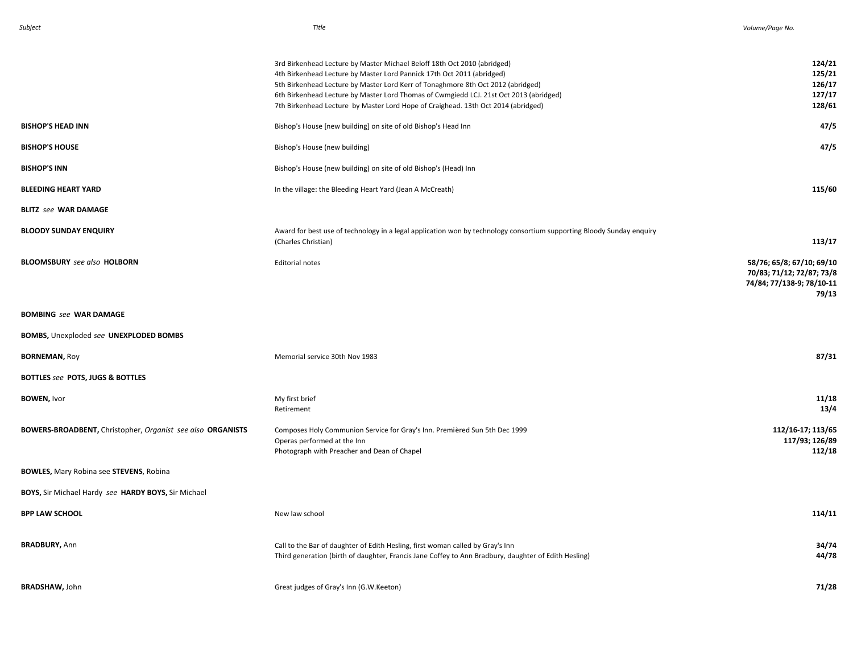|                                                            | 3rd Birkenhead Lecture by Master Michael Beloff 18th Oct 2010 (abridged)<br>4th Birkenhead Lecture by Master Lord Pannick 17th Oct 2011 (abridged)<br>5th Birkenhead Lecture by Master Lord Kerr of Tonaghmore 8th Oct 2012 (abridged)<br>6th Birkenhead Lecture by Master Lord Thomas of Cwmgiedd LCJ. 21st Oct 2013 (abridged)<br>7th Birkenhead Lecture by Master Lord Hope of Craighead. 13th Oct 2014 (abridged) | 124/21<br>125/21<br>126/17<br>127/17<br>128/61                                               |
|------------------------------------------------------------|-----------------------------------------------------------------------------------------------------------------------------------------------------------------------------------------------------------------------------------------------------------------------------------------------------------------------------------------------------------------------------------------------------------------------|----------------------------------------------------------------------------------------------|
| <b>BISHOP'S HEAD INN</b>                                   | Bishop's House [new building] on site of old Bishop's Head Inn                                                                                                                                                                                                                                                                                                                                                        | 47/5                                                                                         |
| <b>BISHOP'S HOUSE</b>                                      | Bishop's House (new building)                                                                                                                                                                                                                                                                                                                                                                                         | 47/5                                                                                         |
| <b>BISHOP'S INN</b>                                        | Bishop's House (new building) on site of old Bishop's (Head) Inn                                                                                                                                                                                                                                                                                                                                                      |                                                                                              |
| <b>BLEEDING HEART YARD</b>                                 | In the village: the Bleeding Heart Yard (Jean A McCreath)                                                                                                                                                                                                                                                                                                                                                             | 115/60                                                                                       |
| <b>BLITZ</b> see WAR DAMAGE                                |                                                                                                                                                                                                                                                                                                                                                                                                                       |                                                                                              |
| <b>BLOODY SUNDAY ENQUIRY</b>                               | Award for best use of technology in a legal application won by technology consortium supporting Bloody Sunday enquiry<br>(Charles Christian)                                                                                                                                                                                                                                                                          | 113/17                                                                                       |
| <b>BLOOMSBURY</b> see also <b>HOLBORN</b>                  | <b>Editorial notes</b>                                                                                                                                                                                                                                                                                                                                                                                                | 58/76; 65/8; 67/10; 69/10<br>70/83; 71/12; 72/87; 73/8<br>74/84; 77/138-9; 78/10-11<br>79/13 |
| <b>BOMBING see WAR DAMAGE</b>                              |                                                                                                                                                                                                                                                                                                                                                                                                                       |                                                                                              |
| BOMBS, Unexploded see UNEXPLODED BOMBS                     |                                                                                                                                                                                                                                                                                                                                                                                                                       |                                                                                              |
| <b>BORNEMAN, Roy</b>                                       | Memorial service 30th Nov 1983                                                                                                                                                                                                                                                                                                                                                                                        | 87/31                                                                                        |
| BOTTLES see POTS, JUGS & BOTTLES                           |                                                                                                                                                                                                                                                                                                                                                                                                                       |                                                                                              |
| <b>BOWEN, Ivor</b>                                         | My first brief<br>Retirement                                                                                                                                                                                                                                                                                                                                                                                          | 11/18<br>13/4                                                                                |
| BOWERS-BROADBENT, Christopher, Organist see also ORGANISTS | Composes Holy Communion Service for Gray's Inn. Premièred Sun 5th Dec 1999<br>Operas performed at the Inn<br>Photograph with Preacher and Dean of Chapel                                                                                                                                                                                                                                                              | 112/16-17; 113/65<br>117/93; 126/89<br>112/18                                                |
| <b>BOWLES, Mary Robina see STEVENS, Robina</b>             |                                                                                                                                                                                                                                                                                                                                                                                                                       |                                                                                              |
| BOYS, Sir Michael Hardy see HARDY BOYS, Sir Michael        |                                                                                                                                                                                                                                                                                                                                                                                                                       |                                                                                              |
| <b>BPP LAW SCHOOL</b>                                      | New law school                                                                                                                                                                                                                                                                                                                                                                                                        | 114/11                                                                                       |
| <b>BRADBURY, Ann</b>                                       | Call to the Bar of daughter of Edith Hesling, first woman called by Gray's Inn<br>Third generation (birth of daughter, Francis Jane Coffey to Ann Bradbury, daughter of Edith Hesling)                                                                                                                                                                                                                                | 34/74<br>44/78                                                                               |
| <b>BRADSHAW, John</b>                                      | Great judges of Gray's Inn (G.W.Keeton)                                                                                                                                                                                                                                                                                                                                                                               | 71/28                                                                                        |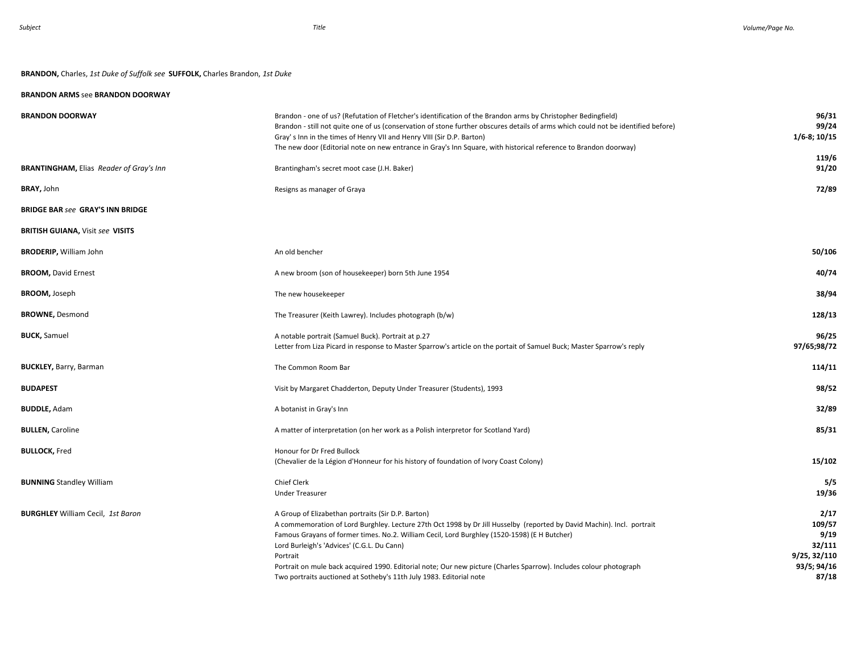# **BRANDON,** Charles, *1st Duke of Suffolk see* **SUFFOLK,** Charles Brandon, *1st Duke*

# **BRANDON ARMS** see **BRANDON DOORWAY**

| <b>BRANDON DOORWAY</b>                         | Brandon - one of us? (Refutation of Fletcher's identification of the Brandon arms by Christopher Bedingfield)<br>Brandon - still not quite one of us (conservation of stone further obscures details of arms which could not be identified before)<br>Gray's Inn in the times of Henry VII and Henry VIII (Sir D.P. Barton)<br>The new door (Editorial note on new entrance in Gray's Inn Square, with historical reference to Brandon doorway)                                                                                     | 96/31<br>99/24<br>$1/6 - 8$ ; 10/15                                      |
|------------------------------------------------|-------------------------------------------------------------------------------------------------------------------------------------------------------------------------------------------------------------------------------------------------------------------------------------------------------------------------------------------------------------------------------------------------------------------------------------------------------------------------------------------------------------------------------------|--------------------------------------------------------------------------|
| <b>BRANTINGHAM, Elias Reader of Gray's Inn</b> | Brantingham's secret moot case (J.H. Baker)                                                                                                                                                                                                                                                                                                                                                                                                                                                                                         | 119/6<br>91/20                                                           |
| <b>BRAY, John</b>                              | Resigns as manager of Graya                                                                                                                                                                                                                                                                                                                                                                                                                                                                                                         | 72/89                                                                    |
| <b>BRIDGE BAR see GRAY'S INN BRIDGE</b>        |                                                                                                                                                                                                                                                                                                                                                                                                                                                                                                                                     |                                                                          |
| <b>BRITISH GUIANA, Visit see VISITS</b>        |                                                                                                                                                                                                                                                                                                                                                                                                                                                                                                                                     |                                                                          |
| <b>BRODERIP, William John</b>                  | An old bencher                                                                                                                                                                                                                                                                                                                                                                                                                                                                                                                      | 50/106                                                                   |
| <b>BROOM, David Ernest</b>                     | A new broom (son of housekeeper) born 5th June 1954                                                                                                                                                                                                                                                                                                                                                                                                                                                                                 | 40/74                                                                    |
| <b>BROOM, Joseph</b>                           | The new housekeeper                                                                                                                                                                                                                                                                                                                                                                                                                                                                                                                 | 38/94                                                                    |
| <b>BROWNE, Desmond</b>                         | The Treasurer (Keith Lawrey). Includes photograph (b/w)                                                                                                                                                                                                                                                                                                                                                                                                                                                                             | 128/13                                                                   |
| <b>BUCK, Samuel</b>                            | A notable portrait (Samuel Buck). Portrait at p.27<br>Letter from Liza Picard in response to Master Sparrow's article on the portait of Samuel Buck; Master Sparrow's reply                                                                                                                                                                                                                                                                                                                                                         | 96/25<br>97/65;98/72                                                     |
| <b>BUCKLEY, Barry, Barman</b>                  | The Common Room Bar                                                                                                                                                                                                                                                                                                                                                                                                                                                                                                                 | 114/11                                                                   |
| <b>BUDAPEST</b>                                | Visit by Margaret Chadderton, Deputy Under Treasurer (Students), 1993                                                                                                                                                                                                                                                                                                                                                                                                                                                               | 98/52                                                                    |
| <b>BUDDLE, Adam</b>                            | A botanist in Gray's Inn                                                                                                                                                                                                                                                                                                                                                                                                                                                                                                            | 32/89                                                                    |
| <b>BULLEN, Caroline</b>                        | A matter of interpretation (on her work as a Polish interpretor for Scotland Yard)                                                                                                                                                                                                                                                                                                                                                                                                                                                  | 85/31                                                                    |
| <b>BULLOCK, Fred</b>                           | Honour for Dr Fred Bullock<br>(Chevalier de la Légion d'Honneur for his history of foundation of Ivory Coast Colony)                                                                                                                                                                                                                                                                                                                                                                                                                | 15/102                                                                   |
| <b>BUNNING Standley William</b>                | Chief Clerk<br><b>Under Treasurer</b>                                                                                                                                                                                                                                                                                                                                                                                                                                                                                               | 5/5<br>19/36                                                             |
| <b>BURGHLEY</b> William Cecil, 1st Baron       | A Group of Elizabethan portraits (Sir D.P. Barton)<br>A commemoration of Lord Burghley. Lecture 27th Oct 1998 by Dr Jill Husselby (reported by David Machin). Incl. portrait<br>Famous Grayans of former times. No.2. William Cecil, Lord Burghley (1520-1598) (E H Butcher)<br>Lord Burleigh's 'Advices' (C.G.L. Du Cann)<br>Portrait<br>Portrait on mule back acquired 1990. Editorial note; Our new picture (Charles Sparrow). Includes colour photograph<br>Two portraits auctioned at Sotheby's 11th July 1983. Editorial note | 2/17<br>109/57<br>9/19<br>32/111<br>9/25, 32/110<br>93/5; 94/16<br>87/18 |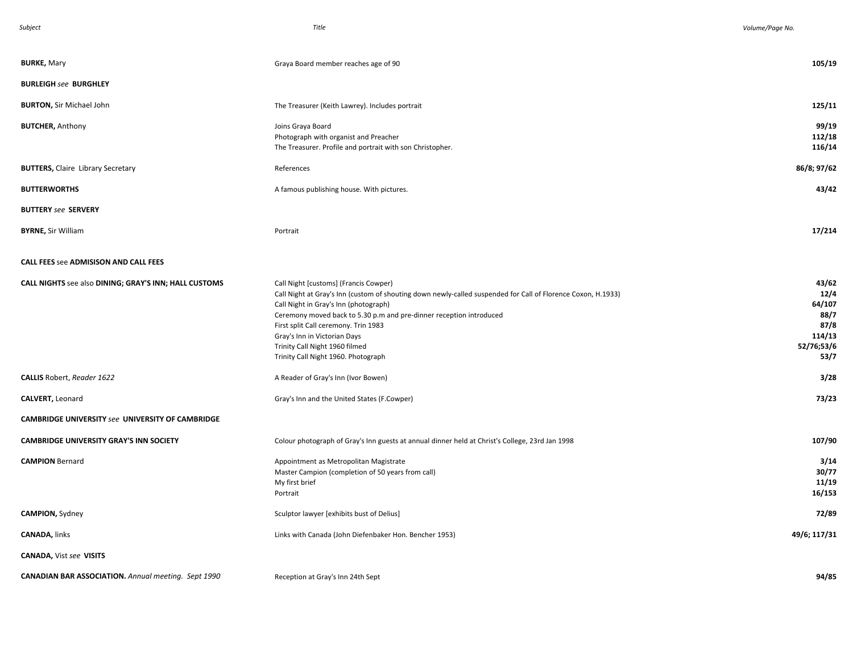| Subject                                                    | Title                                                                                                                                                                                                                                                                                                                                                                                                                  | Volume/Page No.                                                         |
|------------------------------------------------------------|------------------------------------------------------------------------------------------------------------------------------------------------------------------------------------------------------------------------------------------------------------------------------------------------------------------------------------------------------------------------------------------------------------------------|-------------------------------------------------------------------------|
| <b>BURKE, Mary</b>                                         | Graya Board member reaches age of 90                                                                                                                                                                                                                                                                                                                                                                                   | 105/19                                                                  |
| <b>BURLEIGH see BURGHLEY</b>                               |                                                                                                                                                                                                                                                                                                                                                                                                                        |                                                                         |
| <b>BURTON, Sir Michael John</b>                            | The Treasurer (Keith Lawrey). Includes portrait                                                                                                                                                                                                                                                                                                                                                                        | 125/11                                                                  |
| <b>BUTCHER, Anthony</b>                                    | Joins Graya Board<br>Photograph with organist and Preacher<br>The Treasurer. Profile and portrait with son Christopher.                                                                                                                                                                                                                                                                                                | 99/19<br>112/18<br>116/14                                               |
| <b>BUTTERS, Claire Library Secretary</b>                   | References                                                                                                                                                                                                                                                                                                                                                                                                             | 86/8; 97/62                                                             |
| <b>BUTTERWORTHS</b>                                        | A famous publishing house. With pictures.                                                                                                                                                                                                                                                                                                                                                                              | 43/42                                                                   |
| <b>BUTTERY</b> see SERVERY                                 |                                                                                                                                                                                                                                                                                                                                                                                                                        |                                                                         |
| <b>BYRNE, Sir William</b>                                  | Portrait                                                                                                                                                                                                                                                                                                                                                                                                               | 17/214                                                                  |
| <b>CALL FEES see ADMISISON AND CALL FEES</b>               |                                                                                                                                                                                                                                                                                                                                                                                                                        |                                                                         |
| CALL NIGHTS see also DINING; GRAY'S INN; HALL CUSTOMS      | Call Night [customs] (Francis Cowper)<br>Call Night at Gray's Inn (custom of shouting down newly-called suspended for Call of Florence Coxon, H.1933)<br>Call Night in Gray's Inn (photograph)<br>Ceremony moved back to 5.30 p.m and pre-dinner reception introduced<br>First split Call ceremony. Trin 1983<br>Gray's Inn in Victorian Days<br>Trinity Call Night 1960 filmed<br>Trinity Call Night 1960. Photograph | 43/62<br>12/4<br>64/107<br>88/7<br>87/8<br>114/13<br>52/76;53/6<br>53/7 |
| <b>CALLIS</b> Robert, Reader 1622                          | A Reader of Gray's Inn (Ivor Bowen)                                                                                                                                                                                                                                                                                                                                                                                    | 3/28                                                                    |
| CALVERT, Leonard                                           | Gray's Inn and the United States (F.Cowper)                                                                                                                                                                                                                                                                                                                                                                            | 73/23                                                                   |
| CAMBRIDGE UNIVERSITY see UNIVERSITY OF CAMBRIDGE           |                                                                                                                                                                                                                                                                                                                                                                                                                        |                                                                         |
| <b>CAMBRIDGE UNIVERSITY GRAY'S INN SOCIETY</b>             | Colour photograph of Gray's Inn guests at annual dinner held at Christ's College, 23rd Jan 1998                                                                                                                                                                                                                                                                                                                        | 107/90                                                                  |
| <b>CAMPION Bernard</b>                                     | Appointment as Metropolitan Magistrate<br>Master Campion (completion of 50 years from call)<br>My first brief<br>Portrait                                                                                                                                                                                                                                                                                              | 3/14<br>30/77<br>11/19<br>16/153                                        |
| <b>CAMPION, Sydney</b>                                     | Sculptor lawyer [exhibits bust of Delius]                                                                                                                                                                                                                                                                                                                                                                              | 72/89                                                                   |
| <b>CANADA, links</b>                                       | Links with Canada (John Diefenbaker Hon. Bencher 1953)                                                                                                                                                                                                                                                                                                                                                                 | 49/6; 117/31                                                            |
| <b>CANADA, Vist see VISITS</b>                             |                                                                                                                                                                                                                                                                                                                                                                                                                        |                                                                         |
| <b>CANADIAN BAR ASSOCIATION.</b> Annual meeting. Sept 1990 | Reception at Gray's Inn 24th Sept                                                                                                                                                                                                                                                                                                                                                                                      | 94/85                                                                   |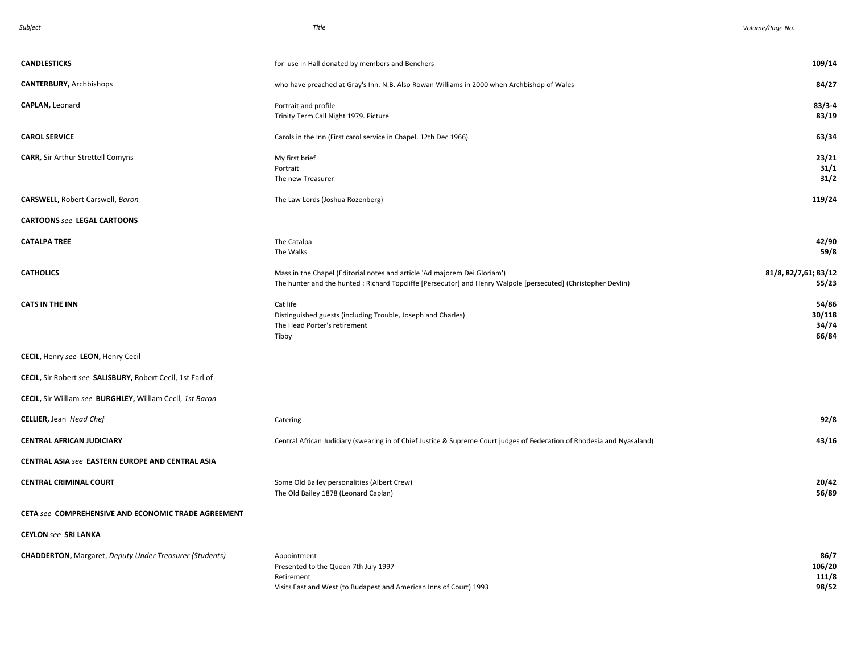| <b>CANDLESTICKS</b>                                            | for use in Hall donated by members and Benchers                                                                                                                                             | 109/14                            |
|----------------------------------------------------------------|---------------------------------------------------------------------------------------------------------------------------------------------------------------------------------------------|-----------------------------------|
| <b>CANTERBURY, Archbishops</b>                                 | who have preached at Gray's Inn. N.B. Also Rowan Williams in 2000 when Archbishop of Wales                                                                                                  | 84/27                             |
| CAPLAN, Leonard                                                | Portrait and profile<br>Trinity Term Call Night 1979. Picture                                                                                                                               | $83/3 - 4$<br>83/19               |
| <b>CAROL SERVICE</b>                                           | Carols in the Inn (First carol service in Chapel. 12th Dec 1966)                                                                                                                            | 63/34                             |
| <b>CARR, Sir Arthur Strettell Comyns</b>                       | My first brief<br>Portrait<br>The new Treasurer                                                                                                                                             | 23/21<br>31/1<br>31/2             |
| <b>CARSWELL, Robert Carswell, Baron</b>                        | The Law Lords (Joshua Rozenberg)                                                                                                                                                            | 119/24                            |
| <b>CARTOONS see LEGAL CARTOONS</b>                             |                                                                                                                                                                                             |                                   |
| <b>CATALPA TREE</b>                                            | The Catalpa<br>The Walks                                                                                                                                                                    | 42/90<br>59/8                     |
| <b>CATHOLICS</b>                                               | Mass in the Chapel (Editorial notes and article 'Ad majorem Dei Gloriam')<br>The hunter and the hunted : Richard Topcliffe [Persecutor] and Henry Walpole [persecuted] (Christopher Devlin) | 81/8, 82/7,61; 83/12<br>55/23     |
| <b>CATS IN THE INN</b>                                         | Cat life<br>Distinguished guests (including Trouble, Joseph and Charles)<br>The Head Porter's retirement<br>Tibby                                                                           | 54/86<br>30/118<br>34/74<br>66/84 |
| CECIL, Henry see LEON, Henry Cecil                             |                                                                                                                                                                                             |                                   |
| CECIL, Sir Robert see SALISBURY, Robert Cecil, 1st Earl of     |                                                                                                                                                                                             |                                   |
| CECIL, Sir William see BURGHLEY, William Cecil, 1st Baron      |                                                                                                                                                                                             |                                   |
| <b>CELLIER, Jean Head Chef</b>                                 | Catering                                                                                                                                                                                    | 92/8                              |
| <b>CENTRAL AFRICAN JUDICIARY</b>                               | Central African Judiciary (swearing in of Chief Justice & Supreme Court judges of Federation of Rhodesia and Nyasaland)                                                                     | 43/16                             |
| <b>CENTRAL ASIA see EASTERN EUROPE AND CENTRAL ASIA</b>        |                                                                                                                                                                                             |                                   |
| <b>CENTRAL CRIMINAL COURT</b>                                  | Some Old Bailey personalities (Albert Crew)<br>The Old Bailey 1878 (Leonard Caplan)                                                                                                         | 20/42<br>56/89                    |
| CETA see COMPREHENSIVE AND ECONOMIC TRADE AGREEMENT            |                                                                                                                                                                                             |                                   |
| <b>CEYLON see SRI LANKA</b>                                    |                                                                                                                                                                                             |                                   |
| <b>CHADDERTON, Margaret, Deputy Under Treasurer (Students)</b> | Appointment<br>Presented to the Queen 7th July 1997<br>Retirement<br>Visits East and West (to Budapest and American Inns of Court) 1993                                                     | 86/7<br>106/20<br>111/8<br>98/52  |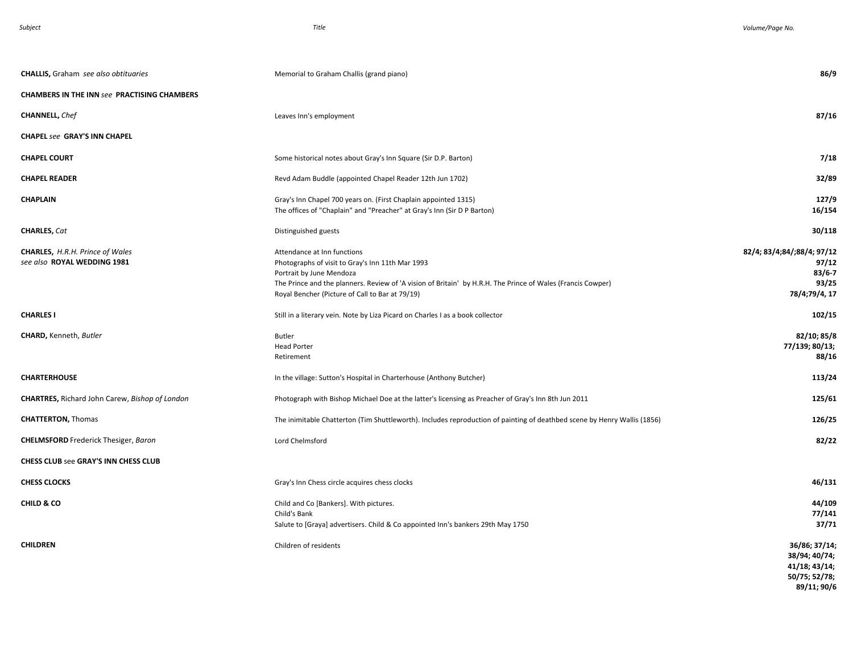| <b>CHALLIS, Graham</b> see also obtituaries                           | Memorial to Graham Challis (grand piano)                                                                                                                                                                                                                                      | 86/9                                                                        |
|-----------------------------------------------------------------------|-------------------------------------------------------------------------------------------------------------------------------------------------------------------------------------------------------------------------------------------------------------------------------|-----------------------------------------------------------------------------|
| <b>CHAMBERS IN THE INN see PRACTISING CHAMBERS</b>                    |                                                                                                                                                                                                                                                                               |                                                                             |
| <b>CHANNELL, Chef</b>                                                 | Leaves Inn's employment                                                                                                                                                                                                                                                       | 87/16                                                                       |
| <b>CHAPEL see GRAY'S INN CHAPEL</b>                                   |                                                                                                                                                                                                                                                                               |                                                                             |
| <b>CHAPEL COURT</b>                                                   | Some historical notes about Gray's Inn Square (Sir D.P. Barton)                                                                                                                                                                                                               | 7/18                                                                        |
| <b>CHAPEL READER</b>                                                  | Revd Adam Buddle (appointed Chapel Reader 12th Jun 1702)                                                                                                                                                                                                                      | 32/89                                                                       |
| <b>CHAPLAIN</b>                                                       | Gray's Inn Chapel 700 years on. (First Chaplain appointed 1315)<br>The offices of "Chaplain" and "Preacher" at Gray's Inn (Sir D P Barton)                                                                                                                                    | 127/9<br>16/154                                                             |
| <b>CHARLES, Cat</b>                                                   | Distinguished guests                                                                                                                                                                                                                                                          | 30/118                                                                      |
| <b>CHARLES, H.R.H. Prince of Wales</b><br>see also ROYAL WEDDING 1981 | Attendance at Inn functions<br>Photographs of visit to Gray's Inn 11th Mar 1993<br>Portrait by June Mendoza<br>The Prince and the planners. Review of 'A vision of Britain' by H.R.H. The Prince of Wales (Francis Cowper)<br>Royal Bencher (Picture of Call to Bar at 79/19) | 82/4; 83/4;84/;88/4; 97/12<br>97/12<br>$83/6 - 7$<br>93/25<br>78/4;79/4, 17 |
| <b>CHARLES I</b>                                                      | Still in a literary vein. Note by Liza Picard on Charles I as a book collector                                                                                                                                                                                                | 102/15                                                                      |
| <b>CHARD, Kenneth, Butler</b>                                         | <b>Butler</b><br><b>Head Porter</b><br>Retirement                                                                                                                                                                                                                             | 82/10; 85/8<br>77/139; 80/13;<br>88/16                                      |
| <b>CHARTERHOUSE</b>                                                   | In the village: Sutton's Hospital in Charterhouse (Anthony Butcher)                                                                                                                                                                                                           | 113/24                                                                      |
| <b>CHARTRES, Richard John Carew, Bishop of London</b>                 | Photograph with Bishop Michael Doe at the latter's licensing as Preacher of Gray's Inn 8th Jun 2011                                                                                                                                                                           | 125/61                                                                      |
| <b>CHATTERTON, Thomas</b>                                             | The inimitable Chatterton (Tim Shuttleworth). Includes reproduction of painting of deathbed scene by Henry Wallis (1856)                                                                                                                                                      | 126/25                                                                      |
| <b>CHELMSFORD</b> Frederick Thesiger, Baron                           | Lord Chelmsford                                                                                                                                                                                                                                                               | 82/22                                                                       |
| <b>CHESS CLUB see GRAY'S INN CHESS CLUB</b>                           |                                                                                                                                                                                                                                                                               |                                                                             |
| <b>CHESS CLOCKS</b>                                                   | Gray's Inn Chess circle acquires chess clocks                                                                                                                                                                                                                                 | 46/131                                                                      |
| CHILD & CO                                                            | Child and Co [Bankers]. With pictures.<br>Child's Bank<br>Salute to [Graya] advertisers. Child & Co appointed Inn's bankers 29th May 1750                                                                                                                                     | 44/109<br>77/141<br>37/71                                                   |
| <b>CHILDREN</b>                                                       | Children of residents                                                                                                                                                                                                                                                         | 36/86; 37/14;<br>38/94; 40/74;<br>41/18; 43/14;<br>50/75; 52/78;            |

**89/11; 90/6**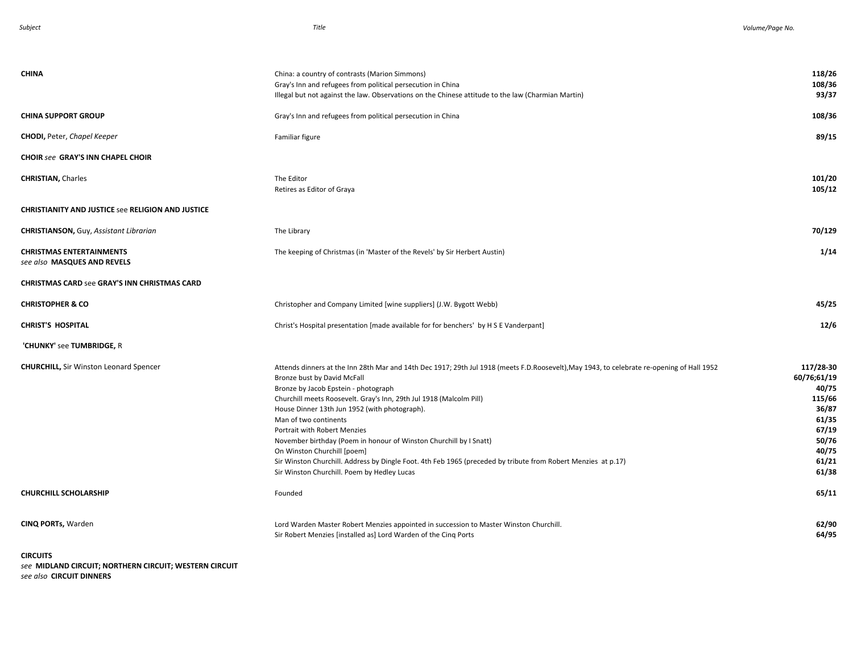| <b>CHINA</b>                                                   | China: a country of contrasts (Marion Simmons)<br>Gray's Inn and refugees from political persecution in China<br>Illegal but not against the law. Observations on the Chinese attitude to the law (Charmian Martin)                                                                                                                                                                                                                                                                                                                                                                                                                                                     | 118/26<br>108/36<br>93/37                                                                                  |
|----------------------------------------------------------------|-------------------------------------------------------------------------------------------------------------------------------------------------------------------------------------------------------------------------------------------------------------------------------------------------------------------------------------------------------------------------------------------------------------------------------------------------------------------------------------------------------------------------------------------------------------------------------------------------------------------------------------------------------------------------|------------------------------------------------------------------------------------------------------------|
| <b>CHINA SUPPORT GROUP</b>                                     | Gray's Inn and refugees from political persecution in China                                                                                                                                                                                                                                                                                                                                                                                                                                                                                                                                                                                                             | 108/36                                                                                                     |
| <b>CHODI, Peter, Chapel Keeper</b>                             | Familiar figure                                                                                                                                                                                                                                                                                                                                                                                                                                                                                                                                                                                                                                                         | 89/15                                                                                                      |
| <b>CHOIR see GRAY'S INN CHAPEL CHOIR</b>                       |                                                                                                                                                                                                                                                                                                                                                                                                                                                                                                                                                                                                                                                                         |                                                                                                            |
| <b>CHRISTIAN, Charles</b>                                      | The Editor<br>Retires as Editor of Graya                                                                                                                                                                                                                                                                                                                                                                                                                                                                                                                                                                                                                                | 101/20<br>105/12                                                                                           |
| <b>CHRISTIANITY AND JUSTICE see RELIGION AND JUSTICE</b>       |                                                                                                                                                                                                                                                                                                                                                                                                                                                                                                                                                                                                                                                                         |                                                                                                            |
| <b>CHRISTIANSON, Guy, Assistant Librarian</b>                  | The Library                                                                                                                                                                                                                                                                                                                                                                                                                                                                                                                                                                                                                                                             | 70/129                                                                                                     |
| <b>CHRISTMAS ENTERTAINMENTS</b><br>see also MASQUES AND REVELS | The keeping of Christmas (in 'Master of the Revels' by Sir Herbert Austin)                                                                                                                                                                                                                                                                                                                                                                                                                                                                                                                                                                                              | 1/14                                                                                                       |
| <b>CHRISTMAS CARD see GRAY'S INN CHRISTMAS CARD</b>            |                                                                                                                                                                                                                                                                                                                                                                                                                                                                                                                                                                                                                                                                         |                                                                                                            |
| <b>CHRISTOPHER &amp; CO</b>                                    | Christopher and Company Limited [wine suppliers] (J.W. Bygott Webb)                                                                                                                                                                                                                                                                                                                                                                                                                                                                                                                                                                                                     | 45/25                                                                                                      |
| <b>CHRIST'S HOSPITAL</b>                                       | Christ's Hospital presentation [made available for for benchers' by H S E Vanderpant]                                                                                                                                                                                                                                                                                                                                                                                                                                                                                                                                                                                   | 12/6                                                                                                       |
| 'CHUNKY' see TUMBRIDGE, R                                      |                                                                                                                                                                                                                                                                                                                                                                                                                                                                                                                                                                                                                                                                         |                                                                                                            |
| <b>CHURCHILL, Sir Winston Leonard Spencer</b>                  | Attends dinners at the Inn 28th Mar and 14th Dec 1917; 29th Jul 1918 (meets F.D.Roosevelt), May 1943, to celebrate re-opening of Hall 1952<br>Bronze bust by David McFall<br>Bronze by Jacob Epstein - photograph<br>Churchill meets Roosevelt. Gray's Inn, 29th Jul 1918 (Malcolm Pill)<br>House Dinner 13th Jun 1952 (with photograph).<br>Man of two continents<br>Portrait with Robert Menzies<br>November birthday (Poem in honour of Winston Churchill by I Snatt)<br>On Winston Churchill [poem]<br>Sir Winston Churchill. Address by Dingle Foot. 4th Feb 1965 (preceded by tribute from Robert Menzies at p.17)<br>Sir Winston Churchill. Poem by Hedley Lucas | 117/28-30<br>60/76;61/19<br>40/75<br>115/66<br>36/87<br>61/35<br>67/19<br>50/76<br>40/75<br>61/21<br>61/38 |
| <b>CHURCHILL SCHOLARSHIP</b>                                   | Founded                                                                                                                                                                                                                                                                                                                                                                                                                                                                                                                                                                                                                                                                 | 65/11                                                                                                      |
| <b>CINQ PORTs, Warden</b><br><b>CIRCUITS</b>                   | Lord Warden Master Robert Menzies appointed in succession to Master Winston Churchill.<br>Sir Robert Menzies [installed as] Lord Warden of the Cinq Ports                                                                                                                                                                                                                                                                                                                                                                                                                                                                                                               | 62/90<br>64/95                                                                                             |

*see* **MIDLAND CIRCUIT; NORTHERN CIRCUIT; WESTERN CIRCUIT** *see also* **CIRCUIT DINNERS**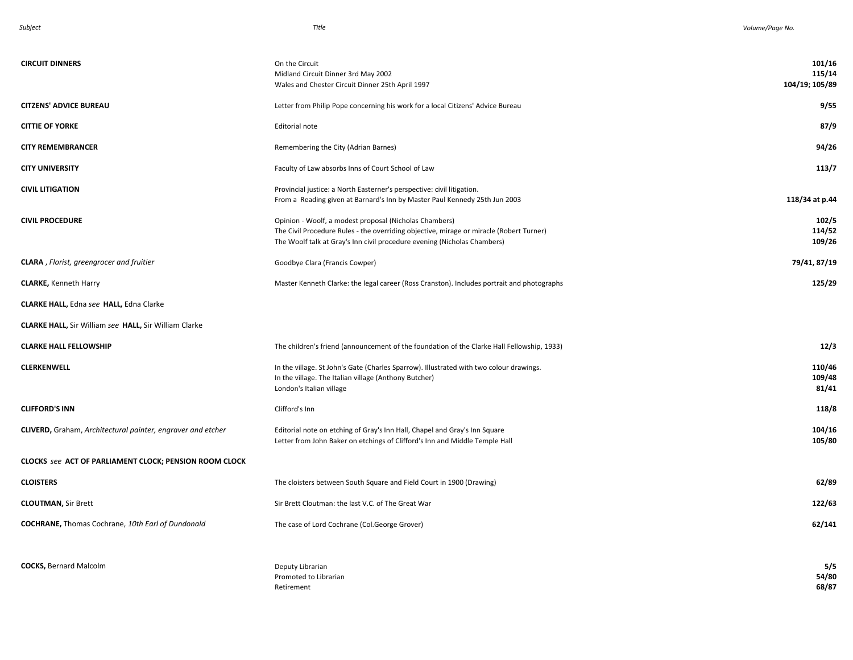| <b>CIRCUIT DINNERS</b>                                        | On the Circuit<br>Midland Circuit Dinner 3rd May 2002<br>Wales and Chester Circuit Dinner 25th April 1997                                                                                                                     | 101/16<br>115/14<br>104/19; 105/89 |
|---------------------------------------------------------------|-------------------------------------------------------------------------------------------------------------------------------------------------------------------------------------------------------------------------------|------------------------------------|
| <b>CITZENS' ADVICE BUREAU</b>                                 | Letter from Philip Pope concerning his work for a local Citizens' Advice Bureau                                                                                                                                               | 9/55                               |
| <b>CITTIE OF YORKE</b>                                        | Editorial note                                                                                                                                                                                                                | 87/9                               |
| <b>CITY REMEMBRANCER</b>                                      | Remembering the City (Adrian Barnes)                                                                                                                                                                                          | 94/26                              |
| <b>CITY UNIVERSITY</b>                                        | Faculty of Law absorbs Inns of Court School of Law                                                                                                                                                                            | 113/7                              |
| <b>CIVIL LITIGATION</b>                                       | Provincial justice: a North Easterner's perspective: civil litigation.<br>From a Reading given at Barnard's Inn by Master Paul Kennedy 25th Jun 2003                                                                          | 118/34 at p.44                     |
| <b>CIVIL PROCEDURE</b>                                        | Opinion - Woolf, a modest proposal (Nicholas Chambers)<br>The Civil Procedure Rules - the overriding objective, mirage or miracle (Robert Turner)<br>The Woolf talk at Gray's Inn civil procedure evening (Nicholas Chambers) | 102/5<br>114/52<br>109/26          |
| <b>CLARA</b> , Florist, greengrocer and fruitier              | Goodbye Clara (Francis Cowper)                                                                                                                                                                                                | 79/41, 87/19                       |
| <b>CLARKE, Kenneth Harry</b>                                  | Master Kenneth Clarke: the legal career (Ross Cranston). Includes portrait and photographs                                                                                                                                    | 125/29                             |
| <b>CLARKE HALL, Edna see HALL, Edna Clarke</b>                |                                                                                                                                                                                                                               |                                    |
| CLARKE HALL, Sir William see HALL, Sir William Clarke         |                                                                                                                                                                                                                               |                                    |
| <b>CLARKE HALL FELLOWSHIP</b>                                 | The children's friend (announcement of the foundation of the Clarke Hall Fellowship, 1933)                                                                                                                                    | 12/3                               |
| <b>CLERKENWELL</b>                                            | In the village. St John's Gate (Charles Sparrow). Illustrated with two colour drawings.<br>In the village. The Italian village (Anthony Butcher)<br>London's Italian village                                                  | 110/46<br>109/48<br>81/41          |
| <b>CLIFFORD'S INN</b>                                         | Clifford's Inn                                                                                                                                                                                                                | 118/8                              |
| CLIVERD, Graham, Architectural painter, engraver and etcher   | Editorial note on etching of Gray's Inn Hall, Chapel and Gray's Inn Square<br>Letter from John Baker on etchings of Clifford's Inn and Middle Temple Hall                                                                     | 104/16<br>105/80                   |
| <b>CLOCKS see ACT OF PARLIAMENT CLOCK; PENSION ROOM CLOCK</b> |                                                                                                                                                                                                                               |                                    |
| <b>CLOISTERS</b>                                              | The cloisters between South Square and Field Court in 1900 (Drawing)                                                                                                                                                          | 62/89                              |
| <b>CLOUTMAN, Sir Brett</b>                                    | Sir Brett Cloutman: the last V.C. of The Great War                                                                                                                                                                            | 122/63                             |
| <b>COCHRANE, Thomas Cochrane, 10th Earl of Dundonald</b>      | The case of Lord Cochrane (Col.George Grover)                                                                                                                                                                                 | 62/141                             |
| <b>COCKS, Bernard Malcolm</b>                                 | Deputy Librarian<br>Promoted to Librarian<br>Retirement                                                                                                                                                                       | 5/5<br>54/80<br>68/87              |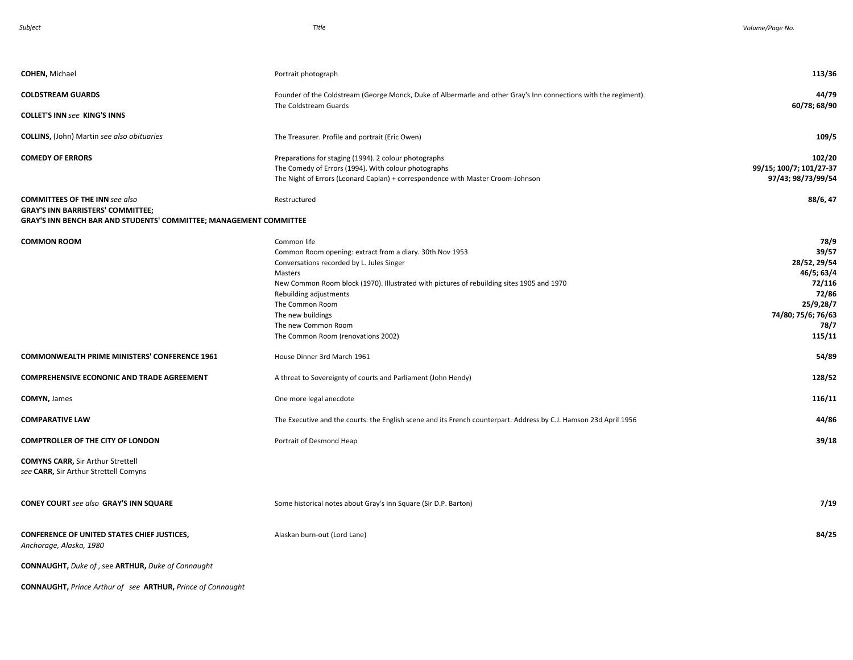*Subject Title . Volume/Page No.* 

| <b>COHEN, Michael</b>                                                                                                                                          | Portrait photograph                                                                                                                                                                                                                                                                                                                                         | 113/36                                                                                                              |
|----------------------------------------------------------------------------------------------------------------------------------------------------------------|-------------------------------------------------------------------------------------------------------------------------------------------------------------------------------------------------------------------------------------------------------------------------------------------------------------------------------------------------------------|---------------------------------------------------------------------------------------------------------------------|
| <b>COLDSTREAM GUARDS</b>                                                                                                                                       | Founder of the Coldstream (George Monck, Duke of Albermarle and other Gray's Inn connections with the regiment).                                                                                                                                                                                                                                            | 44/79                                                                                                               |
| <b>COLLET'S INN see KING'S INNS</b>                                                                                                                            | The Coldstream Guards                                                                                                                                                                                                                                                                                                                                       | 60/78; 68/90                                                                                                        |
| <b>COLLINS, (John) Martin see also obituaries</b>                                                                                                              | The Treasurer. Profile and portrait (Eric Owen)                                                                                                                                                                                                                                                                                                             | 109/5                                                                                                               |
| <b>COMEDY OF ERRORS</b>                                                                                                                                        | Preparations for staging (1994). 2 colour photographs<br>The Comedy of Errors (1994). With colour photographs<br>The Night of Errors (Leonard Caplan) + correspondence with Master Croom-Johnson                                                                                                                                                            | 102/20<br>99/15; 100/7; 101/27-37<br>97/43; 98/73/99/54                                                             |
| <b>COMMITTEES OF THE INN see also</b><br><b>GRAY'S INN BARRISTERS' COMMITTEE;</b><br><b>GRAY'S INN BENCH BAR AND STUDENTS' COMMITTEE; MANAGEMENT COMMITTEE</b> | Restructured                                                                                                                                                                                                                                                                                                                                                | 88/6, 47                                                                                                            |
| <b>COMMON ROOM</b>                                                                                                                                             | Common life<br>Common Room opening: extract from a diary. 30th Nov 1953<br>Conversations recorded by L. Jules Singer<br>Masters<br>New Common Room block (1970). Illustrated with pictures of rebuilding sites 1905 and 1970<br>Rebuilding adjustments<br>The Common Room<br>The new buildings<br>The new Common Room<br>The Common Room (renovations 2002) | 78/9<br>39/57<br>28/52, 29/54<br>46/5; 63/4<br>72/116<br>72/86<br>25/9,28/7<br>74/80; 75/6; 76/63<br>78/7<br>115/11 |
| <b>COMMONWEALTH PRIME MINISTERS' CONFERENCE 1961</b>                                                                                                           | House Dinner 3rd March 1961                                                                                                                                                                                                                                                                                                                                 | 54/89                                                                                                               |
| <b>COMPREHENSIVE ECONONIC AND TRADE AGREEMENT</b>                                                                                                              | A threat to Sovereignty of courts and Parliament (John Hendy)                                                                                                                                                                                                                                                                                               | 128/52                                                                                                              |
| <b>COMYN, James</b>                                                                                                                                            | One more legal anecdote                                                                                                                                                                                                                                                                                                                                     | 116/11                                                                                                              |
| <b>COMPARATIVE LAW</b>                                                                                                                                         | The Executive and the courts: the English scene and its French counterpart. Address by C.J. Hamson 23d April 1956                                                                                                                                                                                                                                           | 44/86                                                                                                               |
| <b>COMPTROLLER OF THE CITY OF LONDON</b>                                                                                                                       | Portrait of Desmond Heap                                                                                                                                                                                                                                                                                                                                    | 39/18                                                                                                               |
| <b>COMYNS CARR, Sir Arthur Strettell</b><br>see CARR, Sir Arthur Strettell Comyns                                                                              |                                                                                                                                                                                                                                                                                                                                                             |                                                                                                                     |
| CONEY COURT see also GRAY'S INN SQUARE                                                                                                                         | Some historical notes about Gray's Inn Square (Sir D.P. Barton)                                                                                                                                                                                                                                                                                             | 7/19                                                                                                                |
| <b>CONFERENCE OF UNITED STATES CHIEF JUSTICES,</b><br>Anchorage, Alaska, 1980                                                                                  | Alaskan burn-out (Lord Lane)                                                                                                                                                                                                                                                                                                                                | 84/25                                                                                                               |
| <b>CONNAUGHT, Duke of, see ARTHUR, Duke of Connaught</b>                                                                                                       |                                                                                                                                                                                                                                                                                                                                                             |                                                                                                                     |
| <b>CONNAUGHT, Prince Arthur of see ARTHUR, Prince of Connaught</b>                                                                                             |                                                                                                                                                                                                                                                                                                                                                             |                                                                                                                     |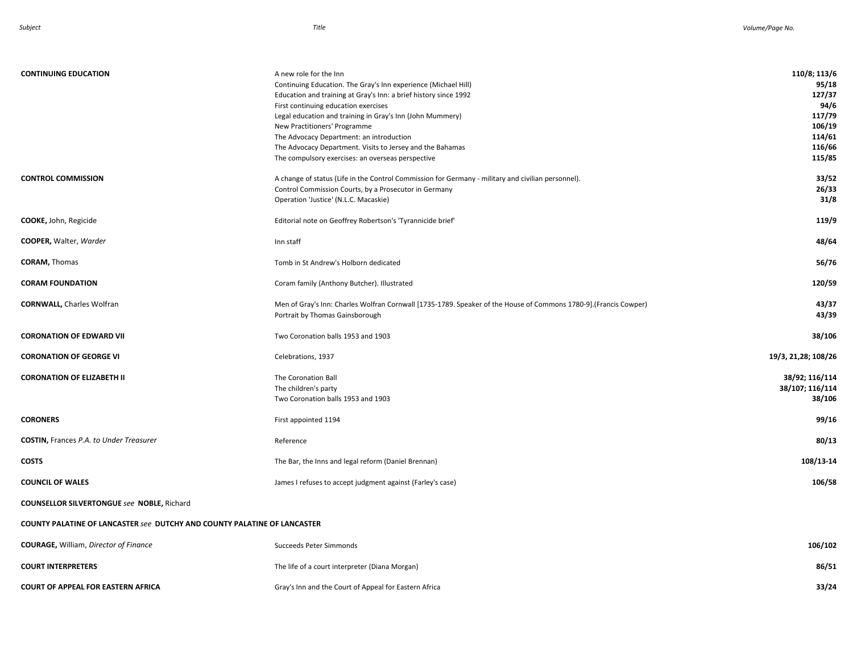| <b>CONTINUING EDUCATION</b>                                                     | A new role for the Inn<br>Continuing Education. The Gray's Inn experience (Michael Hill)<br>Education and training at Gray's Inn: a brief history since 1992<br>First continuing education exercises<br>Legal education and training in Gray's Inn (John Mummery)<br>New Practitioners' Programme<br>The Advocacy Department: an introduction<br>The Advocacy Department. Visits to Jersey and the Bahamas<br>The compulsory exercises: an overseas perspective | 110/8; 113/6<br>95/18<br>127/37<br>94/6<br>117/79<br>106/19<br>114/61<br>116/66<br>115/85 |  |
|---------------------------------------------------------------------------------|-----------------------------------------------------------------------------------------------------------------------------------------------------------------------------------------------------------------------------------------------------------------------------------------------------------------------------------------------------------------------------------------------------------------------------------------------------------------|-------------------------------------------------------------------------------------------|--|
| <b>CONTROL COMMISSION</b>                                                       | A change of status (Life in the Control Commission for Germany - military and civilian personnel).<br>Control Commission Courts, by a Prosecutor in Germany<br>Operation 'Justice' (N.L.C. Macaskie)                                                                                                                                                                                                                                                            | 33/52<br>26/33<br>31/8                                                                    |  |
| <b>COOKE, John, Regicide</b>                                                    | Editorial note on Geoffrey Robertson's 'Tyrannicide brief'                                                                                                                                                                                                                                                                                                                                                                                                      | 119/9                                                                                     |  |
| <b>COOPER, Walter, Warder</b>                                                   | Inn staff                                                                                                                                                                                                                                                                                                                                                                                                                                                       | 48/64                                                                                     |  |
| <b>CORAM, Thomas</b>                                                            | Tomb in St Andrew's Holborn dedicated                                                                                                                                                                                                                                                                                                                                                                                                                           | 56/76                                                                                     |  |
| <b>CORAM FOUNDATION</b>                                                         | Coram family (Anthony Butcher). Illustrated                                                                                                                                                                                                                                                                                                                                                                                                                     | 120/59                                                                                    |  |
| <b>CORNWALL, Charles Wolfran</b>                                                | Men of Gray's Inn: Charles Wolfran Cornwall [1735-1789. Speaker of the House of Commons 1780-9].(Francis Cowper)<br>Portrait by Thomas Gainsborough                                                                                                                                                                                                                                                                                                             | 43/37<br>43/39                                                                            |  |
| <b>CORONATION OF EDWARD VII</b>                                                 | Two Coronation balls 1953 and 1903                                                                                                                                                                                                                                                                                                                                                                                                                              | 38/106                                                                                    |  |
| <b>CORONATION OF GEORGE VI</b>                                                  | Celebrations, 1937                                                                                                                                                                                                                                                                                                                                                                                                                                              | 19/3, 21, 28; 108/26                                                                      |  |
| <b>CORONATION OF ELIZABETH II</b>                                               | The Coronation Ball<br>The children's party<br>Two Coronation balls 1953 and 1903                                                                                                                                                                                                                                                                                                                                                                               | 38/92; 116/114<br>38/107; 116/114<br>38/106                                               |  |
| <b>CORONERS</b>                                                                 | First appointed 1194                                                                                                                                                                                                                                                                                                                                                                                                                                            | 99/16                                                                                     |  |
| <b>COSTIN, Frances P.A. to Under Treasurer</b>                                  | Reference                                                                                                                                                                                                                                                                                                                                                                                                                                                       | 80/13                                                                                     |  |
| <b>COSTS</b>                                                                    | The Bar, the Inns and legal reform (Daniel Brennan)                                                                                                                                                                                                                                                                                                                                                                                                             | 108/13-14                                                                                 |  |
| <b>COUNCIL OF WALES</b>                                                         | James I refuses to accept judgment against (Farley's case)                                                                                                                                                                                                                                                                                                                                                                                                      | 106/58                                                                                    |  |
| <b>COUNSELLOR SILVERTONGUE see NOBLE, Richard</b>                               |                                                                                                                                                                                                                                                                                                                                                                                                                                                                 |                                                                                           |  |
| <b>COUNTY PALATINE OF LANCASTER see DUTCHY AND COUNTY PALATINE OF LANCASTER</b> |                                                                                                                                                                                                                                                                                                                                                                                                                                                                 |                                                                                           |  |
| <b>COURAGE, William, Director of Finance</b>                                    | Succeeds Peter Simmonds                                                                                                                                                                                                                                                                                                                                                                                                                                         | 106/102                                                                                   |  |
| <b>COURT INTERPRETERS</b>                                                       | The life of a court interpreter (Diana Morgan)                                                                                                                                                                                                                                                                                                                                                                                                                  | 86/51                                                                                     |  |
| <b>COURT OF APPEAL FOR EASTERN AFRICA</b>                                       | Gray's Inn and the Court of Appeal for Eastern Africa                                                                                                                                                                                                                                                                                                                                                                                                           | 33/24                                                                                     |  |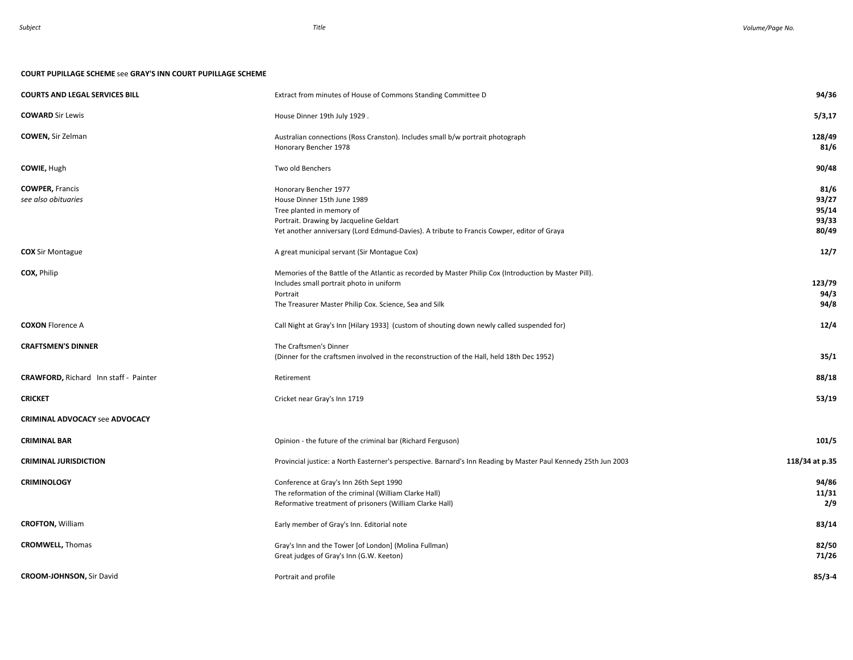### **COURT PUPILLAGE SCHEME** see **GRAY'S INN COURT PUPILLAGE SCHEME**

| <b>COURTS AND LEGAL SERVICES BILL</b>        | Extract from minutes of House of Commons Standing Committee D                                                   | 94/36          |
|----------------------------------------------|-----------------------------------------------------------------------------------------------------------------|----------------|
| <b>COWARD Sir Lewis</b>                      | House Dinner 19th July 1929.                                                                                    | 5/3,17         |
| <b>COWEN, Sir Zelman</b>                     | Australian connections (Ross Cranston). Includes small b/w portrait photograph                                  | 128/49         |
|                                              | Honorary Bencher 1978                                                                                           | 81/6           |
| <b>COWIE, Hugh</b>                           | Two old Benchers                                                                                                | 90/48          |
| <b>COWPER, Francis</b>                       | Honorary Bencher 1977                                                                                           | 81/6           |
| see also obituaries                          | House Dinner 15th June 1989                                                                                     | 93/27          |
|                                              | Tree planted in memory of                                                                                       | 95/14          |
|                                              | Portrait. Drawing by Jacqueline Geldart                                                                         | 93/33          |
|                                              | Yet another anniversary (Lord Edmund-Davies). A tribute to Francis Cowper, editor of Graya                      | 80/49          |
| <b>COX</b> Sir Montague                      | A great municipal servant (Sir Montague Cox)                                                                    | 12/7           |
| COX, Philip                                  | Memories of the Battle of the Atlantic as recorded by Master Philip Cox (Introduction by Master Pill).          |                |
|                                              | Includes small portrait photo in uniform                                                                        | 123/79         |
|                                              | Portrait                                                                                                        | 94/3           |
|                                              | The Treasurer Master Philip Cox. Science, Sea and Silk                                                          | 94/8           |
| <b>COXON Florence A</b>                      | Call Night at Gray's Inn [Hilary 1933] (custom of shouting down newly called suspended for)                     | 12/4           |
| <b>CRAFTSMEN'S DINNER</b>                    | The Craftsmen's Dinner                                                                                          |                |
|                                              | (Dinner for the craftsmen involved in the reconstruction of the Hall, held 18th Dec 1952)                       | 35/1           |
| <b>CRAWFORD, Richard Inn staff - Painter</b> | Retirement                                                                                                      | 88/18          |
| <b>CRICKET</b>                               | Cricket near Gray's Inn 1719                                                                                    | 53/19          |
| <b>CRIMINAL ADVOCACY see ADVOCACY</b>        |                                                                                                                 |                |
| <b>CRIMINAL BAR</b>                          | Opinion - the future of the criminal bar (Richard Ferguson)                                                     | 101/5          |
| <b>CRIMINAL JURISDICTION</b>                 | Provincial justice: a North Easterner's perspective. Barnard's Inn Reading by Master Paul Kennedy 25th Jun 2003 | 118/34 at p.35 |
| <b>CRIMINOLOGY</b>                           | Conference at Gray's Inn 26th Sept 1990                                                                         | 94/86          |
|                                              | The reformation of the criminal (William Clarke Hall)                                                           | 11/31          |
|                                              | Reformative treatment of prisoners (William Clarke Hall)                                                        | 2/9            |
| <b>CROFTON, William</b>                      | Early member of Gray's Inn. Editorial note                                                                      | 83/14          |
| <b>CROMWELL, Thomas</b>                      | Gray's Inn and the Tower [of London] (Molina Fullman)                                                           | 82/50          |
|                                              | Great judges of Gray's Inn (G.W. Keeton)                                                                        | 71/26          |
|                                              |                                                                                                                 |                |
| <b>CROOM-JOHNSON, Sir David</b>              | Portrait and profile                                                                                            | $85/3 - 4$     |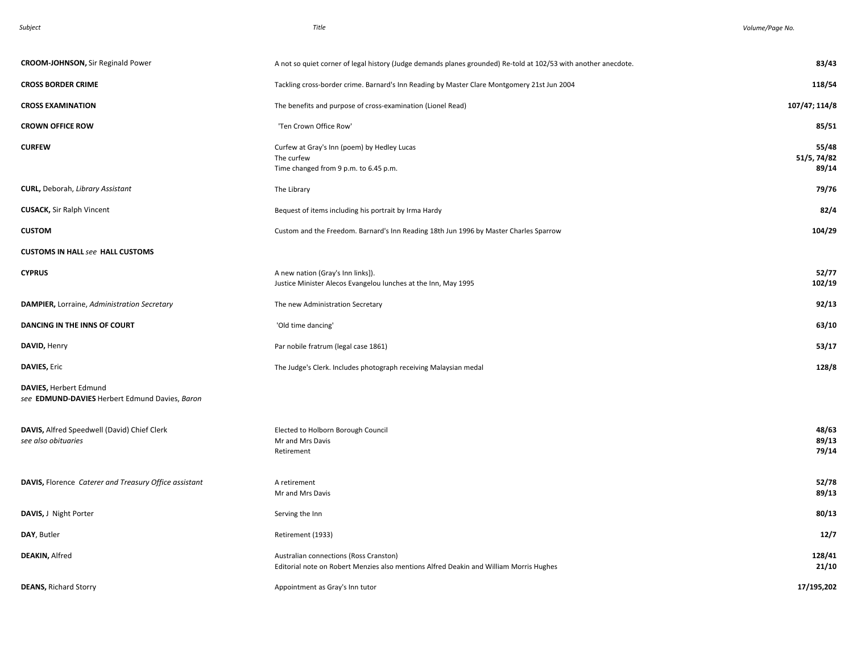| Subjec |  |
|--------|--|
|--------|--|

*Subject Title . Volume/Page No.* 

| <b>CROOM-JOHNSON, Sir Reginald Power</b>                                 | A not so quiet corner of legal history (Judge demands planes grounded) Re-told at 102/53 with another anecdote.                  | 83/43                         |
|--------------------------------------------------------------------------|----------------------------------------------------------------------------------------------------------------------------------|-------------------------------|
| <b>CROSS BORDER CRIME</b>                                                | Tackling cross-border crime. Barnard's Inn Reading by Master Clare Montgomery 21st Jun 2004                                      | 118/54                        |
| <b>CROSS EXAMINATION</b>                                                 | The benefits and purpose of cross-examination (Lionel Read)                                                                      | 107/47; 114/8                 |
| <b>CROWN OFFICE ROW</b>                                                  | 'Ten Crown Office Row'                                                                                                           | 85/51                         |
| <b>CURFEW</b>                                                            | Curfew at Gray's Inn (poem) by Hedley Lucas<br>The curfew<br>Time changed from 9 p.m. to 6.45 p.m.                               | 55/48<br>51/5, 74/82<br>89/14 |
| <b>CURL, Deborah, Library Assistant</b>                                  | The Library                                                                                                                      | 79/76                         |
| <b>CUSACK, Sir Ralph Vincent</b>                                         | Bequest of items including his portrait by Irma Hardy                                                                            | 82/4                          |
| <b>CUSTOM</b>                                                            | Custom and the Freedom. Barnard's Inn Reading 18th Jun 1996 by Master Charles Sparrow                                            | 104/29                        |
| <b>CUSTOMS IN HALL see HALL CUSTOMS</b>                                  |                                                                                                                                  |                               |
| <b>CYPRUS</b>                                                            | A new nation (Gray's Inn links]).<br>Justice Minister Alecos Evangelou lunches at the Inn, May 1995                              | 52/77<br>102/19               |
| DAMPIER, Lorraine, Administration Secretary                              | The new Administration Secretary                                                                                                 | 92/13                         |
| DANCING IN THE INNS OF COURT                                             | 'Old time dancing'                                                                                                               | 63/10                         |
| DAVID, Henry                                                             | Par nobile fratrum (legal case 1861)                                                                                             | 53/17                         |
| <b>DAVIES, Eric</b>                                                      | The Judge's Clerk. Includes photograph receiving Malaysian medal                                                                 | 128/8                         |
| DAVIES, Herbert Edmund<br>see EDMUND-DAVIES Herbert Edmund Davies, Baron |                                                                                                                                  |                               |
| DAVIS, Alfred Speedwell (David) Chief Clerk<br>see also obituaries       | Elected to Holborn Borough Council<br>Mr and Mrs Davis<br>Retirement                                                             | 48/63<br>89/13<br>79/14       |
| DAVIS, Florence Caterer and Treasury Office assistant                    | A retirement<br>Mr and Mrs Davis                                                                                                 | 52/78<br>89/13                |
| DAVIS, J Night Porter                                                    | Serving the Inn                                                                                                                  | 80/13                         |
| DAY, Butler                                                              | Retirement (1933)                                                                                                                | 12/7                          |
| <b>DEAKIN, Alfred</b>                                                    | Australian connections (Ross Cranston)<br>Editorial note on Robert Menzies also mentions Alfred Deakin and William Morris Hughes | 128/41<br>21/10               |
| <b>DEANS, Richard Storry</b>                                             | Appointment as Gray's Inn tutor                                                                                                  | 17/195,202                    |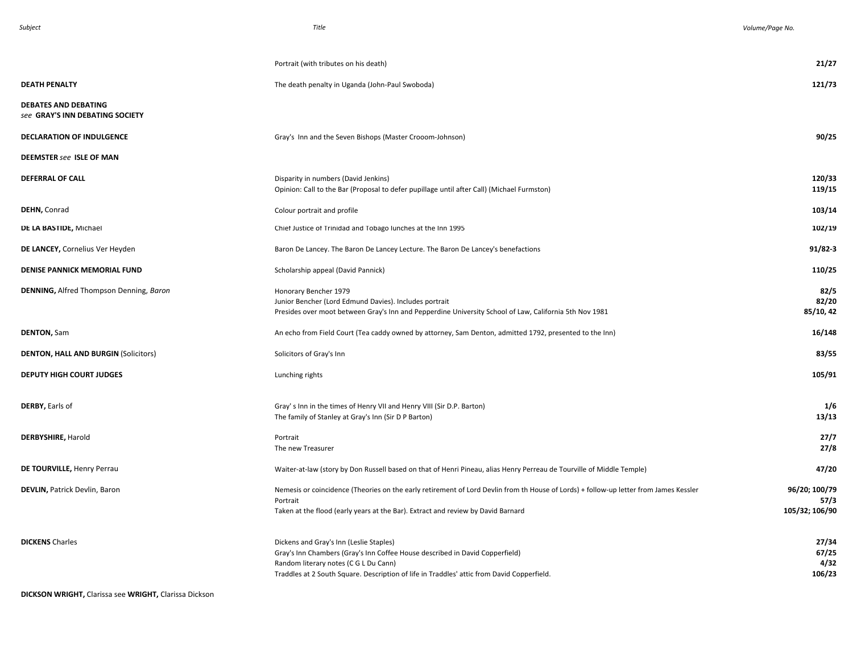|                                                                | Portrait (with tributes on his death)                                                                                                                                                                                                                          | 21/27                                   |
|----------------------------------------------------------------|----------------------------------------------------------------------------------------------------------------------------------------------------------------------------------------------------------------------------------------------------------------|-----------------------------------------|
| <b>DEATH PENALTY</b>                                           | The death penalty in Uganda (John-Paul Swoboda)                                                                                                                                                                                                                | 121/73                                  |
| <b>DEBATES AND DEBATING</b><br>see GRAY'S INN DEBATING SOCIETY |                                                                                                                                                                                                                                                                |                                         |
| DECLARATION OF INDULGENCE                                      | Gray's Inn and the Seven Bishops (Master Crooom-Johnson)                                                                                                                                                                                                       | 90/25                                   |
| <b>DEEMSTER see ISLE OF MAN</b>                                |                                                                                                                                                                                                                                                                |                                         |
| <b>DEFERRAL OF CALL</b>                                        | Disparity in numbers (David Jenkins)<br>Opinion: Call to the Bar (Proposal to defer pupillage until after Call) (Michael Furmston)                                                                                                                             | 120/33<br>119/15                        |
| DEHN, Conrad                                                   | Colour portrait and profile                                                                                                                                                                                                                                    | 103/14                                  |
| DE LA BASTIDE, Michael                                         | Chief Justice of Trinidad and Tobago lunches at the Inn 1995                                                                                                                                                                                                   | 102/19                                  |
| DE LANCEY, Cornelius Ver Heyden                                | Baron De Lancey. The Baron De Lancey Lecture. The Baron De Lancey's benefactions                                                                                                                                                                               | $91/82 - 3$                             |
| DENISE PANNICK MEMORIAL FUND                                   | Scholarship appeal (David Pannick)                                                                                                                                                                                                                             | 110/25                                  |
| <b>DENNING, Alfred Thompson Denning, Baron</b>                 | Honorary Bencher 1979<br>Junior Bencher (Lord Edmund Davies). Includes portrait<br>Presides over moot between Gray's Inn and Pepperdine University School of Law, California 5th Nov 1981                                                                      | 82/5<br>82/20<br>85/10, 42              |
| <b>DENTON, Sam</b>                                             | An echo from Field Court (Tea caddy owned by attorney, Sam Denton, admitted 1792, presented to the Inn)                                                                                                                                                        | 16/148                                  |
| <b>DENTON, HALL AND BURGIN (Solicitors)</b>                    | Solicitors of Gray's Inn                                                                                                                                                                                                                                       | 83/55                                   |
| <b>DEPUTY HIGH COURT JUDGES</b>                                | Lunching rights                                                                                                                                                                                                                                                | 105/91                                  |
| DERBY, Earls of                                                | Gray's Inn in the times of Henry VII and Henry VIII (Sir D.P. Barton)<br>The family of Stanley at Gray's Inn (Sir D P Barton)                                                                                                                                  | 1/6<br>13/13                            |
| <b>DERBYSHIRE, Harold</b>                                      | Portrait<br>The new Treasurer                                                                                                                                                                                                                                  | 27/7<br>27/8                            |
| DE TOURVILLE, Henry Perrau                                     | Waiter-at-law (story by Don Russell based on that of Henri Pineau, alias Henry Perreau de Tourville of Middle Temple)                                                                                                                                          | 47/20                                   |
| <b>DEVLIN, Patrick Devlin, Baron</b>                           | Nemesis or coincidence (Theories on the early retirement of Lord Devlin from th House of Lords) + follow-up letter from James Kessler<br>Portrait<br>Taken at the flood (early years at the Bar). Extract and review by David Barnard                          | 96/20; 100/79<br>57/3<br>105/32; 106/90 |
| <b>DICKENS Charles</b>                                         | Dickens and Gray's Inn (Leslie Staples)<br>Gray's Inn Chambers (Gray's Inn Coffee House described in David Copperfield)<br>Random literary notes (C G L Du Cann)<br>Traddles at 2 South Square. Description of life in Traddles' attic from David Copperfield. | 27/34<br>67/25<br>4/32<br>106/23        |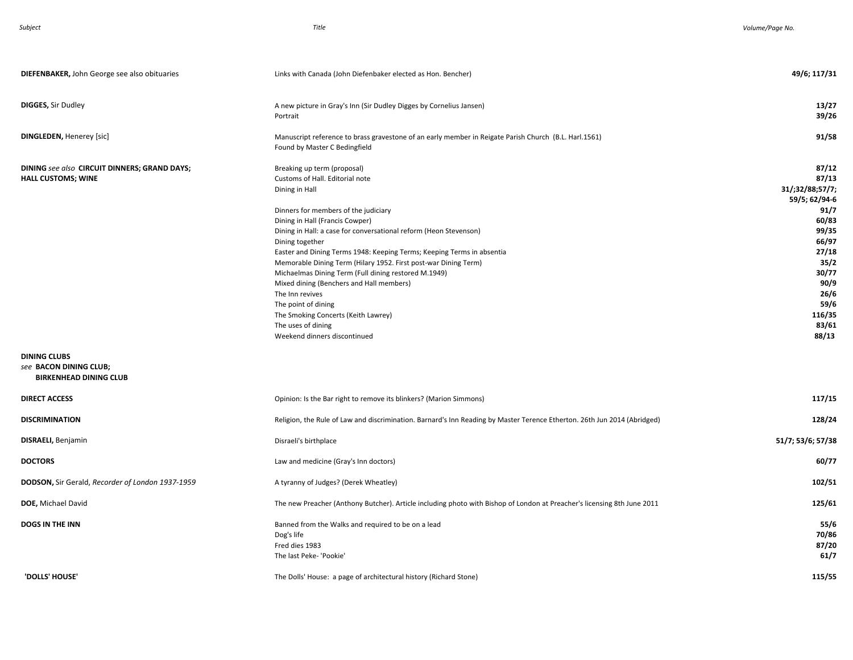| <b>DIEFENBAKER, John George see also obituaries</b>                            | Links with Canada (John Diefenbaker elected as Hon. Bencher)                                                                                                                                                                                                                                                                                                                                                                                                                                                                                                                                                | 49/6; 117/31                                                                                                                                               |
|--------------------------------------------------------------------------------|-------------------------------------------------------------------------------------------------------------------------------------------------------------------------------------------------------------------------------------------------------------------------------------------------------------------------------------------------------------------------------------------------------------------------------------------------------------------------------------------------------------------------------------------------------------------------------------------------------------|------------------------------------------------------------------------------------------------------------------------------------------------------------|
| <b>DIGGES, Sir Dudley</b>                                                      | A new picture in Gray's Inn (Sir Dudley Digges by Cornelius Jansen)<br>Portrait                                                                                                                                                                                                                                                                                                                                                                                                                                                                                                                             | 13/27<br>39/26                                                                                                                                             |
| <b>DINGLEDEN, Henerey [sic]</b>                                                | Manuscript reference to brass gravestone of an early member in Reigate Parish Church (B.L. Harl.1561)<br>Found by Master C Bedingfield                                                                                                                                                                                                                                                                                                                                                                                                                                                                      | 91/58                                                                                                                                                      |
| DINING see also CIRCUIT DINNERS; GRAND DAYS;<br><b>HALL CUSTOMS; WINE</b>      | Breaking up term (proposal)<br>Customs of Hall. Editorial note<br>Dining in Hall<br>Dinners for members of the judiciary<br>Dining in Hall (Francis Cowper)<br>Dining in Hall: a case for conversational reform (Heon Stevenson)<br>Dining together<br>Easter and Dining Terms 1948: Keeping Terms; Keeping Terms in absentia<br>Memorable Dining Term (Hilary 1952. First post-war Dining Term)<br>Michaelmas Dining Term (Full dining restored M.1949)<br>Mixed dining (Benchers and Hall members)<br>The Inn revives<br>The point of dining<br>The Smoking Concerts (Keith Lawrey)<br>The uses of dining | 87/12<br>87/13<br>31/;32/88;57/7;<br>59/5; 62/94-6<br>91/7<br>60/83<br>99/35<br>66/97<br>27/18<br>35/2<br>30/77<br>90/9<br>26/6<br>59/6<br>116/35<br>83/61 |
| <b>DINING CLUBS</b><br>see BACON DINING CLUB;<br><b>BIRKENHEAD DINING CLUB</b> | Weekend dinners discontinued                                                                                                                                                                                                                                                                                                                                                                                                                                                                                                                                                                                | 88/13                                                                                                                                                      |
| <b>DIRECT ACCESS</b>                                                           | Opinion: Is the Bar right to remove its blinkers? (Marion Simmons)                                                                                                                                                                                                                                                                                                                                                                                                                                                                                                                                          | 117/15                                                                                                                                                     |
| <b>DISCRIMINATION</b>                                                          | Religion, the Rule of Law and discrimination. Barnard's Inn Reading by Master Terence Etherton. 26th Jun 2014 (Abridged)                                                                                                                                                                                                                                                                                                                                                                                                                                                                                    | 128/24                                                                                                                                                     |
| DISRAELI, Benjamin                                                             | Disraeli's birthplace                                                                                                                                                                                                                                                                                                                                                                                                                                                                                                                                                                                       | 51/7; 53/6; 57/38                                                                                                                                          |
| <b>DOCTORS</b>                                                                 | Law and medicine (Gray's Inn doctors)                                                                                                                                                                                                                                                                                                                                                                                                                                                                                                                                                                       | 60/77                                                                                                                                                      |
| DODSON, Sir Gerald, Recorder of London 1937-1959                               | A tyranny of Judges? (Derek Wheatley)                                                                                                                                                                                                                                                                                                                                                                                                                                                                                                                                                                       | 102/51                                                                                                                                                     |
| DOE, Michael David                                                             | The new Preacher (Anthony Butcher). Article including photo with Bishop of London at Preacher's licensing 8th June 2011                                                                                                                                                                                                                                                                                                                                                                                                                                                                                     | 125/61                                                                                                                                                     |
| <b>DOGS IN THE INN</b>                                                         | Banned from the Walks and required to be on a lead<br>Dog's life<br>Fred dies 1983<br>The last Peke- 'Pookie'                                                                                                                                                                                                                                                                                                                                                                                                                                                                                               | 55/6<br>70/86<br>87/20<br>61/7                                                                                                                             |
| 'DOLLS' HOUSE'                                                                 | The Dolls' House: a page of architectural history (Richard Stone)                                                                                                                                                                                                                                                                                                                                                                                                                                                                                                                                           | 115/55                                                                                                                                                     |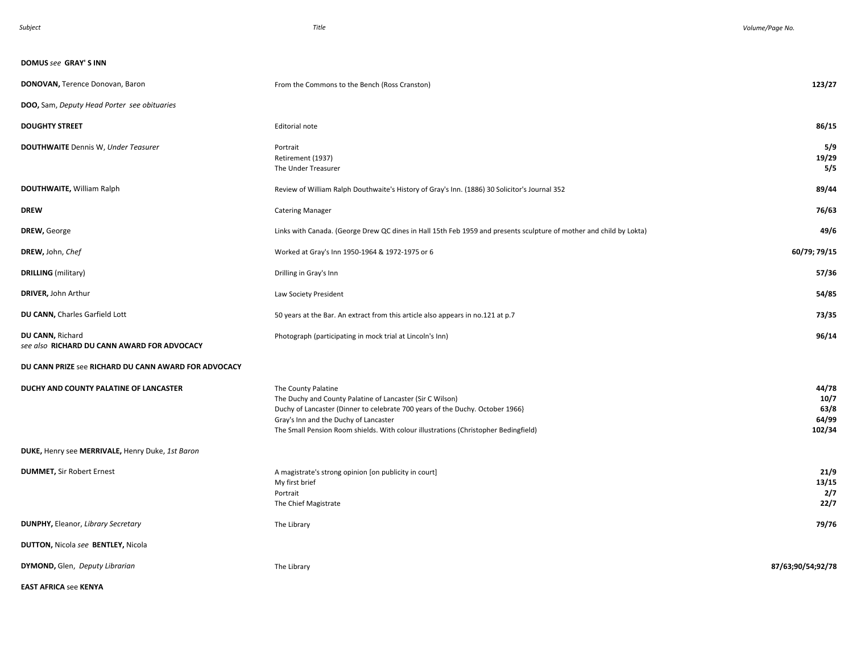| <b>DOMUS see GRAY'S INN</b>                                     |                                                                                                                                                                                                                                                                                                   |                                          |
|-----------------------------------------------------------------|---------------------------------------------------------------------------------------------------------------------------------------------------------------------------------------------------------------------------------------------------------------------------------------------------|------------------------------------------|
| DONOVAN, Terence Donovan, Baron                                 | From the Commons to the Bench (Ross Cranston)                                                                                                                                                                                                                                                     | 123/27                                   |
| <b>DOO</b> , Sam, Deputy Head Porter see obituaries             |                                                                                                                                                                                                                                                                                                   |                                          |
| <b>DOUGHTY STREET</b>                                           | Editorial note                                                                                                                                                                                                                                                                                    | 86/15                                    |
| <b>DOUTHWAITE</b> Dennis W, Under Teasurer                      | Portrait<br>Retirement (1937)<br>The Under Treasurer                                                                                                                                                                                                                                              | 5/9<br>19/29<br>5/5                      |
| <b>DOUTHWAITE, William Ralph</b>                                | Review of William Ralph Douthwaite's History of Gray's Inn. (1886) 30 Solicitor's Journal 352                                                                                                                                                                                                     | 89/44                                    |
| <b>DREW</b>                                                     | <b>Catering Manager</b>                                                                                                                                                                                                                                                                           | 76/63                                    |
| DREW, George                                                    | Links with Canada. (George Drew QC dines in Hall 15th Feb 1959 and presents sculpture of mother and child by Lokta)                                                                                                                                                                               | 49/6                                     |
| DREW, John, Chef                                                | Worked at Gray's Inn 1950-1964 & 1972-1975 or 6                                                                                                                                                                                                                                                   | 60/79; 79/15                             |
| <b>DRILLING</b> (military)                                      | Drilling in Gray's Inn                                                                                                                                                                                                                                                                            | 57/36                                    |
| DRIVER, John Arthur                                             | Law Society President                                                                                                                                                                                                                                                                             | 54/85                                    |
| DU CANN, Charles Garfield Lott                                  | 50 years at the Bar. An extract from this article also appears in no.121 at p.7                                                                                                                                                                                                                   | 73/35                                    |
| DU CANN, Richard<br>see also RICHARD DU CANN AWARD FOR ADVOCACY | Photograph (participating in mock trial at Lincoln's Inn)                                                                                                                                                                                                                                         | 96/14                                    |
| DU CANN PRIZE see RICHARD DU CANN AWARD FOR ADVOCACY            |                                                                                                                                                                                                                                                                                                   |                                          |
| DUCHY AND COUNTY PALATINE OF LANCASTER                          | The County Palatine<br>The Duchy and County Palatine of Lancaster (Sir C Wilson)<br>Duchy of Lancaster (Dinner to celebrate 700 years of the Duchy. October 1966}<br>Gray's Inn and the Duchy of Lancaster<br>The Small Pension Room shields. With colour illustrations (Christopher Bedingfield) | 44/78<br>10/7<br>63/8<br>64/99<br>102/34 |
| DUKE, Henry see MERRIVALE, Henry Duke, 1st Baron                |                                                                                                                                                                                                                                                                                                   |                                          |
| <b>DUMMET, Sir Robert Ernest</b>                                | A magistrate's strong opinion [on publicity in court]<br>My first brief<br>Portrait<br>The Chief Magistrate                                                                                                                                                                                       | 21/9<br>13/15<br>2/7<br>22/7             |
| <b>DUNPHY, Eleanor, Library Secretary</b>                       | The Library                                                                                                                                                                                                                                                                                       | 79/76                                    |
| DUTTON, Nicola see BENTLEY, Nicola                              |                                                                                                                                                                                                                                                                                                   |                                          |
| DYMOND, Glen, Deputy Librarian                                  | The Library                                                                                                                                                                                                                                                                                       | 87/63;90/54;92/78                        |

**EAST AFRICA** see **KENYA**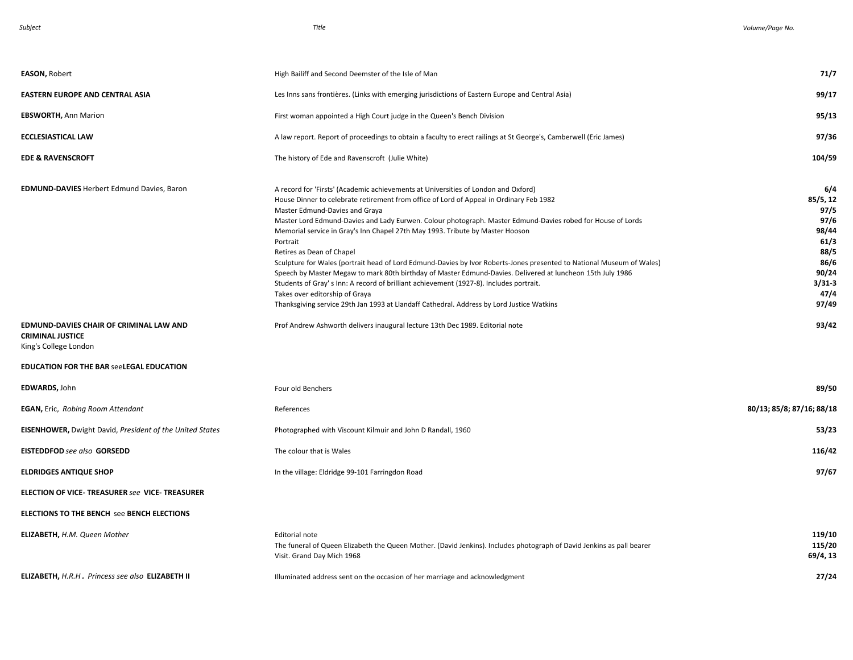| <b>EASON, Robert</b>                                                                        | High Bailiff and Second Deemster of the Isle of Man                                                                                                                                                                                                                                                                                                                                                                                                                                                                                                                                                                                                                                                                                                                                                                                                                                                                      | 71/7                                                                                                   |
|---------------------------------------------------------------------------------------------|--------------------------------------------------------------------------------------------------------------------------------------------------------------------------------------------------------------------------------------------------------------------------------------------------------------------------------------------------------------------------------------------------------------------------------------------------------------------------------------------------------------------------------------------------------------------------------------------------------------------------------------------------------------------------------------------------------------------------------------------------------------------------------------------------------------------------------------------------------------------------------------------------------------------------|--------------------------------------------------------------------------------------------------------|
| <b>EASTERN EUROPE AND CENTRAL ASIA</b>                                                      | Les Inns sans frontières. (Links with emerging jurisdictions of Eastern Europe and Central Asia)                                                                                                                                                                                                                                                                                                                                                                                                                                                                                                                                                                                                                                                                                                                                                                                                                         | 99/17                                                                                                  |
| <b>EBSWORTH, Ann Marion</b>                                                                 | First woman appointed a High Court judge in the Queen's Bench Division                                                                                                                                                                                                                                                                                                                                                                                                                                                                                                                                                                                                                                                                                                                                                                                                                                                   | 95/13                                                                                                  |
| <b>ECCLESIASTICAL LAW</b>                                                                   | A law report. Report of proceedings to obtain a faculty to erect railings at St George's, Camberwell (Eric James)                                                                                                                                                                                                                                                                                                                                                                                                                                                                                                                                                                                                                                                                                                                                                                                                        | 97/36                                                                                                  |
| <b>EDE &amp; RAVENSCROFT</b>                                                                | The history of Ede and Ravenscroft (Julie White)                                                                                                                                                                                                                                                                                                                                                                                                                                                                                                                                                                                                                                                                                                                                                                                                                                                                         | 104/59                                                                                                 |
| <b>EDMUND-DAVIES Herbert Edmund Davies, Baron</b>                                           | A record for 'Firsts' (Academic achievements at Universities of London and Oxford)<br>House Dinner to celebrate retirement from office of Lord of Appeal in Ordinary Feb 1982<br>Master Edmund-Davies and Graya<br>Master Lord Edmund-Davies and Lady Eurwen. Colour photograph. Master Edmund-Davies robed for House of Lords<br>Memorial service in Gray's Inn Chapel 27th May 1993. Tribute by Master Hooson<br>Portrait<br>Retires as Dean of Chapel<br>Sculpture for Wales (portrait head of Lord Edmund-Davies by Ivor Roberts-Jones presented to National Museum of Wales)<br>Speech by Master Megaw to mark 80th birthday of Master Edmund-Davies. Delivered at luncheon 15th July 1986<br>Students of Gray's Inn: A record of brilliant achievement (1927-8). Includes portrait.<br>Takes over editorship of Graya<br>Thanksgiving service 29th Jan 1993 at Llandaff Cathedral. Address by Lord Justice Watkins | 6/4<br>85/5, 12<br>97/5<br>97/6<br>98/44<br>61/3<br>88/5<br>86/6<br>90/24<br>$3/31-3$<br>47/4<br>97/49 |
| EDMUND-DAVIES CHAIR OF CRIMINAL LAW AND<br><b>CRIMINAL JUSTICE</b><br>King's College London | Prof Andrew Ashworth delivers inaugural lecture 13th Dec 1989. Editorial note                                                                                                                                                                                                                                                                                                                                                                                                                                                                                                                                                                                                                                                                                                                                                                                                                                            | 93/42                                                                                                  |
| <b>EDUCATION FOR THE BAR seeLEGAL EDUCATION</b>                                             |                                                                                                                                                                                                                                                                                                                                                                                                                                                                                                                                                                                                                                                                                                                                                                                                                                                                                                                          |                                                                                                        |
| <b>EDWARDS, John</b>                                                                        | Four old Benchers                                                                                                                                                                                                                                                                                                                                                                                                                                                                                                                                                                                                                                                                                                                                                                                                                                                                                                        | 89/50                                                                                                  |
| <b>EGAN, Eric, Robing Room Attendant</b>                                                    | References                                                                                                                                                                                                                                                                                                                                                                                                                                                                                                                                                                                                                                                                                                                                                                                                                                                                                                               | 80/13; 85/8; 87/16; 88/18                                                                              |
| <b>EISENHOWER, Dwight David, President of the United States</b>                             | Photographed with Viscount Kilmuir and John D Randall, 1960                                                                                                                                                                                                                                                                                                                                                                                                                                                                                                                                                                                                                                                                                                                                                                                                                                                              | 53/23                                                                                                  |
| <b>EISTEDDFOD</b> see also GORSEDD                                                          | The colour that is Wales                                                                                                                                                                                                                                                                                                                                                                                                                                                                                                                                                                                                                                                                                                                                                                                                                                                                                                 | 116/42                                                                                                 |
| <b>ELDRIDGES ANTIQUE SHOP</b>                                                               | In the village: Eldridge 99-101 Farringdon Road                                                                                                                                                                                                                                                                                                                                                                                                                                                                                                                                                                                                                                                                                                                                                                                                                                                                          | 97/67                                                                                                  |
| <b>ELECTION OF VICE- TREASURER see VICE- TREASURER</b>                                      |                                                                                                                                                                                                                                                                                                                                                                                                                                                                                                                                                                                                                                                                                                                                                                                                                                                                                                                          |                                                                                                        |
| <b>ELECTIONS TO THE BENCH See BENCH ELECTIONS</b>                                           |                                                                                                                                                                                                                                                                                                                                                                                                                                                                                                                                                                                                                                                                                                                                                                                                                                                                                                                          |                                                                                                        |
| <b>ELIZABETH, H.M. Queen Mother</b>                                                         | <b>Editorial note</b><br>The funeral of Queen Elizabeth the Queen Mother. (David Jenkins). Includes photograph of David Jenkins as pall bearer<br>Visit. Grand Day Mich 1968                                                                                                                                                                                                                                                                                                                                                                                                                                                                                                                                                                                                                                                                                                                                             | 119/10<br>115/20<br>69/4, 13                                                                           |
| ELIZABETH, H.R.H. Princess see also ELIZABETH II                                            | Illuminated address sent on the occasion of her marriage and acknowledgment                                                                                                                                                                                                                                                                                                                                                                                                                                                                                                                                                                                                                                                                                                                                                                                                                                              | 27/24                                                                                                  |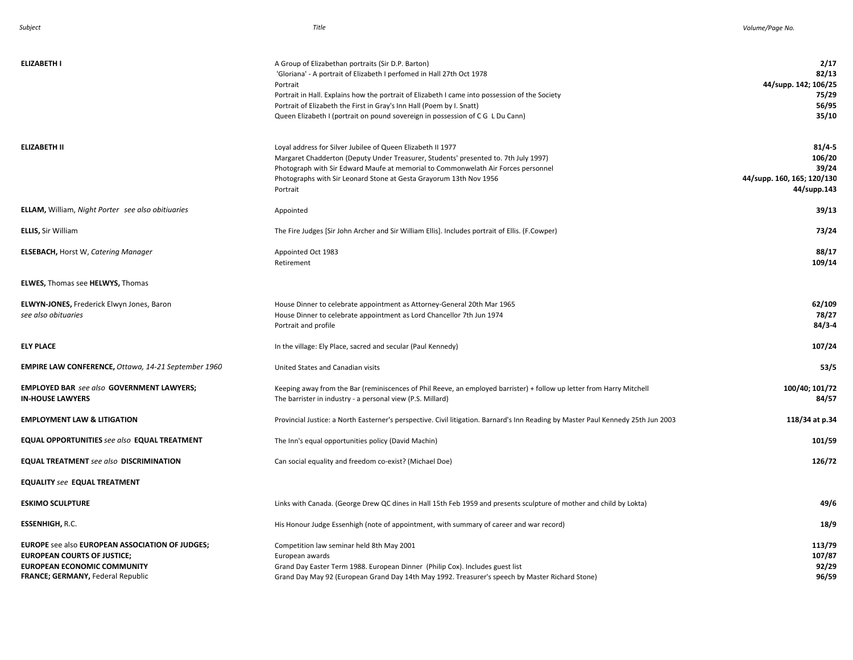| <b>ELIZABETH I</b>                                                                                                                                                                    | A Group of Elizabethan portraits (Sir D.P. Barton)<br>'Gloriana' - A portrait of Elizabeth I perfomed in Hall 27th Oct 1978<br>Portrait<br>Portrait in Hall. Explains how the portrait of Elizabeth I came into possession of the Society<br>Portrait of Elizabeth the First in Gray's Inn Hall (Poem by I. Snatt)<br>Queen Elizabeth I (portrait on pound sovereign in possession of C G L Du Cann) | 2/17<br>82/13<br>44/supp. 142; 106/25<br>75/29<br>56/95<br>35/10           |
|---------------------------------------------------------------------------------------------------------------------------------------------------------------------------------------|------------------------------------------------------------------------------------------------------------------------------------------------------------------------------------------------------------------------------------------------------------------------------------------------------------------------------------------------------------------------------------------------------|----------------------------------------------------------------------------|
| <b>ELIZABETH II</b>                                                                                                                                                                   | Loyal address for Silver Jubilee of Queen Elizabeth II 1977<br>Margaret Chadderton (Deputy Under Treasurer, Students' presented to. 7th July 1997)<br>Photograph with Sir Edward Maufe at memorial to Commonwelath Air Forces personnel<br>Photographs with Sir Leonard Stone at Gesta Grayorum 13th Nov 1956<br>Portrait                                                                            | $81/4 - 5$<br>106/20<br>39/24<br>44/supp. 160, 165; 120/130<br>44/supp.143 |
| <b>ELLAM, William, Night Porter</b> see also obitiuaries                                                                                                                              | Appointed                                                                                                                                                                                                                                                                                                                                                                                            | 39/13                                                                      |
| <b>ELLIS, Sir William</b>                                                                                                                                                             | The Fire Judges [Sir John Archer and Sir William Ellis]. Includes portrait of Ellis. (F.Cowper)                                                                                                                                                                                                                                                                                                      | 73/24                                                                      |
| <b>ELSEBACH, Horst W, Catering Manager</b>                                                                                                                                            | Appointed Oct 1983<br>Retirement                                                                                                                                                                                                                                                                                                                                                                     | 88/17<br>109/14                                                            |
| <b>ELWES, Thomas see HELWYS, Thomas</b>                                                                                                                                               |                                                                                                                                                                                                                                                                                                                                                                                                      |                                                                            |
| ELWYN-JONES, Frederick Elwyn Jones, Baron<br>see also obituaries                                                                                                                      | House Dinner to celebrate appointment as Attorney-General 20th Mar 1965<br>House Dinner to celebrate appointment as Lord Chancellor 7th Jun 1974<br>Portrait and profile                                                                                                                                                                                                                             | 62/109<br>78/27<br>84/3-4                                                  |
| <b>ELY PLACE</b>                                                                                                                                                                      | In the village: Ely Place, sacred and secular (Paul Kennedy)                                                                                                                                                                                                                                                                                                                                         | 107/24                                                                     |
| EMPIRE LAW CONFERENCE, Ottawa, 14-21 September 1960                                                                                                                                   | United States and Canadian visits                                                                                                                                                                                                                                                                                                                                                                    | 53/5                                                                       |
| <b>EMPLOYED BAR</b> see also GOVERNMENT LAWYERS;<br><b>IN-HOUSE LAWYERS</b>                                                                                                           | Keeping away from the Bar (reminiscences of Phil Reeve, an employed barrister) + follow up letter from Harry Mitchell<br>The barrister in industry - a personal view (P.S. Millard)                                                                                                                                                                                                                  | 100/40; 101/72<br>84/57                                                    |
| <b>EMPLOYMENT LAW &amp; LITIGATION</b>                                                                                                                                                | Provincial Justice: a North Easterner's perspective. Civil litigation. Barnard's Inn Reading by Master Paul Kennedy 25th Jun 2003                                                                                                                                                                                                                                                                    | 118/34 at p.34                                                             |
| <b>EQUAL OPPORTUNITIES</b> see also EQUAL TREATMENT                                                                                                                                   | The Inn's equal opportunities policy (David Machin)                                                                                                                                                                                                                                                                                                                                                  | 101/59                                                                     |
| <b>EQUAL TREATMENT</b> see also DISCRIMINATION                                                                                                                                        | Can social equality and freedom co-exist? (Michael Doe)                                                                                                                                                                                                                                                                                                                                              | 126/72                                                                     |
| <b>EQUALITY see EQUAL TREATMENT</b>                                                                                                                                                   |                                                                                                                                                                                                                                                                                                                                                                                                      |                                                                            |
| <b>ESKIMO SCULPTURE</b>                                                                                                                                                               | Links with Canada. (George Drew QC dines in Hall 15th Feb 1959 and presents sculpture of mother and child by Lokta)                                                                                                                                                                                                                                                                                  | 49/6                                                                       |
| <b>ESSENHIGH, R.C.</b>                                                                                                                                                                | His Honour Judge Essenhigh (note of appointment, with summary of career and war record)                                                                                                                                                                                                                                                                                                              | 18/9                                                                       |
| <b>EUROPE</b> see also <b>EUROPEAN ASSOCIATION OF JUDGES;</b><br><b>EUROPEAN COURTS OF JUSTICE;</b><br><b>EUROPEAN ECONOMIC COMMUNITY</b><br><b>FRANCE; GERMANY, Federal Republic</b> | Competition law seminar held 8th May 2001<br>European awards<br>Grand Day Easter Term 1988. European Dinner (Philip Cox). Includes guest list<br>Grand Day May 92 (European Grand Day 14th May 1992. Treasurer's speech by Master Richard Stone)                                                                                                                                                     | 113/79<br>107/87<br>92/29<br>96/59                                         |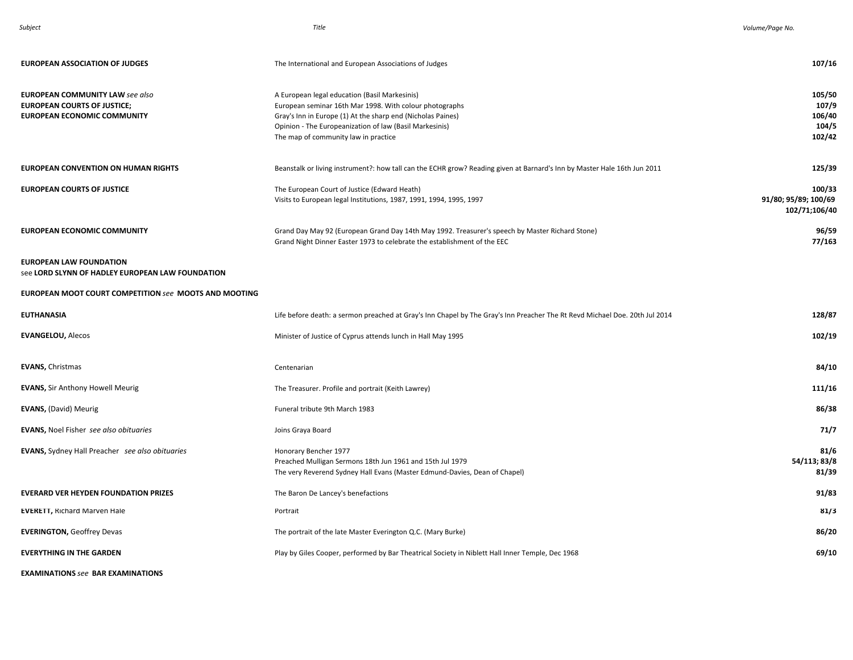| Subject | Title | Volume/Page No. |
|---------|-------|-----------------|

| <b>EUROPEAN ASSOCIATION OF JUDGES</b>                                                                              | The International and European Associations of Judges                                                                                                                                                                                                                      | 107/16                                          |
|--------------------------------------------------------------------------------------------------------------------|----------------------------------------------------------------------------------------------------------------------------------------------------------------------------------------------------------------------------------------------------------------------------|-------------------------------------------------|
| <b>EUROPEAN COMMUNITY LAW see also</b><br><b>EUROPEAN COURTS OF JUSTICE;</b><br><b>EUROPEAN ECONOMIC COMMUNITY</b> | A European legal education (Basil Markesinis)<br>European seminar 16th Mar 1998. With colour photographs<br>Gray's Inn in Europe (1) At the sharp end (Nicholas Paines)<br>Opinion - The Europeanization of law (Basil Markesinis)<br>The map of community law in practice | 105/50<br>107/9<br>106/40<br>104/5<br>102/42    |
| <b>EUROPEAN CONVENTION ON HUMAN RIGHTS</b>                                                                         | Beanstalk or living instrument?: how tall can the ECHR grow? Reading given at Barnard's Inn by Master Hale 16th Jun 2011                                                                                                                                                   | 125/39                                          |
| <b>EUROPEAN COURTS OF JUSTICE</b>                                                                                  | The European Court of Justice (Edward Heath)<br>Visits to European legal Institutions, 1987, 1991, 1994, 1995, 1997                                                                                                                                                        | 100/33<br>91/80; 95/89; 100/69<br>102/71;106/40 |
| <b>EUROPEAN ECONOMIC COMMUNITY</b>                                                                                 | Grand Day May 92 (European Grand Day 14th May 1992. Treasurer's speech by Master Richard Stone)<br>Grand Night Dinner Easter 1973 to celebrate the establishment of the EEC                                                                                                | 96/59<br>77/163                                 |
| <b>EUROPEAN LAW FOUNDATION</b><br>see LORD SLYNN OF HADLEY EUROPEAN LAW FOUNDATION                                 |                                                                                                                                                                                                                                                                            |                                                 |
| EUROPEAN MOOT COURT COMPETITION see MOOTS AND MOOTING                                                              |                                                                                                                                                                                                                                                                            |                                                 |
| <b>EUTHANASIA</b>                                                                                                  | Life before death: a sermon preached at Gray's Inn Chapel by The Gray's Inn Preacher The Rt Revd Michael Doe. 20th Jul 2014                                                                                                                                                | 128/87                                          |
| <b>EVANGELOU, Alecos</b>                                                                                           | Minister of Justice of Cyprus attends lunch in Hall May 1995                                                                                                                                                                                                               | 102/19                                          |
| <b>EVANS, Christmas</b>                                                                                            | Centenarian                                                                                                                                                                                                                                                                | 84/10                                           |
| <b>EVANS, Sir Anthony Howell Meurig</b>                                                                            | The Treasurer. Profile and portrait (Keith Lawrey)                                                                                                                                                                                                                         | 111/16                                          |
| <b>EVANS, (David) Meurig</b>                                                                                       | Funeral tribute 9th March 1983                                                                                                                                                                                                                                             | 86/38                                           |
| <b>EVANS, Noel Fisher see also obituaries</b>                                                                      | Joins Graya Board                                                                                                                                                                                                                                                          | 71/7                                            |
| <b>EVANS, Sydney Hall Preacher</b> see also obituaries                                                             | Honorary Bencher 1977<br>Preached Mulligan Sermons 18th Jun 1961 and 15th Jul 1979<br>The very Reverend Sydney Hall Evans (Master Edmund-Davies, Dean of Chapel)                                                                                                           | 81/6<br>54/113; 83/8<br>81/39                   |
| <b>EVERARD VER HEYDEN FOUNDATION PRIZES</b>                                                                        | The Baron De Lancey's benefactions                                                                                                                                                                                                                                         | 91/83                                           |
| <b>EVERETT, Richard Marven Hale</b>                                                                                | Portrait                                                                                                                                                                                                                                                                   | 81/3                                            |
| <b>EVERINGTON, Geoffrey Devas</b>                                                                                  | The portrait of the late Master Everington Q.C. (Mary Burke)                                                                                                                                                                                                               | 86/20                                           |
| <b>EVERYTHING IN THE GARDEN</b>                                                                                    | Play by Giles Cooper, performed by Bar Theatrical Society in Niblett Hall Inner Temple, Dec 1968                                                                                                                                                                           | 69/10                                           |

**EXAMINATIONS** *see* **BAR EXAMINATIONS**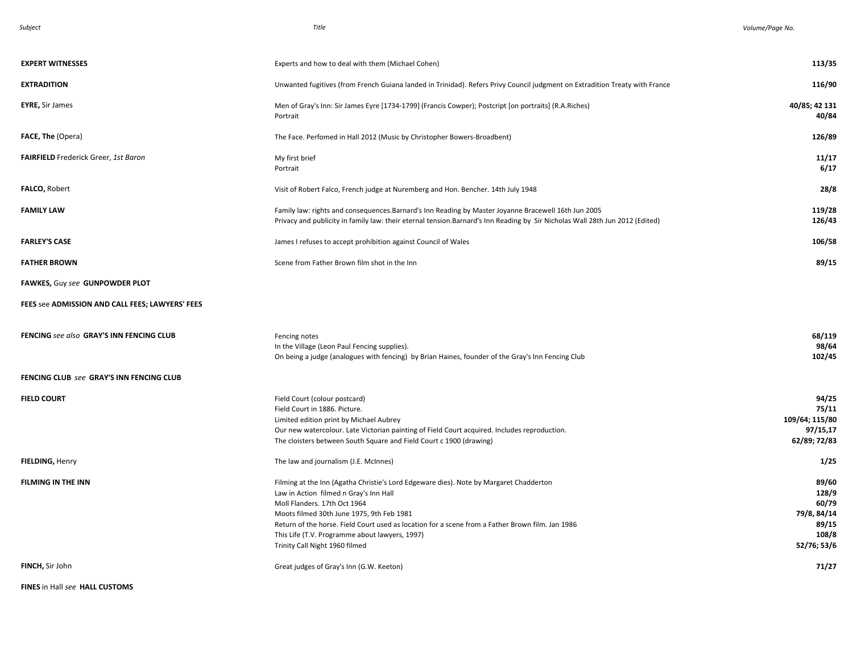| <b>EXPERT WITNESSES</b>                         | Experts and how to deal with them (Michael Cohen)                                                                                                                                                                                                                                                                                                                                                     | 113/35                                                                  |
|-------------------------------------------------|-------------------------------------------------------------------------------------------------------------------------------------------------------------------------------------------------------------------------------------------------------------------------------------------------------------------------------------------------------------------------------------------------------|-------------------------------------------------------------------------|
| <b>EXTRADITION</b>                              | Unwanted fugitives (from French Guiana landed in Trinidad). Refers Privy Council judgment on Extradition Treaty with France                                                                                                                                                                                                                                                                           | 116/90                                                                  |
| <b>EYRE, Sir James</b>                          | Men of Gray's Inn: Sir James Eyre [1734-1799] (Francis Cowper); Postcript [on portraits] (R.A.Riches)<br>Portrait                                                                                                                                                                                                                                                                                     | 40/85; 42 131<br>40/84                                                  |
| FACE, The (Opera)                               | The Face. Perfomed in Hall 2012 (Music by Christopher Bowers-Broadbent)                                                                                                                                                                                                                                                                                                                               | 126/89                                                                  |
| FAIRFIELD Frederick Greer, 1st Baron            | My first brief<br>Portrait                                                                                                                                                                                                                                                                                                                                                                            | 11/17<br>6/17                                                           |
| <b>FALCO, Robert</b>                            | Visit of Robert Falco, French judge at Nuremberg and Hon. Bencher. 14th July 1948                                                                                                                                                                                                                                                                                                                     | 28/8                                                                    |
| <b>FAMILY LAW</b>                               | Family law: rights and consequences.Barnard's Inn Reading by Master Joyanne Bracewell 16th Jun 2005<br>Privacy and publicity in family law: their eternal tension.Barnard's Inn Reading by Sir Nicholas Wall 28th Jun 2012 (Edited)                                                                                                                                                                   | 119/28<br>126/43                                                        |
| <b>FARLEY'S CASE</b>                            | James I refuses to accept prohibition against Council of Wales                                                                                                                                                                                                                                                                                                                                        | 106/58                                                                  |
| <b>FATHER BROWN</b>                             | Scene from Father Brown film shot in the Inn                                                                                                                                                                                                                                                                                                                                                          | 89/15                                                                   |
| FAWKES, Guy see GUNPOWDER PLOT                  |                                                                                                                                                                                                                                                                                                                                                                                                       |                                                                         |
| FEES see ADMISSION AND CALL FEES; LAWYERS' FEES |                                                                                                                                                                                                                                                                                                                                                                                                       |                                                                         |
| FENCING see also GRAY'S INN FENCING CLUB        | Fencing notes<br>In the Village (Leon Paul Fencing supplies).<br>On being a judge (analogues with fencing) by Brian Haines, founder of the Gray's Inn Fencing Club                                                                                                                                                                                                                                    | 68/119<br>98/64<br>102/45                                               |
| FENCING CLUB see GRAY'S INN FENCING CLUB        |                                                                                                                                                                                                                                                                                                                                                                                                       |                                                                         |
| <b>FIELD COURT</b>                              | Field Court (colour postcard)<br>Field Court in 1886. Picture.<br>Limited edition print by Michael Aubrey<br>Our new watercolour. Late Victorian painting of Field Court acquired. Includes reproduction.<br>The cloisters between South Square and Field Court c 1900 (drawing)                                                                                                                      | 94/25<br>75/11<br>109/64; 115/80<br>97/15,17<br>62/89; 72/83            |
| <b>FIELDING, Henry</b>                          | The law and journalism (J.E. McInnes)                                                                                                                                                                                                                                                                                                                                                                 | 1/25                                                                    |
| <b>FILMING IN THE INN</b>                       | Filming at the Inn (Agatha Christie's Lord Edgeware dies). Note by Margaret Chadderton<br>Law in Action filmed n Gray's Inn Hall<br>Moll Flanders. 17th Oct 1964<br>Moots filmed 30th June 1975, 9th Feb 1981<br>Return of the horse. Field Court used as location for a scene from a Father Brown film. Jan 1986<br>This Life (T.V. Programme about lawyers, 1997)<br>Trinity Call Night 1960 filmed | 89/60<br>128/9<br>60/79<br>79/8, 84/14<br>89/15<br>108/8<br>52/76; 53/6 |
| FINCH, Sir John                                 | Great judges of Gray's Inn (G.W. Keeton)                                                                                                                                                                                                                                                                                                                                                              | 71/27                                                                   |

**FINES** in Hall *see* **HALL CUSTOMS**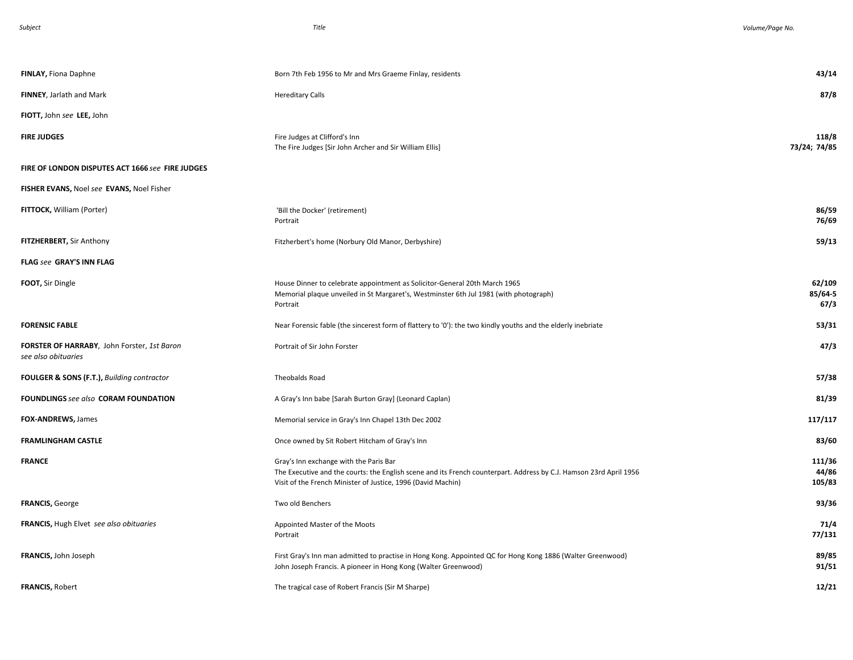| FINLAY, Fiona Daphne                                               | Born 7th Feb 1956 to Mr and Mrs Graeme Finlay, residents                                                                                                                                                                     | 43/14                     |
|--------------------------------------------------------------------|------------------------------------------------------------------------------------------------------------------------------------------------------------------------------------------------------------------------------|---------------------------|
| FINNEY, Jarlath and Mark                                           | <b>Hereditary Calls</b>                                                                                                                                                                                                      | 87/8                      |
| FIOTT, John see LEE, John                                          |                                                                                                                                                                                                                              |                           |
| <b>FIRE JUDGES</b>                                                 | Fire Judges at Clifford's Inn<br>The Fire Judges [Sir John Archer and Sir William Ellis]                                                                                                                                     | 118/8<br>73/24; 74/85     |
| FIRE OF LONDON DISPUTES ACT 1666 see FIRE JUDGES                   |                                                                                                                                                                                                                              |                           |
| FISHER EVANS, Noel see EVANS, Noel Fisher                          |                                                                                                                                                                                                                              |                           |
| FITTOCK, William (Porter)                                          | 'Bill the Docker' (retirement)<br>Portrait                                                                                                                                                                                   | 86/59<br>76/69            |
| FITZHERBERT, Sir Anthony                                           | Fitzherbert's home (Norbury Old Manor, Derbyshire)                                                                                                                                                                           | 59/13                     |
| FLAG see GRAY'S INN FLAG                                           |                                                                                                                                                                                                                              |                           |
| FOOT, Sir Dingle                                                   | House Dinner to celebrate appointment as Solicitor-General 20th March 1965<br>Memorial plaque unveiled in St Margaret's, Westminster 6th Jul 1981 (with photograph)<br>Portrait                                              | 62/109<br>85/64-5<br>67/3 |
| <b>FORENSIC FABLE</b>                                              | Near Forensic fable (the sincerest form of flattery to '0'): the two kindly youths and the elderly inebriate                                                                                                                 | 53/31                     |
| FORSTER OF HARRABY, John Forster, 1st Baron<br>see also obituaries | Portrait of Sir John Forster                                                                                                                                                                                                 | 47/3                      |
| FOULGER & SONS (F.T.), Building contractor                         | Theobalds Road                                                                                                                                                                                                               | 57/38                     |
| FOUNDLINGS see also CORAM FOUNDATION                               | A Gray's Inn babe [Sarah Burton Gray] (Leonard Caplan)                                                                                                                                                                       | 81/39                     |
| FOX-ANDREWS, James                                                 | Memorial service in Gray's Inn Chapel 13th Dec 2002                                                                                                                                                                          | 117/117                   |
| <b>FRAMLINGHAM CASTLE</b>                                          | Once owned by Sit Robert Hitcham of Gray's Inn                                                                                                                                                                               | 83/60                     |
| <b>FRANCE</b>                                                      | Gray's Inn exchange with the Paris Bar<br>The Executive and the courts: the English scene and its French counterpart. Address by C.J. Hamson 23rd April 1956<br>Visit of the French Minister of Justice, 1996 (David Machin) | 111/36<br>44/86<br>105/83 |
| <b>FRANCIS, George</b>                                             | Two old Benchers                                                                                                                                                                                                             | 93/36                     |
| <b>FRANCIS, Hugh Elvet see also obituaries</b>                     | Appointed Master of the Moots<br>Portrait                                                                                                                                                                                    | 71/4<br>77/131            |
| FRANCIS, John Joseph                                               | First Gray's Inn man admitted to practise in Hong Kong. Appointed QC for Hong Kong 1886 (Walter Greenwood)<br>John Joseph Francis. A pioneer in Hong Kong (Walter Greenwood)                                                 | 89/85<br>91/51            |
| <b>FRANCIS, Robert</b>                                             | The tragical case of Robert Francis (Sir M Sharpe)                                                                                                                                                                           | 12/21                     |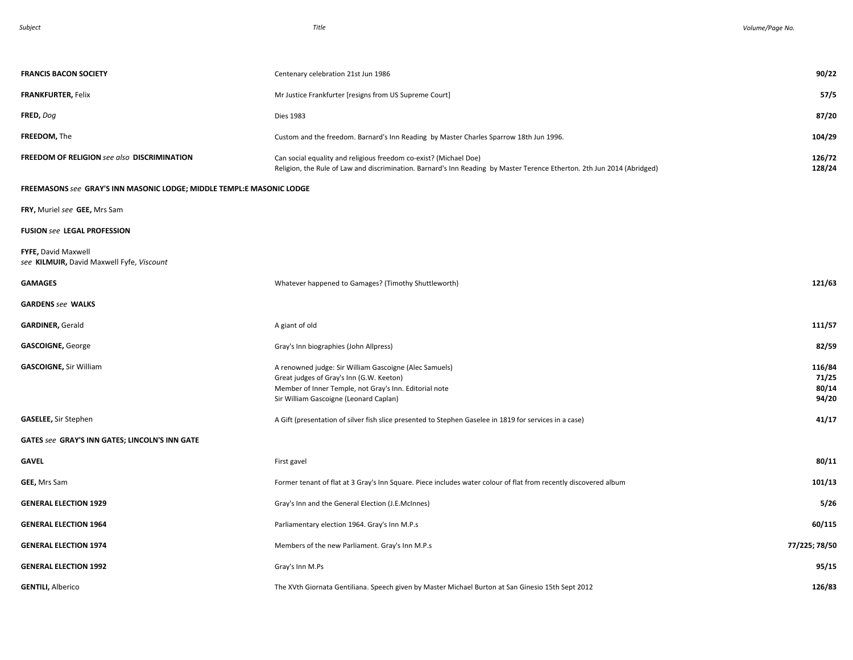| <b>FRANCIS BACON SOCIETY</b>                                          | Centenary celebration 21st Jun 1986                                                                                                                                                                    | 90/22                             |
|-----------------------------------------------------------------------|--------------------------------------------------------------------------------------------------------------------------------------------------------------------------------------------------------|-----------------------------------|
| <b>FRANKFURTER, Felix</b>                                             | Mr Justice Frankfurter [resigns from US Supreme Court]                                                                                                                                                 | 57/5                              |
| FRED, Dog                                                             | <b>Dies 1983</b>                                                                                                                                                                                       | 87/20                             |
| FREEDOM, The                                                          | Custom and the freedom. Barnard's Inn Reading by Master Charles Sparrow 18th Jun 1996.                                                                                                                 | 104/29                            |
| FREEDOM OF RELIGION see also DISCRIMINATION                           | Can social equality and religious freedom co-exist? (Michael Doe)<br>Religion, the Rule of Law and discrimination. Barnard's Inn Reading by Master Terence Etherton. 2th Jun 2014 (Abridged)           | 126/72<br>128/24                  |
| FREEMASONS see GRAY'S INN MASONIC LODGE; MIDDLE TEMPL:E MASONIC LODGE |                                                                                                                                                                                                        |                                   |
| FRY, Muriel see GEE, Mrs Sam                                          |                                                                                                                                                                                                        |                                   |
| <b>FUSION see LEGAL PROFESSION</b>                                    |                                                                                                                                                                                                        |                                   |
| FYFE, David Maxwell<br>see KILMUIR, David Maxwell Fyfe, Viscount      |                                                                                                                                                                                                        |                                   |
| <b>GAMAGES</b>                                                        | Whatever happened to Gamages? (Timothy Shuttleworth)                                                                                                                                                   | 121/63                            |
| <b>GARDENS</b> see WALKS                                              |                                                                                                                                                                                                        |                                   |
| <b>GARDINER, Gerald</b>                                               | A giant of old                                                                                                                                                                                         | 111/57                            |
| <b>GASCOIGNE, George</b>                                              | Gray's Inn biographies (John Allpress)                                                                                                                                                                 | 82/59                             |
| <b>GASCOIGNE, Sir William</b>                                         | A renowned judge: Sir William Gascoigne (Alec Samuels)<br>Great judges of Gray's Inn (G.W. Keeton)<br>Member of Inner Temple, not Gray's Inn. Editorial note<br>Sir William Gascoigne (Leonard Caplan) | 116/84<br>71/25<br>80/14<br>94/20 |
| <b>GASELEE, Sir Stephen</b>                                           | A Gift (presentation of silver fish slice presented to Stephen Gaselee in 1819 for services in a case)                                                                                                 | 41/17                             |
| GATES see GRAY'S INN GATES; LINCOLN'S INN GATE                        |                                                                                                                                                                                                        |                                   |
| GAVEL                                                                 | First gavel                                                                                                                                                                                            | 80/11                             |
| GEE, Mrs Sam                                                          | Former tenant of flat at 3 Gray's Inn Square. Piece includes water colour of flat from recently discovered album                                                                                       | 101/13                            |
| <b>GENERAL ELECTION 1929</b>                                          | Gray's Inn and the General Election (J.E.McInnes)                                                                                                                                                      | 5/26                              |
| <b>GENERAL ELECTION 1964</b>                                          | Parliamentary election 1964. Gray's Inn M.P.s                                                                                                                                                          | 60/115                            |
| <b>GENERAL ELECTION 1974</b>                                          | Members of the new Parliament. Gray's Inn M.P.s                                                                                                                                                        | 77/225; 78/50                     |
| <b>GENERAL ELECTION 1992</b>                                          | Gray's Inn M.Ps                                                                                                                                                                                        | 95/15                             |
| <b>GENTILI, Alberico</b>                                              | The XVth Giornata Gentiliana. Speech given by Master Michael Burton at San Ginesio 15th Sept 2012                                                                                                      | 126/83                            |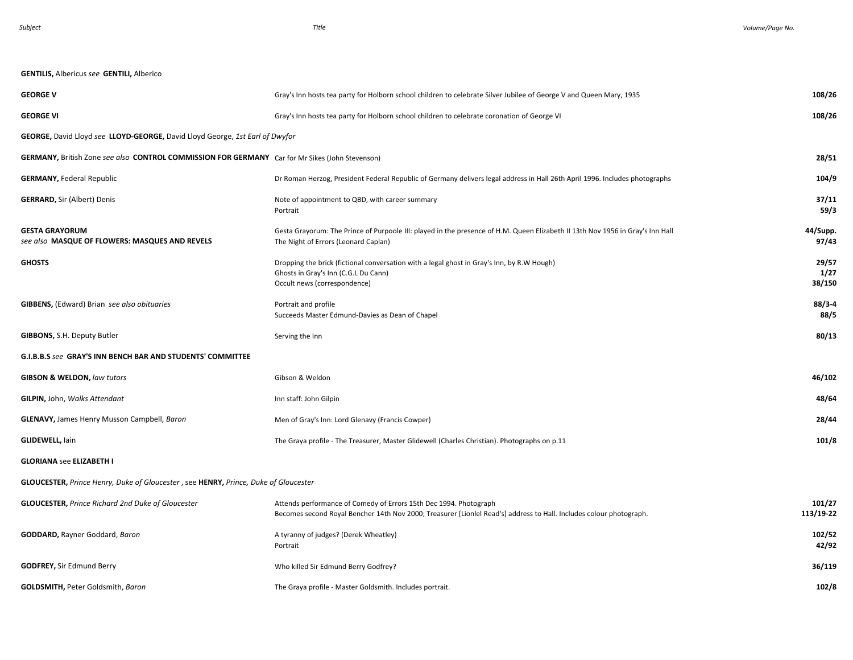*Subject Title . Volume/Page No.* 

| <b>GENTILIS, Albericus see GENTILI, Alberico</b>                                                |                                                                                                                                                                                          |                         |
|-------------------------------------------------------------------------------------------------|------------------------------------------------------------------------------------------------------------------------------------------------------------------------------------------|-------------------------|
| <b>GEORGE V</b>                                                                                 | Gray's Inn hosts tea party for Holborn school children to celebrate Silver Jubilee of George V and Queen Mary, 1935                                                                      | 108/26                  |
| <b>GEORGE VI</b>                                                                                | Gray's Inn hosts tea party for Holborn school children to celebrate coronation of George VI                                                                                              | 108/26                  |
| GEORGE, David Lloyd see LLOYD-GEORGE, David Lloyd George, 1st Earl of Dwyfor                    |                                                                                                                                                                                          |                         |
| GERMANY, British Zone see also CONTROL COMMISSION FOR GERMANY Car for Mr Sikes (John Stevenson) |                                                                                                                                                                                          | 28/51                   |
| <b>GERMANY, Federal Republic</b>                                                                | Dr Roman Herzog, President Federal Republic of Germany delivers legal address in Hall 26th April 1996. Includes photographs                                                              | 104/9                   |
| <b>GERRARD, Sir (Albert) Denis</b>                                                              | Note of appointment to QBD, with career summary<br>Portrait                                                                                                                              | 37/11<br>59/3           |
| <b>GESTA GRAYORUM</b><br>see also MASQUE OF FLOWERS: MASQUES AND REVELS                         | Gesta Grayorum: The Prince of Purpoole III: played in the presence of H.M. Queen Elizabeth II 13th Nov 1956 in Gray's Inn Hall<br>The Night of Errors (Leonard Caplan)                   | 44/Supp.<br>97/43       |
| <b>GHOSTS</b>                                                                                   | Dropping the brick (fictional conversation with a legal ghost in Gray's Inn, by R.W Hough)<br>Ghosts in Gray's Inn (C.G.L Du Cann)<br>Occult news (correspondence)                       | 29/57<br>1/27<br>38/150 |
| GIBBENS, (Edward) Brian see also obituaries                                                     | Portrait and profile<br>Succeeds Master Edmund-Davies as Dean of Chapel                                                                                                                  | $88/3 - 4$<br>88/5      |
| GIBBONS, S.H. Deputy Butler                                                                     | Serving the Inn                                                                                                                                                                          | 80/13                   |
| G.I.B.B.S see GRAY'S INN BENCH BAR AND STUDENTS' COMMITTEE                                      |                                                                                                                                                                                          |                         |
| <b>GIBSON &amp; WELDON, law tutors</b>                                                          | Gibson & Weldon                                                                                                                                                                          | 46/102                  |
| GILPIN, John, Walks Attendant                                                                   | Inn staff: John Gilpin                                                                                                                                                                   | 48/64                   |
| <b>GLENAVY, James Henry Musson Campbell, Baron</b>                                              | Men of Gray's Inn: Lord Glenavy (Francis Cowper)                                                                                                                                         | 28/44                   |
| <b>GLIDEWELL, lain</b>                                                                          | The Graya profile - The Treasurer, Master Glidewell (Charles Christian). Photographs on p.11                                                                                             | 101/8                   |
| <b>GLORIANA see ELIZABETH I</b>                                                                 |                                                                                                                                                                                          |                         |
| GLOUCESTER, Prince Henry, Duke of Gloucester, see HENRY, Prince, Duke of Gloucester             |                                                                                                                                                                                          |                         |
| <b>GLOUCESTER, Prince Richard 2nd Duke of Gloucester</b>                                        | Attends performance of Comedy of Errors 15th Dec 1994. Photograph<br>Becomes second Royal Bencher 14th Nov 2000; Treasurer [Lionlel Read's] address to Hall. Includes colour photograph. | 101/27<br>113/19-22     |
| <b>GODDARD, Rayner Goddard, Baron</b>                                                           | A tyranny of judges? (Derek Wheatley)<br>Portrait                                                                                                                                        | 102/52<br>42/92         |
| <b>GODFREY, Sir Edmund Berry</b>                                                                | Who killed Sir Edmund Berry Godfrey?                                                                                                                                                     | 36/119                  |
| <b>GOLDSMITH, Peter Goldsmith, Baron</b>                                                        | The Graya profile - Master Goldsmith. Includes portrait.                                                                                                                                 | 102/8                   |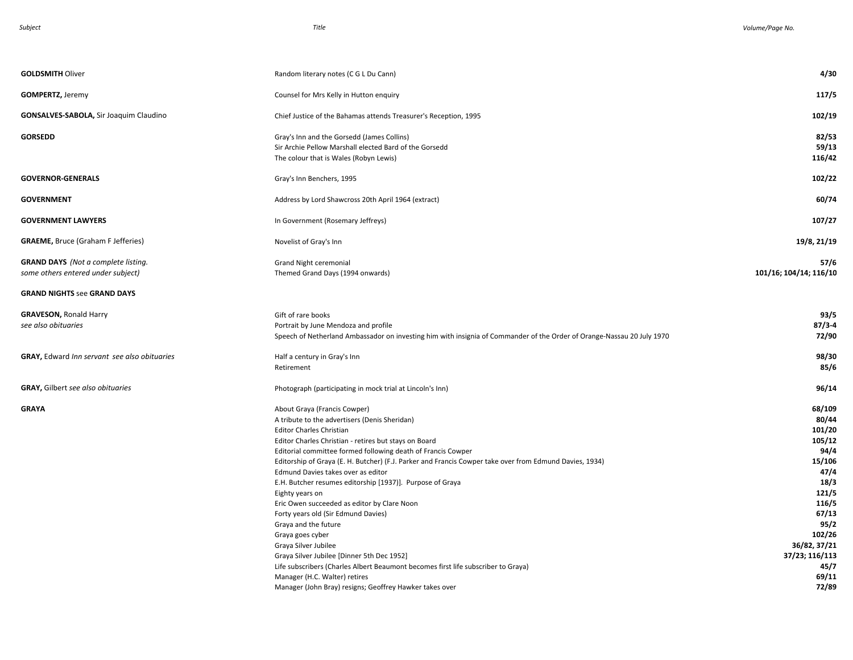| <b>GOLDSMITH Oliver</b>                                                          | Random literary notes (C G L Du Cann)                                                                                                                                                                                                                                                                                                                                                                                                                                                                                                                                                                                                | 4/30                                                                                                                               |
|----------------------------------------------------------------------------------|--------------------------------------------------------------------------------------------------------------------------------------------------------------------------------------------------------------------------------------------------------------------------------------------------------------------------------------------------------------------------------------------------------------------------------------------------------------------------------------------------------------------------------------------------------------------------------------------------------------------------------------|------------------------------------------------------------------------------------------------------------------------------------|
| <b>GOMPERTZ, Jeremy</b>                                                          | Counsel for Mrs Kelly in Hutton enquiry                                                                                                                                                                                                                                                                                                                                                                                                                                                                                                                                                                                              | 117/5                                                                                                                              |
| <b>GONSALVES-SABOLA, Sir Joaquim Claudino</b>                                    | Chief Justice of the Bahamas attends Treasurer's Reception, 1995                                                                                                                                                                                                                                                                                                                                                                                                                                                                                                                                                                     | 102/19                                                                                                                             |
| <b>GORSEDD</b>                                                                   | Gray's Inn and the Gorsedd (James Collins)<br>Sir Archie Pellow Marshall elected Bard of the Gorsedd<br>The colour that is Wales (Robyn Lewis)                                                                                                                                                                                                                                                                                                                                                                                                                                                                                       | 82/53<br>59/13<br>116/42                                                                                                           |
| <b>GOVERNOR-GENERALS</b>                                                         | Gray's Inn Benchers, 1995                                                                                                                                                                                                                                                                                                                                                                                                                                                                                                                                                                                                            | 102/22                                                                                                                             |
| <b>GOVERNMENT</b>                                                                | Address by Lord Shawcross 20th April 1964 (extract)                                                                                                                                                                                                                                                                                                                                                                                                                                                                                                                                                                                  | 60/74                                                                                                                              |
| <b>GOVERNMENT LAWYERS</b>                                                        | In Government (Rosemary Jeffreys)                                                                                                                                                                                                                                                                                                                                                                                                                                                                                                                                                                                                    | 107/27                                                                                                                             |
| <b>GRAEME, Bruce (Graham F Jefferies)</b>                                        | Novelist of Gray's Inn                                                                                                                                                                                                                                                                                                                                                                                                                                                                                                                                                                                                               | 19/8, 21/19                                                                                                                        |
| <b>GRAND DAYS</b> (Not a complete listing.<br>some others entered under subject) | Grand Night ceremonial<br>Themed Grand Days (1994 onwards)                                                                                                                                                                                                                                                                                                                                                                                                                                                                                                                                                                           | 57/6<br>101/16; 104/14; 116/10                                                                                                     |
| <b>GRAND NIGHTS see GRAND DAYS</b>                                               |                                                                                                                                                                                                                                                                                                                                                                                                                                                                                                                                                                                                                                      |                                                                                                                                    |
| <b>GRAVESON, Ronald Harry</b><br>see also obituaries                             | Gift of rare books<br>Portrait by June Mendoza and profile<br>Speech of Netherland Ambassador on investing him with insignia of Commander of the Order of Orange-Nassau 20 July 1970                                                                                                                                                                                                                                                                                                                                                                                                                                                 | 93/5<br>$87/3 - 4$<br>72/90                                                                                                        |
| GRAY, Edward Inn servant see also obituaries                                     | Half a century in Gray's Inn<br>Retirement                                                                                                                                                                                                                                                                                                                                                                                                                                                                                                                                                                                           | 98/30<br>85/6                                                                                                                      |
| <b>GRAY, Gilbert see also obituaries</b>                                         | Photograph (participating in mock trial at Lincoln's Inn)                                                                                                                                                                                                                                                                                                                                                                                                                                                                                                                                                                            | 96/14                                                                                                                              |
| GRAYA                                                                            | About Graya (Francis Cowper)<br>A tribute to the advertisers (Denis Sheridan)<br><b>Editor Charles Christian</b><br>Editor Charles Christian - retires but stays on Board<br>Editorial committee formed following death of Francis Cowper<br>Editorship of Graya (E. H. Butcher) (F.J. Parker and Francis Cowper take over from Edmund Davies, 1934)<br>Edmund Davies takes over as editor<br>E.H. Butcher resumes editorship [1937)]. Purpose of Graya<br>Eighty years on<br>Eric Owen succeeded as editor by Clare Noon<br>Forty years old (Sir Edmund Davies)<br>Graya and the future<br>Graya goes cyber<br>Graya Silver Jubilee | 68/109<br>80/44<br>101/20<br>105/12<br>94/4<br>15/106<br>47/4<br>18/3<br>121/5<br>116/5<br>67/13<br>95/2<br>102/26<br>36/82, 37/21 |
|                                                                                  | Graya Silver Jubilee [Dinner 5th Dec 1952]<br>Life subscribers (Charles Albert Beaumont becomes first life subscriber to Graya)<br>Manager (H.C. Walter) retires<br>Manager (John Bray) resigns; Geoffrey Hawker takes over                                                                                                                                                                                                                                                                                                                                                                                                          | 37/23; 116/113<br>45/7<br>69/11<br>72/89                                                                                           |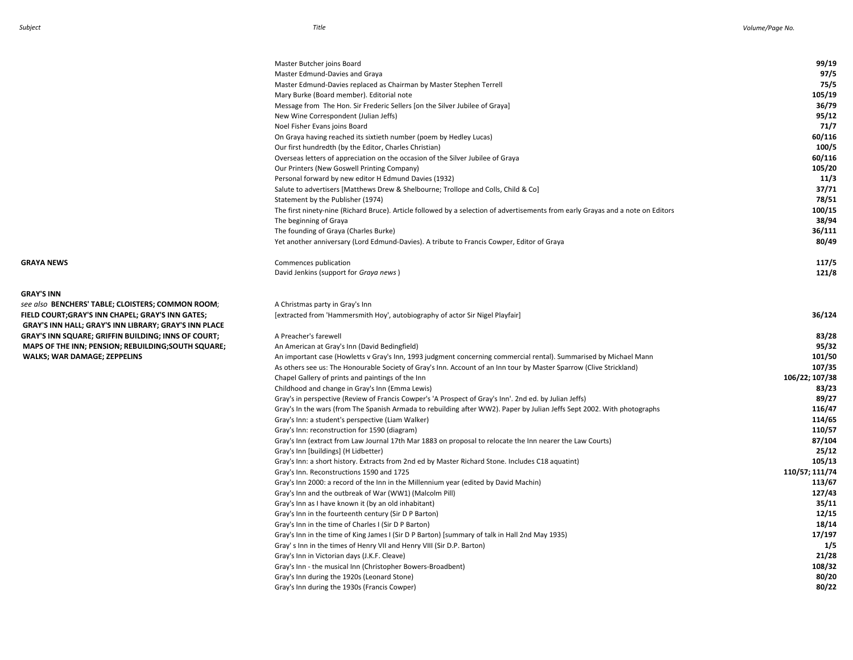**GRAY'S INN**

**See also BENCHERS' TABLE; CLOISTERS; COMMON ROOM;** A Christmas party in Gray's Inn **CONCHERS' TABLE; CLOISTERS; COMMON ROOM**; A Christmas party in Gray's Inn Hammersmith Hov', autobiography of actor Sir Nigel Playfair]  **GRAY'S INN HALL; GRAY'S INN LIBRARY; GRAY'S INN PLACE MAPS OF THE INN; PENSION; REBUILDING;SOUTH SQUARE; WALKS; WAR DAMAGE; ZEPPELINS** 

# Mary Burke (Board member). Editorial note **105/19** Message from The Hon. Sir Frederic Sellers [on the Silver Jubilee of Graya] **36/79** New Wine Correspondent (Julian Jeffs) **95/12** Noel Fisher Evans joins Board **71/7** On Graya having reached its sixtieth number (poem by Hedley Lucas) **60/116** Our first hundredth (by the Editor, Charles Christian) **100/5** Overseas letters of appreciation on the occasion of the Silver Jubilee of Graya **60/116** Our Printers (New Goswell Printing Company) **105/20** Personal forward by new editor H Edmund Davies (1932)<br>
Salute to advertisers [Matthews Drew & Shelbourne; Trollope and Colls, Child & Co]<br> **37/71** Salute to advertisers [Matthews Drew & Shelbourne; Trollope and Colls, Child & Co]<br>
Statement by the Publisher (1974) **37/51** Statement by the Publisher (1974) The first ninety-nine (Richard Bruce). Article followed by a selection of advertisements from early Grayas and a note on Editors **100/15** The beginning of Graya **38/94** The founding of Graya (Charles Burke) **36/111** Yet another anniversary (Lord Edmund-Davies). A tribute to Francis Cowper, Editor of Graya **80/49 GRAYA NEWS Commences publication 117/5** David Jenkins (support for *Graya news* ) **121/8**

| FIELD COURT:GRAY'S INN CHAPEL: GRAY'S INN GATES:<br><b>GRAY'S INN HALL; GRAY'S INN LIBRARY; GRAY'S INN PLACE</b> | [extracted from 'Hammersmith Hoy', autobiography of actor Sir Nigel Playfair]                                           | 36/124         |
|------------------------------------------------------------------------------------------------------------------|-------------------------------------------------------------------------------------------------------------------------|----------------|
| <b>GRAY'S INN SQUARE; GRIFFIN BUILDING; INNS OF COURT;</b>                                                       | A Preacher's farewell                                                                                                   | 83/28          |
| MAPS OF THE INN; PENSION; REBUILDING; SOUTH SQUARE;                                                              | An American at Gray's Inn (David Bedingfield)                                                                           | 95/32          |
| <b>WALKS; WAR DAMAGE; ZEPPELINS</b>                                                                              | An important case (Howletts v Gray's Inn, 1993 judgment concerning commercial rental). Summarised by Michael Mann       | 101/50         |
|                                                                                                                  | As others see us: The Honourable Society of Gray's Inn. Account of an Inn tour by Master Sparrow (Clive Strickland)     | 107/35         |
|                                                                                                                  | Chapel Gallery of prints and paintings of the Inn                                                                       | 106/22; 107/38 |
|                                                                                                                  | Childhood and change in Gray's Inn (Emma Lewis)                                                                         | 83/23          |
|                                                                                                                  | Gray's in perspective (Review of Francis Cowper's 'A Prospect of Gray's Inn'. 2nd ed. by Julian Jeffs)                  | 89/27          |
|                                                                                                                  | Gray's In the wars (from The Spanish Armada to rebuilding after WW2). Paper by Julian Jeffs Sept 2002. With photographs | 116/47         |
|                                                                                                                  | Gray's Inn: a student's perspective (Liam Walker)                                                                       | 114/65         |
|                                                                                                                  | Gray's Inn: reconstruction for 1590 (diagram)                                                                           | 110/57         |
|                                                                                                                  | Gray's Inn (extract from Law Journal 17th Mar 1883 on proposal to relocate the Inn nearer the Law Courts)               | 87/104         |
|                                                                                                                  | Gray's Inn [buildings] (H Lidbetter)                                                                                    | 25/12          |
|                                                                                                                  | Gray's Inn: a short history. Extracts from 2nd ed by Master Richard Stone. Includes C18 aquatint)                       | 105/13         |
|                                                                                                                  | Gray's Inn. Reconstructions 1590 and 1725                                                                               | 110/57; 111/74 |
|                                                                                                                  | Gray's Inn 2000: a record of the Inn in the Millennium year (edited by David Machin)                                    | 113/67         |
|                                                                                                                  | Gray's Inn and the outbreak of War (WW1) (Malcolm Pill)                                                                 | 127/43         |
|                                                                                                                  | Gray's Inn as I have known it (by an old inhabitant)                                                                    | 35/11          |
|                                                                                                                  | Gray's Inn in the fourteenth century (Sir D P Barton)                                                                   | 12/15          |
|                                                                                                                  | Gray's Inn in the time of Charles I (Sir D P Barton)                                                                    | 18/14          |
|                                                                                                                  | Gray's Inn in the time of King James I (Sir D P Barton) [summary of talk in Hall 2nd May 1935)                          | 17/197         |
|                                                                                                                  | Gray's Inn in the times of Henry VII and Henry VIII (Sir D.P. Barton)                                                   | 1/5            |
|                                                                                                                  | Gray's Inn in Victorian days (J.K.F. Cleave)                                                                            | 21/28          |
|                                                                                                                  | Gray's Inn - the musical Inn (Christopher Bowers-Broadbent)                                                             | 108/32         |
|                                                                                                                  | Gray's Inn during the 1920s (Leonard Stone)                                                                             | 80/20          |
|                                                                                                                  | Gray's Inn during the 1930s (Francis Cowper)                                                                            | 80/22          |
|                                                                                                                  |                                                                                                                         |                |

Master Butcher joins Board **99/19** Master Edmund-Davies and Graya **97/5** Master Edmund-Davies replaced as Chairman by Master Stephen Terrell **75/5**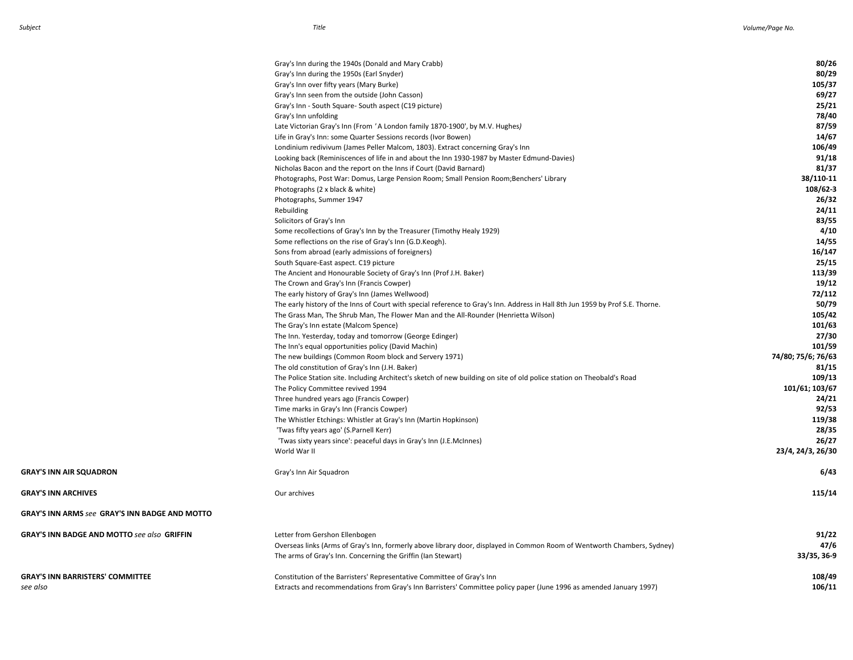|                                                       | Gray's Inn during the 1940s (Donald and Mary Crabb)                                                                            | 80/26              |
|-------------------------------------------------------|--------------------------------------------------------------------------------------------------------------------------------|--------------------|
|                                                       | Gray's Inn during the 1950s (Earl Snyder)                                                                                      | 80/29              |
|                                                       | Gray's Inn over fifty years (Mary Burke)                                                                                       | 105/37             |
|                                                       | Gray's Inn seen from the outside (John Casson)                                                                                 | 69/27              |
|                                                       | Gray's Inn - South Square- South aspect (C19 picture)                                                                          | 25/21              |
|                                                       | Gray's Inn unfolding                                                                                                           | 78/40              |
|                                                       | Late Victorian Gray's Inn (From 'A London family 1870-1900', by M.V. Hughes)                                                   | 87/59              |
|                                                       | Life in Gray's Inn: some Quarter Sessions records (Ivor Bowen)                                                                 | 14/67              |
|                                                       | Londinium redivivum (James Peller Malcom, 1803). Extract concerning Gray's Inn                                                 | 106/49             |
|                                                       | Looking back (Reminiscences of life in and about the Inn 1930-1987 by Master Edmund-Davies)                                    | 91/18              |
|                                                       | Nicholas Bacon and the report on the Inns if Court (David Barnard)                                                             | 81/37              |
|                                                       | Photographs, Post War: Domus, Large Pension Room; Small Pension Room;Benchers' Library                                         | 38/110-11          |
|                                                       | Photographs (2 x black & white)                                                                                                | 108/62-3           |
|                                                       | Photographs, Summer 1947                                                                                                       | 26/32              |
|                                                       | Rebuilding                                                                                                                     | 24/11              |
|                                                       | Solicitors of Gray's Inn                                                                                                       | 83/55              |
|                                                       | Some recollections of Gray's Inn by the Treasurer (Timothy Healy 1929)                                                         | 4/10               |
|                                                       | Some reflections on the rise of Gray's Inn (G.D.Keogh).                                                                        | 14/55              |
|                                                       | Sons from abroad (early admissions of foreigners)                                                                              | 16/147             |
|                                                       | South Square-East aspect. C19 picture                                                                                          | 25/15              |
|                                                       | The Ancient and Honourable Society of Gray's Inn (Prof J.H. Baker)                                                             | 113/39             |
|                                                       | The Crown and Gray's Inn (Francis Cowper)                                                                                      | 19/12              |
|                                                       | The early history of Gray's Inn (James Wellwood)                                                                               | 72/112             |
|                                                       | The early history of the Inns of Court with special reference to Gray's Inn. Address in Hall 8th Jun 1959 by Prof S.E. Thorne. | 50/79              |
|                                                       | The Grass Man, The Shrub Man, The Flower Man and the All-Rounder (Henrietta Wilson)                                            | 105/42             |
|                                                       | The Gray's Inn estate (Malcom Spence)                                                                                          | 101/63             |
|                                                       | The Inn. Yesterday, today and tomorrow (George Edinger)                                                                        | 27/30              |
|                                                       | The Inn's equal opportunities policy (David Machin)                                                                            | 101/59             |
|                                                       | The new buildings (Common Room block and Servery 1971)                                                                         | 74/80; 75/6; 76/63 |
|                                                       | The old constitution of Gray's Inn (J.H. Baker)                                                                                | 81/15              |
|                                                       | The Police Station site. Including Architect's sketch of new building on site of old police station on Theobald's Road         | 109/13             |
|                                                       | The Policy Committee revived 1994                                                                                              | 101/61; 103/67     |
|                                                       | Three hundred years ago (Francis Cowper)                                                                                       | 24/21              |
|                                                       | Time marks in Gray's Inn (Francis Cowper)                                                                                      | 92/53              |
|                                                       | The Whistler Etchings: Whistler at Gray's Inn (Martin Hopkinson)                                                               | 119/38             |
|                                                       | 'Twas fifty years ago' (S.Parnell Kerr)                                                                                        | 28/35              |
|                                                       | 'Twas sixty years since': peaceful days in Gray's Inn (J.E.McInnes)                                                            | 26/27              |
|                                                       | World War II                                                                                                                   | 23/4, 24/3, 26/30  |
| <b>GRAY'S INN AIR SQUADRON</b>                        | Gray's Inn Air Squadron                                                                                                        | 6/43               |
| <b>GRAY'S INN ARCHIVES</b>                            | Our archives                                                                                                                   | 115/14             |
| <b>GRAY'S INN ARMS see GRAY'S INN BADGE AND MOTTO</b> |                                                                                                                                |                    |
| <b>GRAY'S INN BADGE AND MOTTO see also GRIFFIN</b>    | Letter from Gershon Ellenbogen                                                                                                 | 91/22              |
|                                                       | Overseas links (Arms of Gray's Inn, formerly above library door, displayed in Common Room of Wentworth Chambers, Sydney)       | 47/6               |
|                                                       | The arms of Gray's Inn. Concerning the Griffin (Ian Stewart)                                                                   | 33/35, 36-9        |
| <b>GRAY'S INN BARRISTERS' COMMITTEE</b>               | Constitution of the Barristers' Representative Committee of Gray's Inn                                                         | 108/49             |
| see also                                              | Extracts and recommendations from Gray's Inn Barristers' Committee policy paper (June 1996 as amended January 1997)            | 106/11             |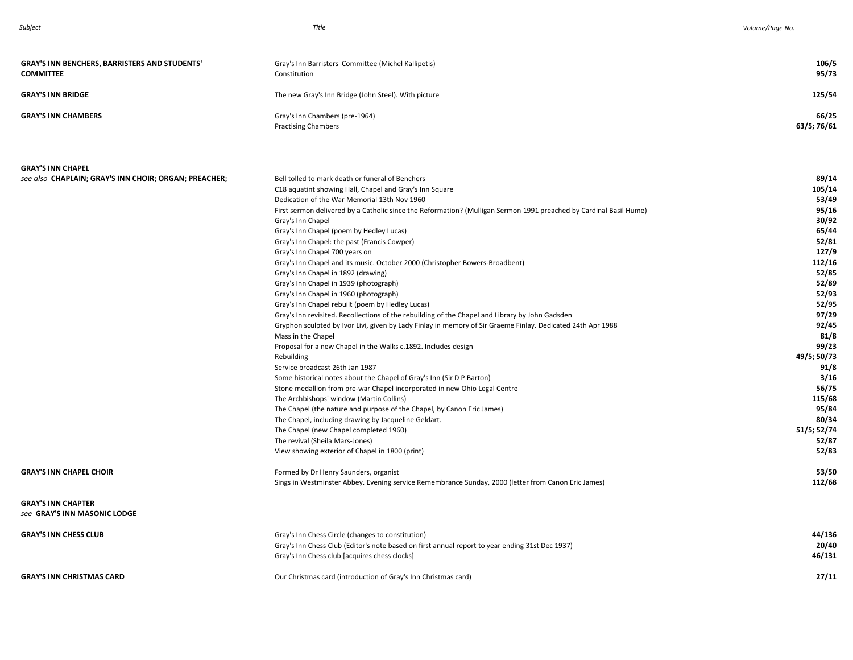| <b>GRAY'S INN BENCHERS, BARRISTERS AND STUDENTS'</b><br><b>COMMITTEE</b>          | Gray's Inn Barristers' Committee (Michel Kallipetis)<br>Constitution                                                                                                                                                                               | 106/5<br>95/73                    |
|-----------------------------------------------------------------------------------|----------------------------------------------------------------------------------------------------------------------------------------------------------------------------------------------------------------------------------------------------|-----------------------------------|
| <b>GRAY'S INN BRIDGE</b>                                                          | The new Gray's Inn Bridge (John Steel). With picture                                                                                                                                                                                               | 125/54                            |
| <b>GRAY'S INN CHAMBERS</b>                                                        | Gray's Inn Chambers (pre-1964)<br><b>Practising Chambers</b>                                                                                                                                                                                       | 66/25<br>63/5; 76/61              |
| <b>GRAY'S INN CHAPEL</b><br>see also CHAPLAIN; GRAY'S INN CHOIR; ORGAN; PREACHER; | Bell tolled to mark death or funeral of Benchers                                                                                                                                                                                                   | 89/14                             |
|                                                                                   | C18 aquatint showing Hall, Chapel and Gray's Inn Square<br>Dedication of the War Memorial 13th Nov 1960<br>First sermon delivered by a Catholic since the Reformation? (Mulligan Sermon 1991 preached by Cardinal Basil Hume)<br>Croute Inn Chanal | 105/14<br>53/49<br>95/16<br>20/02 |

|                                                           | First sermon delivered by a Catholic since the Reformation? (Mulligan Sermon 1991 preached by Cardinal Basil Hume) | 95/16       |
|-----------------------------------------------------------|--------------------------------------------------------------------------------------------------------------------|-------------|
|                                                           | Gray's Inn Chapel                                                                                                  | 30/92       |
|                                                           | Gray's Inn Chapel (poem by Hedley Lucas)                                                                           | 65/44       |
|                                                           | Gray's Inn Chapel: the past (Francis Cowper)                                                                       | 52/81       |
|                                                           | Gray's Inn Chapel 700 years on                                                                                     | 127/9       |
|                                                           | Gray's Inn Chapel and its music. October 2000 (Christopher Bowers-Broadbent)                                       | 112/16      |
|                                                           | Gray's Inn Chapel in 1892 (drawing)                                                                                | 52/85       |
|                                                           | Gray's Inn Chapel in 1939 (photograph)                                                                             | 52/89       |
|                                                           | Gray's Inn Chapel in 1960 (photograph)                                                                             | 52/93       |
|                                                           | Gray's Inn Chapel rebuilt (poem by Hedley Lucas)                                                                   | 52/95       |
|                                                           | Gray's Inn revisited. Recollections of the rebuilding of the Chapel and Library by John Gadsden                    | 97/29       |
|                                                           | Gryphon sculpted by Ivor Livi, given by Lady Finlay in memory of Sir Graeme Finlay. Dedicated 24th Apr 1988        | 92/45       |
|                                                           | Mass in the Chapel                                                                                                 | 81/8        |
|                                                           | Proposal for a new Chapel in the Walks c.1892. Includes design                                                     | 99/23       |
|                                                           | Rebuilding                                                                                                         | 49/5; 50/73 |
|                                                           | Service broadcast 26th Jan 1987                                                                                    | 91/8        |
|                                                           | Some historical notes about the Chapel of Gray's Inn (Sir D P Barton)                                              | 3/16        |
|                                                           | Stone medallion from pre-war Chapel incorporated in new Ohio Legal Centre                                          | 56/75       |
|                                                           | The Archbishops' window (Martin Collins)                                                                           | 115/68      |
|                                                           | The Chapel (the nature and purpose of the Chapel, by Canon Eric James)                                             | 95/84       |
|                                                           | The Chapel, including drawing by Jacqueline Geldart.                                                               | 80/34       |
|                                                           | The Chapel (new Chapel completed 1960)                                                                             | 51/5; 52/74 |
|                                                           | The revival (Sheila Mars-Jones)                                                                                    | 52/87       |
|                                                           | View showing exterior of Chapel in 1800 (print)                                                                    | 52/83       |
| <b>GRAY'S INN CHAPEL CHOIR</b>                            | Formed by Dr Henry Saunders, organist                                                                              | 53/50       |
|                                                           | Sings in Westminster Abbey. Evening service Remembrance Sunday, 2000 (letter from Canon Eric James)                | 112/68      |
| <b>GRAY'S INN CHAPTER</b><br>see GRAY'S INN MASONIC LODGE |                                                                                                                    |             |

| <b>GRAY'S INN CHESS CLUB</b>     | Gray's Inn Chess Circle (changes to constitution)                                               | 44/136 |
|----------------------------------|-------------------------------------------------------------------------------------------------|--------|
|                                  | Gray's Inn Chess Club (Editor's note based on first annual report to year ending 31st Dec 1937) | 20/40  |
|                                  | Gray's Inn Chess club [acquires chess clocks]                                                   | 46/131 |
|                                  |                                                                                                 |        |
| <b>GRAY'S INN CHRISTMAS CARD</b> | Our Christmas card (introduction of Gray's Inn Christmas card)                                  | 27/11  |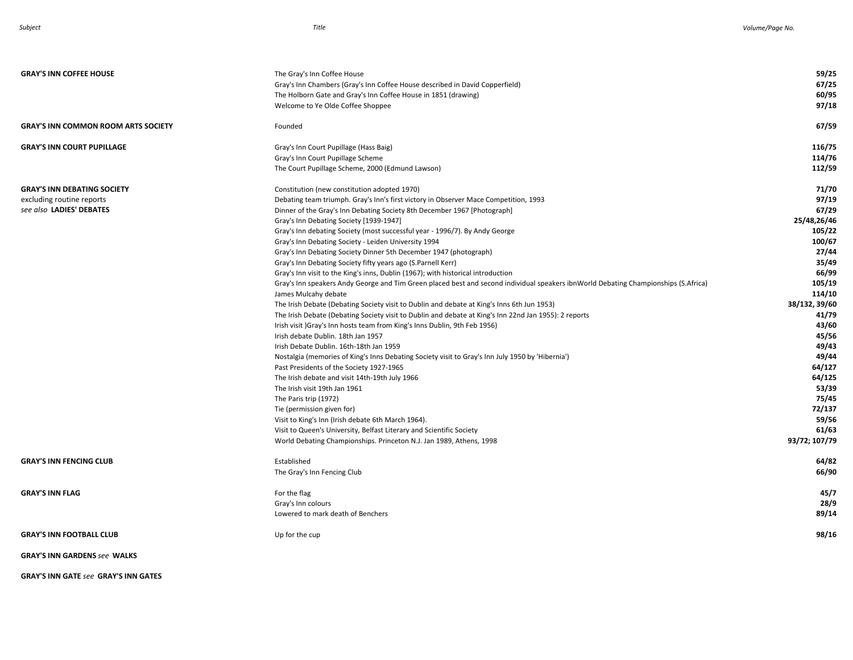| <b>GRAY'S INN COFFEE HOUSE</b>                                                              | The Gray's Inn Coffee House<br>Gray's Inn Chambers (Gray's Inn Coffee House described in David Copperfield)<br>The Holborn Gate and Gray's Inn Coffee House in 1851 (drawing)<br>Welcome to Ye Olde Coffee Shoppee                                                                                                                                                                                                                                                                                                                                                                                                                                                                                                                                                                                                                                                                                                                                                                                                                                                                                                                                                                                                                                                                                                                                                                                                                                                                                                                                                                                                                                             | 59/25<br>67/25<br>60/95<br>97/18                                                                                                                                                                                                                           |
|---------------------------------------------------------------------------------------------|----------------------------------------------------------------------------------------------------------------------------------------------------------------------------------------------------------------------------------------------------------------------------------------------------------------------------------------------------------------------------------------------------------------------------------------------------------------------------------------------------------------------------------------------------------------------------------------------------------------------------------------------------------------------------------------------------------------------------------------------------------------------------------------------------------------------------------------------------------------------------------------------------------------------------------------------------------------------------------------------------------------------------------------------------------------------------------------------------------------------------------------------------------------------------------------------------------------------------------------------------------------------------------------------------------------------------------------------------------------------------------------------------------------------------------------------------------------------------------------------------------------------------------------------------------------------------------------------------------------------------------------------------------------|------------------------------------------------------------------------------------------------------------------------------------------------------------------------------------------------------------------------------------------------------------|
| <b>GRAY'S INN COMMON ROOM ARTS SOCIETY</b>                                                  | Founded                                                                                                                                                                                                                                                                                                                                                                                                                                                                                                                                                                                                                                                                                                                                                                                                                                                                                                                                                                                                                                                                                                                                                                                                                                                                                                                                                                                                                                                                                                                                                                                                                                                        | 67/59                                                                                                                                                                                                                                                      |
| <b>GRAY'S INN COURT PUPILLAGE</b>                                                           | Gray's Inn Court Pupillage (Hass Baig)<br>Gray's Inn Court Pupillage Scheme<br>The Court Pupillage Scheme, 2000 (Edmund Lawson)                                                                                                                                                                                                                                                                                                                                                                                                                                                                                                                                                                                                                                                                                                                                                                                                                                                                                                                                                                                                                                                                                                                                                                                                                                                                                                                                                                                                                                                                                                                                | 116/75<br>114/76<br>112/59                                                                                                                                                                                                                                 |
| <b>GRAY'S INN DEBATING SOCIETY</b><br>excluding routine reports<br>see also LADIES' DEBATES | Constitution (new constitution adopted 1970)<br>Debating team triumph. Gray's Inn's first victory in Observer Mace Competition, 1993<br>Dinner of the Gray's Inn Debating Society 8th December 1967 [Photograph]<br>Gray's Inn Debating Society [1939-1947]<br>Gray's Inn debating Society (most successful year - 1996/7). By Andy George<br>Gray's Inn Debating Society - Leiden University 1994<br>Gray's Inn Debating Society Dinner 5th December 1947 (photograph)<br>Gray's Inn Debating Society fifty years ago (S.Parnell Kerr)<br>Gray's Inn visit to the King's inns, Dublin (1967); with historical introduction<br>Gray's Inn speakers Andy George and Tim Green placed best and second individual speakers ibnWorld Debating Championships (S.Africa)<br>James Mulcahy debate<br>The Irish Debate (Debating Society visit to Dublin and debate at King's Inns 6th Jun 1953)<br>The Irish Debate (Debating Society visit to Dublin and debate at King's Inn 22nd Jan 1955): 2 reports<br>Irish visit )Gray's Inn hosts team from King's Inns Dublin, 9th Feb 1956)<br>Irish debate Dublin. 18th Jan 1957<br>Irish Debate Dublin. 16th-18th Jan 1959<br>Nostalgia (memories of King's Inns Debating Society visit to Gray's Inn July 1950 by 'Hibernia')<br>Past Presidents of the Society 1927-1965<br>The Irish debate and visit 14th-19th July 1966<br>The Irish visit 19th Jan 1961<br>The Paris trip (1972)<br>Tie (permission given for)<br>Visit to King's Inn (Irish debate 6th March 1964).<br>Visit to Queen's University, Belfast Literary and Scientific Society<br>World Debating Championships. Princeton N.J. Jan 1989, Athens, 1998 | 71/70<br>97/19<br>67/29<br>25/48,26/46<br>105/22<br>100/67<br>27/44<br>35/49<br>66/99<br>105/19<br>114/10<br>38/132, 39/60<br>41/79<br>43/60<br>45/56<br>49/43<br>49/44<br>64/127<br>64/125<br>53/39<br>75/45<br>72/137<br>59/56<br>61/63<br>93/72; 107/79 |
| <b>GRAY'S INN FENCING CLUB</b>                                                              | Established<br>The Gray's Inn Fencing Club                                                                                                                                                                                                                                                                                                                                                                                                                                                                                                                                                                                                                                                                                                                                                                                                                                                                                                                                                                                                                                                                                                                                                                                                                                                                                                                                                                                                                                                                                                                                                                                                                     | 64/82<br>66/90                                                                                                                                                                                                                                             |
| <b>GRAY'S INN FLAG</b>                                                                      | For the flag<br>Gray's Inn colours<br>Lowered to mark death of Benchers                                                                                                                                                                                                                                                                                                                                                                                                                                                                                                                                                                                                                                                                                                                                                                                                                                                                                                                                                                                                                                                                                                                                                                                                                                                                                                                                                                                                                                                                                                                                                                                        | 45/7<br>28/9<br>89/14                                                                                                                                                                                                                                      |
| <b>GRAY'S INN FOOTBALL CLUB</b>                                                             | Up for the cup                                                                                                                                                                                                                                                                                                                                                                                                                                                                                                                                                                                                                                                                                                                                                                                                                                                                                                                                                                                                                                                                                                                                                                                                                                                                                                                                                                                                                                                                                                                                                                                                                                                 | 98/16                                                                                                                                                                                                                                                      |
| <b>GRAY'S INN GARDENS see WALKS</b>                                                         |                                                                                                                                                                                                                                                                                                                                                                                                                                                                                                                                                                                                                                                                                                                                                                                                                                                                                                                                                                                                                                                                                                                                                                                                                                                                                                                                                                                                                                                                                                                                                                                                                                                                |                                                                                                                                                                                                                                                            |

**GRAY'S INN GATE** *see* **GRAY'S INN GATES**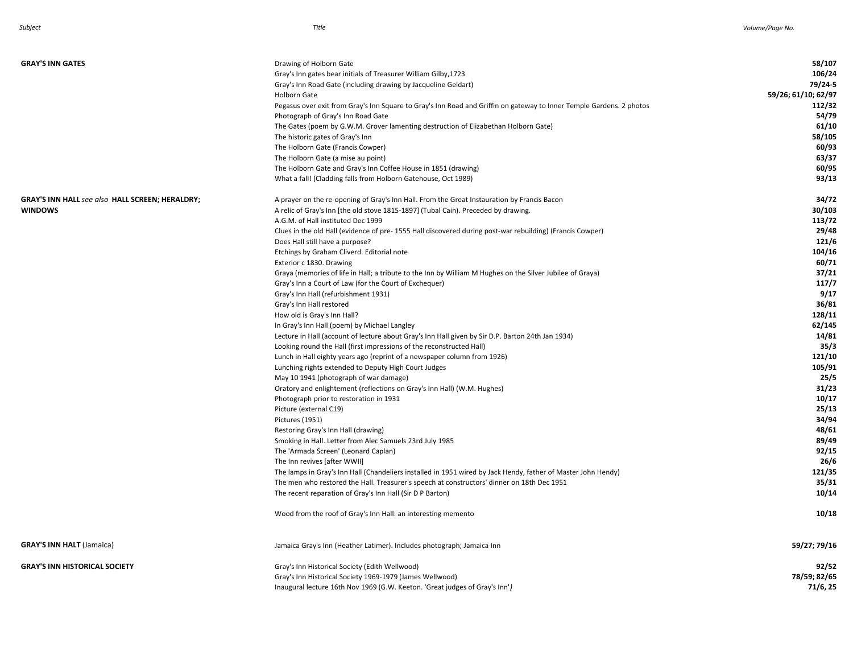| <b>GRAY'S INN GATES</b>                                | Drawing of Holborn Gate                                                                                              | 58/107              |
|--------------------------------------------------------|----------------------------------------------------------------------------------------------------------------------|---------------------|
|                                                        | Gray's Inn gates bear initials of Treasurer William Gilby, 1723                                                      | 106/24              |
|                                                        | Gray's Inn Road Gate (including drawing by Jacqueline Geldart)                                                       | 79/24-5             |
|                                                        | <b>Holborn Gate</b>                                                                                                  | 59/26; 61/10; 62/97 |
|                                                        | Pegasus over exit from Gray's Inn Square to Gray's Inn Road and Griffin on gateway to Inner Temple Gardens. 2 photos | 112/32              |
|                                                        | Photograph of Gray's Inn Road Gate                                                                                   | 54/79               |
|                                                        | The Gates (poem by G.W.M. Grover lamenting destruction of Elizabethan Holborn Gate)                                  | 61/10               |
|                                                        | The historic gates of Gray's Inn                                                                                     | 58/105              |
|                                                        | The Holborn Gate (Francis Cowper)                                                                                    | 60/93               |
|                                                        | The Holborn Gate (a mise au point)                                                                                   | 63/37               |
|                                                        | The Holborn Gate and Gray's Inn Coffee House in 1851 (drawing)                                                       | 60/95               |
|                                                        | What a fall! (Cladding falls from Holborn Gatehouse, Oct 1989)                                                       | 93/13               |
| <b>GRAY'S INN HALL see also HALL SCREEN; HERALDRY;</b> | A prayer on the re-opening of Gray's Inn Hall. From the Great Instauration by Francis Bacon                          | 34/72               |
| <b>WINDOWS</b>                                         | A relic of Gray's Inn [the old stove 1815-1897] (Tubal Cain). Preceded by drawing.                                   | 30/103              |
|                                                        | A.G.M. of Hall instituted Dec 1999                                                                                   | 113/72              |
|                                                        | Clues in the old Hall (evidence of pre-1555 Hall discovered during post-war rebuilding) (Francis Cowper)             | 29/48               |
|                                                        | Does Hall still have a purpose?                                                                                      | 121/6               |
|                                                        | Etchings by Graham Cliverd. Editorial note                                                                           | 104/16              |
|                                                        | Exterior c 1830. Drawing                                                                                             | 60/71               |
|                                                        | Graya (memories of life in Hall; a tribute to the Inn by William M Hughes on the Silver Jubilee of Graya)            | 37/21               |
|                                                        | Gray's Inn a Court of Law (for the Court of Exchequer)                                                               | 117/7               |
|                                                        | Gray's Inn Hall (refurbishment 1931)                                                                                 | 9/17                |
|                                                        | Gray's Inn Hall restored                                                                                             | 36/81               |
|                                                        | How old is Gray's Inn Hall?                                                                                          | 128/11              |
|                                                        | In Gray's Inn Hall (poem) by Michael Langley                                                                         | 62/145              |
|                                                        | Lecture in Hall (account of lecture about Gray's Inn Hall given by Sir D.P. Barton 24th Jan 1934)                    | 14/81               |
|                                                        | Looking round the Hall (first impressions of the reconstructed Hall)                                                 | 35/3                |
|                                                        | Lunch in Hall eighty years ago (reprint of a newspaper column from 1926)                                             | 121/10              |
|                                                        | Lunching rights extended to Deputy High Court Judges                                                                 | 105/91              |
|                                                        | May 10 1941 (photograph of war damage)                                                                               | 25/5                |
|                                                        | Oratory and enlightement (reflections on Gray's Inn Hall) (W.M. Hughes)                                              | 31/23               |
|                                                        | Photograph prior to restoration in 1931                                                                              | 10/17               |
|                                                        | Picture (external C19)                                                                                               | 25/13               |
|                                                        | Pictures (1951)                                                                                                      | 34/94               |
|                                                        | Restoring Gray's Inn Hall (drawing)                                                                                  | 48/61               |
|                                                        | Smoking in Hall. Letter from Alec Samuels 23rd July 1985                                                             | 89/49               |
|                                                        | The 'Armada Screen' (Leonard Caplan)                                                                                 | 92/15               |
|                                                        | The Inn revives [after WWII]                                                                                         | 26/6                |
|                                                        | The lamps in Gray's Inn Hall (Chandeliers installed in 1951 wired by Jack Hendy, father of Master John Hendy)        | 121/35              |
|                                                        | The men who restored the Hall. Treasurer's speech at constructors' dinner on 18th Dec 1951                           | 35/31               |
|                                                        | The recent reparation of Gray's Inn Hall (Sir D P Barton)                                                            | 10/14               |
|                                                        | Wood from the roof of Gray's Inn Hall: an interesting memento                                                        | 10/18               |
| <b>GRAY'S INN HALT (Jamaica)</b>                       | Jamaica Gray's Inn (Heather Latimer). Includes photograph; Jamaica Inn                                               | 59/27; 79/16        |
| <b>GRAY'S INN HISTORICAL SOCIETY</b>                   | Gray's Inn Historical Society (Edith Wellwood)                                                                       | 92/52               |
|                                                        | Gray's Inn Historical Society 1969-1979 (James Wellwood)                                                             | 78/59; 82/65        |
|                                                        | Inaugural lecture 16th Nov 1969 (G.W. Keeton. 'Great judges of Gray's Inn')                                          | 71/6, 25            |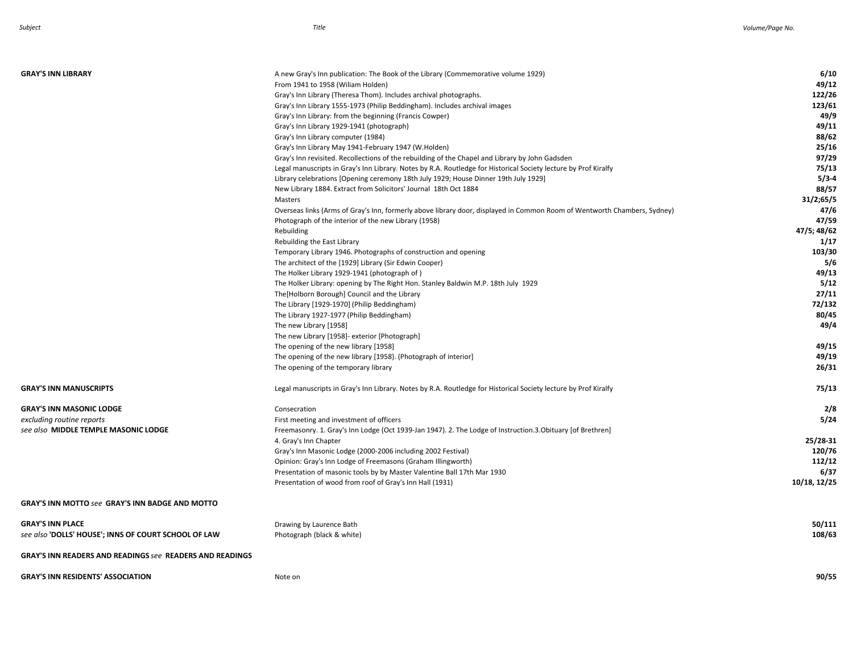| <b>GRAY'S INN LIBRARY</b>                                                                                                             | A new Gray's Inn publication: The Book of the Library (Commemorative volume 1929)<br>From 1941 to 1958 (Wiliam Holden)<br>Gray's Inn Library (Theresa Thom). Includes archival photographs.<br>Gray's Inn Library 1555-1973 (Philip Beddingham). Includes archival images<br>Gray's Inn Library: from the beginning (Francis Cowper)<br>Gray's Inn Library 1929-1941 (photograph)<br>Gray's Inn Library computer (1984)<br>Gray's Inn Library May 1941-February 1947 (W.Holden)<br>Gray's Inn revisited. Recollections of the rebuilding of the Chapel and Library by John Gadsden<br>Legal manuscripts in Gray's Inn Library. Notes by R.A. Routledge for Historical Society lecture by Prof Kiralfy<br>Library celebrations [Opening ceremony 18th July 1929; House Dinner 19th July 1929]<br>New Library 1884. Extract from Solicitors' Journal 18th Oct 1884 | 6/10<br>49/12<br>122/26<br>123/61<br>49/9<br>49/11<br>88/62<br>25/16<br>97/29<br>75/13<br>$5/3-4$<br>88/57 |
|---------------------------------------------------------------------------------------------------------------------------------------|------------------------------------------------------------------------------------------------------------------------------------------------------------------------------------------------------------------------------------------------------------------------------------------------------------------------------------------------------------------------------------------------------------------------------------------------------------------------------------------------------------------------------------------------------------------------------------------------------------------------------------------------------------------------------------------------------------------------------------------------------------------------------------------------------------------------------------------------------------------|------------------------------------------------------------------------------------------------------------|
|                                                                                                                                       | Masters<br>Overseas links (Arms of Gray's Inn, formerly above library door, displayed in Common Room of Wentworth Chambers, Sydney)<br>Photograph of the interior of the new Library (1958)<br>Rebuilding<br>Rebuilding the East Library                                                                                                                                                                                                                                                                                                                                                                                                                                                                                                                                                                                                                         | 31/2;65/5<br>47/6<br>47/59<br>47/5; 48/62<br>1/17                                                          |
|                                                                                                                                       | Temporary Library 1946. Photographs of construction and opening<br>The architect of the [1929] Library (Sir Edwin Cooper)<br>The Holker Library 1929-1941 (photograph of)<br>The Holker Library: opening by The Right Hon. Stanley Baldwin M.P. 18th July 1929<br>The[Holborn Borough] Council and the Library<br>The Library [1929-1970] (Philip Beddingham)<br>The Library 1927-1977 (Philip Beddingham)                                                                                                                                                                                                                                                                                                                                                                                                                                                       | 103/30<br>5/6<br>49/13<br>5/12<br>27/11<br>72/132<br>80/45                                                 |
|                                                                                                                                       | The new Library [1958]<br>The new Library [1958]- exterior [Photograph]<br>The opening of the new library [1958]<br>The opening of the new library [1958]. (Photograph of interior]<br>The opening of the temporary library                                                                                                                                                                                                                                                                                                                                                                                                                                                                                                                                                                                                                                      | 49/4<br>49/15<br>49/19<br>26/31                                                                            |
| <b>GRAY'S INN MANUSCRIPTS</b><br><b>GRAY'S INN MASONIC LODGE</b><br>excluding routine reports<br>see also MIDDLE TEMPLE MASONIC LODGE | Legal manuscripts in Gray's Inn Library. Notes by R.A. Routledge for Historical Society lecture by Prof Kiralfy<br>Consecration<br>First meeting and investment of officers<br>Freemasonry. 1. Gray's Inn Lodge (Oct 1939-Jan 1947). 2. The Lodge of Instruction.3. Obituary [of Brethren]<br>4. Gray's Inn Chapter<br>Gray's Inn Masonic Lodge (2000-2006 including 2002 Festival)<br>Opinion: Gray's Inn Lodge of Freemasons (Graham Illingworth)<br>Presentation of masonic tools by by Master Valentine Ball 17th Mar 1930<br>Presentation of wood from roof of Gray's Inn Hall (1931)                                                                                                                                                                                                                                                                       | 75/13<br>2/8<br>5/24<br>25/28-31<br>120/76<br>112/12<br>6/37<br>10/18, 12/25                               |
| <b>GRAY'S INN MOTTO see GRAY'S INN BADGE AND MOTTO</b>                                                                                |                                                                                                                                                                                                                                                                                                                                                                                                                                                                                                                                                                                                                                                                                                                                                                                                                                                                  |                                                                                                            |
| <b>GRAY'S INN PLACE</b><br>see also 'DOLLS' HOUSE'; INNS OF COURT SCHOOL OF LAW                                                       | Drawing by Laurence Bath<br>Photograph (black & white)                                                                                                                                                                                                                                                                                                                                                                                                                                                                                                                                                                                                                                                                                                                                                                                                           | 50/111<br>108/63                                                                                           |
| <b>GRAY'S INN READERS AND READINGS see READERS AND READINGS</b>                                                                       |                                                                                                                                                                                                                                                                                                                                                                                                                                                                                                                                                                                                                                                                                                                                                                                                                                                                  |                                                                                                            |
| <b>GRAY'S INN RESIDENTS' ASSOCIATION</b>                                                                                              | Note on                                                                                                                                                                                                                                                                                                                                                                                                                                                                                                                                                                                                                                                                                                                                                                                                                                                          | 90/55                                                                                                      |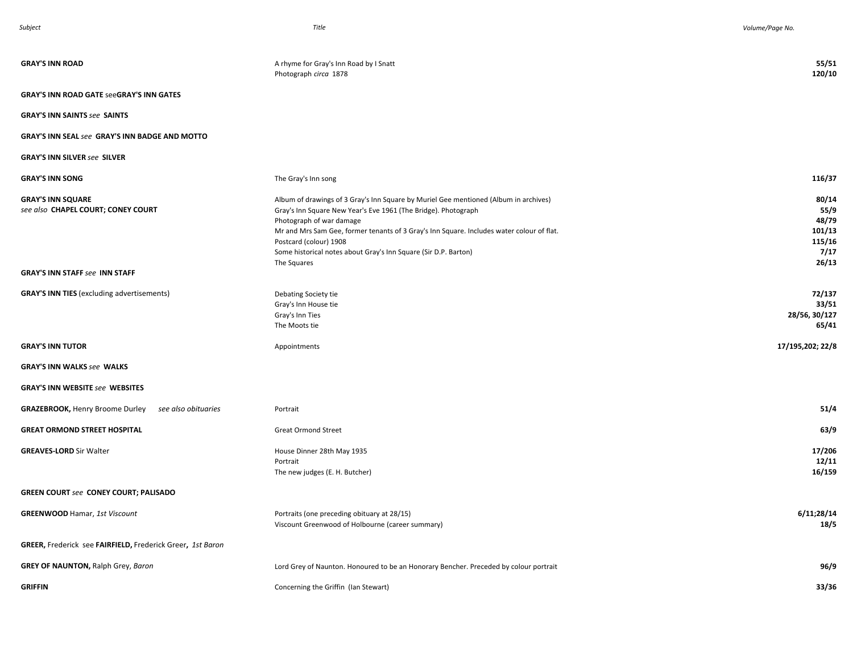| <b>GRAY'S INN ROAD</b>                                         | A rhyme for Gray's Inn Road by I Snatt<br>Photograph circa 1878                                                                                                                                                                                                                                                                                                              | 55/51<br>120/10                                             |
|----------------------------------------------------------------|------------------------------------------------------------------------------------------------------------------------------------------------------------------------------------------------------------------------------------------------------------------------------------------------------------------------------------------------------------------------------|-------------------------------------------------------------|
| <b>GRAY'S INN ROAD GATE SeeGRAY'S INN GATES</b>                |                                                                                                                                                                                                                                                                                                                                                                              |                                                             |
| <b>GRAY'S INN SAINTS see SAINTS</b>                            |                                                                                                                                                                                                                                                                                                                                                                              |                                                             |
| <b>GRAY'S INN SEAL see GRAY'S INN BADGE AND MOTTO</b>          |                                                                                                                                                                                                                                                                                                                                                                              |                                                             |
| <b>GRAY'S INN SILVER see SILVER</b>                            |                                                                                                                                                                                                                                                                                                                                                                              |                                                             |
| <b>GRAY'S INN SONG</b>                                         | The Gray's Inn song                                                                                                                                                                                                                                                                                                                                                          | 116/37                                                      |
| <b>GRAY'S INN SQUARE</b><br>see also CHAPEL COURT; CONEY COURT | Album of drawings of 3 Gray's Inn Square by Muriel Gee mentioned (Album in archives)<br>Gray's Inn Square New Year's Eve 1961 (The Bridge). Photograph<br>Photograph of war damage<br>Mr and Mrs Sam Gee, former tenants of 3 Gray's Inn Square. Includes water colour of flat.<br>Postcard (colour) 1908<br>Some historical notes about Gray's Inn Square (Sir D.P. Barton) | 80/14<br>55/9<br>48/79<br>101/13<br>115/16<br>7/17<br>26/13 |
| <b>GRAY'S INN STAFF see INN STAFF</b>                          | The Squares                                                                                                                                                                                                                                                                                                                                                                  |                                                             |
| <b>GRAY'S INN TIES</b> (excluding advertisements)              | Debating Society tie<br>Gray's Inn House tie<br>Gray's Inn Ties<br>The Moots tie                                                                                                                                                                                                                                                                                             | 72/137<br>33/51<br>28/56, 30/127<br>65/41                   |
| <b>GRAY'S INN TUTOR</b>                                        | Appointments                                                                                                                                                                                                                                                                                                                                                                 | 17/195,202; 22/8                                            |
| <b>GRAY'S INN WALKS see WALKS</b>                              |                                                                                                                                                                                                                                                                                                                                                                              |                                                             |
| <b>GRAY'S INN WEBSITE see WEBSITES</b>                         |                                                                                                                                                                                                                                                                                                                                                                              |                                                             |
| <b>GRAZEBROOK, Henry Broome Durley</b><br>see also obituaries  | Portrait                                                                                                                                                                                                                                                                                                                                                                     | 51/4                                                        |
| <b>GREAT ORMOND STREET HOSPITAL</b>                            | <b>Great Ormond Street</b>                                                                                                                                                                                                                                                                                                                                                   | 63/9                                                        |
| <b>GREAVES-LORD Sir Walter</b>                                 | House Dinner 28th May 1935<br>Portrait<br>The new judges (E. H. Butcher)                                                                                                                                                                                                                                                                                                     | 17/206<br>12/11<br>16/159                                   |
| <b>GREEN COURT see CONEY COURT; PALISADO</b>                   |                                                                                                                                                                                                                                                                                                                                                                              |                                                             |
| <b>GREENWOOD Hamar, 1st Viscount</b>                           | Portraits (one preceding obituary at 28/15)<br>Viscount Greenwood of Holbourne (career summary)                                                                                                                                                                                                                                                                              | 6/11;28/14<br>18/5                                          |
| GREER, Frederick see FAIRFIELD, Frederick Greer, 1st Baron     |                                                                                                                                                                                                                                                                                                                                                                              |                                                             |
| <b>GREY OF NAUNTON, Ralph Grey, Baron</b>                      | Lord Grey of Naunton. Honoured to be an Honorary Bencher. Preceded by colour portrait                                                                                                                                                                                                                                                                                        | 96/9                                                        |
| <b>GRIFFIN</b>                                                 | Concerning the Griffin (Ian Stewart)                                                                                                                                                                                                                                                                                                                                         | 33/36                                                       |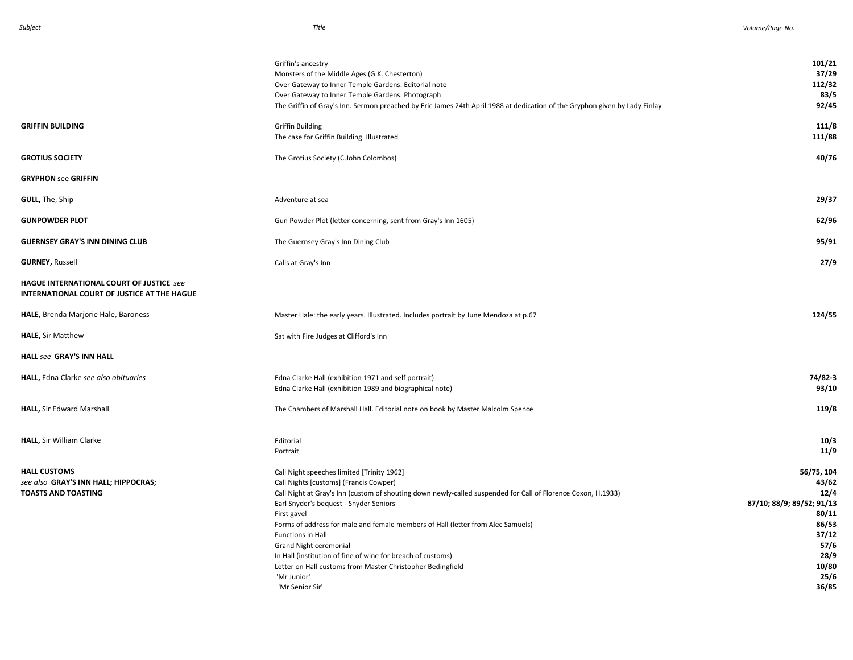| 101/21<br>37/29<br>112/32<br>83/5<br>92/45                                                                           |
|----------------------------------------------------------------------------------------------------------------------|
| 111/8<br>111/88                                                                                                      |
| 40/76                                                                                                                |
|                                                                                                                      |
| 29/37                                                                                                                |
| 62/96                                                                                                                |
| 95/91                                                                                                                |
| 27/9                                                                                                                 |
|                                                                                                                      |
| 124/55                                                                                                               |
|                                                                                                                      |
|                                                                                                                      |
| 74/82-3<br>93/10                                                                                                     |
| 119/8                                                                                                                |
| 10/3<br>11/9                                                                                                         |
| 56/75, 104<br>43/62<br>12/4<br>87/10; 88/9; 89/52; 91/13<br>80/11<br>86/53<br>37/12<br>57/6<br>28/9<br>10/80<br>25/6 |
|                                                                                                                      |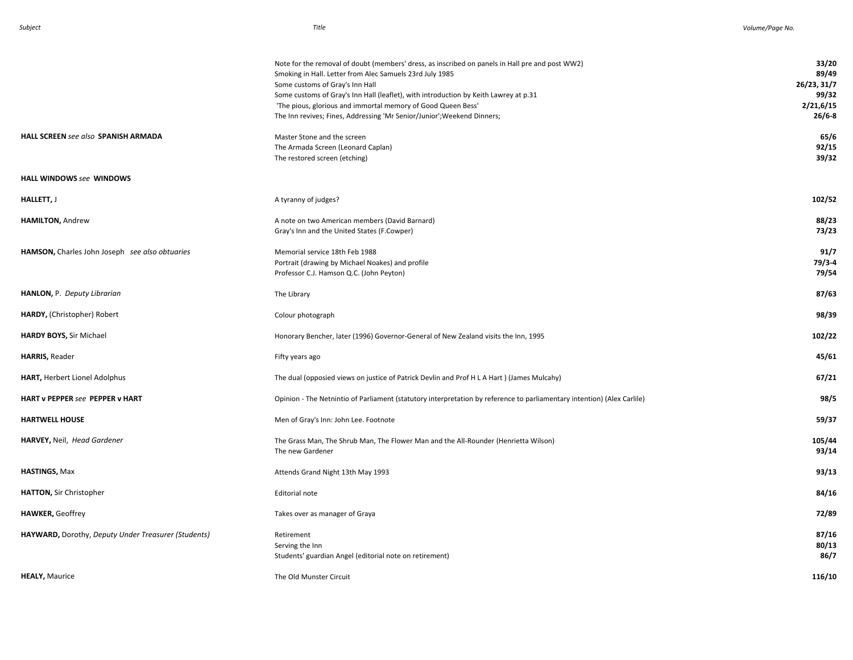|                                                     | Note for the removal of doubt (members' dress, as inscribed on panels in Hall pre and post WW2)<br>Smoking in Hall. Letter from Alec Samuels 23rd July 1985<br>Some customs of Gray's Inn Hall<br>Some customs of Gray's Inn Hall (leaflet), with introduction by Keith Lawrey at p.31<br>'The pious, glorious and immortal memory of Good Queen Bess'<br>The Inn revives; Fines, Addressing 'Mr Senior/Junior'; Weekend Dinners; | 33/20<br>89/49<br>26/23, 31/7<br>99/32<br>2/21,6/15<br>$26/6 - 8$ |
|-----------------------------------------------------|-----------------------------------------------------------------------------------------------------------------------------------------------------------------------------------------------------------------------------------------------------------------------------------------------------------------------------------------------------------------------------------------------------------------------------------|-------------------------------------------------------------------|
| HALL SCREEN see also SPANISH ARMADA                 | Master Stone and the screen<br>The Armada Screen (Leonard Caplan)<br>The restored screen (etching)                                                                                                                                                                                                                                                                                                                                | 65/6<br>92/15<br>39/32                                            |
| HALL WINDOWS see WINDOWS                            |                                                                                                                                                                                                                                                                                                                                                                                                                                   |                                                                   |
| <b>HALLETT,</b> J                                   | A tyranny of judges?                                                                                                                                                                                                                                                                                                                                                                                                              | 102/52                                                            |
| HAMILTON, Andrew                                    | A note on two American members (David Barnard)<br>Gray's Inn and the United States (F.Cowper)                                                                                                                                                                                                                                                                                                                                     | 88/23<br>73/23                                                    |
| HAMSON, Charles John Joseph see also obtuaries      | Memorial service 18th Feb 1988<br>Portrait (drawing by Michael Noakes) and profile<br>Professor C.J. Hamson Q.C. (John Peyton)                                                                                                                                                                                                                                                                                                    | 91/7<br>79/3-4<br>79/54                                           |
| HANLON, P. Deputy Librarian                         | The Library                                                                                                                                                                                                                                                                                                                                                                                                                       | 87/63                                                             |
| HARDY, (Christopher) Robert                         | Colour photograph                                                                                                                                                                                                                                                                                                                                                                                                                 | 98/39                                                             |
| HARDY BOYS, Sir Michael                             | Honorary Bencher, later (1996) Governor-General of New Zealand visits the Inn, 1995                                                                                                                                                                                                                                                                                                                                               | 102/22                                                            |
| HARRIS, Reader                                      | Fifty years ago                                                                                                                                                                                                                                                                                                                                                                                                                   | 45/61                                                             |
| HART, Herbert Lionel Adolphus                       | The dual (opposied views on justice of Patrick Devlin and Prof H L A Hart) (James Mulcahy)                                                                                                                                                                                                                                                                                                                                        | 67/21                                                             |
| HART v PEPPER see PEPPER v HART                     | Opinion - The Netnintio of Parliament (statutory interpretation by reference to parliamentary intention) (Alex Carlile)                                                                                                                                                                                                                                                                                                           | 98/5                                                              |
| <b>HARTWELL HOUSE</b>                               | Men of Gray's Inn: John Lee. Footnote                                                                                                                                                                                                                                                                                                                                                                                             | 59/37                                                             |
| HARVEY, Neil, Head Gardener                         | The Grass Man, The Shrub Man, The Flower Man and the All-Rounder (Henrietta Wilson)<br>The new Gardener                                                                                                                                                                                                                                                                                                                           | 105/44<br>93/14                                                   |
| <b>HASTINGS, Max</b>                                | Attends Grand Night 13th May 1993                                                                                                                                                                                                                                                                                                                                                                                                 | 93/13                                                             |
| HATTON, Sir Christopher                             | Editorial note                                                                                                                                                                                                                                                                                                                                                                                                                    | 84/16                                                             |
| <b>HAWKER, Geoffrey</b>                             | Takes over as manager of Graya                                                                                                                                                                                                                                                                                                                                                                                                    | 72/89                                                             |
| HAYWARD, Dorothy, Deputy Under Treasurer (Students) | Retirement<br>Serving the Inn<br>Students' guardian Angel (editorial note on retirement)                                                                                                                                                                                                                                                                                                                                          | 87/16<br>80/13<br>86/7                                            |
| <b>HEALY, Maurice</b>                               | The Old Munster Circuit                                                                                                                                                                                                                                                                                                                                                                                                           | 116/10                                                            |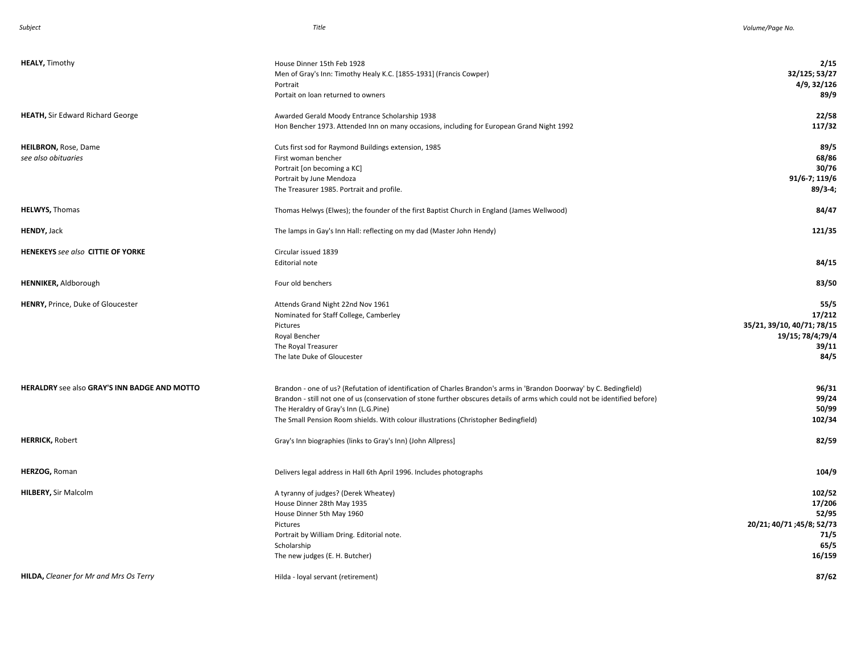| <b>HEALY, Timothy</b>                               | House Dinner 15th Feb 1928<br>Men of Gray's Inn: Timothy Healy K.C. [1855-1931] (Francis Cowper)<br>Portrait<br>Portait on loan returned to owners                                                                                                                                                                                                                                  | 2/15<br>32/125; 53/27<br>4/9, 32/126<br>89/9                                      |
|-----------------------------------------------------|-------------------------------------------------------------------------------------------------------------------------------------------------------------------------------------------------------------------------------------------------------------------------------------------------------------------------------------------------------------------------------------|-----------------------------------------------------------------------------------|
| <b>HEATH, Sir Edward Richard George</b>             | Awarded Gerald Moody Entrance Scholarship 1938<br>Hon Bencher 1973. Attended Inn on many occasions, including for European Grand Night 1992                                                                                                                                                                                                                                         | 22/58<br>117/32                                                                   |
| <b>HEILBRON, Rose, Dame</b><br>see also obituaries  | Cuts first sod for Raymond Buildings extension, 1985<br>First woman bencher<br>Portrait [on becoming a KC]<br>Portrait by June Mendoza<br>The Treasurer 1985. Portrait and profile.                                                                                                                                                                                                 | 89/5<br>68/86<br>30/76<br>91/6-7; 119/6<br>$89/3-4;$                              |
| <b>HELWYS, Thomas</b>                               | Thomas Helwys (Elwes); the founder of the first Baptist Church in England (James Wellwood)                                                                                                                                                                                                                                                                                          | 84/47                                                                             |
| HENDY, Jack                                         | The lamps in Gay's Inn Hall: reflecting on my dad (Master John Hendy)                                                                                                                                                                                                                                                                                                               | 121/35                                                                            |
| <b>HENEKEYS</b> see also CITTIE OF YORKE            | Circular issued 1839<br><b>Editorial note</b>                                                                                                                                                                                                                                                                                                                                       | 84/15                                                                             |
| <b>HENNIKER, Aldborough</b>                         | Four old benchers                                                                                                                                                                                                                                                                                                                                                                   | 83/50                                                                             |
| <b>HENRY, Prince, Duke of Gloucester</b>            | Attends Grand Night 22nd Nov 1961<br>Nominated for Staff College, Camberley<br>Pictures<br>Royal Bencher<br>The Royal Treasurer<br>The late Duke of Gloucester                                                                                                                                                                                                                      | 55/5<br>17/212<br>35/21, 39/10, 40/71; 78/15<br>19/15; 78/4;79/4<br>39/11<br>84/5 |
| <b>HERALDRY</b> see also GRAY'S INN BADGE AND MOTTO | Brandon - one of us? (Refutation of identification of Charles Brandon's arms in 'Brandon Doorway' by C. Bedingfield)<br>Brandon - still not one of us (conservation of stone further obscures details of arms which could not be identified before)<br>The Heraldry of Gray's Inn (L.G.Pine)<br>The Small Pension Room shields. With colour illustrations (Christopher Bedingfield) | 96/31<br>99/24<br>50/99<br>102/34                                                 |
| <b>HERRICK, Robert</b>                              | Gray's Inn biographies (links to Gray's Inn) (John Allpress]                                                                                                                                                                                                                                                                                                                        | 82/59                                                                             |
| HERZOG, Roman                                       | Delivers legal address in Hall 6th April 1996. Includes photographs                                                                                                                                                                                                                                                                                                                 | 104/9                                                                             |
| <b>HILBERY, Sir Malcolm</b>                         | A tyranny of judges? (Derek Wheatey)<br>House Dinner 28th May 1935<br>House Dinner 5th May 1960<br>Pictures<br>Portrait by William Dring. Editorial note.<br>Scholarship<br>The new judges (E. H. Butcher)                                                                                                                                                                          | 102/52<br>17/206<br>52/95<br>20/21; 40/71 ; 45/8; 52/73<br>71/5<br>65/5<br>16/159 |
| <b>HILDA, Cleaner for Mr and Mrs Os Terry</b>       | Hilda - loyal servant (retirement)                                                                                                                                                                                                                                                                                                                                                  | 87/62                                                                             |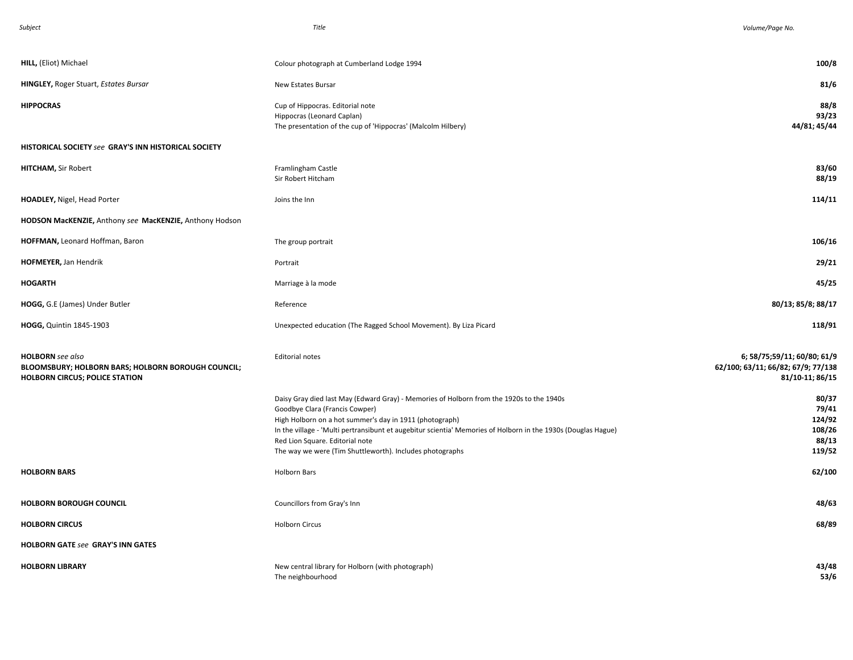| Subject                                                                                                                | Title                                                                                                                                                                                                                                                                                                                                                                                                 | Volume/Page No.                                                                      |
|------------------------------------------------------------------------------------------------------------------------|-------------------------------------------------------------------------------------------------------------------------------------------------------------------------------------------------------------------------------------------------------------------------------------------------------------------------------------------------------------------------------------------------------|--------------------------------------------------------------------------------------|
|                                                                                                                        |                                                                                                                                                                                                                                                                                                                                                                                                       |                                                                                      |
| HILL, (Eliot) Michael                                                                                                  | Colour photograph at Cumberland Lodge 1994                                                                                                                                                                                                                                                                                                                                                            | 100/8                                                                                |
| <b>HINGLEY, Roger Stuart, Estates Bursar</b>                                                                           | New Estates Bursar                                                                                                                                                                                                                                                                                                                                                                                    | 81/6                                                                                 |
| <b>HIPPOCRAS</b>                                                                                                       | Cup of Hippocras. Editorial note<br>Hippocras (Leonard Caplan)<br>The presentation of the cup of 'Hippocras' (Malcolm Hilbery)                                                                                                                                                                                                                                                                        | 88/8<br>93/23<br>44/81; 45/44                                                        |
| HISTORICAL SOCIETY see GRAY'S INN HISTORICAL SOCIETY                                                                   |                                                                                                                                                                                                                                                                                                                                                                                                       |                                                                                      |
| <b>HITCHAM, Sir Robert</b>                                                                                             | Framlingham Castle<br>Sir Robert Hitcham                                                                                                                                                                                                                                                                                                                                                              | 83/60<br>88/19                                                                       |
| HOADLEY, Nigel, Head Porter                                                                                            | Joins the Inn                                                                                                                                                                                                                                                                                                                                                                                         | 114/11                                                                               |
| HODSON MacKENZIE, Anthony see MacKENZIE, Anthony Hodson                                                                |                                                                                                                                                                                                                                                                                                                                                                                                       |                                                                                      |
| HOFFMAN, Leonard Hoffman, Baron                                                                                        | The group portrait                                                                                                                                                                                                                                                                                                                                                                                    | 106/16                                                                               |
| HOFMEYER, Jan Hendrik                                                                                                  | Portrait                                                                                                                                                                                                                                                                                                                                                                                              | 29/21                                                                                |
| <b>HOGARTH</b>                                                                                                         | Marriage à la mode                                                                                                                                                                                                                                                                                                                                                                                    | 45/25                                                                                |
| HOGG, G.E (James) Under Butler                                                                                         | Reference                                                                                                                                                                                                                                                                                                                                                                                             | 80/13; 85/8; 88/17                                                                   |
| HOGG, Quintin 1845-1903                                                                                                | Unexpected education (The Ragged School Movement). By Liza Picard                                                                                                                                                                                                                                                                                                                                     | 118/91                                                                               |
| <b>HOLBORN</b> see also<br>BLOOMSBURY; HOLBORN BARS; HOLBORN BOROUGH COUNCIL;<br><b>HOLBORN CIRCUS; POLICE STATION</b> | <b>Editorial notes</b>                                                                                                                                                                                                                                                                                                                                                                                | 6; 58/75;59/11; 60/80; 61/9<br>62/100; 63/11; 66/82; 67/9; 77/138<br>81/10-11; 86/15 |
|                                                                                                                        | Daisy Gray died last May (Edward Gray) - Memories of Holborn from the 1920s to the 1940s<br>Goodbye Clara (Francis Cowper)<br>High Holborn on a hot summer's day in 1911 (photograph)<br>In the village - 'Multi pertransibunt et augebitur scientia' Memories of Holborn in the 1930s (Douglas Hague)<br>Red Lion Square. Editorial note<br>The way we were (Tim Shuttleworth). Includes photographs | 80/37<br>79/41<br>124/92<br>108/26<br>88/13<br>119/52                                |
| <b>HOLBORN BARS</b>                                                                                                    | <b>Holborn Bars</b>                                                                                                                                                                                                                                                                                                                                                                                   | 62/100                                                                               |
| <b>HOLBORN BOROUGH COUNCIL</b>                                                                                         | Councillors from Gray's Inn                                                                                                                                                                                                                                                                                                                                                                           | 48/63                                                                                |
| <b>HOLBORN CIRCUS</b>                                                                                                  | <b>Holborn Circus</b>                                                                                                                                                                                                                                                                                                                                                                                 | 68/89                                                                                |
| <b>HOLBORN GATE see GRAY'S INN GATES</b>                                                                               |                                                                                                                                                                                                                                                                                                                                                                                                       |                                                                                      |
| <b>HOLBORN LIBRARY</b>                                                                                                 | New central library for Holborn (with photograph)<br>The neighbourhood                                                                                                                                                                                                                                                                                                                                | 43/48<br>53/6                                                                        |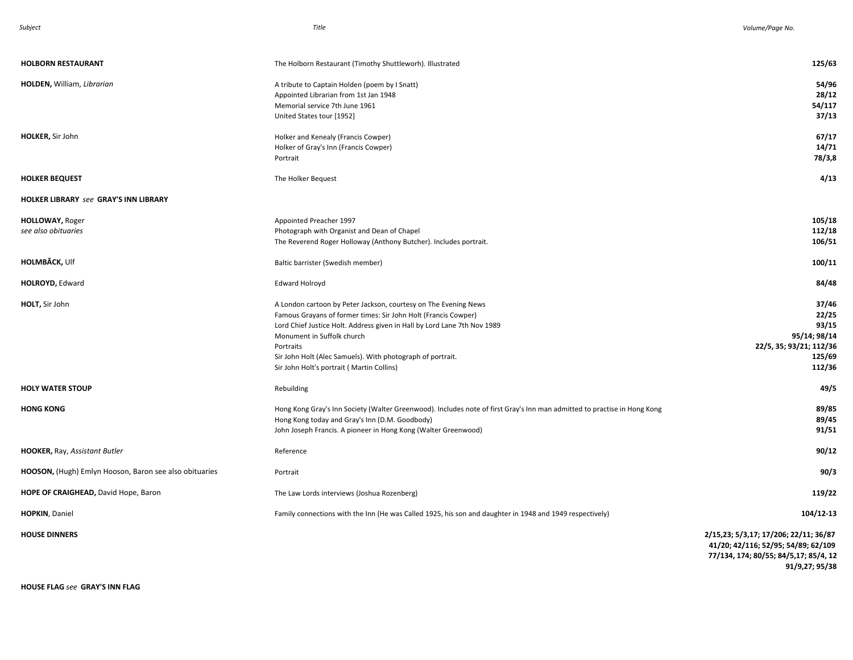| <b>HOLBORN RESTAURANT</b>                              | The Holborn Restaurant (Timothy Shuttleworh). Illustrated                                                                                                                                                                                                                                                                                                           | 125/63                                                                                                                |
|--------------------------------------------------------|---------------------------------------------------------------------------------------------------------------------------------------------------------------------------------------------------------------------------------------------------------------------------------------------------------------------------------------------------------------------|-----------------------------------------------------------------------------------------------------------------------|
| HOLDEN, William, Librarian                             | A tribute to Captain Holden (poem by I Snatt)<br>Appointed Librarian from 1st Jan 1948<br>Memorial service 7th June 1961<br>United States tour [1952]                                                                                                                                                                                                               | 54/96<br>28/12<br>54/117<br>37/13                                                                                     |
| HOLKER, Sir John                                       | Holker and Kenealy (Francis Cowper)<br>Holker of Gray's Inn (Francis Cowper)<br>Portrait                                                                                                                                                                                                                                                                            | 67/17<br>14/71<br>78/3,8                                                                                              |
| <b>HOLKER BEQUEST</b>                                  | The Holker Bequest                                                                                                                                                                                                                                                                                                                                                  | 4/13                                                                                                                  |
| <b>HOLKER LIBRARY see GRAY'S INN LIBRARY</b>           |                                                                                                                                                                                                                                                                                                                                                                     |                                                                                                                       |
| <b>HOLLOWAY, Roger</b><br>see also obituaries          | Appointed Preacher 1997<br>Photograph with Organist and Dean of Chapel<br>The Reverend Roger Holloway (Anthony Butcher). Includes portrait.                                                                                                                                                                                                                         | 105/18<br>112/18<br>106/51                                                                                            |
| <b>HOLMBĂCK, Ulf</b>                                   | Baltic barrister (Swedish member)                                                                                                                                                                                                                                                                                                                                   | 100/11                                                                                                                |
| <b>HOLROYD, Edward</b>                                 | <b>Edward Holroyd</b>                                                                                                                                                                                                                                                                                                                                               | 84/48                                                                                                                 |
| HOLT, Sir John                                         | A London cartoon by Peter Jackson, courtesy on The Evening News<br>Famous Grayans of former times: Sir John Holt (Francis Cowper)<br>Lord Chief Justice Holt. Address given in Hall by Lord Lane 7th Nov 1989<br>Monument in Suffolk church<br>Portraits<br>Sir John Holt (Alec Samuels). With photograph of portrait.<br>Sir John Holt's portrait (Martin Collins) | 37/46<br>22/25<br>93/15<br>95/14; 98/14<br>22/5, 35; 93/21; 112/36<br>125/69<br>112/36                                |
| <b>HOLY WATER STOUP</b>                                | Rebuilding                                                                                                                                                                                                                                                                                                                                                          | 49/5                                                                                                                  |
| <b>HONG KONG</b>                                       | Hong Kong Gray's Inn Society (Walter Greenwood). Includes note of first Gray's Inn man admitted to practise in Hong Kong<br>Hong Kong today and Gray's Inn (D.M. Goodbody)<br>John Joseph Francis. A pioneer in Hong Kong (Walter Greenwood)                                                                                                                        | 89/85<br>89/45<br>91/51                                                                                               |
| HOOKER, Ray, Assistant Butler                          | Reference                                                                                                                                                                                                                                                                                                                                                           | 90/12                                                                                                                 |
| HOOSON, (Hugh) Emlyn Hooson, Baron see also obituaries | Portrait                                                                                                                                                                                                                                                                                                                                                            | 90/3                                                                                                                  |
| HOPE OF CRAIGHEAD, David Hope, Baron                   | The Law Lords interviews (Joshua Rozenberg)                                                                                                                                                                                                                                                                                                                         | 119/22                                                                                                                |
| <b>HOPKIN, Daniel</b>                                  | Family connections with the Inn (He was Called 1925, his son and daughter in 1948 and 1949 respectively)                                                                                                                                                                                                                                                            | 104/12-13                                                                                                             |
| <b>HOUSE DINNERS</b>                                   |                                                                                                                                                                                                                                                                                                                                                                     | 2/15,23; 5/3,17; 17/206; 22/11; 36/87<br>41/20; 42/116; 52/95; 54/89; 62/109<br>77/134, 174; 80/55; 84/5,17; 85/4, 12 |

**91/9,27; 95/38**

**HOUSE FLAG** *see* **GRAY'S INN FLAG**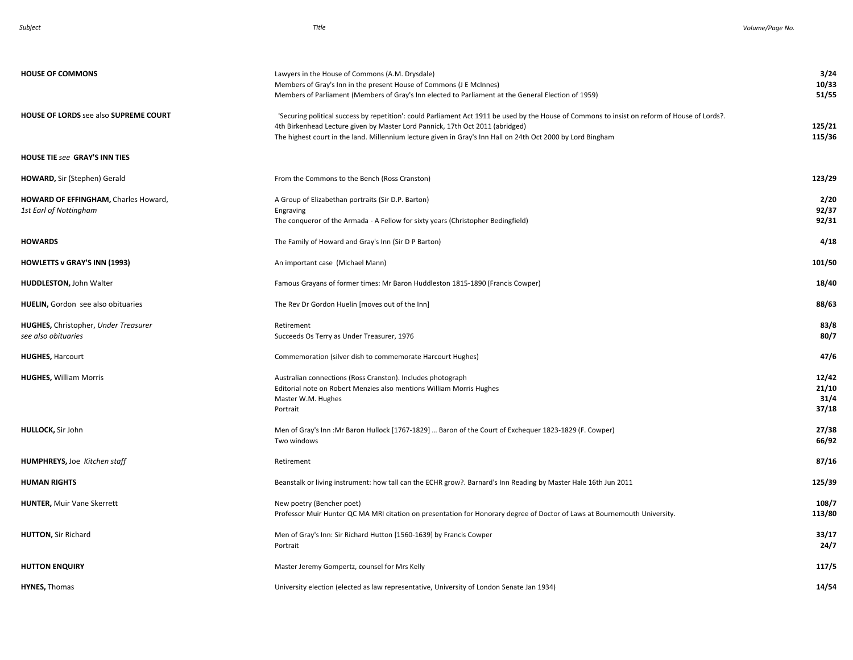| <b>HOUSE OF COMMONS</b>                                            | Lawyers in the House of Commons (A.M. Drysdale)<br>Members of Gray's Inn in the present House of Commons (J E McInnes)<br>Members of Parliament (Members of Gray's Inn elected to Parliament at the General Election of 1959)                                                                                                                 | 3/24<br>10/33<br>51/55          |
|--------------------------------------------------------------------|-----------------------------------------------------------------------------------------------------------------------------------------------------------------------------------------------------------------------------------------------------------------------------------------------------------------------------------------------|---------------------------------|
| <b>HOUSE OF LORDS see also SUPREME COURT</b>                       | 'Securing political success by repetition': could Parliament Act 1911 be used by the House of Commons to insist on reform of House of Lords?.<br>4th Birkenhead Lecture given by Master Lord Pannick, 17th Oct 2011 (abridged)<br>The highest court in the land. Millennium lecture given in Gray's Inn Hall on 24th Oct 2000 by Lord Bingham | 125/21<br>115/36                |
| HOUSE TIE see GRAY'S INN TIES                                      |                                                                                                                                                                                                                                                                                                                                               |                                 |
| HOWARD, Sir (Stephen) Gerald                                       | From the Commons to the Bench (Ross Cranston)                                                                                                                                                                                                                                                                                                 | 123/29                          |
| HOWARD OF EFFINGHAM, Charles Howard,<br>1st Earl of Nottingham     | A Group of Elizabethan portraits (Sir D.P. Barton)<br>Engraving<br>The conqueror of the Armada - A Fellow for sixty years (Christopher Bedingfield)                                                                                                                                                                                           | 2/20<br>92/37<br>92/31          |
| <b>HOWARDS</b>                                                     | The Family of Howard and Gray's Inn (Sir D P Barton)                                                                                                                                                                                                                                                                                          | 4/18                            |
| HOWLETTS v GRAY'S INN (1993)                                       | An important case (Michael Mann)                                                                                                                                                                                                                                                                                                              | 101/50                          |
| <b>HUDDLESTON, John Walter</b>                                     | Famous Grayans of former times: Mr Baron Huddleston 1815-1890 (Francis Cowper)                                                                                                                                                                                                                                                                | 18/40                           |
| HUELIN, Gordon see also obituaries                                 | The Rev Dr Gordon Huelin [moves out of the Inn]                                                                                                                                                                                                                                                                                               | 88/63                           |
| <b>HUGHES, Christopher, Under Treasurer</b><br>see also obituaries | Retirement<br>Succeeds Os Terry as Under Treasurer, 1976                                                                                                                                                                                                                                                                                      | 83/8<br>80/7                    |
| <b>HUGHES, Harcourt</b>                                            | Commemoration (silver dish to commemorate Harcourt Hughes)                                                                                                                                                                                                                                                                                    | 47/6                            |
| <b>HUGHES, William Morris</b>                                      | Australian connections (Ross Cranston). Includes photograph<br>Editorial note on Robert Menzies also mentions William Morris Hughes<br>Master W.M. Hughes<br>Portrait                                                                                                                                                                         | 12/42<br>21/10<br>31/4<br>37/18 |
| HULLOCK, Sir John                                                  | Men of Gray's Inn : Mr Baron Hullock [1767-1829]  Baron of the Court of Exchequer 1823-1829 (F. Cowper)<br>Two windows                                                                                                                                                                                                                        | 27/38<br>66/92                  |
| <b>HUMPHREYS, Joe Kitchen staff</b>                                | Retirement                                                                                                                                                                                                                                                                                                                                    | 87/16                           |
| HUMAN RIGHTS                                                       | Beanstalk or living instrument: how tall can the ECHR grow?. Barnard's Inn Reading by Master Hale 16th Jun 2011                                                                                                                                                                                                                               | 125/39                          |
| <b>HUNTER, Muir Vane Skerrett</b>                                  | New poetry (Bencher poet)<br>Professor Muir Hunter QC MA MRI citation on presentation for Honorary degree of Doctor of Laws at Bournemouth University.                                                                                                                                                                                        | 108/7<br>113/80                 |
| <b>HUTTON, Sir Richard</b>                                         | Men of Gray's Inn: Sir Richard Hutton [1560-1639] by Francis Cowper<br>Portrait                                                                                                                                                                                                                                                               | 33/17<br>24/7                   |
| <b>HUTTON ENQUIRY</b>                                              | Master Jeremy Gompertz, counsel for Mrs Kelly                                                                                                                                                                                                                                                                                                 | 117/5                           |
| <b>HYNES, Thomas</b>                                               | University election (elected as law representative, University of London Senate Jan 1934)                                                                                                                                                                                                                                                     | 14/54                           |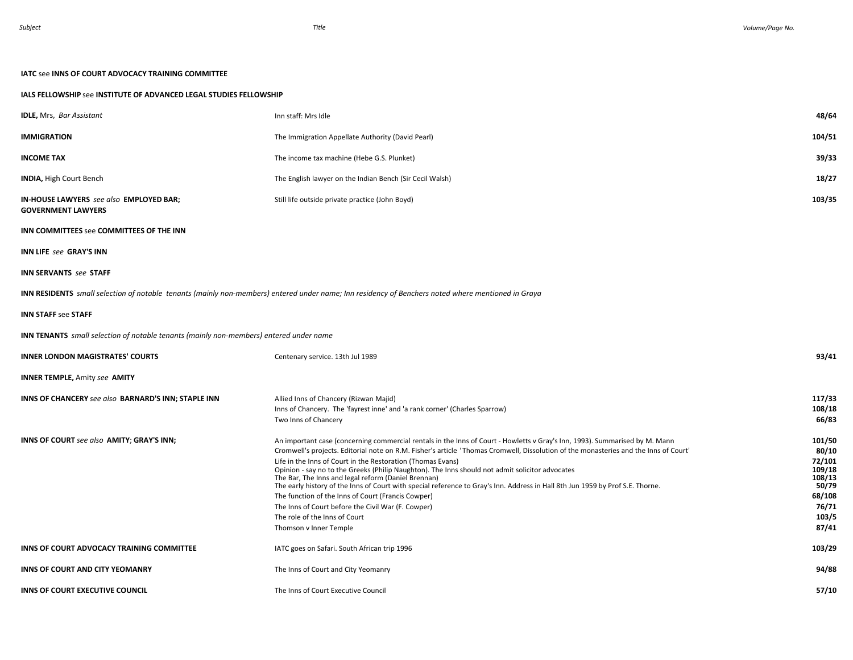## **IATC** see **INNS OF COURT ADVOCACY TRAINING COMMITTEE**

## **IALS FELLOWSHIP** see **INSTITUTE OF ADVANCED LEGAL STUDIES FELLOWSHIP**

| <b>IDLE, Mrs, Bar Assistant</b>                                                               | Inn staff: Mrs Idle                                                                                                                                                                                                                                                                                                                                                                                                                                                                                                                                                                                                                                                                                                                                                                                   | 48/64                                                                                       |
|-----------------------------------------------------------------------------------------------|-------------------------------------------------------------------------------------------------------------------------------------------------------------------------------------------------------------------------------------------------------------------------------------------------------------------------------------------------------------------------------------------------------------------------------------------------------------------------------------------------------------------------------------------------------------------------------------------------------------------------------------------------------------------------------------------------------------------------------------------------------------------------------------------------------|---------------------------------------------------------------------------------------------|
| <b>IMMIGRATION</b>                                                                            | The Immigration Appellate Authority (David Pearl)                                                                                                                                                                                                                                                                                                                                                                                                                                                                                                                                                                                                                                                                                                                                                     | 104/51                                                                                      |
| <b>INCOME TAX</b>                                                                             | The income tax machine (Hebe G.S. Plunket)                                                                                                                                                                                                                                                                                                                                                                                                                                                                                                                                                                                                                                                                                                                                                            | 39/33                                                                                       |
| <b>INDIA, High Court Bench</b>                                                                | The English lawyer on the Indian Bench (Sir Cecil Walsh)                                                                                                                                                                                                                                                                                                                                                                                                                                                                                                                                                                                                                                                                                                                                              | 18/27                                                                                       |
| <b>IN-HOUSE LAWYERS</b> see also <b>EMPLOYED BAR</b> ;<br><b>GOVERNMENT LAWYERS</b>           | Still life outside private practice (John Boyd)                                                                                                                                                                                                                                                                                                                                                                                                                                                                                                                                                                                                                                                                                                                                                       | 103/35                                                                                      |
| INN COMMITTEES see COMMITTEES OF THE INN                                                      |                                                                                                                                                                                                                                                                                                                                                                                                                                                                                                                                                                                                                                                                                                                                                                                                       |                                                                                             |
| <b>INN LIFE see GRAY'S INN</b>                                                                |                                                                                                                                                                                                                                                                                                                                                                                                                                                                                                                                                                                                                                                                                                                                                                                                       |                                                                                             |
| <b>INN SERVANTS</b> see STAFF                                                                 |                                                                                                                                                                                                                                                                                                                                                                                                                                                                                                                                                                                                                                                                                                                                                                                                       |                                                                                             |
|                                                                                               | <b>INN RESIDENTS</b> small selection of notable tenants (mainly non-members) entered under name; Inn residency of Benchers noted where mentioned in Graya                                                                                                                                                                                                                                                                                                                                                                                                                                                                                                                                                                                                                                             |                                                                                             |
| <b>INN STAFF see STAFF</b>                                                                    |                                                                                                                                                                                                                                                                                                                                                                                                                                                                                                                                                                                                                                                                                                                                                                                                       |                                                                                             |
| <b>INN TENANTS</b> small selection of notable tenants (mainly non-members) entered under name |                                                                                                                                                                                                                                                                                                                                                                                                                                                                                                                                                                                                                                                                                                                                                                                                       |                                                                                             |
| <b>INNER LONDON MAGISTRATES' COURTS</b>                                                       | Centenary service. 13th Jul 1989                                                                                                                                                                                                                                                                                                                                                                                                                                                                                                                                                                                                                                                                                                                                                                      | 93/41                                                                                       |
| <b>INNER TEMPLE, Amity see AMITY</b>                                                          |                                                                                                                                                                                                                                                                                                                                                                                                                                                                                                                                                                                                                                                                                                                                                                                                       |                                                                                             |
| INNS OF CHANCERY see also BARNARD'S INN; STAPLE INN                                           | Allied Inns of Chancery (Rizwan Majid)<br>Inns of Chancery. The 'fayrest inne' and 'a rank corner' (Charles Sparrow)<br>Two Inns of Chancery                                                                                                                                                                                                                                                                                                                                                                                                                                                                                                                                                                                                                                                          | 117/33<br>108/18<br>66/83                                                                   |
| <b>INNS OF COURT</b> see also AMITY; GRAY'S INN;                                              | An important case (concerning commercial rentals in the Inns of Court - Howletts v Gray's Inn, 1993). Summarised by M. Mann<br>Cromwell's projects. Editorial note on R.M. Fisher's article 'Thomas Cromwell, Dissolution of the monasteries and the Inns of Court'<br>Life in the Inns of Court in the Restoration (Thomas Evans)<br>Opinion - say no to the Greeks (Philip Naughton). The Inns should not admit solicitor advocates<br>The Bar, The Inns and legal reform (Daniel Brennan)<br>The early history of the Inns of Court with special reference to Gray's Inn. Address in Hall 8th Jun 1959 by Prof S.E. Thorne.<br>The function of the Inns of Court (Francis Cowper)<br>The Inns of Court before the Civil War (F. Cowper)<br>The role of the Inns of Court<br>Thomson v Inner Temple | 101/50<br>80/10<br>72/101<br>109/18<br>108/13<br>50/79<br>68/108<br>76/71<br>103/5<br>87/41 |
| INNS OF COURT ADVOCACY TRAINING COMMITTEE                                                     | IATC goes on Safari. South African trip 1996                                                                                                                                                                                                                                                                                                                                                                                                                                                                                                                                                                                                                                                                                                                                                          | 103/29                                                                                      |
| INNS OF COURT AND CITY YEOMANRY                                                               | The Inns of Court and City Yeomanry                                                                                                                                                                                                                                                                                                                                                                                                                                                                                                                                                                                                                                                                                                                                                                   | 94/88                                                                                       |
| INNS OF COURT EXECUTIVE COUNCIL                                                               | The Inns of Court Executive Council                                                                                                                                                                                                                                                                                                                                                                                                                                                                                                                                                                                                                                                                                                                                                                   | 57/10                                                                                       |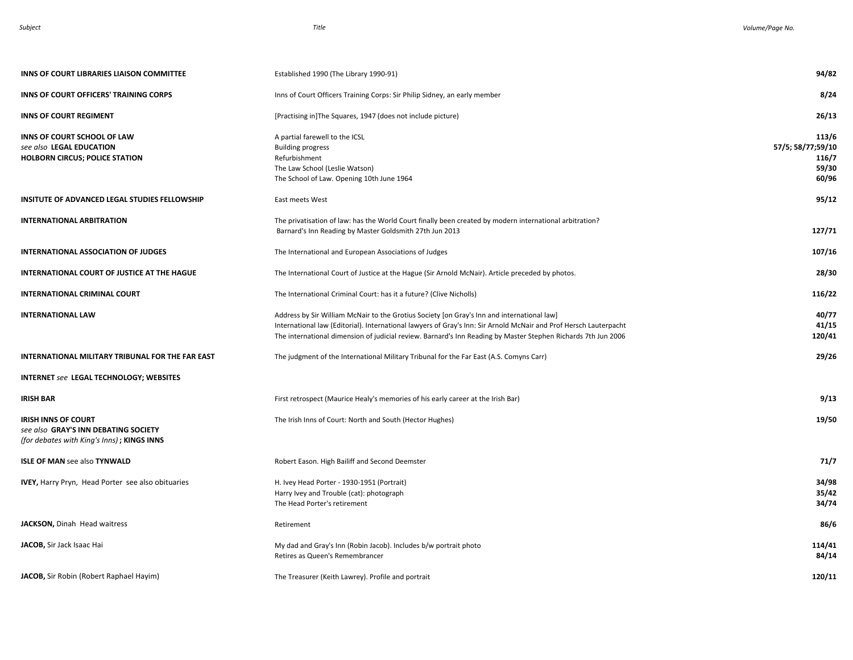| <b>INNS OF COURT LIBRARIES LIAISON COMMITTEE</b>                                                                 | Established 1990 (The Library 1990-91)                                                                                                                                                                                                                                                                                           | 94/82                                                 |
|------------------------------------------------------------------------------------------------------------------|----------------------------------------------------------------------------------------------------------------------------------------------------------------------------------------------------------------------------------------------------------------------------------------------------------------------------------|-------------------------------------------------------|
| INNS OF COURT OFFICERS' TRAINING CORPS                                                                           | Inns of Court Officers Training Corps: Sir Philip Sidney, an early member                                                                                                                                                                                                                                                        | 8/24                                                  |
| <b>INNS OF COURT REGIMENT</b>                                                                                    | [Practising in] The Squares, 1947 (does not include picture)                                                                                                                                                                                                                                                                     | 26/13                                                 |
| INNS OF COURT SCHOOL OF LAW<br>see also LEGAL EDUCATION<br><b>HOLBORN CIRCUS; POLICE STATION</b>                 | A partial farewell to the ICSL<br><b>Building progress</b><br>Refurbishment<br>The Law School (Leslie Watson)<br>The School of Law. Opening 10th June 1964                                                                                                                                                                       | 113/6<br>57/5; 58/77;59/10<br>116/7<br>59/30<br>60/96 |
| INSITUTE OF ADVANCED LEGAL STUDIES FELLOWSHIP                                                                    | East meets West                                                                                                                                                                                                                                                                                                                  | 95/12                                                 |
| <b>INTERNATIONAL ARBITRATION</b>                                                                                 | The privatisation of law: has the World Court finally been created by modern international arbitration?<br>Barnard's Inn Reading by Master Goldsmith 27th Jun 2013                                                                                                                                                               | 127/71                                                |
| <b>INTERNATIONAL ASSOCIATION OF JUDGES</b>                                                                       | The International and European Associations of Judges                                                                                                                                                                                                                                                                            | 107/16                                                |
| INTERNATIONAL COURT OF JUSTICE AT THE HAGUE                                                                      | The International Court of Justice at the Hague (Sir Arnold McNair). Article preceded by photos.                                                                                                                                                                                                                                 | 28/30                                                 |
| <b>INTERNATIONAL CRIMINAL COURT</b>                                                                              | The International Criminal Court: has it a future? (Clive Nicholls)                                                                                                                                                                                                                                                              | 116/22                                                |
| <b>INTERNATIONAL LAW</b>                                                                                         | Address by Sir William McNair to the Grotius Society [on Gray's Inn and international law]<br>International law (Editorial). International lawyers of Gray's Inn: Sir Arnold McNair and Prof Hersch Lauterpacht<br>The international dimension of judicial review. Barnard's Inn Reading by Master Stephen Richards 7th Jun 2006 | 40/77<br>41/15<br>120/41                              |
| INTERNATIONAL MILITARY TRIBUNAL FOR THE FAR EAST                                                                 | The judgment of the International Military Tribunal for the Far East (A.S. Comyns Carr)                                                                                                                                                                                                                                          | 29/26                                                 |
| <b>INTERNET see LEGAL TECHNOLOGY; WEBSITES</b>                                                                   |                                                                                                                                                                                                                                                                                                                                  |                                                       |
| <b>IRISH BAR</b>                                                                                                 | First retrospect (Maurice Healy's memories of his early career at the Irish Bar)                                                                                                                                                                                                                                                 | 9/13                                                  |
| <b>IRISH INNS OF COURT</b><br>see also GRAY'S INN DEBATING SOCIETY<br>(for debates with King's Inns); KINGS INNS | The Irish Inns of Court: North and South (Hector Hughes)                                                                                                                                                                                                                                                                         | 19/50                                                 |
| <b>ISLE OF MAN see also TYNWALD</b>                                                                              | Robert Eason. High Bailiff and Second Deemster                                                                                                                                                                                                                                                                                   | 71/7                                                  |
| <b>IVEY, Harry Pryn, Head Porter see also obituaries</b>                                                         | H. Ivey Head Porter - 1930-1951 (Portrait)<br>Harry Ivey and Trouble (cat): photograph<br>The Head Porter's retirement                                                                                                                                                                                                           | 34/98<br>35/42<br>34/74                               |
| JACKSON, Dinah Head waitress                                                                                     | Retirement                                                                                                                                                                                                                                                                                                                       | 86/6                                                  |
| JACOB, Sir Jack Isaac Hai                                                                                        | My dad and Gray's Inn (Robin Jacob). Includes b/w portrait photo<br>Retires as Queen's Remembrancer                                                                                                                                                                                                                              | 114/41<br>84/14                                       |
| JACOB, Sir Robin (Robert Raphael Hayim)                                                                          | The Treasurer (Keith Lawrey). Profile and portrait                                                                                                                                                                                                                                                                               | 120/11                                                |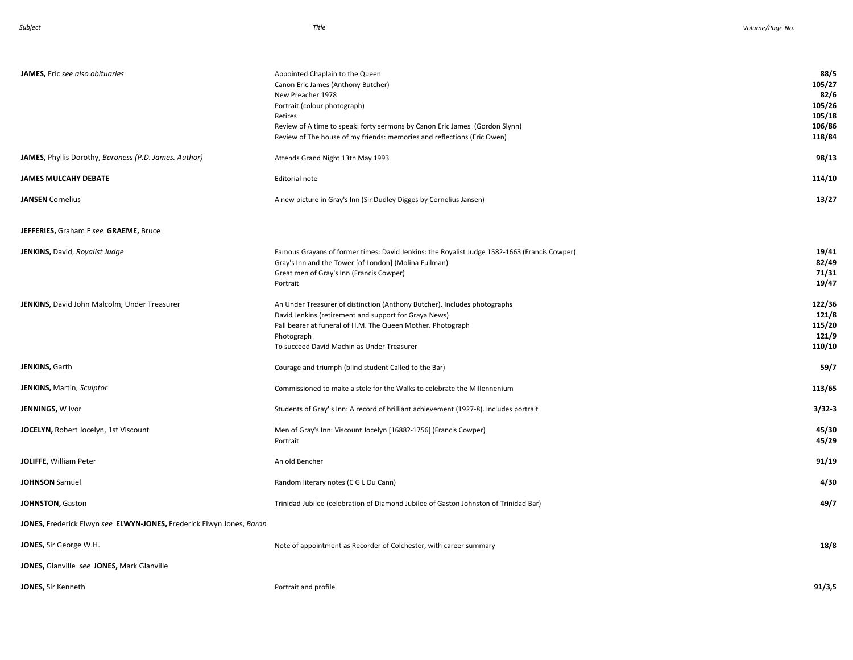| JAMES, Eric see also obituaries                                      | Appointed Chaplain to the Queen<br>Canon Eric James (Anthony Butcher)<br>New Preacher 1978<br>Portrait (colour photograph)<br>Retires<br>Review of A time to speak: forty sermons by Canon Eric James (Gordon Slynn)<br>Review of The house of my friends: memories and reflections (Eric Owen) | 88/5<br>105/27<br>82/6<br>105/26<br>105/18<br>106/86<br>118/84 |
|----------------------------------------------------------------------|-------------------------------------------------------------------------------------------------------------------------------------------------------------------------------------------------------------------------------------------------------------------------------------------------|----------------------------------------------------------------|
| JAMES, Phyllis Dorothy, Baroness (P.D. James. Author)                | Attends Grand Night 13th May 1993                                                                                                                                                                                                                                                               | 98/13                                                          |
| <b>JAMES MULCAHY DEBATE</b>                                          | Editorial note                                                                                                                                                                                                                                                                                  | 114/10                                                         |
| <b>JANSEN</b> Cornelius                                              | A new picture in Gray's Inn (Sir Dudley Digges by Cornelius Jansen)                                                                                                                                                                                                                             | 13/27                                                          |
| JEFFERIES, Graham F see GRAEME, Bruce                                |                                                                                                                                                                                                                                                                                                 |                                                                |
| JENKINS, David, Royalist Judge                                       | Famous Grayans of former times: David Jenkins: the Royalist Judge 1582-1663 (Francis Cowper)<br>Gray's Inn and the Tower [of London] (Molina Fullman)<br>Great men of Gray's Inn (Francis Cowper)<br>Portrait                                                                                   | 19/41<br>82/49<br>71/31<br>19/47                               |
| JENKINS, David John Malcolm, Under Treasurer                         | An Under Treasurer of distinction (Anthony Butcher). Includes photographs<br>David Jenkins (retirement and support for Graya News)<br>Pall bearer at funeral of H.M. The Queen Mother. Photograph<br>Photograph<br>To succeed David Machin as Under Treasurer                                   | 122/36<br>121/8<br>115/20<br>121/9<br>110/10                   |
| <b>JENKINS, Garth</b>                                                | Courage and triumph (blind student Called to the Bar)                                                                                                                                                                                                                                           | 59/7                                                           |
| JENKINS, Martin, Sculptor                                            | Commissioned to make a stele for the Walks to celebrate the Millennenium                                                                                                                                                                                                                        | 113/65                                                         |
| JENNINGS, W Ivor                                                     | Students of Gray's Inn: A record of brilliant achievement (1927-8). Includes portrait                                                                                                                                                                                                           | $3/32 - 3$                                                     |
| <b>JOCELYN, Robert Jocelyn, 1st Viscount</b>                         | Men of Gray's Inn: Viscount Jocelyn [1688?-1756] (Francis Cowper)<br>Portrait                                                                                                                                                                                                                   | 45/30<br>45/29                                                 |
| JOLIFFE, William Peter                                               | An old Bencher                                                                                                                                                                                                                                                                                  | 91/19                                                          |
| <b>JOHNSON</b> Samuel                                                | Random literary notes (C G L Du Cann)                                                                                                                                                                                                                                                           | 4/30                                                           |
| JOHNSTON, Gaston                                                     | Trinidad Jubilee (celebration of Diamond Jubilee of Gaston Johnston of Trinidad Bar)                                                                                                                                                                                                            | 49/7                                                           |
| JONES, Frederick Elwyn see ELWYN-JONES, Frederick Elwyn Jones, Baron |                                                                                                                                                                                                                                                                                                 |                                                                |
| JONES, Sir George W.H.                                               | Note of appointment as Recorder of Colchester, with career summary                                                                                                                                                                                                                              | 18/8                                                           |
| JONES, Glanville see JONES, Mark Glanville                           |                                                                                                                                                                                                                                                                                                 |                                                                |
| JONES, Sir Kenneth                                                   | Portrait and profile                                                                                                                                                                                                                                                                            | 91/3,5                                                         |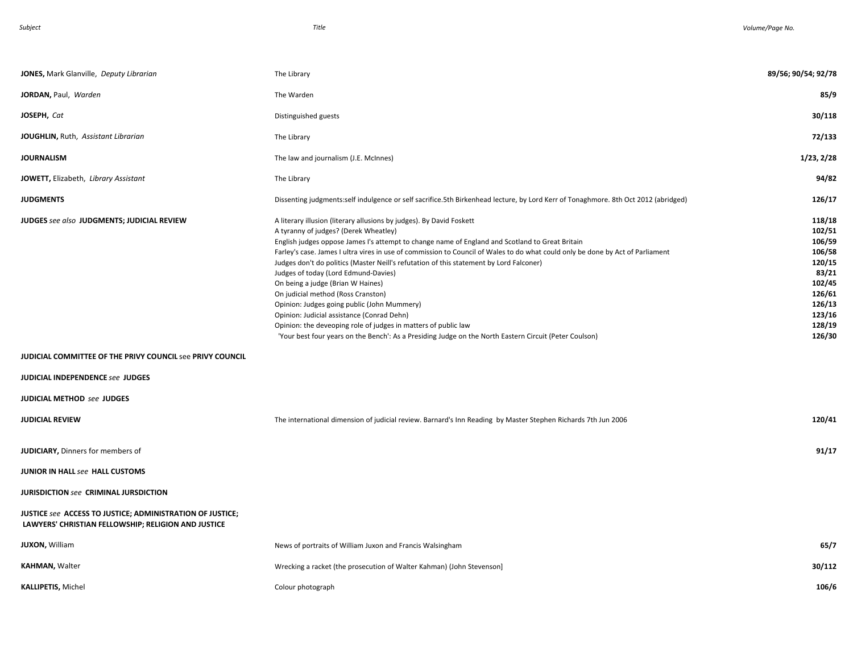| JONES, Mark Glanville, Deputy Librarian                                                                              | The Library                                                                                                                                                                                                                                                                                                                                                                                                                                                                                                                                                                                                                                                                                                                                                                                                                               | 89/56; 90/54; 92/78                                                                                                 |
|----------------------------------------------------------------------------------------------------------------------|-------------------------------------------------------------------------------------------------------------------------------------------------------------------------------------------------------------------------------------------------------------------------------------------------------------------------------------------------------------------------------------------------------------------------------------------------------------------------------------------------------------------------------------------------------------------------------------------------------------------------------------------------------------------------------------------------------------------------------------------------------------------------------------------------------------------------------------------|---------------------------------------------------------------------------------------------------------------------|
| JORDAN, Paul, Warden                                                                                                 | The Warden                                                                                                                                                                                                                                                                                                                                                                                                                                                                                                                                                                                                                                                                                                                                                                                                                                | 85/9                                                                                                                |
| JOSEPH, Cat                                                                                                          | Distinguished guests                                                                                                                                                                                                                                                                                                                                                                                                                                                                                                                                                                                                                                                                                                                                                                                                                      | 30/118                                                                                                              |
| JOUGHLIN, Ruth, Assistant Librarian                                                                                  | The Library                                                                                                                                                                                                                                                                                                                                                                                                                                                                                                                                                                                                                                                                                                                                                                                                                               | 72/133                                                                                                              |
| <b>JOURNALISM</b>                                                                                                    | The law and journalism (J.E. McInnes)                                                                                                                                                                                                                                                                                                                                                                                                                                                                                                                                                                                                                                                                                                                                                                                                     | 1/23, 2/28                                                                                                          |
| JOWETT, Elizabeth, Library Assistant                                                                                 | The Library                                                                                                                                                                                                                                                                                                                                                                                                                                                                                                                                                                                                                                                                                                                                                                                                                               | 94/82                                                                                                               |
| <b>JUDGMENTS</b>                                                                                                     | Dissenting judgments:self indulgence or self sacrifice.5th Birkenhead lecture, by Lord Kerr of Tonaghmore. 8th Oct 2012 (abridged)                                                                                                                                                                                                                                                                                                                                                                                                                                                                                                                                                                                                                                                                                                        | 126/17                                                                                                              |
| JUDGES see also JUDGMENTS; JUDICIAL REVIEW                                                                           | A literary illusion (literary allusions by judges). By David Foskett<br>A tyranny of judges? (Derek Wheatley)<br>English judges oppose James I's attempt to change name of England and Scotland to Great Britain<br>Farley's case. James I ultra vires in use of commission to Council of Wales to do what could only be done by Act of Parliament<br>Judges don't do politics (Master Neill's refutation of this statement by Lord Falconer)<br>Judges of today (Lord Edmund-Davies)<br>On being a judge (Brian W Haines)<br>On judicial method (Ross Cranston)<br>Opinion: Judges going public (John Mummery)<br>Opinion: Judicial assistance (Conrad Dehn)<br>Opinion: the deveoping role of judges in matters of public law<br>'Your best four years on the Bench': As a Presiding Judge on the North Eastern Circuit (Peter Coulson) | 118/18<br>102/51<br>106/59<br>106/58<br>120/15<br>83/21<br>102/45<br>126/61<br>126/13<br>123/16<br>128/19<br>126/30 |
| JUDICIAL COMMITTEE OF THE PRIVY COUNCIL see PRIVY COUNCIL                                                            |                                                                                                                                                                                                                                                                                                                                                                                                                                                                                                                                                                                                                                                                                                                                                                                                                                           |                                                                                                                     |
| JUDICIAL INDEPENDENCE see JUDGES                                                                                     |                                                                                                                                                                                                                                                                                                                                                                                                                                                                                                                                                                                                                                                                                                                                                                                                                                           |                                                                                                                     |
| JUDICIAL METHOD see JUDGES                                                                                           |                                                                                                                                                                                                                                                                                                                                                                                                                                                                                                                                                                                                                                                                                                                                                                                                                                           |                                                                                                                     |
| <b>JUDICIAL REVIEW</b>                                                                                               | The international dimension of judicial review. Barnard's Inn Reading by Master Stephen Richards 7th Jun 2006                                                                                                                                                                                                                                                                                                                                                                                                                                                                                                                                                                                                                                                                                                                             | 120/41                                                                                                              |
| JUDICIARY, Dinners for members of<br>JUNIOR IN HALL see HALL CUSTOMS<br><b>JURISDICTION see CRIMINAL JURSDICTION</b> |                                                                                                                                                                                                                                                                                                                                                                                                                                                                                                                                                                                                                                                                                                                                                                                                                                           | 91/17                                                                                                               |
| JUSTICE see ACCESS TO JUSTICE; ADMINISTRATION OF JUSTICE;<br>LAWYERS' CHRISTIAN FELLOWSHIP; RELIGION AND JUSTICE     |                                                                                                                                                                                                                                                                                                                                                                                                                                                                                                                                                                                                                                                                                                                                                                                                                                           |                                                                                                                     |
| <b>JUXON, William</b>                                                                                                | News of portraits of William Juxon and Francis Walsingham                                                                                                                                                                                                                                                                                                                                                                                                                                                                                                                                                                                                                                                                                                                                                                                 | 65/7                                                                                                                |
| <b>KAHMAN, Walter</b>                                                                                                | Wrecking a racket (the prosecution of Walter Kahman) (John Stevenson]                                                                                                                                                                                                                                                                                                                                                                                                                                                                                                                                                                                                                                                                                                                                                                     | 30/112                                                                                                              |
| <b>KALLIPETIS, Michel</b>                                                                                            | Colour photograph                                                                                                                                                                                                                                                                                                                                                                                                                                                                                                                                                                                                                                                                                                                                                                                                                         | 106/6                                                                                                               |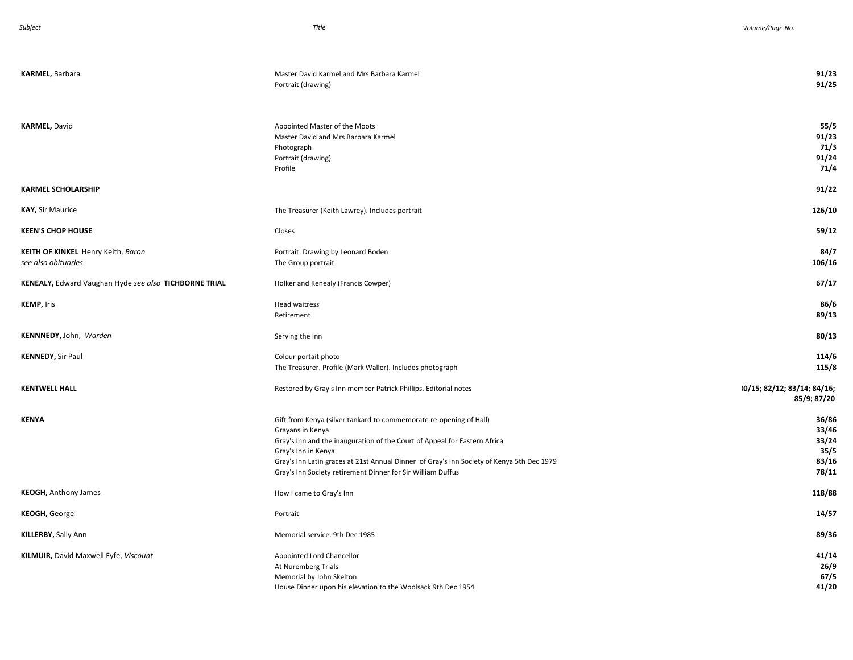| KARMEL, Barbara                                           | Master David Karmel and Mrs Barbara Karmel<br>Portrait (drawing)                                                                                                                                                                                                                                                                                       | 91/23<br>91/25                                    |
|-----------------------------------------------------------|--------------------------------------------------------------------------------------------------------------------------------------------------------------------------------------------------------------------------------------------------------------------------------------------------------------------------------------------------------|---------------------------------------------------|
|                                                           |                                                                                                                                                                                                                                                                                                                                                        |                                                   |
| <b>KARMEL, David</b>                                      | Appointed Master of the Moots<br>Master David and Mrs Barbara Karmel<br>Photograph<br>Portrait (drawing)<br>Profile                                                                                                                                                                                                                                    | 55/5<br>91/23<br>71/3<br>91/24<br>71/4            |
| <b>KARMEL SCHOLARSHIP</b>                                 |                                                                                                                                                                                                                                                                                                                                                        | 91/22                                             |
| <b>KAY, Sir Maurice</b>                                   | The Treasurer (Keith Lawrey). Includes portrait                                                                                                                                                                                                                                                                                                        | 126/10                                            |
| <b>KEEN'S CHOP HOUSE</b>                                  | Closes                                                                                                                                                                                                                                                                                                                                                 | 59/12                                             |
| KEITH OF KINKEL Henry Keith, Baron<br>see also obituaries | Portrait. Drawing by Leonard Boden<br>The Group portrait                                                                                                                                                                                                                                                                                               | 84/7<br>106/16                                    |
| KENEALY, Edward Vaughan Hyde see also TICHBORNE TRIAL     | Holker and Kenealy (Francis Cowper)                                                                                                                                                                                                                                                                                                                    | 67/17                                             |
| <b>KEMP, Iris</b>                                         | Head waitress<br>Retirement                                                                                                                                                                                                                                                                                                                            | 86/6<br>89/13                                     |
| KENNNEDY, John, Warden                                    | Serving the Inn                                                                                                                                                                                                                                                                                                                                        | 80/13                                             |
| <b>KENNEDY, Sir Paul</b>                                  | Colour portait photo<br>The Treasurer. Profile (Mark Waller). Includes photograph                                                                                                                                                                                                                                                                      | 114/6<br>115/8                                    |
| <b>KENTWELL HALL</b>                                      | Restored by Gray's Inn member Patrick Phillips. Editorial notes                                                                                                                                                                                                                                                                                        | 30/15; 82/12; 83/14; 84/16;<br>85/9; 87/20        |
| <b>KENYA</b>                                              | Gift from Kenya (silver tankard to commemorate re-opening of Hall)<br>Grayans in Kenya<br>Gray's Inn and the inauguration of the Court of Appeal for Eastern Africa<br>Gray's Inn in Kenya<br>Gray's Inn Latin graces at 21st Annual Dinner of Gray's Inn Society of Kenya 5th Dec 1979<br>Gray's Inn Society retirement Dinner for Sir William Duffus | 36/86<br>33/46<br>33/24<br>35/5<br>83/16<br>78/11 |
| <b>KEOGH, Anthony James</b>                               | How I came to Gray's Inn                                                                                                                                                                                                                                                                                                                               | 118/88                                            |
| <b>KEOGH, George</b>                                      | Portrait                                                                                                                                                                                                                                                                                                                                               | 14/57                                             |
| KILLERBY, Sally Ann                                       | Memorial service. 9th Dec 1985                                                                                                                                                                                                                                                                                                                         | 89/36                                             |
| KILMUIR, David Maxwell Fyfe, Viscount                     | Appointed Lord Chancellor<br>At Nuremberg Trials<br>Memorial by John Skelton<br>House Dinner upon his elevation to the Woolsack 9th Dec 1954                                                                                                                                                                                                           | 41/14<br>26/9<br>67/5<br>41/20                    |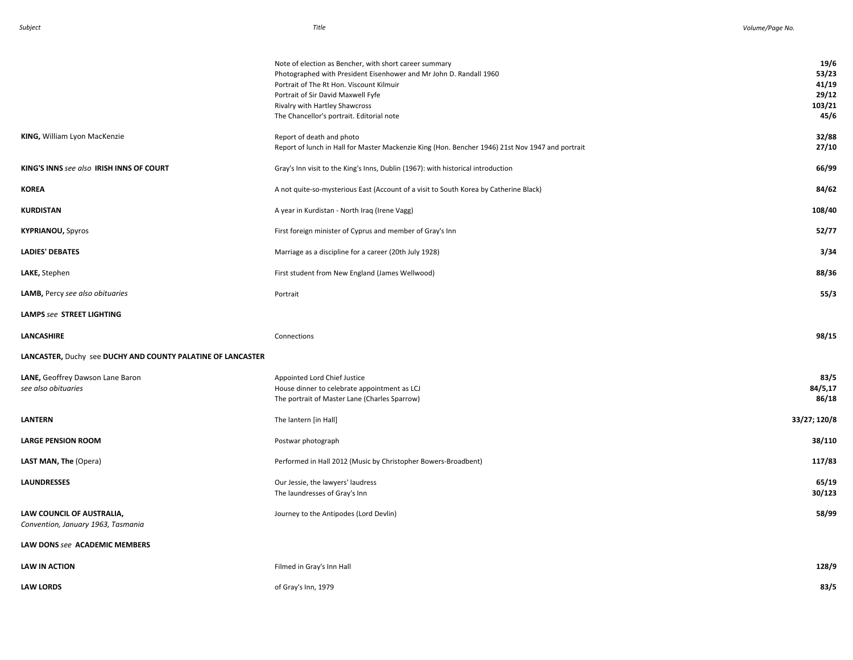|                                                                 | Note of election as Bencher, with short career summary<br>Photographed with President Eisenhower and Mr John D. Randall 1960<br>Portrait of The Rt Hon. Viscount Kilmuir<br>Portrait of Sir David Maxwell Fyfe<br>Rivalry with Hartley Shawcross<br>The Chancellor's portrait. Editorial note | 19/6<br>53/23<br>41/19<br>29/12<br>103/21<br>45/6 |
|-----------------------------------------------------------------|-----------------------------------------------------------------------------------------------------------------------------------------------------------------------------------------------------------------------------------------------------------------------------------------------|---------------------------------------------------|
| KING, William Lyon MacKenzie                                    | Report of death and photo<br>Report of lunch in Hall for Master Mackenzie King (Hon. Bencher 1946) 21st Nov 1947 and portrait                                                                                                                                                                 | 32/88<br>27/10                                    |
| KING'S INNS see also IRISH INNS OF COURT                        | Gray's Inn visit to the King's Inns, Dublin (1967): with historical introduction                                                                                                                                                                                                              | 66/99                                             |
| KOREA                                                           | A not quite-so-mysterious East (Account of a visit to South Korea by Catherine Black)                                                                                                                                                                                                         | 84/62                                             |
| KURDISTAN                                                       | A year in Kurdistan - North Iraq (Irene Vagg)                                                                                                                                                                                                                                                 | 108/40                                            |
| <b>KYPRIANOU, Spyros</b>                                        | First foreign minister of Cyprus and member of Gray's Inn                                                                                                                                                                                                                                     | 52/77                                             |
| <b>LADIES' DEBATES</b>                                          | Marriage as a discipline for a career (20th July 1928)                                                                                                                                                                                                                                        | 3/34                                              |
| LAKE, Stephen                                                   | First student from New England (James Wellwood)                                                                                                                                                                                                                                               | 88/36                                             |
| LAMB, Percy see also obituaries                                 | Portrait                                                                                                                                                                                                                                                                                      | 55/3                                              |
| LAMPS see STREET LIGHTING                                       |                                                                                                                                                                                                                                                                                               |                                                   |
| LANCASHIRE                                                      | Connections                                                                                                                                                                                                                                                                                   | 98/15                                             |
| LANCASTER, Duchy see DUCHY AND COUNTY PALATINE OF LANCASTER     |                                                                                                                                                                                                                                                                                               |                                                   |
| LANE, Geoffrey Dawson Lane Baron<br>see also obituaries         | Appointed Lord Chief Justice<br>House dinner to celebrate appointment as LCJ<br>The portrait of Master Lane (Charles Sparrow)                                                                                                                                                                 | 83/5<br>84/5,17<br>86/18                          |
| LANTERN                                                         | The lantern [in Hall]                                                                                                                                                                                                                                                                         | 33/27; 120/8                                      |
| <b>LARGE PENSION ROOM</b>                                       | Postwar photograph                                                                                                                                                                                                                                                                            | 38/110                                            |
| LAST MAN, The (Opera)                                           | Performed in Hall 2012 (Music by Christopher Bowers-Broadbent)                                                                                                                                                                                                                                | 117/83                                            |
| <b>LAUNDRESSES</b>                                              | Our Jessie, the lawyers' laudress<br>The laundresses of Gray's Inn                                                                                                                                                                                                                            | 65/19<br>30/123                                   |
| LAW COUNCIL OF AUSTRALIA,<br>Convention, January 1963, Tasmania | Journey to the Antipodes (Lord Devlin)                                                                                                                                                                                                                                                        | 58/99                                             |
| LAW DONS see ACADEMIC MEMBERS                                   |                                                                                                                                                                                                                                                                                               |                                                   |
| <b>LAW IN ACTION</b>                                            | Filmed in Gray's Inn Hall                                                                                                                                                                                                                                                                     | 128/9                                             |
| <b>LAW LORDS</b>                                                | of Gray's Inn, 1979                                                                                                                                                                                                                                                                           | 83/5                                              |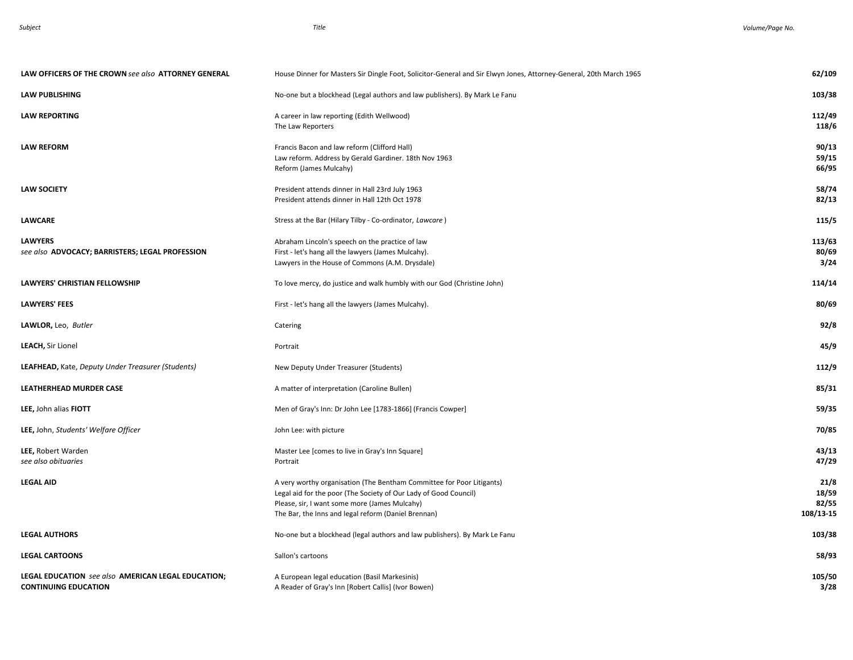| LAW OFFICERS OF THE CROWN see also ATTORNEY GENERAL                               | House Dinner for Masters Sir Dingle Foot, Solicitor-General and Sir Elwyn Jones, Attorney-General, 20th March 1965                                                                                                                                | 62/109                              |
|-----------------------------------------------------------------------------------|---------------------------------------------------------------------------------------------------------------------------------------------------------------------------------------------------------------------------------------------------|-------------------------------------|
| <b>LAW PUBLISHING</b>                                                             | No-one but a blockhead (Legal authors and law publishers). By Mark Le Fanu                                                                                                                                                                        | 103/38                              |
| <b>LAW REPORTING</b>                                                              | A career in law reporting (Edith Wellwood)<br>The Law Reporters                                                                                                                                                                                   | 112/49<br>118/6                     |
| <b>LAW REFORM</b>                                                                 | Francis Bacon and law reform (Clifford Hall)<br>Law reform. Address by Gerald Gardiner. 18th Nov 1963<br>Reform (James Mulcahy)                                                                                                                   | 90/13<br>59/15<br>66/95             |
| <b>LAW SOCIETY</b>                                                                | President attends dinner in Hall 23rd July 1963<br>President attends dinner in Hall 12th Oct 1978                                                                                                                                                 | 58/74<br>82/13                      |
| <b>LAWCARE</b>                                                                    | Stress at the Bar (Hilary Tilby - Co-ordinator, Lawcare)                                                                                                                                                                                          | 115/5                               |
| <b>LAWYERS</b><br>see also ADVOCACY; BARRISTERS; LEGAL PROFESSION                 | Abraham Lincoln's speech on the practice of law<br>First - let's hang all the lawyers (James Mulcahy).<br>Lawyers in the House of Commons (A.M. Drysdale)                                                                                         | 113/63<br>80/69<br>3/24             |
| LAWYERS' CHRISTIAN FELLOWSHIP                                                     | To love mercy, do justice and walk humbly with our God (Christine John)                                                                                                                                                                           | 114/14                              |
| LAWYERS' FEES                                                                     | First - let's hang all the lawyers (James Mulcahy).                                                                                                                                                                                               | 80/69                               |
| LAWLOR, Leo, Butler                                                               | Catering                                                                                                                                                                                                                                          | 92/8                                |
| LEACH, Sir Lionel                                                                 | Portrait                                                                                                                                                                                                                                          | 45/9                                |
| LEAFHEAD, Kate, Deputy Under Treasurer (Students)                                 | New Deputy Under Treasurer (Students)                                                                                                                                                                                                             | 112/9                               |
| LEATHERHEAD MURDER CASE                                                           | A matter of interpretation (Caroline Bullen)                                                                                                                                                                                                      | 85/31                               |
| LEE, John alias FIOTT                                                             | Men of Gray's Inn: Dr John Lee [1783-1866] (Francis Cowper]                                                                                                                                                                                       | 59/35                               |
| LEE, John, Students' Welfare Officer                                              | John Lee: with picture                                                                                                                                                                                                                            | 70/85                               |
| LEE, Robert Warden<br>see also obituaries                                         | Master Lee [comes to live in Gray's Inn Square]<br>Portrait                                                                                                                                                                                       | 43/13<br>47/29                      |
| <b>LEGAL AID</b>                                                                  | A very worthy organisation (The Bentham Committee for Poor Litigants)<br>Legal aid for the poor (The Society of Our Lady of Good Council)<br>Please, sir, I want some more (James Mulcahy)<br>The Bar, the Inns and legal reform (Daniel Brennan) | 21/8<br>18/59<br>82/55<br>108/13-15 |
| <b>LEGAL AUTHORS</b>                                                              | No-one but a blockhead (legal authors and law publishers). By Mark Le Fanu                                                                                                                                                                        | 103/38                              |
| <b>LEGAL CARTOONS</b>                                                             | Sallon's cartoons                                                                                                                                                                                                                                 | 58/93                               |
| LEGAL EDUCATION see also AMERICAN LEGAL EDUCATION;<br><b>CONTINUING EDUCATION</b> | A European legal education (Basil Markesinis)<br>A Reader of Gray's Inn [Robert Callis] (Ivor Bowen)                                                                                                                                              | 105/50<br>3/28                      |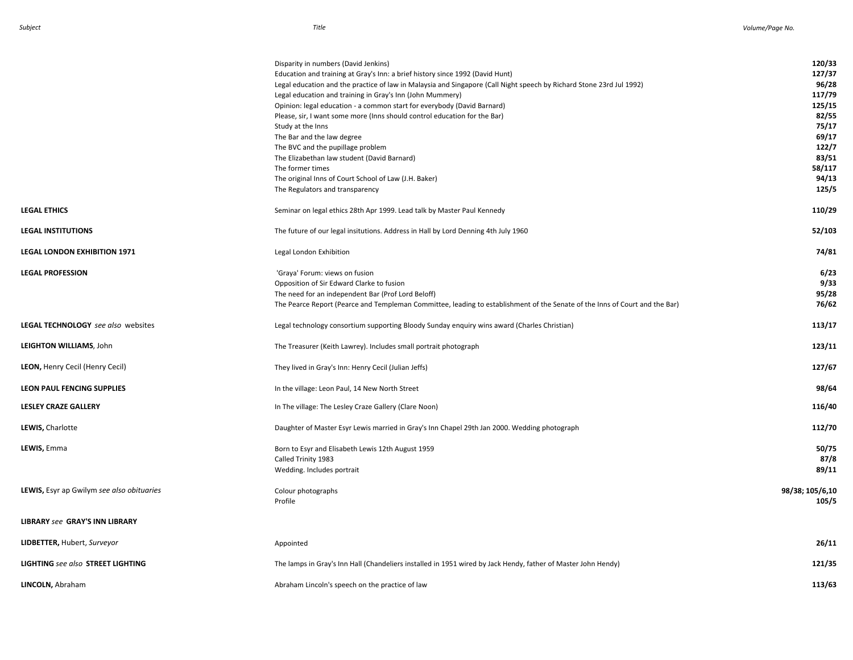|                                                  | Disparity in numbers (David Jenkins)                                                                                        | 120/33          |
|--------------------------------------------------|-----------------------------------------------------------------------------------------------------------------------------|-----------------|
|                                                  | Education and training at Gray's Inn: a brief history since 1992 (David Hunt)                                               | 127/37          |
|                                                  | Legal education and the practice of law in Malaysia and Singapore (Call Night speech by Richard Stone 23rd Jul 1992)        | 96/28           |
|                                                  | Legal education and training in Gray's Inn (John Mummery)                                                                   | 117/79          |
|                                                  | Opinion: legal education - a common start for everybody (David Barnard)                                                     | 125/15          |
|                                                  | Please, sir, I want some more (Inns should control education for the Bar)                                                   | 82/55           |
|                                                  | Study at the Inns                                                                                                           | 75/17           |
|                                                  | The Bar and the law degree                                                                                                  | 69/17           |
|                                                  | The BVC and the pupillage problem                                                                                           | 122/7           |
|                                                  |                                                                                                                             | 83/51           |
|                                                  | The Elizabethan law student (David Barnard)                                                                                 | 58/117          |
|                                                  | The former times                                                                                                            |                 |
|                                                  | The original Inns of Court School of Law (J.H. Baker)                                                                       | 94/13           |
|                                                  | The Regulators and transparency                                                                                             | 125/5           |
| <b>LEGAL ETHICS</b>                              | Seminar on legal ethics 28th Apr 1999. Lead talk by Master Paul Kennedy                                                     | 110/29          |
| <b>LEGAL INSTITUTIONS</b>                        | The future of our legal insitutions. Address in Hall by Lord Denning 4th July 1960                                          | 52/103          |
| <b>LEGAL LONDON EXHIBITION 1971</b>              | Legal London Exhibition                                                                                                     | 74/81           |
|                                                  |                                                                                                                             |                 |
| <b>LEGAL PROFESSION</b>                          | 'Graya' Forum: views on fusion                                                                                              | 6/23            |
|                                                  | Opposition of Sir Edward Clarke to fusion                                                                                   | 9/33            |
|                                                  | The need for an independent Bar (Prof Lord Beloff)                                                                          | 95/28           |
|                                                  | The Pearce Report (Pearce and Templeman Committee, leading to establishment of the Senate of the Inns of Court and the Bar) | 76/62           |
|                                                  |                                                                                                                             |                 |
| <b>LEGAL TECHNOLOGY</b> see also websites        | Legal technology consortium supporting Bloody Sunday enquiry wins award (Charles Christian)                                 | 113/17          |
| LEIGHTON WILLIAMS, John                          | The Treasurer (Keith Lawrey). Includes small portrait photograph                                                            | 123/11          |
| LEON, Henry Cecil (Henry Cecil)                  | They lived in Gray's Inn: Henry Cecil (Julian Jeffs)                                                                        | 127/67          |
| <b>LEON PAUL FENCING SUPPLIES</b>                | In the village: Leon Paul, 14 New North Street                                                                              | 98/64           |
| <b>LESLEY CRAZE GALLERY</b>                      | In The village: The Lesley Craze Gallery (Clare Noon)                                                                       | 116/40          |
|                                                  |                                                                                                                             |                 |
| LEWIS, Charlotte                                 | Daughter of Master Esyr Lewis married in Gray's Inn Chapel 29th Jan 2000. Wedding photograph                                | 112/70          |
| LEWIS, Emma                                      | Born to Esyr and Elisabeth Lewis 12th August 1959                                                                           | 50/75           |
|                                                  | Called Trinity 1983                                                                                                         | 87/8            |
|                                                  | Wedding. Includes portrait                                                                                                  | 89/11           |
|                                                  |                                                                                                                             |                 |
| <b>LEWIS, Esyr ap Gwilym see also obituaries</b> | Colour photographs                                                                                                          | 98/38; 105/6,10 |
|                                                  | Profile                                                                                                                     | 105/5           |
|                                                  |                                                                                                                             |                 |
| <b>LIBRARY see GRAY'S INN LIBRARY</b>            |                                                                                                                             |                 |
|                                                  |                                                                                                                             |                 |
| LIDBETTER, Hubert, Surveyor                      | Appointed                                                                                                                   | 26/11           |
| <b>LIGHTING</b> see also STREET LIGHTING         | The lamps in Gray's Inn Hall (Chandeliers installed in 1951 wired by Jack Hendy, father of Master John Hendy)               | 121/35          |
|                                                  |                                                                                                                             |                 |
| LINCOLN, Abraham                                 | Abraham Lincoln's speech on the practice of law                                                                             | 113/63          |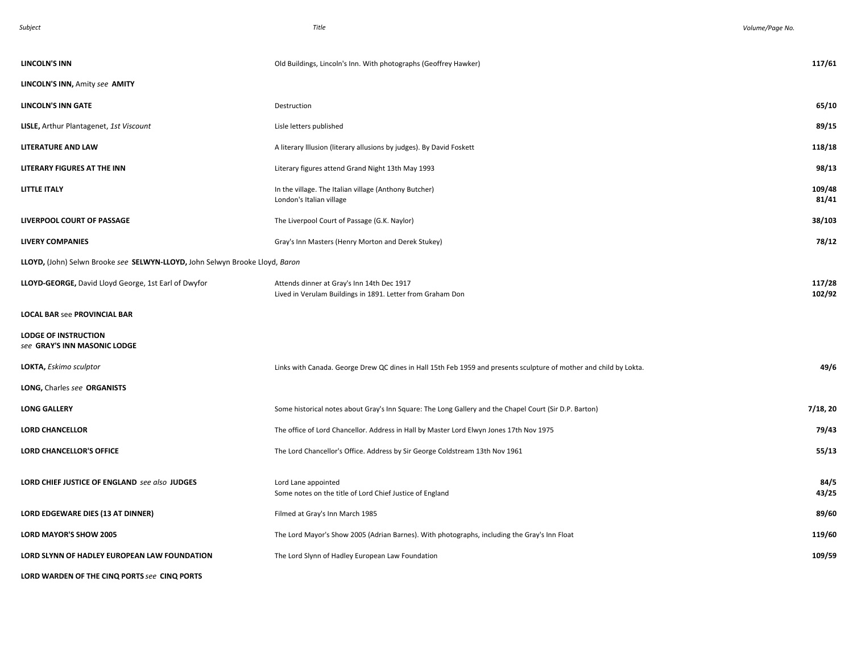| <b>LINCOLN'S INN</b>                                                         | Old Buildings, Lincoln's Inn. With photographs (Geoffrey Hawker)                                                   | 117/61           |
|------------------------------------------------------------------------------|--------------------------------------------------------------------------------------------------------------------|------------------|
| LINCOLN'S INN, Amity see AMITY                                               |                                                                                                                    |                  |
| <b>LINCOLN'S INN GATE</b>                                                    | Destruction                                                                                                        | 65/10            |
| <b>LISLE, Arthur Plantagenet, 1st Viscount</b>                               | Lisle letters published                                                                                            | 89/15            |
| <b>LITERATURE AND LAW</b>                                                    | A literary Illusion (literary allusions by judges). By David Foskett                                               | 118/18           |
| LITERARY FIGURES AT THE INN                                                  | Literary figures attend Grand Night 13th May 1993                                                                  | 98/13            |
| <b>LITTLE ITALY</b>                                                          | In the village. The Italian village (Anthony Butcher)<br>London's Italian village                                  | 109/48<br>81/41  |
| LIVERPOOL COURT OF PASSAGE                                                   | The Liverpool Court of Passage (G.K. Naylor)                                                                       | 38/103           |
| <b>LIVERY COMPANIES</b>                                                      | Gray's Inn Masters (Henry Morton and Derek Stukey)                                                                 | 78/12            |
| LLOYD, (John) Selwn Brooke see SELWYN-LLOYD, John Selwyn Brooke Lloyd, Baron |                                                                                                                    |                  |
| LLOYD-GEORGE, David Lloyd George, 1st Earl of Dwyfor                         | Attends dinner at Gray's Inn 14th Dec 1917<br>Lived in Verulam Buildings in 1891. Letter from Graham Don           | 117/28<br>102/92 |
| <b>LOCAL BAR see PROVINCIAL BAR</b>                                          |                                                                                                                    |                  |
| <b>LODGE OF INSTRUCTION</b><br>see GRAY'S INN MASONIC LODGE                  |                                                                                                                    |                  |
| LOKTA, Eskimo sculptor                                                       | Links with Canada. George Drew QC dines in Hall 15th Feb 1959 and presents sculpture of mother and child by Lokta. | 49/6             |
| LONG, Charles see ORGANISTS                                                  |                                                                                                                    |                  |
| <b>LONG GALLERY</b>                                                          | Some historical notes about Gray's Inn Square: The Long Gallery and the Chapel Court (Sir D.P. Barton)             | 7/18, 20         |
| <b>LORD CHANCELLOR</b>                                                       | The office of Lord Chancellor. Address in Hall by Master Lord Elwyn Jones 17th Nov 1975                            | 79/43            |
| <b>LORD CHANCELLOR'S OFFICE</b>                                              | The Lord Chancellor's Office. Address by Sir George Coldstream 13th Nov 1961                                       | 55/13            |
| LORD CHIEF JUSTICE OF ENGLAND see also JUDGES                                | Lord Lane appointed<br>Some notes on the title of Lord Chief Justice of England                                    | 84/5<br>43/25    |
| LORD EDGEWARE DIES (13 AT DINNER)                                            | Filmed at Gray's Inn March 1985                                                                                    | 89/60            |
| LORD MAYOR'S SHOW 2005                                                       | The Lord Mayor's Show 2005 (Adrian Barnes). With photographs, including the Gray's Inn Float                       | 119/60           |
| LORD SLYNN OF HADLEY EUROPEAN LAW FOUNDATION                                 | The Lord Slynn of Hadley European Law Foundation                                                                   | 109/59           |
| LORD WARDEN OF THE CINQ PORTS see CINQ PORTS                                 |                                                                                                                    |                  |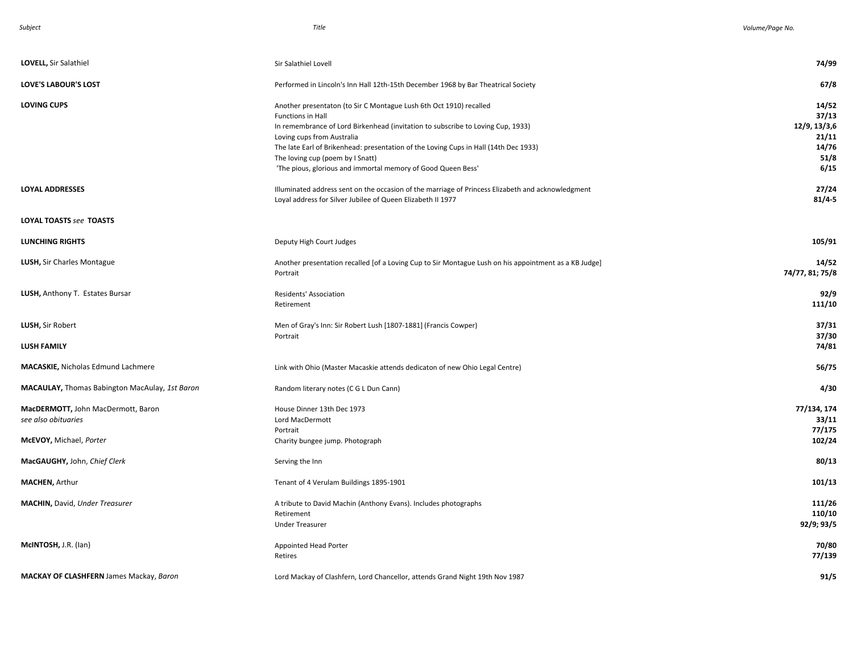| LOVELL, Sir Salathiel                                     | Sir Salathiel Lovell                                                                                                                                                                                                                                                                                                                                                                                 | 74/99                                                            |
|-----------------------------------------------------------|------------------------------------------------------------------------------------------------------------------------------------------------------------------------------------------------------------------------------------------------------------------------------------------------------------------------------------------------------------------------------------------------------|------------------------------------------------------------------|
| <b>LOVE'S LABOUR'S LOST</b>                               | Performed in Lincoln's Inn Hall 12th-15th December 1968 by Bar Theatrical Society                                                                                                                                                                                                                                                                                                                    | 67/8                                                             |
| <b>LOVING CUPS</b>                                        | Another presentaton (to Sir C Montague Lush 6th Oct 1910) recalled<br>Functions in Hall<br>In remembrance of Lord Birkenhead (invitation to subscribe to Loving Cup, 1933)<br>Loving cups from Australia<br>The late Earl of Brikenhead: presentation of the Loving Cups in Hall (14th Dec 1933)<br>The loving cup (poem by I Snatt)<br>'The pious, glorious and immortal memory of Good Queen Bess' | 14/52<br>37/13<br>12/9, 13/3,6<br>21/11<br>14/76<br>51/8<br>6/15 |
| <b>LOYAL ADDRESSES</b>                                    | Illuminated address sent on the occasion of the marriage of Princess Elizabeth and acknowledgment<br>Loyal address for Silver Jubilee of Queen Elizabeth II 1977                                                                                                                                                                                                                                     | 27/24<br>$81/4 - 5$                                              |
| LOYAL TOASTS see TOASTS                                   |                                                                                                                                                                                                                                                                                                                                                                                                      |                                                                  |
| <b>LUNCHING RIGHTS</b>                                    | Deputy High Court Judges                                                                                                                                                                                                                                                                                                                                                                             | 105/91                                                           |
| LUSH, Sir Charles Montague                                | Another presentation recalled [of a Loving Cup to Sir Montague Lush on his appointment as a KB Judge]<br>Portrait                                                                                                                                                                                                                                                                                    | 14/52<br>74/77, 81; 75/8                                         |
| LUSH, Anthony T. Estates Bursar                           | Residents' Association<br>Retirement                                                                                                                                                                                                                                                                                                                                                                 | 92/9<br>111/10                                                   |
| LUSH, Sir Robert                                          | Men of Gray's Inn: Sir Robert Lush [1807-1881] (Francis Cowper)<br>Portrait                                                                                                                                                                                                                                                                                                                          | 37/31<br>37/30                                                   |
| <b>LUSH FAMILY</b>                                        |                                                                                                                                                                                                                                                                                                                                                                                                      | 74/81                                                            |
| <b>MACASKIE, Nicholas Edmund Lachmere</b>                 | Link with Ohio (Master Macaskie attends dedicaton of new Ohio Legal Centre)                                                                                                                                                                                                                                                                                                                          | 56/75                                                            |
| MACAULAY, Thomas Babington MacAulay, 1st Baron            | Random literary notes (C G L Dun Cann)                                                                                                                                                                                                                                                                                                                                                               | 4/30                                                             |
| MacDERMOTT, John MacDermott, Baron<br>see also obituaries | House Dinner 13th Dec 1973<br>Lord MacDermott<br>Portrait                                                                                                                                                                                                                                                                                                                                            | 77/134, 174<br>33/11<br>77/175                                   |
| McEVOY, Michael, Porter                                   | Charity bungee jump. Photograph                                                                                                                                                                                                                                                                                                                                                                      | 102/24                                                           |
| MacGAUGHY, John, Chief Clerk                              | Serving the Inn                                                                                                                                                                                                                                                                                                                                                                                      | 80/13                                                            |
| <b>MACHEN, Arthur</b>                                     | Tenant of 4 Verulam Buildings 1895-1901                                                                                                                                                                                                                                                                                                                                                              | 101/13                                                           |
| <b>MACHIN, David, Under Treasurer</b>                     | A tribute to David Machin (Anthony Evans). Includes photographs<br>Retirement<br><b>Under Treasurer</b>                                                                                                                                                                                                                                                                                              | 111/26<br>110/10<br>92/9; 93/5                                   |
| McINTOSH, J.R. (lan)                                      | Appointed Head Porter<br>Retires                                                                                                                                                                                                                                                                                                                                                                     | 70/80<br>77/139                                                  |
| <b>MACKAY OF CLASHFERN</b> James Mackay, Baron            | Lord Mackay of Clashfern, Lord Chancellor, attends Grand Night 19th Nov 1987                                                                                                                                                                                                                                                                                                                         | 91/5                                                             |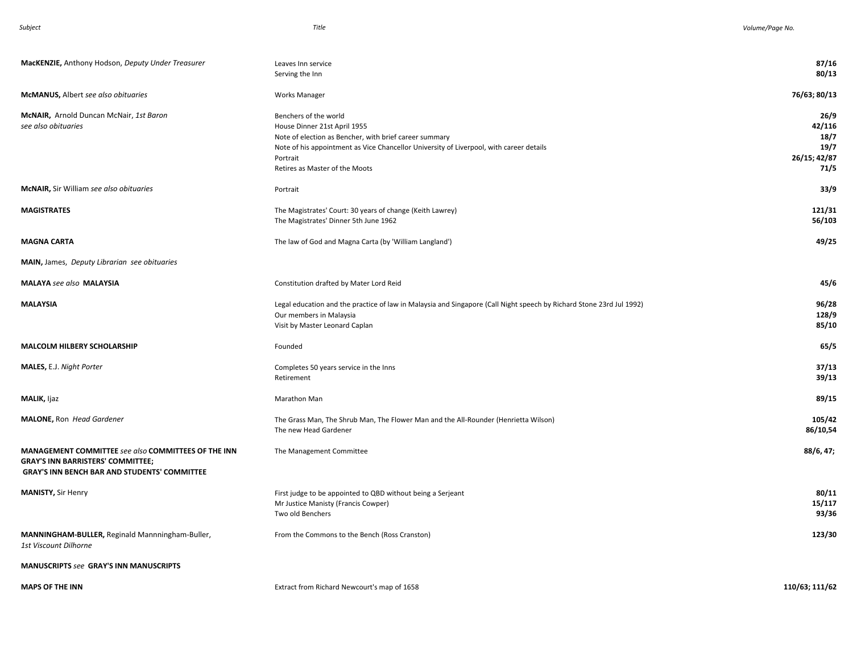| MacKENZIE, Anthony Hodson, Deputy Under Treasurer                                                                                                      | Leaves Inn service<br>Serving the Inn                                                                                                                                                                                                                    | 87/16<br>80/13                                         |
|--------------------------------------------------------------------------------------------------------------------------------------------------------|----------------------------------------------------------------------------------------------------------------------------------------------------------------------------------------------------------------------------------------------------------|--------------------------------------------------------|
| <b>McMANUS, Albert see also obituaries</b>                                                                                                             | <b>Works Manager</b>                                                                                                                                                                                                                                     | 76/63; 80/13                                           |
| McNAIR, Arnold Duncan McNair, 1st Baron<br>see also obituaries                                                                                         | Benchers of the world<br>House Dinner 21st April 1955<br>Note of election as Bencher, with brief career summary<br>Note of his appointment as Vice Chancellor University of Liverpool, with career details<br>Portrait<br>Retires as Master of the Moots | 26/9<br>42/116<br>18/7<br>19/7<br>26/15; 42/87<br>71/5 |
| McNAIR, Sir William see also obituaries                                                                                                                | Portrait                                                                                                                                                                                                                                                 | 33/9                                                   |
| <b>MAGISTRATES</b>                                                                                                                                     | The Magistrates' Court: 30 years of change (Keith Lawrey)<br>The Magistrates' Dinner 5th June 1962                                                                                                                                                       | 121/31<br>56/103                                       |
| <b>MAGNA CARTA</b>                                                                                                                                     | The law of God and Magna Carta (by 'William Langland')                                                                                                                                                                                                   | 49/25                                                  |
| MAIN, James, Deputy Librarian see obituaries                                                                                                           |                                                                                                                                                                                                                                                          |                                                        |
| <b>MALAYA</b> see also <b>MALAYSIA</b>                                                                                                                 | Constitution drafted by Mater Lord Reid                                                                                                                                                                                                                  | 45/6                                                   |
| <b>MALAYSIA</b>                                                                                                                                        | Legal education and the practice of law in Malaysia and Singapore (Call Night speech by Richard Stone 23rd Jul 1992)<br>Our members in Malaysia<br>Visit by Master Leonard Caplan                                                                        | 96/28<br>128/9<br>85/10                                |
| <b>MALCOLM HILBERY SCHOLARSHIP</b>                                                                                                                     | Founded                                                                                                                                                                                                                                                  | 65/5                                                   |
| MALES, E.J. Night Porter                                                                                                                               | Completes 50 years service in the Inns<br>Retirement                                                                                                                                                                                                     | 37/13<br>39/13                                         |
| MALIK, Ijaz                                                                                                                                            | Marathon Man                                                                                                                                                                                                                                             | 89/15                                                  |
| <b>MALONE, Ron Head Gardener</b>                                                                                                                       | The Grass Man, The Shrub Man, The Flower Man and the All-Rounder (Henrietta Wilson)<br>The new Head Gardener                                                                                                                                             | 105/42<br>86/10,54                                     |
| MANAGEMENT COMMITTEE see also COMMITTEES OF THE INN<br><b>GRAY'S INN BARRISTERS' COMMITTEE;</b><br><b>GRAY'S INN BENCH BAR AND STUDENTS' COMMITTEE</b> | The Management Committee                                                                                                                                                                                                                                 | 88/6, 47;                                              |
| <b>MANISTY, Sir Henry</b>                                                                                                                              | First judge to be appointed to QBD without being a Serjeant<br>Mr Justice Manisty (Francis Cowper)<br>Two old Benchers                                                                                                                                   | 80/11<br>15/117<br>93/36                               |
| MANNINGHAM-BULLER, Reginald Mannningham-Buller,<br>1st Viscount Dilhorne                                                                               | From the Commons to the Bench (Ross Cranston)                                                                                                                                                                                                            | 123/30                                                 |
| <b>MANUSCRIPTS see GRAY'S INN MANUSCRIPTS</b>                                                                                                          |                                                                                                                                                                                                                                                          |                                                        |
| <b>MAPS OF THE INN</b>                                                                                                                                 | Extract from Richard Newcourt's map of 1658                                                                                                                                                                                                              | 110/63; 111/62                                         |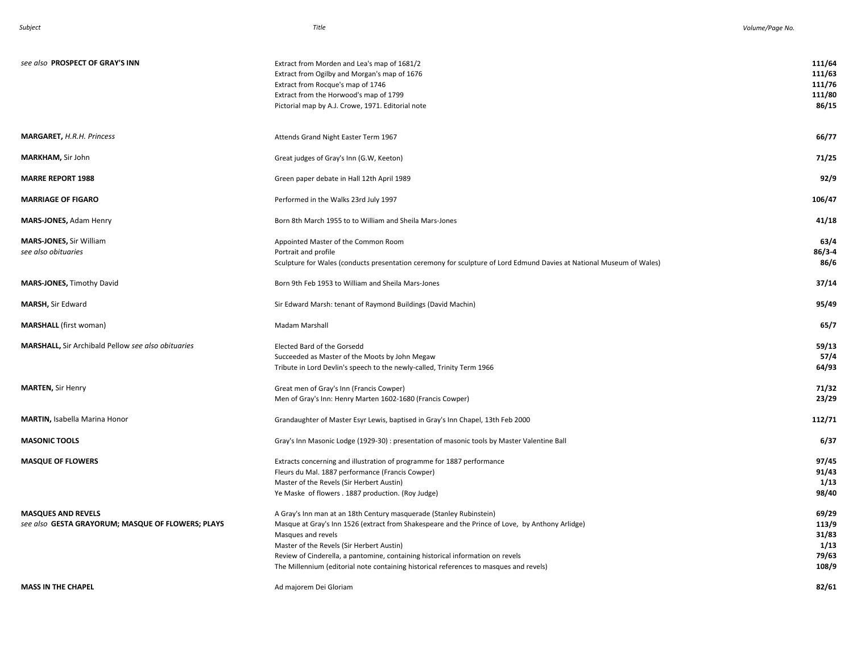| see also PROSPECT OF GRAY'S INN                                                | Extract from Morden and Lea's map of 1681/2<br>Extract from Ogilby and Morgan's map of 1676<br>Extract from Rocque's map of 1746<br>Extract from the Horwood's map of 1799<br>Pictorial map by A.J. Crowe, 1971. Editorial note                                                                                                                                                                                       | 111/64<br>111/63<br>111/76<br>111/80<br>86/15     |
|--------------------------------------------------------------------------------|-----------------------------------------------------------------------------------------------------------------------------------------------------------------------------------------------------------------------------------------------------------------------------------------------------------------------------------------------------------------------------------------------------------------------|---------------------------------------------------|
| <b>MARGARET, H.R.H. Princess</b>                                               | Attends Grand Night Easter Term 1967                                                                                                                                                                                                                                                                                                                                                                                  | 66/77                                             |
| MARKHAM, Sir John                                                              | Great judges of Gray's Inn (G.W, Keeton)                                                                                                                                                                                                                                                                                                                                                                              | 71/25                                             |
| <b>MARRE REPORT 1988</b>                                                       | Green paper debate in Hall 12th April 1989                                                                                                                                                                                                                                                                                                                                                                            | 92/9                                              |
| <b>MARRIAGE OF FIGARO</b>                                                      | Performed in the Walks 23rd July 1997                                                                                                                                                                                                                                                                                                                                                                                 | 106/47                                            |
| <b>MARS-JONES, Adam Henry</b>                                                  | Born 8th March 1955 to to William and Sheila Mars-Jones                                                                                                                                                                                                                                                                                                                                                               | 41/18                                             |
| <b>MARS-JONES, Sir William</b><br>see also obituaries                          | Appointed Master of the Common Room<br>Portrait and profile<br>Sculpture for Wales (conducts presentation ceremony for sculpture of Lord Edmund Davies at National Museum of Wales)                                                                                                                                                                                                                                   | 63/4<br>$86/3 - 4$<br>86/6                        |
| <b>MARS-JONES, Timothy David</b>                                               | Born 9th Feb 1953 to William and Sheila Mars-Jones                                                                                                                                                                                                                                                                                                                                                                    | 37/14                                             |
| MARSH, Sir Edward                                                              | Sir Edward Marsh: tenant of Raymond Buildings (David Machin)                                                                                                                                                                                                                                                                                                                                                          | 95/49                                             |
| <b>MARSHALL</b> (first woman)                                                  | Madam Marshall                                                                                                                                                                                                                                                                                                                                                                                                        | 65/7                                              |
| MARSHALL, Sir Archibald Pellow see also obituaries                             | Elected Bard of the Gorsedd<br>Succeeded as Master of the Moots by John Megaw<br>Tribute in Lord Devlin's speech to the newly-called, Trinity Term 1966                                                                                                                                                                                                                                                               | 59/13<br>57/4<br>64/93                            |
| <b>MARTEN, Sir Henry</b>                                                       | Great men of Gray's Inn (Francis Cowper)<br>Men of Gray's Inn: Henry Marten 1602-1680 (Francis Cowper)                                                                                                                                                                                                                                                                                                                | 71/32<br>23/29                                    |
| <b>MARTIN, Isabella Marina Honor</b>                                           | Grandaughter of Master Esyr Lewis, baptised in Gray's Inn Chapel, 13th Feb 2000                                                                                                                                                                                                                                                                                                                                       | 112/71                                            |
| <b>MASONIC TOOLS</b>                                                           | Gray's Inn Masonic Lodge (1929-30) : presentation of masonic tools by Master Valentine Ball                                                                                                                                                                                                                                                                                                                           | 6/37                                              |
| <b>MASQUE OF FLOWERS</b>                                                       | Extracts concerning and illustration of programme for 1887 performance<br>Fleurs du Mal. 1887 performance (Francis Cowper)<br>Master of the Revels (Sir Herbert Austin)<br>Ye Maske of flowers . 1887 production. (Roy Judge)                                                                                                                                                                                         | 97/45<br>91/43<br>1/13<br>98/40                   |
| <b>MASQUES AND REVELS</b><br>see also GESTA GRAYORUM; MASQUE OF FLOWERS; PLAYS | A Gray's Inn man at an 18th Century masquerade (Stanley Rubinstein)<br>Masque at Gray's Inn 1526 (extract from Shakespeare and the Prince of Love, by Anthony Arlidge)<br>Masques and revels<br>Master of the Revels (Sir Herbert Austin)<br>Review of Cinderella, a pantomine, containing historical information on revels<br>The Millennium (editorial note containing historical references to masques and revels) | 69/29<br>113/9<br>31/83<br>1/13<br>79/63<br>108/9 |
| <b>MASS IN THE CHAPEL</b>                                                      | Ad majorem Dei Gloriam                                                                                                                                                                                                                                                                                                                                                                                                | 82/61                                             |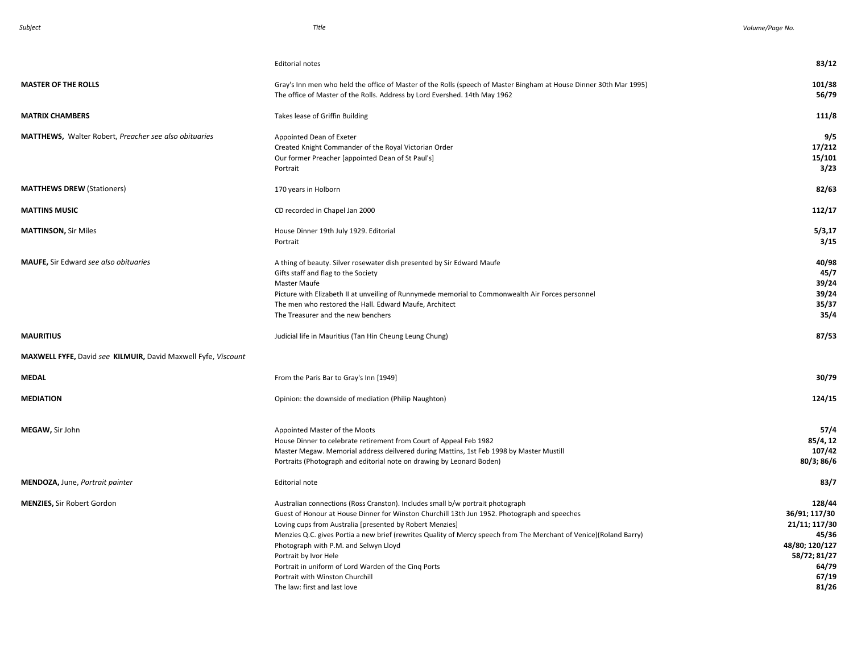|                                                               | <b>Editorial notes</b>                                                                                                                                                                                                                                                                                                                                                                                                                                                                                                                                        | 83/12                                                                                                          |
|---------------------------------------------------------------|---------------------------------------------------------------------------------------------------------------------------------------------------------------------------------------------------------------------------------------------------------------------------------------------------------------------------------------------------------------------------------------------------------------------------------------------------------------------------------------------------------------------------------------------------------------|----------------------------------------------------------------------------------------------------------------|
| <b>MASTER OF THE ROLLS</b>                                    | Gray's Inn men who held the office of Master of the Rolls (speech of Master Bingham at House Dinner 30th Mar 1995)<br>The office of Master of the Rolls. Address by Lord Evershed. 14th May 1962                                                                                                                                                                                                                                                                                                                                                              | 101/38<br>56/79                                                                                                |
| <b>MATRIX CHAMBERS</b>                                        | Takes lease of Griffin Building                                                                                                                                                                                                                                                                                                                                                                                                                                                                                                                               | 111/8                                                                                                          |
| MATTHEWS, Walter Robert, Preacher see also obituaries         | Appointed Dean of Exeter<br>Created Knight Commander of the Royal Victorian Order<br>Our former Preacher [appointed Dean of St Paul's]<br>Portrait                                                                                                                                                                                                                                                                                                                                                                                                            | 9/5<br>17/212<br>15/101<br>3/23                                                                                |
| <b>MATTHEWS DREW (Stationers)</b>                             | 170 years in Holborn                                                                                                                                                                                                                                                                                                                                                                                                                                                                                                                                          | 82/63                                                                                                          |
| <b>MATTINS MUSIC</b>                                          | CD recorded in Chapel Jan 2000                                                                                                                                                                                                                                                                                                                                                                                                                                                                                                                                | 112/17                                                                                                         |
| <b>MATTINSON, Sir Miles</b>                                   | House Dinner 19th July 1929. Editorial<br>Portrait                                                                                                                                                                                                                                                                                                                                                                                                                                                                                                            | 5/3,17<br>3/15                                                                                                 |
| MAUFE, Sir Edward see also obituaries                         | A thing of beauty. Silver rosewater dish presented by Sir Edward Maufe<br>Gifts staff and flag to the Society<br>Master Maufe<br>Picture with Elizabeth II at unveiling of Runnymede memorial to Commonwealth Air Forces personnel<br>The men who restored the Hall. Edward Maufe, Architect<br>The Treasurer and the new benchers                                                                                                                                                                                                                            | 40/98<br>45/7<br>39/24<br>39/24<br>35/37<br>35/4                                                               |
| <b>MAURITIUS</b>                                              | Judicial life in Mauritius (Tan Hin Cheung Leung Chung)                                                                                                                                                                                                                                                                                                                                                                                                                                                                                                       | 87/53                                                                                                          |
| MAXWELL FYFE, David see KILMUIR, David Maxwell Fyfe, Viscount |                                                                                                                                                                                                                                                                                                                                                                                                                                                                                                                                                               |                                                                                                                |
| <b>MEDAL</b>                                                  | From the Paris Bar to Gray's Inn [1949]                                                                                                                                                                                                                                                                                                                                                                                                                                                                                                                       | 30/79                                                                                                          |
| <b>MEDIATION</b>                                              | Opinion: the downside of mediation (Philip Naughton)                                                                                                                                                                                                                                                                                                                                                                                                                                                                                                          | 124/15                                                                                                         |
| MEGAW, Sir John                                               | Appointed Master of the Moots<br>House Dinner to celebrate retirement from Court of Appeal Feb 1982<br>Master Megaw. Memorial address deilvered during Mattins, 1st Feb 1998 by Master Mustill<br>Portraits (Photograph and editorial note on drawing by Leonard Boden)                                                                                                                                                                                                                                                                                       | 57/4<br>85/4, 12<br>107/42<br>80/3; 86/6                                                                       |
| MENDOZA, June, Portrait painter                               | Editorial note                                                                                                                                                                                                                                                                                                                                                                                                                                                                                                                                                | 83/7                                                                                                           |
| <b>MENZIES, Sir Robert Gordon</b>                             | Australian connections (Ross Cranston). Includes small b/w portrait photograph<br>Guest of Honour at House Dinner for Winston Churchill 13th Jun 1952. Photograph and speeches<br>Loving cups from Australia [presented by Robert Menzies]<br>Menzies Q.C. gives Portia a new brief (rewrites Quality of Mercy speech from The Merchant of Venice)(Roland Barry)<br>Photograph with P.M. and Selwyn Lloyd<br>Portrait by Ivor Hele<br>Portrait in uniform of Lord Warden of the Cinq Ports<br>Portrait with Winston Churchill<br>The law: first and last love | 128/44<br>36/91; 117/30<br>21/11; 117/30<br>45/36<br>48/80; 120/127<br>58/72; 81/27<br>64/79<br>67/19<br>81/26 |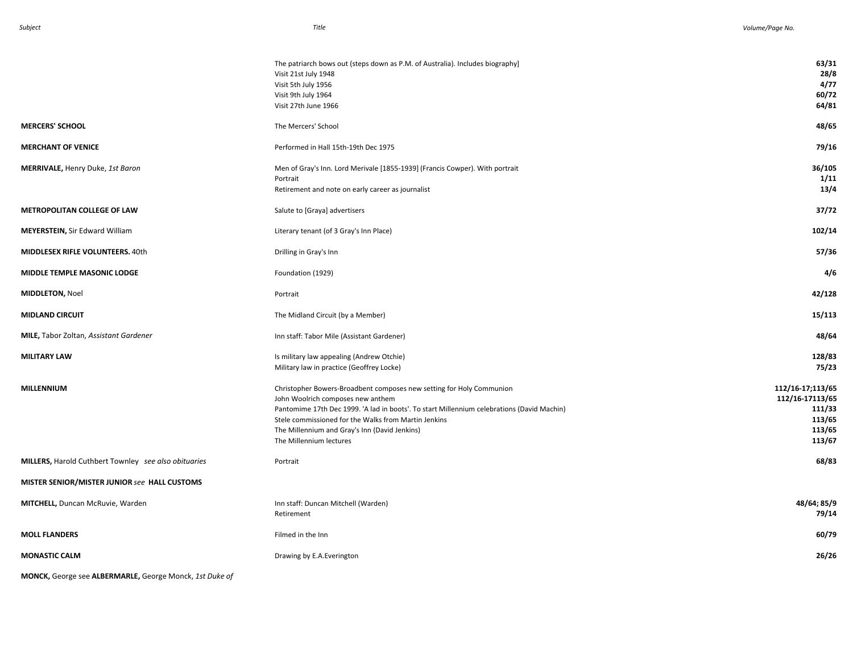|                                                             | The patriarch bows out (steps down as P.M. of Australia). Includes biography]<br>Visit 21st July 1948<br>Visit 5th July 1956<br>Visit 9th July 1964<br>Visit 27th June 1966                                                                                                                                                                 | 63/31<br>28/8<br>4/77<br>60/72<br>64/81                                     |
|-------------------------------------------------------------|---------------------------------------------------------------------------------------------------------------------------------------------------------------------------------------------------------------------------------------------------------------------------------------------------------------------------------------------|-----------------------------------------------------------------------------|
| <b>MERCERS' SCHOOL</b>                                      | The Mercers' School                                                                                                                                                                                                                                                                                                                         | 48/65                                                                       |
| <b>MERCHANT OF VENICE</b>                                   | Performed in Hall 15th-19th Dec 1975                                                                                                                                                                                                                                                                                                        | 79/16                                                                       |
| MERRIVALE, Henry Duke, 1st Baron                            | Men of Gray's Inn. Lord Merivale [1855-1939] (Francis Cowper). With portrait<br>Portrait<br>Retirement and note on early career as journalist                                                                                                                                                                                               | 36/105<br>1/11<br>13/4                                                      |
| <b>METROPOLITAN COLLEGE OF LAW</b>                          | Salute to [Graya] advertisers                                                                                                                                                                                                                                                                                                               | 37/72                                                                       |
| <b>MEYERSTEIN, Sir Edward William</b>                       | Literary tenant (of 3 Gray's Inn Place)                                                                                                                                                                                                                                                                                                     | 102/14                                                                      |
| <b>MIDDLESEX RIFLE VOLUNTEERS. 40th</b>                     | Drilling in Gray's Inn                                                                                                                                                                                                                                                                                                                      | 57/36                                                                       |
| MIDDLE TEMPLE MASONIC LODGE                                 | Foundation (1929)                                                                                                                                                                                                                                                                                                                           | 4/6                                                                         |
| <b>MIDDLETON, Noel</b>                                      | Portrait                                                                                                                                                                                                                                                                                                                                    | 42/128                                                                      |
| <b>MIDLAND CIRCUIT</b>                                      | The Midland Circuit (by a Member)                                                                                                                                                                                                                                                                                                           | 15/113                                                                      |
| MILE, Tabor Zoltan, Assistant Gardener                      | Inn staff: Tabor Mile (Assistant Gardener)                                                                                                                                                                                                                                                                                                  | 48/64                                                                       |
| <b>MILITARY LAW</b>                                         | Is military law appealing (Andrew Otchie)<br>Military law in practice (Geoffrey Locke)                                                                                                                                                                                                                                                      | 128/83<br>75/23                                                             |
| MILLENNIUM                                                  | Christopher Bowers-Broadbent composes new setting for Holy Communion<br>John Woolrich composes new anthem<br>Pantomime 17th Dec 1999. 'A lad in boots'. To start Millennium celebrations (David Machin)<br>Stele commissioned for the Walks from Martin Jenkins<br>The Millennium and Gray's Inn (David Jenkins)<br>The Millennium lectures | 112/16-17;113/65<br>112/16-17113/65<br>111/33<br>113/65<br>113/65<br>113/67 |
| <b>MILLERS, Harold Cuthbert Townley</b> see also obituaries | Portrait                                                                                                                                                                                                                                                                                                                                    | 68/83                                                                       |
| MISTER SENIOR/MISTER JUNIOR see HALL CUSTOMS                |                                                                                                                                                                                                                                                                                                                                             |                                                                             |
| MITCHELL, Duncan McRuvie, Warden                            | Inn staff: Duncan Mitchell (Warden)<br>Retirement                                                                                                                                                                                                                                                                                           | 48/64; 85/9<br>79/14                                                        |
| <b>MOLL FLANDERS</b>                                        | Filmed in the Inn                                                                                                                                                                                                                                                                                                                           | 60/79                                                                       |
| <b>MONASTIC CALM</b>                                        | Drawing by E.A. Everington                                                                                                                                                                                                                                                                                                                  | 26/26                                                                       |

**MONCK,** George see **ALBERMARLE,** George Monck, *1st Duke of*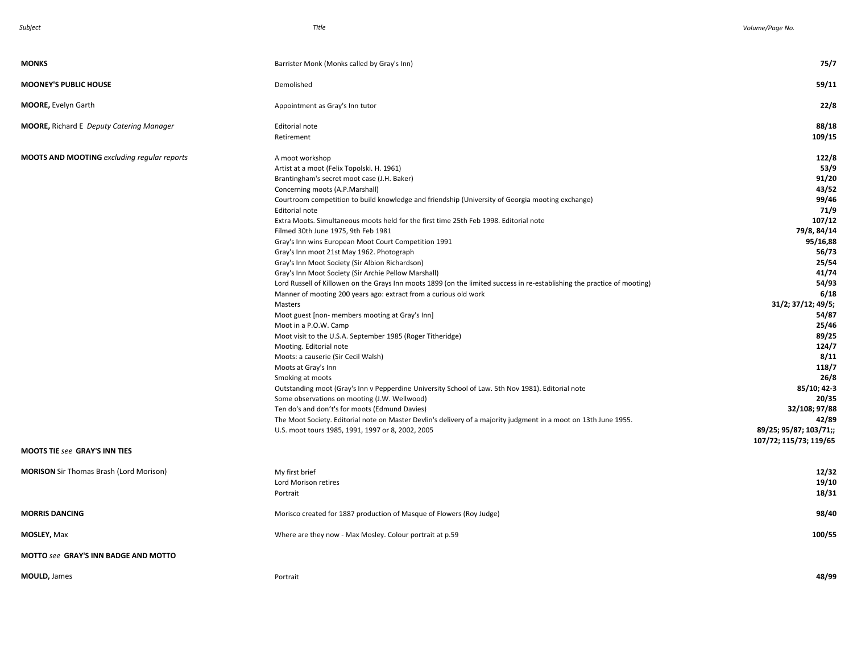| <b>MONKS</b>                                       | Barrister Monk (Monks called by Gray's Inn)                                                                                                                                                                                                                                                                                                                                                                                                                                                                                                                                                                                                                                                                                                                                                                                                                                                                                                                                                                                                                                                                                                                                                                                                                                                                                                                                                                                                                             | 75/7                                                                                                                                                                                                                                                                                             |
|----------------------------------------------------|-------------------------------------------------------------------------------------------------------------------------------------------------------------------------------------------------------------------------------------------------------------------------------------------------------------------------------------------------------------------------------------------------------------------------------------------------------------------------------------------------------------------------------------------------------------------------------------------------------------------------------------------------------------------------------------------------------------------------------------------------------------------------------------------------------------------------------------------------------------------------------------------------------------------------------------------------------------------------------------------------------------------------------------------------------------------------------------------------------------------------------------------------------------------------------------------------------------------------------------------------------------------------------------------------------------------------------------------------------------------------------------------------------------------------------------------------------------------------|--------------------------------------------------------------------------------------------------------------------------------------------------------------------------------------------------------------------------------------------------------------------------------------------------|
| <b>MOONEY'S PUBLIC HOUSE</b>                       | Demolished                                                                                                                                                                                                                                                                                                                                                                                                                                                                                                                                                                                                                                                                                                                                                                                                                                                                                                                                                                                                                                                                                                                                                                                                                                                                                                                                                                                                                                                              | 59/11                                                                                                                                                                                                                                                                                            |
| <b>MOORE, Evelyn Garth</b>                         | Appointment as Gray's Inn tutor                                                                                                                                                                                                                                                                                                                                                                                                                                                                                                                                                                                                                                                                                                                                                                                                                                                                                                                                                                                                                                                                                                                                                                                                                                                                                                                                                                                                                                         | 22/8                                                                                                                                                                                                                                                                                             |
| <b>MOORE, Richard E Deputy Catering Manager</b>    | Editorial note<br>Retirement                                                                                                                                                                                                                                                                                                                                                                                                                                                                                                                                                                                                                                                                                                                                                                                                                                                                                                                                                                                                                                                                                                                                                                                                                                                                                                                                                                                                                                            | 88/18<br>109/15                                                                                                                                                                                                                                                                                  |
| <b>MOOTS AND MOOTING</b> excluding regular reports | A moot workshop<br>Artist at a moot (Felix Topolski. H. 1961)<br>Brantingham's secret moot case (J.H. Baker)<br>Concerning moots (A.P.Marshall)<br>Courtroom competition to build knowledge and friendship (University of Georgia mooting exchange)<br>Editorial note<br>Extra Moots. Simultaneous moots held for the first time 25th Feb 1998. Editorial note<br>Filmed 30th June 1975, 9th Feb 1981<br>Gray's Inn wins European Moot Court Competition 1991<br>Gray's Inn moot 21st May 1962. Photograph<br>Gray's Inn Moot Society (Sir Albion Richardson)<br>Gray's Inn Moot Society (Sir Archie Pellow Marshall)<br>Lord Russell of Killowen on the Grays Inn moots 1899 (on the limited success in re-establishing the practice of mooting)<br>Manner of mooting 200 years ago: extract from a curious old work<br>Masters<br>Moot guest [non- members mooting at Gray's Inn]<br>Moot in a P.O.W. Camp<br>Moot visit to the U.S.A. September 1985 (Roger Titheridge)<br>Mooting. Editorial note<br>Moots: a causerie (Sir Cecil Walsh)<br>Moots at Gray's Inn<br>Smoking at moots<br>Outstanding moot (Gray's Inn v Pepperdine University School of Law. 5th Nov 1981). Editorial note<br>Some observations on mooting (J.W. Wellwood)<br>Ten do's and don't's for moots (Edmund Davies)<br>The Moot Society. Editorial note on Master Devlin's delivery of a majority judgment in a moot on 13th June 1955.<br>U.S. moot tours 1985, 1991, 1997 or 8, 2002, 2005 | 122/8<br>53/9<br>91/20<br>43/52<br>99/46<br>71/9<br>107/12<br>79/8, 84/14<br>95/16,88<br>56/73<br>25/54<br>41/74<br>54/93<br>6/18<br>31/2; 37/12; 49/5;<br>54/87<br>25/46<br>89/25<br>124/7<br>8/11<br>118/7<br>26/8<br>85/10; 42-3<br>20/35<br>32/108; 97/88<br>42/89<br>89/25; 95/87; 103/71;; |
| <b>MOOTS TIE see GRAY'S INN TIES</b>               |                                                                                                                                                                                                                                                                                                                                                                                                                                                                                                                                                                                                                                                                                                                                                                                                                                                                                                                                                                                                                                                                                                                                                                                                                                                                                                                                                                                                                                                                         | 107/72; 115/73; 119/65                                                                                                                                                                                                                                                                           |
| <b>MORISON</b> Sir Thomas Brash (Lord Morison)     | My first brief<br>Lord Morison retires<br>Portrait                                                                                                                                                                                                                                                                                                                                                                                                                                                                                                                                                                                                                                                                                                                                                                                                                                                                                                                                                                                                                                                                                                                                                                                                                                                                                                                                                                                                                      | 12/32<br>19/10<br>18/31                                                                                                                                                                                                                                                                          |
| <b>MORRIS DANCING</b>                              | Morisco created for 1887 production of Masque of Flowers (Roy Judge)                                                                                                                                                                                                                                                                                                                                                                                                                                                                                                                                                                                                                                                                                                                                                                                                                                                                                                                                                                                                                                                                                                                                                                                                                                                                                                                                                                                                    | 98/40                                                                                                                                                                                                                                                                                            |
| <b>MOSLEY, Max</b>                                 | Where are they now - Max Mosley. Colour portrait at p.59                                                                                                                                                                                                                                                                                                                                                                                                                                                                                                                                                                                                                                                                                                                                                                                                                                                                                                                                                                                                                                                                                                                                                                                                                                                                                                                                                                                                                | 100/55                                                                                                                                                                                                                                                                                           |
| MOTTO see GRAY'S INN BADGE AND MOTTO               |                                                                                                                                                                                                                                                                                                                                                                                                                                                                                                                                                                                                                                                                                                                                                                                                                                                                                                                                                                                                                                                                                                                                                                                                                                                                                                                                                                                                                                                                         |                                                                                                                                                                                                                                                                                                  |
| <b>MOULD, James</b>                                | Portrait                                                                                                                                                                                                                                                                                                                                                                                                                                                                                                                                                                                                                                                                                                                                                                                                                                                                                                                                                                                                                                                                                                                                                                                                                                                                                                                                                                                                                                                                | 48/99                                                                                                                                                                                                                                                                                            |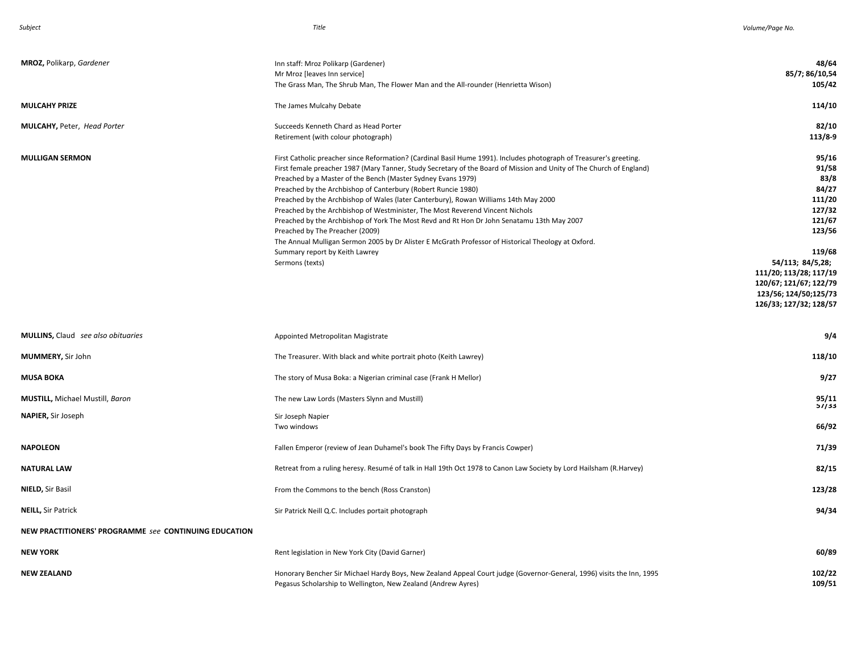| MROZ, Polikarp, Gardener                              | Inn staff: Mroz Polikarp (Gardener)<br>Mr Mroz [leaves Inn service]<br>The Grass Man, The Shrub Man, The Flower Man and the All-rounder (Henrietta Wison)                                                                                                                                                                                                                                                                                                                                                                                                                                                                                                                                                                                                                                                                                          | 48/64<br>85/7; 86/10,54<br>105/42                                                                                                                                                                            |
|-------------------------------------------------------|----------------------------------------------------------------------------------------------------------------------------------------------------------------------------------------------------------------------------------------------------------------------------------------------------------------------------------------------------------------------------------------------------------------------------------------------------------------------------------------------------------------------------------------------------------------------------------------------------------------------------------------------------------------------------------------------------------------------------------------------------------------------------------------------------------------------------------------------------|--------------------------------------------------------------------------------------------------------------------------------------------------------------------------------------------------------------|
| <b>MULCAHY PRIZE</b>                                  | The James Mulcahy Debate                                                                                                                                                                                                                                                                                                                                                                                                                                                                                                                                                                                                                                                                                                                                                                                                                           | 114/10                                                                                                                                                                                                       |
| MULCAHY, Peter, Head Porter                           | Succeeds Kenneth Chard as Head Porter<br>Retirement (with colour photograph)                                                                                                                                                                                                                                                                                                                                                                                                                                                                                                                                                                                                                                                                                                                                                                       | 82/10<br>113/8-9                                                                                                                                                                                             |
| <b>MULLIGAN SERMON</b>                                | First Catholic preacher since Reformation? (Cardinal Basil Hume 1991). Includes photograph of Treasurer's greeting.<br>First female preacher 1987 (Mary Tanner, Study Secretary of the Board of Mission and Unity of The Church of England)<br>Preached by a Master of the Bench (Master Sydney Evans 1979)<br>Preached by the Archbishop of Canterbury (Robert Runcie 1980)<br>Preached by the Archbishop of Wales (later Canterbury), Rowan Williams 14th May 2000<br>Preached by the Archbishop of Westminister, The Most Reverend Vincent Nichols<br>Preached by the Archbishop of York The Most Revd and Rt Hon Dr John Senatamu 13th May 2007<br>Preached by The Preacher (2009)<br>The Annual Mulligan Sermon 2005 by Dr Alister E McGrath Professor of Historical Theology at Oxford.<br>Summary report by Keith Lawrey<br>Sermons (texts) | 95/16<br>91/58<br>83/8<br>84/27<br>111/20<br>127/32<br>121/67<br>123/56<br>119/68<br>54/113; 84/5,28;<br>111/20; 113/28; 117/19<br>120/67; 121/67; 122/79<br>123/56; 124/50;125/73<br>126/33; 127/32; 128/57 |
| MULLINS, Claud see also obituaries                    | Appointed Metropolitan Magistrate                                                                                                                                                                                                                                                                                                                                                                                                                                                                                                                                                                                                                                                                                                                                                                                                                  | 9/4                                                                                                                                                                                                          |
| MUMMERY, Sir John                                     | The Treasurer. With black and white portrait photo (Keith Lawrey)                                                                                                                                                                                                                                                                                                                                                                                                                                                                                                                                                                                                                                                                                                                                                                                  | 118/10                                                                                                                                                                                                       |
| <b>MUSA BOKA</b>                                      | The story of Musa Boka: a Nigerian criminal case (Frank H Mellor)                                                                                                                                                                                                                                                                                                                                                                                                                                                                                                                                                                                                                                                                                                                                                                                  | 9/27                                                                                                                                                                                                         |
| <b>MUSTILL, Michael Mustill, Baron</b>                | The new Law Lords (Masters Slynn and Mustill)                                                                                                                                                                                                                                                                                                                                                                                                                                                                                                                                                                                                                                                                                                                                                                                                      | 95/11<br>57/33                                                                                                                                                                                               |
| NAPIER, Sir Joseph                                    | Sir Joseph Napier<br>Two windows                                                                                                                                                                                                                                                                                                                                                                                                                                                                                                                                                                                                                                                                                                                                                                                                                   | 66/92                                                                                                                                                                                                        |
| <b>NAPOLEON</b>                                       | Fallen Emperor (review of Jean Duhamel's book The Fifty Days by Francis Cowper)                                                                                                                                                                                                                                                                                                                                                                                                                                                                                                                                                                                                                                                                                                                                                                    | 71/39                                                                                                                                                                                                        |
| <b>NATURAL LAW</b>                                    | Retreat from a ruling heresy. Resumé of talk in Hall 19th Oct 1978 to Canon Law Society by Lord Hailsham (R.Harvey)                                                                                                                                                                                                                                                                                                                                                                                                                                                                                                                                                                                                                                                                                                                                | 82/15                                                                                                                                                                                                        |
| NIELD, Sir Basil                                      | From the Commons to the bench (Ross Cranston)                                                                                                                                                                                                                                                                                                                                                                                                                                                                                                                                                                                                                                                                                                                                                                                                      | 123/28                                                                                                                                                                                                       |
| <b>NEILL, Sir Patrick</b>                             | Sir Patrick Neill Q.C. Includes portait photograph                                                                                                                                                                                                                                                                                                                                                                                                                                                                                                                                                                                                                                                                                                                                                                                                 | 94/34                                                                                                                                                                                                        |
| NEW PRACTITIONERS' PROGRAMME see CONTINUING EDUCATION |                                                                                                                                                                                                                                                                                                                                                                                                                                                                                                                                                                                                                                                                                                                                                                                                                                                    |                                                                                                                                                                                                              |
| <b>NEW YORK</b>                                       | Rent legislation in New York City (David Garner)                                                                                                                                                                                                                                                                                                                                                                                                                                                                                                                                                                                                                                                                                                                                                                                                   | 60/89                                                                                                                                                                                                        |
| <b>NEW ZEALAND</b>                                    | Honorary Bencher Sir Michael Hardy Boys, New Zealand Appeal Court judge (Governor-General, 1996) visits the Inn, 1995<br>Pegasus Scholarship to Wellington, New Zealand (Andrew Ayres)                                                                                                                                                                                                                                                                                                                                                                                                                                                                                                                                                                                                                                                             | 102/22<br>109/51                                                                                                                                                                                             |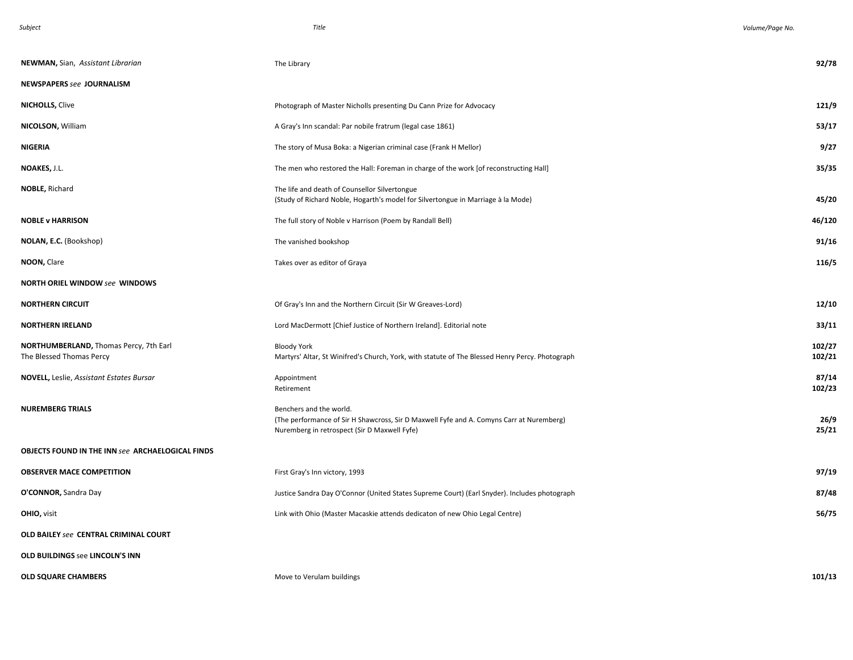| NEWMAN, Sian, Assistant Librarian                                  | The Library                                                                                                                                                         | 92/78            |
|--------------------------------------------------------------------|---------------------------------------------------------------------------------------------------------------------------------------------------------------------|------------------|
| <b>NEWSPAPERS see JOURNALISM</b>                                   |                                                                                                                                                                     |                  |
| <b>NICHOLLS, Clive</b>                                             | Photograph of Master Nicholls presenting Du Cann Prize for Advocacy                                                                                                 | 121/9            |
| NICOLSON, William                                                  | A Gray's Inn scandal: Par nobile fratrum (legal case 1861)                                                                                                          | 53/17            |
| <b>NIGERIA</b>                                                     | The story of Musa Boka: a Nigerian criminal case (Frank H Mellor)                                                                                                   | 9/27             |
| NOAKES, J.L.                                                       | The men who restored the Hall: Foreman in charge of the work [of reconstructing Hall]                                                                               | 35/35            |
| NOBLE, Richard                                                     | The life and death of Counsellor Silvertongue<br>(Study of Richard Noble, Hogarth's model for Silvertongue in Marriage à la Mode)                                   | 45/20            |
| <b>NOBLE v HARRISON</b>                                            | The full story of Noble v Harrison (Poem by Randall Bell)                                                                                                           | 46/120           |
| NOLAN, E.C. (Bookshop)                                             | The vanished bookshop                                                                                                                                               | 91/16            |
| NOON, Clare                                                        | Takes over as editor of Graya                                                                                                                                       | 116/5            |
| <b>NORTH ORIEL WINDOW see WINDOWS</b>                              |                                                                                                                                                                     |                  |
| <b>NORTHERN CIRCUIT</b>                                            | Of Gray's Inn and the Northern Circuit (Sir W Greaves-Lord)                                                                                                         | 12/10            |
| <b>NORTHERN IRELAND</b>                                            | Lord MacDermott [Chief Justice of Northern Ireland]. Editorial note                                                                                                 | 33/11            |
| NORTHUMBERLAND, Thomas Percy, 7th Earl<br>The Blessed Thomas Percy | <b>Bloody York</b><br>Martyrs' Altar, St Winifred's Church, York, with statute of The Blessed Henry Percy. Photograph                                               | 102/27<br>102/21 |
| <b>NOVELL, Leslie, Assistant Estates Bursar</b>                    | Appointment<br>Retirement                                                                                                                                           | 87/14<br>102/23  |
| <b>NUREMBERG TRIALS</b>                                            | Benchers and the world.<br>(The performance of Sir H Shawcross, Sir D Maxwell Fyfe and A. Comyns Carr at Nuremberg)<br>Nuremberg in retrospect (Sir D Maxwell Fyfe) | 26/9<br>25/21    |
| <b>OBJECTS FOUND IN THE INN see ARCHAELOGICAL FINDS</b>            |                                                                                                                                                                     |                  |
| <b>OBSERVER MACE COMPETITION</b>                                   | First Gray's Inn victory, 1993                                                                                                                                      | 97/19            |
| O'CONNOR, Sandra Day                                               | Justice Sandra Day O'Connor (United States Supreme Court) (Earl Snyder). Includes photograph                                                                        | 87/48            |
| OHIO, visit                                                        | Link with Ohio (Master Macaskie attends dedicaton of new Ohio Legal Centre)                                                                                         | 56/75            |
| OLD BAILEY see CENTRAL CRIMINAL COURT                              |                                                                                                                                                                     |                  |
| <b>OLD BUILDINGS see LINCOLN'S INN</b>                             |                                                                                                                                                                     |                  |
| <b>OLD SQUARE CHAMBERS</b>                                         | Move to Verulam buildings                                                                                                                                           | 101/13           |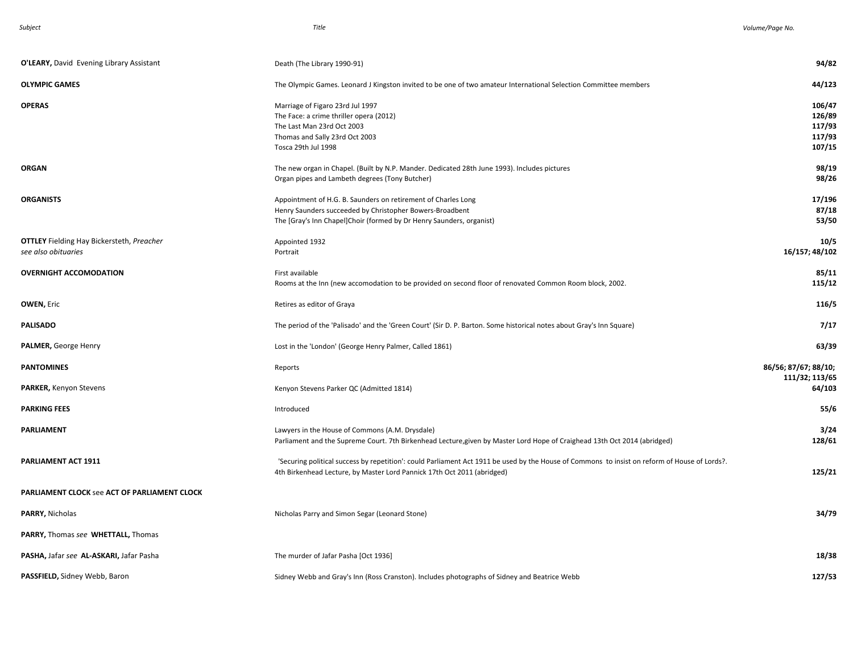| O'LEARY, David Evening Library Assistant                                | Death (The Library 1990-91)                                                                                                                                                                                              | 94/82                                          |
|-------------------------------------------------------------------------|--------------------------------------------------------------------------------------------------------------------------------------------------------------------------------------------------------------------------|------------------------------------------------|
| <b>OLYMPIC GAMES</b>                                                    | The Olympic Games. Leonard J Kingston invited to be one of two amateur International Selection Committee members                                                                                                         | 44/123                                         |
| <b>OPERAS</b>                                                           | Marriage of Figaro 23rd Jul 1997<br>The Face: a crime thriller opera (2012)<br>The Last Man 23rd Oct 2003<br>Thomas and Sally 23rd Oct 2003<br>Tosca 29th Jul 1998                                                       | 106/47<br>126/89<br>117/93<br>117/93<br>107/15 |
| <b>ORGAN</b>                                                            | The new organ in Chapel. (Built by N.P. Mander. Dedicated 28th June 1993). Includes pictures<br>Organ pipes and Lambeth degrees (Tony Butcher)                                                                           | 98/19<br>98/26                                 |
| <b>ORGANISTS</b>                                                        | Appointment of H.G. B. Saunders on retirement of Charles Long<br>Henry Saunders succeeded by Christopher Bowers-Broadbent<br>The [Gray's Inn Chapel]Choir (formed by Dr Henry Saunders, organist)                        | 17/196<br>87/18<br>53/50                       |
| <b>OTTLEY</b> Fielding Hay Bickersteth, Preacher<br>see also obituaries | Appointed 1932<br>Portrait                                                                                                                                                                                               | 10/5<br>16/157; 48/102                         |
| <b>OVERNIGHT ACCOMODATION</b>                                           | First available<br>Rooms at the Inn (new accomodation to be provided on second floor of renovated Common Room block, 2002.                                                                                               | 85/11<br>115/12                                |
| <b>OWEN, Eric</b>                                                       | Retires as editor of Graya                                                                                                                                                                                               | 116/5                                          |
| <b>PALISADO</b>                                                         | The period of the 'Palisado' and the 'Green Court' (Sir D. P. Barton. Some historical notes about Gray's Inn Square)                                                                                                     | 7/17                                           |
| <b>PALMER, George Henry</b>                                             | Lost in the 'London' (George Henry Palmer, Called 1861)                                                                                                                                                                  | 63/39                                          |
| <b>PANTOMINES</b>                                                       | Reports                                                                                                                                                                                                                  | 86/56; 87/67; 88/10;<br>111/32; 113/65         |
| <b>PARKER, Kenyon Stevens</b>                                           | Kenyon Stevens Parker QC (Admitted 1814)                                                                                                                                                                                 | 64/103                                         |
| <b>PARKING FEES</b>                                                     | Introduced                                                                                                                                                                                                               | 55/6                                           |
| <b>PARLIAMENT</b>                                                       | Lawyers in the House of Commons (A.M. Drysdale)<br>Parliament and the Supreme Court. 7th Birkenhead Lecture, given by Master Lord Hope of Craighead 13th Oct 2014 (abridged)                                             | 3/24<br>128/61                                 |
| PARLIAMENT ACT 1911                                                     | 'Securing political success by repetition': could Parliament Act 1911 be used by the House of Commons to insist on reform of House of Lords?.<br>4th Birkenhead Lecture, by Master Lord Pannick 17th Oct 2011 (abridged) | 125/21                                         |
| <b>PARLIAMENT CLOCK see ACT OF PARLIAMENT CLOCK</b>                     |                                                                                                                                                                                                                          |                                                |
| PARRY, Nicholas                                                         | Nicholas Parry and Simon Segar (Leonard Stone)                                                                                                                                                                           | 34/79                                          |
| PARRY, Thomas see WHETTALL, Thomas                                      |                                                                                                                                                                                                                          |                                                |
| PASHA, Jafar see AL-ASKARI, Jafar Pasha                                 | The murder of Jafar Pasha [Oct 1936]                                                                                                                                                                                     | 18/38                                          |
| PASSFIELD, Sidney Webb, Baron                                           | Sidney Webb and Gray's Inn (Ross Cranston). Includes photographs of Sidney and Beatrice Webb                                                                                                                             | 127/53                                         |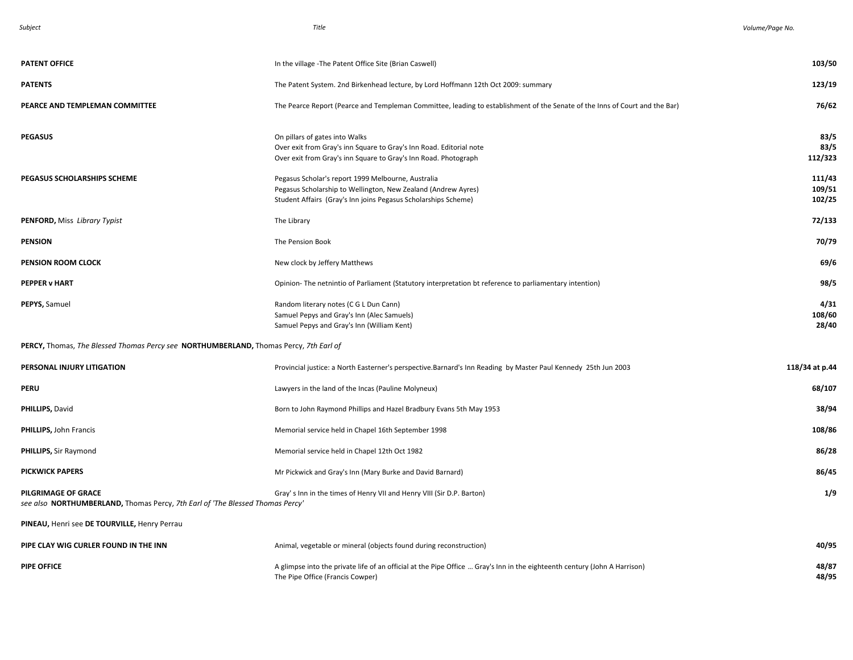| unie |
|------|
|------|

| <b>PATENT OFFICE</b>                                                                                 | In the village - The Patent Office Site (Brian Caswell)                                                                                                                               | 103/50                     |
|------------------------------------------------------------------------------------------------------|---------------------------------------------------------------------------------------------------------------------------------------------------------------------------------------|----------------------------|
| <b>PATENTS</b>                                                                                       | The Patent System. 2nd Birkenhead lecture, by Lord Hoffmann 12th Oct 2009: summary                                                                                                    | 123/19                     |
| PEARCE AND TEMPLEMAN COMMITTEE                                                                       | The Pearce Report (Pearce and Templeman Committee, leading to establishment of the Senate of the Inns of Court and the Bar)                                                           | 76/62                      |
| <b>PEGASUS</b>                                                                                       | On pillars of gates into Walks<br>Over exit from Gray's inn Square to Gray's Inn Road. Editorial note<br>Over exit from Gray's inn Square to Gray's Inn Road. Photograph              | 83/5<br>83/5<br>112/323    |
| PEGASUS SCHOLARSHIPS SCHEME                                                                          | Pegasus Scholar's report 1999 Melbourne, Australia<br>Pegasus Scholarship to Wellington, New Zealand (Andrew Ayres)<br>Student Affairs (Gray's Inn joins Pegasus Scholarships Scheme) | 111/43<br>109/51<br>102/25 |
| PENFORD, Miss Library Typist                                                                         | The Library                                                                                                                                                                           | 72/133                     |
| <b>PENSION</b>                                                                                       | The Pension Book                                                                                                                                                                      | 70/79                      |
| PENSION ROOM CLOCK                                                                                   | New clock by Jeffery Matthews                                                                                                                                                         | 69/6                       |
| <b>PEPPER v HART</b>                                                                                 | Opinion-The netnintio of Parliament (Statutory interpretation bt reference to parliamentary intention)                                                                                | 98/5                       |
| PEPYS, Samuel                                                                                        | Random literary notes (C G L Dun Cann)<br>Samuel Pepys and Gray's Inn (Alec Samuels)<br>Samuel Pepys and Gray's Inn (William Kent)                                                    | 4/31<br>108/60<br>28/40    |
| PERCY, Thomas, The Blessed Thomas Percy see NORTHUMBERLAND, Thomas Percy, 7th Earl of                |                                                                                                                                                                                       |                            |
| PERSONAL INJURY LITIGATION                                                                           | Provincial justice: a North Easterner's perspective.Barnard's Inn Reading by Master Paul Kennedy 25th Jun 2003                                                                        | 118/34 at p.44             |
| PERU                                                                                                 | Lawyers in the land of the Incas (Pauline Molyneux)                                                                                                                                   | 68/107                     |
| PHILLIPS, David                                                                                      | Born to John Raymond Phillips and Hazel Bradbury Evans 5th May 1953                                                                                                                   | 38/94                      |
| PHILLIPS, John Francis                                                                               | Memorial service held in Chapel 16th September 1998                                                                                                                                   | 108/86                     |
| <b>PHILLIPS, Sir Raymond</b>                                                                         | Memorial service held in Chapel 12th Oct 1982                                                                                                                                         | 86/28                      |
| <b>PICKWICK PAPERS</b>                                                                               | Mr Pickwick and Gray's Inn (Mary Burke and David Barnard)                                                                                                                             | 86/45                      |
| PILGRIMAGE OF GRACE<br>see also NORTHUMBERLAND, Thomas Percy, 7th Earl of 'The Blessed Thomas Percy' | Gray's Inn in the times of Henry VII and Henry VIII (Sir D.P. Barton)                                                                                                                 | 1/9                        |
| PINEAU, Henri see DE TOURVILLE, Henry Perrau                                                         |                                                                                                                                                                                       |                            |
| PIPE CLAY WIG CURLER FOUND IN THE INN                                                                | Animal, vegetable or mineral (objects found during reconstruction)                                                                                                                    | 40/95                      |
| <b>PIPE OFFICE</b>                                                                                   | A glimpse into the private life of an official at the Pipe Office  Gray's Inn in the eighteenth century (John A Harrison)<br>The Pipe Office (Francis Cowper)                         | 48/87<br>48/95             |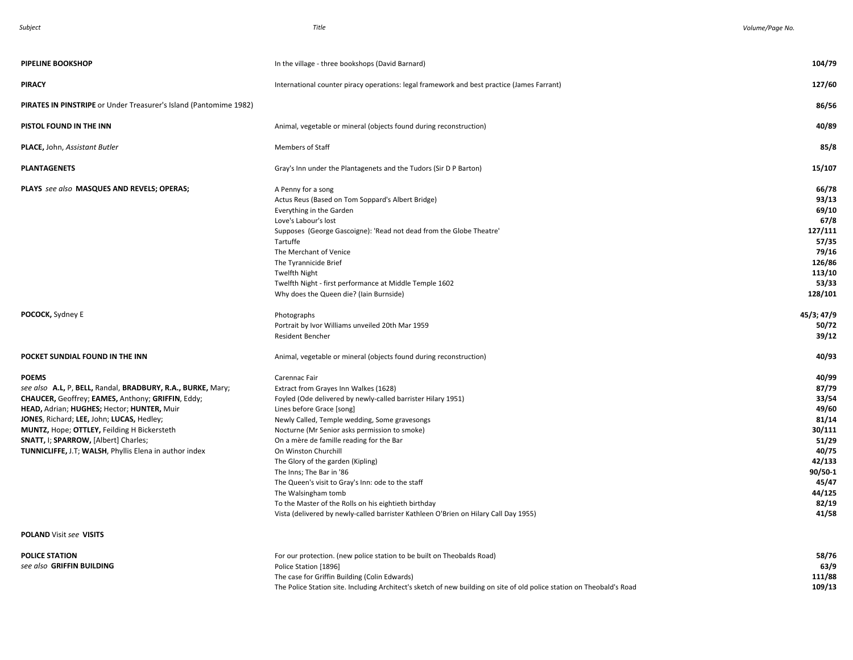| <b>PIPELINE BOOKSHOP</b>                                                                                                                                                                                                                                                                                                                                                            | In the village - three bookshops (David Barnard)                                                                                                                                                                                                                                                                                                                                                                                                                                                                                                                                                                       | 104/79                                                                                                                          |
|-------------------------------------------------------------------------------------------------------------------------------------------------------------------------------------------------------------------------------------------------------------------------------------------------------------------------------------------------------------------------------------|------------------------------------------------------------------------------------------------------------------------------------------------------------------------------------------------------------------------------------------------------------------------------------------------------------------------------------------------------------------------------------------------------------------------------------------------------------------------------------------------------------------------------------------------------------------------------------------------------------------------|---------------------------------------------------------------------------------------------------------------------------------|
| <b>PIRACY</b>                                                                                                                                                                                                                                                                                                                                                                       | International counter piracy operations: legal framework and best practice (James Farrant)                                                                                                                                                                                                                                                                                                                                                                                                                                                                                                                             | 127/60                                                                                                                          |
| <b>PIRATES IN PINSTRIPE</b> or Under Treasurer's Island (Pantomime 1982)                                                                                                                                                                                                                                                                                                            |                                                                                                                                                                                                                                                                                                                                                                                                                                                                                                                                                                                                                        | 86/56                                                                                                                           |
| PISTOL FOUND IN THE INN                                                                                                                                                                                                                                                                                                                                                             | Animal, vegetable or mineral (objects found during reconstruction)                                                                                                                                                                                                                                                                                                                                                                                                                                                                                                                                                     | 40/89                                                                                                                           |
| PLACE, John, Assistant Butler                                                                                                                                                                                                                                                                                                                                                       | Members of Staff                                                                                                                                                                                                                                                                                                                                                                                                                                                                                                                                                                                                       | 85/8                                                                                                                            |
| <b>PLANTAGENETS</b>                                                                                                                                                                                                                                                                                                                                                                 | Gray's Inn under the Plantagenets and the Tudors (Sir D P Barton)                                                                                                                                                                                                                                                                                                                                                                                                                                                                                                                                                      | 15/107                                                                                                                          |
| PLAYS see also MASQUES AND REVELS; OPERAS;                                                                                                                                                                                                                                                                                                                                          | A Penny for a song<br>Actus Reus (Based on Tom Soppard's Albert Bridge)<br>Everything in the Garden<br>Love's Labour's lost<br>Supposes (George Gascoigne): 'Read not dead from the Globe Theatre'<br>Tartuffe<br>The Merchant of Venice<br>The Tyrannicide Brief<br><b>Twelfth Night</b><br>Twelfth Night - first performance at Middle Temple 1602<br>Why does the Queen die? (Iain Burnside)                                                                                                                                                                                                                        | 66/78<br>93/13<br>69/10<br>67/8<br>127/111<br>57/35<br>79/16<br>126/86<br>113/10<br>53/33<br>128/101                            |
| POCOCK, Sydney E                                                                                                                                                                                                                                                                                                                                                                    | Photographs<br>Portrait by Ivor Williams unveiled 20th Mar 1959<br>Resident Bencher                                                                                                                                                                                                                                                                                                                                                                                                                                                                                                                                    | 45/3; 47/9<br>50/72<br>39/12                                                                                                    |
| POCKET SUNDIAL FOUND IN THE INN                                                                                                                                                                                                                                                                                                                                                     | Animal, vegetable or mineral (objects found during reconstruction)                                                                                                                                                                                                                                                                                                                                                                                                                                                                                                                                                     | 40/93                                                                                                                           |
| <b>POEMS</b><br>see also A.L, P, BELL, Randal, BRADBURY, R.A., BURKE, Mary;<br>CHAUCER, Geoffrey; EAMES, Anthony; GRIFFIN, Eddy;<br>HEAD, Adrian; HUGHES; Hector; HUNTER, Muir<br>JONES, Richard; LEE, John; LUCAS, Hedley;<br>MUNTZ, Hope; OTTLEY, Feilding H Bickersteth<br>SNATT, I; SPARROW, [Albert] Charles;<br><b>TUNNICLIFFE, J.T; WALSH, Phyllis Elena in author index</b> | Carennac Fair<br>Extract from Grayes Inn Walkes (1628)<br>Foyled (Ode delivered by newly-called barrister Hilary 1951)<br>Lines before Grace [song]<br>Newly Called, Temple wedding, Some gravesongs<br>Nocturne (Mr Senior asks permission to smoke)<br>On a mère de famille reading for the Bar<br>On Winston Churchill<br>The Glory of the garden (Kipling)<br>The Inns; The Bar in '86<br>The Queen's visit to Gray's Inn: ode to the staff<br>The Walsingham tomb<br>To the Master of the Rolls on his eightieth birthday<br>Vista (delivered by newly-called barrister Kathleen O'Brien on Hilary Call Day 1955) | 40/99<br>87/79<br>33/54<br>49/60<br>81/14<br>30/111<br>51/29<br>40/75<br>42/133<br>90/50-1<br>45/47<br>44/125<br>82/19<br>41/58 |
| <b>POLAND Visit see VISITS</b>                                                                                                                                                                                                                                                                                                                                                      |                                                                                                                                                                                                                                                                                                                                                                                                                                                                                                                                                                                                                        |                                                                                                                                 |
| <b>POLICE STATION</b><br>see also GRIFFIN BUILDING                                                                                                                                                                                                                                                                                                                                  | For our protection. (new police station to be built on Theobalds Road)<br>Police Station [1896]<br>The case for Griffin Building (Colin Edwards)<br>The Police Station site. Including Architect's sketch of new building on site of old police station on Theobald's Road                                                                                                                                                                                                                                                                                                                                             | 58/76<br>63/9<br>111/88<br>109/13                                                                                               |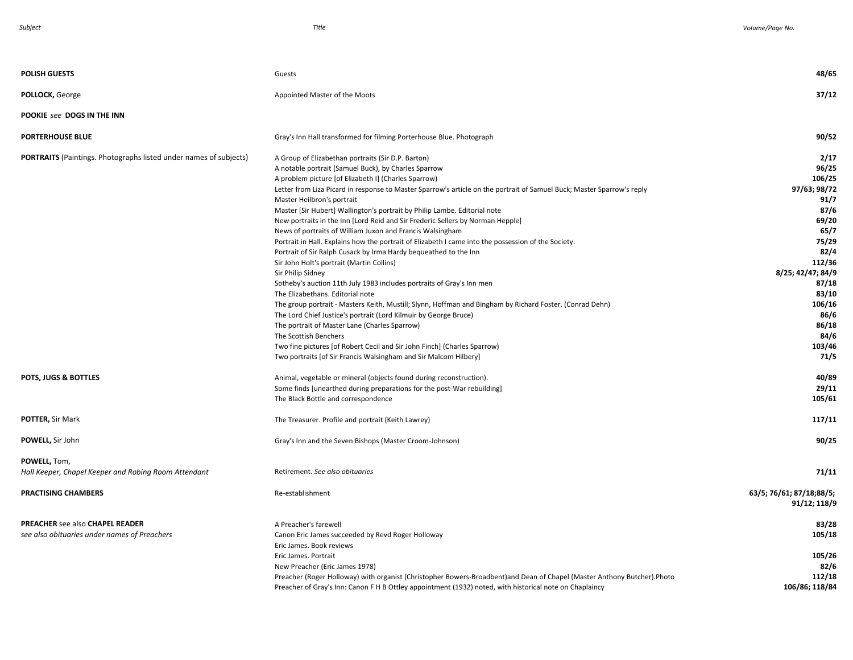| <b>POLISH GUESTS</b>                                                            | Guests                                                                                                                                                                                                                                                                                       | 48/65                                      |
|---------------------------------------------------------------------------------|----------------------------------------------------------------------------------------------------------------------------------------------------------------------------------------------------------------------------------------------------------------------------------------------|--------------------------------------------|
| POLLOCK, George                                                                 | Appointed Master of the Moots                                                                                                                                                                                                                                                                | 37/12                                      |
| POOKIE see DOGS IN THE INN                                                      |                                                                                                                                                                                                                                                                                              |                                            |
| <b>PORTERHOUSE BLUE</b>                                                         | Gray's Inn Hall transformed for filming Porterhouse Blue. Photograph                                                                                                                                                                                                                         | 90/52                                      |
| <b>PORTRAITS</b> (Paintings. Photographs listed under names of subjects)        | A Group of Elizabethan portraits (Sir D.P. Barton)<br>A notable portrait (Samuel Buck), by Charles Sparrow                                                                                                                                                                                   | 2/17<br>96/25                              |
|                                                                                 | A problem picture [of Elizabeth I] (Charles Sparrow)<br>Letter from Liza Picard in response to Master Sparrow's article on the portrait of Samuel Buck; Master Sparrow's reply<br>Master Heilbron's portrait                                                                                 | 106/25<br>97/63; 98/72<br>91/7             |
|                                                                                 | Master [Sir Hubert] Wallington's portrait by Philip Lambe. Editorial note<br>New portraits in the Inn [Lord Reid and Sir Frederic Sellers by Norman Hepple]                                                                                                                                  | 87/6<br>69/20                              |
|                                                                                 | News of portraits of William Juxon and Francis Walsingham<br>Portrait in Hall. Explains how the portrait of Elizabeth I came into the possession of the Society.<br>Portrait of Sir Ralph Cusack by Irma Hardy bequeathed to the Inn                                                         | 65/7<br>75/29<br>82/4                      |
|                                                                                 | Sir John Holt's portrait (Martin Collins)<br>Sir Philip Sidney<br>Sotheby's auction 11th July 1983 includes portraits of Gray's Inn men                                                                                                                                                      | 112/36<br>8/25; 42/47; 84/9<br>87/18       |
|                                                                                 | The Elizabethans. Editorial note<br>The group portrait - Masters Keith, Mustill; Slynn, Hoffman and Bingham by Richard Foster. (Conrad Dehn)                                                                                                                                                 | 83/10<br>106/16                            |
|                                                                                 | The Lord Chief Justice's portrait (Lord Kilmuir by George Bruce)<br>The portrait of Master Lane (Charles Sparrow)<br>The Scottish Benchers                                                                                                                                                   | 86/6<br>86/18<br>84/6                      |
|                                                                                 | Two fine pictures [of Robert Cecil and Sir John Finch] (Charles Sparrow)<br>Two portraits [of Sir Francis Walsingham and Sir Malcom Hilbery]                                                                                                                                                 | 103/46<br>71/5                             |
| POTS, JUGS & BOTTLES                                                            | Animal, vegetable or mineral (objects found during reconstruction).<br>Some finds [unearthed during preparations for the post-War rebuilding]<br>The Black Bottle and correspondence                                                                                                         | 40/89<br>29/11<br>105/61                   |
| POTTER, Sir Mark                                                                | The Treasurer. Profile and portrait (Keith Lawrey)                                                                                                                                                                                                                                           | 117/11                                     |
| POWELL, Sir John                                                                | Gray's Inn and the Seven Bishops (Master Croom-Johnson)                                                                                                                                                                                                                                      | 90/25                                      |
| POWELL, Tom,<br>Hall Keeper, Chapel Keeper and Robing Room Attendant            | Retirement. See also obituaries                                                                                                                                                                                                                                                              | 71/11                                      |
| <b>PRACTISING CHAMBERS</b>                                                      | Re-establishment                                                                                                                                                                                                                                                                             | 63/5; 76/61; 87/18;88/5;<br>91/12; 118/9   |
| PREACHER see also CHAPEL READER<br>see also obituaries under names of Preachers | A Preacher's farewell<br>Canon Eric James succeeded by Revd Roger Holloway<br>Eric James. Book reviews                                                                                                                                                                                       | 83/28<br>105/18                            |
|                                                                                 | Eric James. Portrait<br>New Preacher (Eric James 1978)<br>Preacher (Roger Holloway) with organist (Christopher Bowers-Broadbent)and Dean of Chapel (Master Anthony Butcher).Photo<br>Preacher of Gray's Inn: Canon F H B Ottley appointment (1932) noted, with historical note on Chaplaincy | 105/26<br>82/6<br>112/18<br>106/86; 118/84 |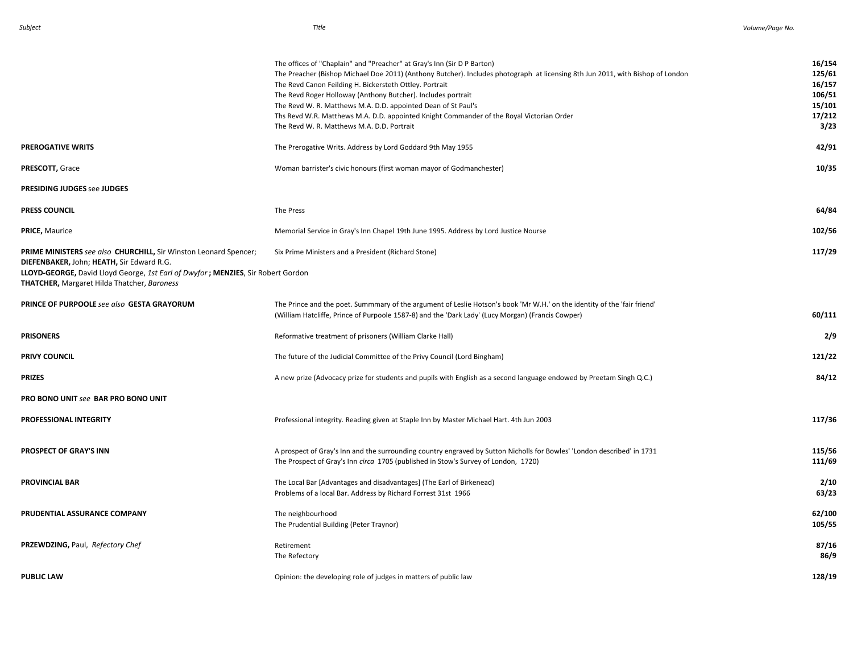|                                                                                                                                                                                                                                                         | The offices of "Chaplain" and "Preacher" at Gray's Inn (Sir D P Barton)<br>The Preacher (Bishop Michael Doe 2011) (Anthony Butcher). Includes photograph at licensing 8th Jun 2011, with Bishop of London<br>The Revd Canon Feilding H. Bickersteth Ottley. Portrait<br>The Revd Roger Holloway (Anthony Butcher). Includes portrait<br>The Revd W. R. Matthews M.A. D.D. appointed Dean of St Paul's<br>Ths Revd W.R. Matthews M.A. D.D. appointed Knight Commander of the Royal Victorian Order<br>The Revd W. R. Matthews M.A. D.D. Portrait | 16/154<br>125/61<br>16/157<br>106/51<br>15/101<br>17/212<br>3/23 |
|---------------------------------------------------------------------------------------------------------------------------------------------------------------------------------------------------------------------------------------------------------|-------------------------------------------------------------------------------------------------------------------------------------------------------------------------------------------------------------------------------------------------------------------------------------------------------------------------------------------------------------------------------------------------------------------------------------------------------------------------------------------------------------------------------------------------|------------------------------------------------------------------|
| PREROGATIVE WRITS                                                                                                                                                                                                                                       | The Prerogative Writs. Address by Lord Goddard 9th May 1955                                                                                                                                                                                                                                                                                                                                                                                                                                                                                     | 42/91                                                            |
| PRESCOTT, Grace                                                                                                                                                                                                                                         | Woman barrister's civic honours (first woman mayor of Godmanchester)                                                                                                                                                                                                                                                                                                                                                                                                                                                                            | 10/35                                                            |
| <b>PRESIDING JUDGES see JUDGES</b>                                                                                                                                                                                                                      |                                                                                                                                                                                                                                                                                                                                                                                                                                                                                                                                                 |                                                                  |
| <b>PRESS COUNCIL</b>                                                                                                                                                                                                                                    | The Press                                                                                                                                                                                                                                                                                                                                                                                                                                                                                                                                       | 64/84                                                            |
| <b>PRICE, Maurice</b>                                                                                                                                                                                                                                   | Memorial Service in Gray's Inn Chapel 19th June 1995. Address by Lord Justice Nourse                                                                                                                                                                                                                                                                                                                                                                                                                                                            | 102/56                                                           |
| PRIME MINISTERS see also CHURCHILL, Sir Winston Leonard Spencer;<br>DIEFENBAKER, John; HEATH, Sir Edward R.G.<br>LLOYD-GEORGE, David Lloyd George, 1st Earl of Dwyfor; MENZIES, Sir Robert Gordon<br><b>THATCHER, Margaret Hilda Thatcher, Baroness</b> | Six Prime Ministers and a President (Richard Stone)                                                                                                                                                                                                                                                                                                                                                                                                                                                                                             | 117/29                                                           |
| PRINCE OF PURPOOLE see also GESTA GRAYORUM                                                                                                                                                                                                              | The Prince and the poet. Summmary of the argument of Leslie Hotson's book 'Mr W.H.' on the identity of the 'fair friend'<br>(William Hatcliffe, Prince of Purpoole 1587-8) and the 'Dark Lady' (Lucy Morgan) (Francis Cowper)                                                                                                                                                                                                                                                                                                                   | 60/111                                                           |
| <b>PRISONERS</b>                                                                                                                                                                                                                                        | Reformative treatment of prisoners (William Clarke Hall)                                                                                                                                                                                                                                                                                                                                                                                                                                                                                        | 2/9                                                              |
| PRIVY COUNCIL                                                                                                                                                                                                                                           | The future of the Judicial Committee of the Privy Council (Lord Bingham)                                                                                                                                                                                                                                                                                                                                                                                                                                                                        | 121/22                                                           |
| <b>PRIZES</b>                                                                                                                                                                                                                                           | A new prize (Advocacy prize for students and pupils with English as a second language endowed by Preetam Singh Q.C.)                                                                                                                                                                                                                                                                                                                                                                                                                            | 84/12                                                            |
| PRO BONO UNIT see BAR PRO BONO UNIT                                                                                                                                                                                                                     |                                                                                                                                                                                                                                                                                                                                                                                                                                                                                                                                                 |                                                                  |
| <b>PROFESSIONAL INTEGRITY</b>                                                                                                                                                                                                                           | Professional integrity. Reading given at Staple Inn by Master Michael Hart. 4th Jun 2003                                                                                                                                                                                                                                                                                                                                                                                                                                                        | 117/36                                                           |
| <b>PROSPECT OF GRAY'S INN</b>                                                                                                                                                                                                                           | A prospect of Gray's Inn and the surrounding country engraved by Sutton Nicholls for Bowles' 'London described' in 1731<br>The Prospect of Gray's Inn circa 1705 (published in Stow's Survey of London, 1720)                                                                                                                                                                                                                                                                                                                                   | 115/56<br>111/69                                                 |
| <b>PROVINCIAL BAR</b>                                                                                                                                                                                                                                   | The Local Bar [Advantages and disadvantages] (The Earl of Birkenead)<br>Problems of a local Bar. Address by Richard Forrest 31st 1966                                                                                                                                                                                                                                                                                                                                                                                                           | 2/10<br>63/23                                                    |
| PRUDENTIAL ASSURANCE COMPANY                                                                                                                                                                                                                            | The neighbourhood<br>The Prudential Building (Peter Traynor)                                                                                                                                                                                                                                                                                                                                                                                                                                                                                    | 62/100<br>105/55                                                 |
| PRZEWDZING, Paul, Refectory Chef                                                                                                                                                                                                                        | Retirement<br>The Refectory                                                                                                                                                                                                                                                                                                                                                                                                                                                                                                                     | 87/16<br>86/9                                                    |
| <b>PUBLIC LAW</b>                                                                                                                                                                                                                                       | Opinion: the developing role of judges in matters of public law                                                                                                                                                                                                                                                                                                                                                                                                                                                                                 | 128/19                                                           |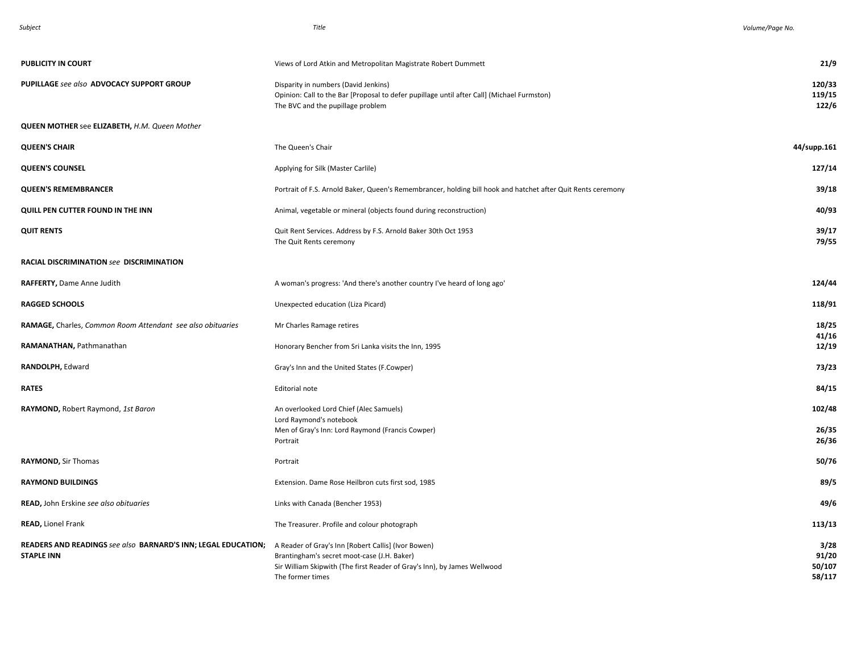|--|

| <b>PUBLICITY IN COURT</b>                                                          | Views of Lord Atkin and Metropolitan Magistrate Robert Dummett                                                                                                                                     | 21/9                              |
|------------------------------------------------------------------------------------|----------------------------------------------------------------------------------------------------------------------------------------------------------------------------------------------------|-----------------------------------|
| PUPILLAGE see also ADVOCACY SUPPORT GROUP                                          | Disparity in numbers (David Jenkins)<br>Opinion: Call to the Bar [Proposal to defer pupillage until after Call] (Michael Furmston)<br>The BVC and the pupillage problem                            | 120/33<br>119/15<br>122/6         |
| QUEEN MOTHER see ELIZABETH, H.M. Queen Mother                                      |                                                                                                                                                                                                    |                                   |
| <b>QUEEN'S CHAIR</b>                                                               | The Queen's Chair                                                                                                                                                                                  | 44/supp.161                       |
| <b>QUEEN'S COUNSEL</b>                                                             | Applying for Silk (Master Carlile)                                                                                                                                                                 | 127/14                            |
| <b>QUEEN'S REMEMBRANCER</b>                                                        | Portrait of F.S. Arnold Baker, Queen's Remembrancer, holding bill hook and hatchet after Quit Rents ceremony                                                                                       | 39/18                             |
| QUILL PEN CUTTER FOUND IN THE INN                                                  | Animal, vegetable or mineral (objects found during reconstruction)                                                                                                                                 | 40/93                             |
| <b>QUIT RENTS</b>                                                                  | Quit Rent Services. Address by F.S. Arnold Baker 30th Oct 1953<br>The Quit Rents ceremony                                                                                                          | 39/17<br>79/55                    |
| RACIAL DISCRIMINATION see DISCRIMINATION                                           |                                                                                                                                                                                                    |                                   |
| RAFFERTY, Dame Anne Judith                                                         | A woman's progress: 'And there's another country I've heard of long ago'                                                                                                                           | 124/44                            |
| <b>RAGGED SCHOOLS</b>                                                              | Unexpected education (Liza Picard)                                                                                                                                                                 | 118/91                            |
| RAMAGE, Charles, Common Room Attendant see also obituaries                         | Mr Charles Ramage retires                                                                                                                                                                          | 18/25<br>41/16                    |
| RAMANATHAN, Pathmanathan                                                           | Honorary Bencher from Sri Lanka visits the Inn, 1995                                                                                                                                               | 12/19                             |
| RANDOLPH, Edward                                                                   | Gray's Inn and the United States (F.Cowper)                                                                                                                                                        | 73/23                             |
| <b>RATES</b>                                                                       | Editorial note                                                                                                                                                                                     | 84/15                             |
| RAYMOND, Robert Raymond, 1st Baron                                                 | An overlooked Lord Chief (Alec Samuels)<br>Lord Raymond's notebook                                                                                                                                 | 102/48                            |
|                                                                                    | Men of Gray's Inn: Lord Raymond (Francis Cowper)<br>Portrait                                                                                                                                       | 26/35<br>26/36                    |
| RAYMOND, Sir Thomas                                                                | Portrait                                                                                                                                                                                           | 50/76                             |
| <b>RAYMOND BUILDINGS</b>                                                           | Extension. Dame Rose Heilbron cuts first sod, 1985                                                                                                                                                 | 89/5                              |
| READ, John Erskine see also obituaries                                             | Links with Canada (Bencher 1953)                                                                                                                                                                   | 49/6                              |
| <b>READ, Lionel Frank</b>                                                          | The Treasurer. Profile and colour photograph                                                                                                                                                       | 113/13                            |
| READERS AND READINGS see also BARNARD'S INN; LEGAL EDUCATION;<br><b>STAPLE INN</b> | A Reader of Gray's Inn [Robert Callis] (Ivor Bowen)<br>Brantingham's secret moot-case (J.H. Baker)<br>Sir William Skipwith (The first Reader of Gray's Inn), by James Wellwood<br>The former times | 3/28<br>91/20<br>50/107<br>58/117 |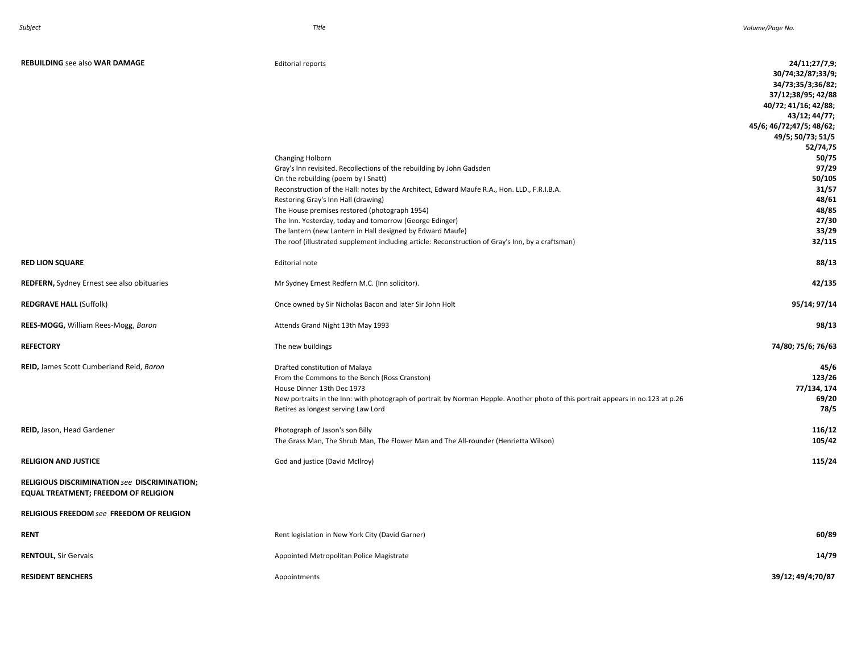| <b>REBUILDING see also WAR DAMAGE</b>                                                | <b>Editorial reports</b><br>Changing Holborn<br>Gray's Inn revisited. Recollections of the rebuilding by John Gadsden<br>On the rebuilding (poem by I Snatt)<br>Reconstruction of the Hall: notes by the Architect, Edward Maufe R.A., Hon. LLD., F.R.I.B.A.<br>Restoring Gray's Inn Hall (drawing)<br>The House premises restored (photograph 1954)<br>The Inn. Yesterday, today and tomorrow (George Edinger)<br>The lantern (new Lantern in Hall designed by Edward Maufe)<br>The roof (illustrated supplement including article: Reconstruction of Gray's Inn, by a craftsman) | 24/11;27/7,9;<br>30/74;32/87;33/9;<br>34/73;35/3;36/82;<br>37/12;38/95; 42/88<br>40/72; 41/16; 42/88;<br>43/12; 44/77;<br>45/6; 46/72; 47/5; 48/62;<br>49/5; 50/73; 51/5<br>52/74,75<br>50/75<br>97/29<br>50/105<br>31/57<br>48/61<br>48/85<br>27/30<br>33/29<br>32/115 |
|--------------------------------------------------------------------------------------|------------------------------------------------------------------------------------------------------------------------------------------------------------------------------------------------------------------------------------------------------------------------------------------------------------------------------------------------------------------------------------------------------------------------------------------------------------------------------------------------------------------------------------------------------------------------------------|-------------------------------------------------------------------------------------------------------------------------------------------------------------------------------------------------------------------------------------------------------------------------|
| <b>RED LION SQUARE</b>                                                               | Editorial note                                                                                                                                                                                                                                                                                                                                                                                                                                                                                                                                                                     | 88/13                                                                                                                                                                                                                                                                   |
| <b>REDFERN, Sydney Ernest see also obituaries</b>                                    | Mr Sydney Ernest Redfern M.C. (Inn solicitor).                                                                                                                                                                                                                                                                                                                                                                                                                                                                                                                                     | 42/135                                                                                                                                                                                                                                                                  |
| <b>REDGRAVE HALL (Suffolk)</b>                                                       | Once owned by Sir Nicholas Bacon and later Sir John Holt                                                                                                                                                                                                                                                                                                                                                                                                                                                                                                                           | 95/14; 97/14                                                                                                                                                                                                                                                            |
| REES-MOGG, William Rees-Mogg, Baron                                                  | Attends Grand Night 13th May 1993                                                                                                                                                                                                                                                                                                                                                                                                                                                                                                                                                  | 98/13                                                                                                                                                                                                                                                                   |
| <b>REFECTORY</b>                                                                     | The new buildings                                                                                                                                                                                                                                                                                                                                                                                                                                                                                                                                                                  | 74/80; 75/6; 76/63                                                                                                                                                                                                                                                      |
| REID, James Scott Cumberland Reid, Baron                                             | Drafted constitution of Malaya<br>From the Commons to the Bench (Ross Cranston)<br>House Dinner 13th Dec 1973<br>New portraits in the Inn: with photograph of portrait by Norman Hepple. Another photo of this portrait appears in no.123 at p.26<br>Retires as longest serving Law Lord                                                                                                                                                                                                                                                                                           | 45/6<br>123/26<br>77/134, 174<br>69/20<br>78/5                                                                                                                                                                                                                          |
| REID, Jason, Head Gardener                                                           | Photograph of Jason's son Billy<br>The Grass Man, The Shrub Man, The Flower Man and The All-rounder (Henrietta Wilson)                                                                                                                                                                                                                                                                                                                                                                                                                                                             | 116/12<br>105/42                                                                                                                                                                                                                                                        |
| <b>RELIGION AND JUSTICE</b>                                                          | God and justice (David McIlroy)                                                                                                                                                                                                                                                                                                                                                                                                                                                                                                                                                    | 115/24                                                                                                                                                                                                                                                                  |
| RELIGIOUS DISCRIMINATION see DISCRIMINATION;<br>EQUAL TREATMENT; FREEDOM OF RELIGION |                                                                                                                                                                                                                                                                                                                                                                                                                                                                                                                                                                                    |                                                                                                                                                                                                                                                                         |
| RELIGIOUS FREEDOM see FREEDOM OF RELIGION                                            |                                                                                                                                                                                                                                                                                                                                                                                                                                                                                                                                                                                    |                                                                                                                                                                                                                                                                         |
| RENT                                                                                 | Rent legislation in New York City (David Garner)                                                                                                                                                                                                                                                                                                                                                                                                                                                                                                                                   | 60/89                                                                                                                                                                                                                                                                   |
| <b>RENTOUL, Sir Gervais</b>                                                          | Appointed Metropolitan Police Magistrate                                                                                                                                                                                                                                                                                                                                                                                                                                                                                                                                           | 14/79                                                                                                                                                                                                                                                                   |
| <b>RESIDENT BENCHERS</b>                                                             | Appointments                                                                                                                                                                                                                                                                                                                                                                                                                                                                                                                                                                       | 39/12; 49/4;70/87                                                                                                                                                                                                                                                       |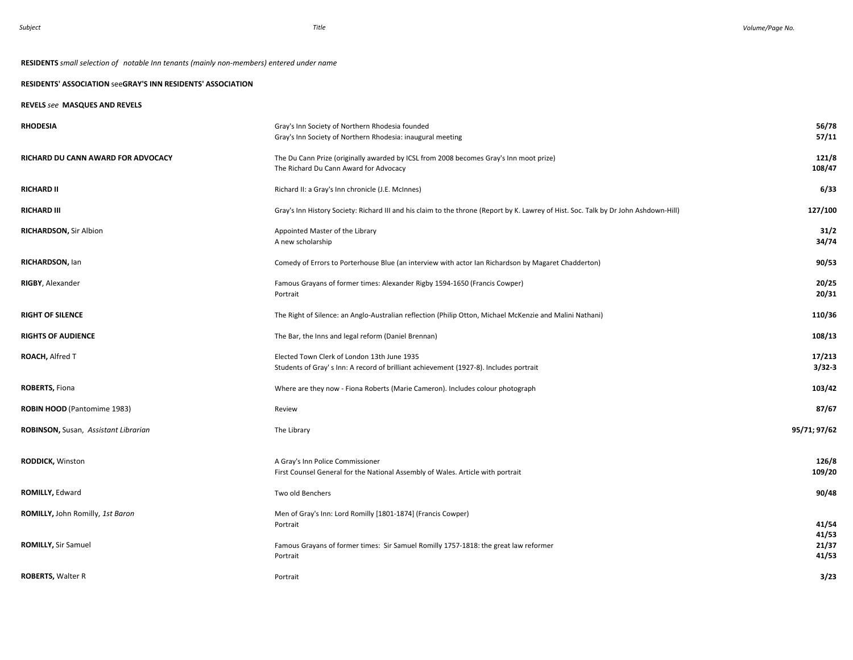# **RESIDENTS** *small selection of notable Inn tenants (mainly non-members) entered under name*

## **RESIDENTS' ASSOCIATION** see**GRAY'S INN RESIDENTS' ASSOCIATION**

## **REVELS** *see* **MASQUES AND REVELS**

| <b>RHODESIA</b>                      | Gray's Inn Society of Northern Rhodesia founded<br>Gray's Inn Society of Northern Rhodesia: inaugural meeting                        | 56/78<br>57/11       |
|--------------------------------------|--------------------------------------------------------------------------------------------------------------------------------------|----------------------|
| RICHARD DU CANN AWARD FOR ADVOCACY   | The Du Cann Prize (originally awarded by ICSL from 2008 becomes Gray's Inn moot prize)<br>The Richard Du Cann Award for Advocacy     | 121/8<br>108/47      |
| <b>RICHARD II</b>                    | Richard II: a Gray's Inn chronicle (J.E. McInnes)                                                                                    | 6/33                 |
| <b>RICHARD III</b>                   | Gray's Inn History Society: Richard III and his claim to the throne (Report by K. Lawrey of Hist. Soc. Talk by Dr John Ashdown-Hill) | 127/100              |
| <b>RICHARDSON, Sir Albion</b>        | Appointed Master of the Library<br>A new scholarship                                                                                 | 31/2<br>34/74        |
| RICHARDSON, lan                      | Comedy of Errors to Porterhouse Blue (an interview with actor Ian Richardson by Magaret Chadderton)                                  | 90/53                |
| <b>RIGBY, Alexander</b>              | Famous Grayans of former times: Alexander Rigby 1594-1650 (Francis Cowper)<br>Portrait                                               | 20/25<br>20/31       |
| <b>RIGHT OF SILENCE</b>              | The Right of Silence: an Anglo-Australian reflection (Philip Otton, Michael McKenzie and Malini Nathani)                             | 110/36               |
| <b>RIGHTS OF AUDIENCE</b>            | The Bar, the Inns and legal reform (Daniel Brennan)                                                                                  | 108/13               |
| ROACH, Alfred T                      | Elected Town Clerk of London 13th June 1935<br>Students of Gray's Inn: A record of brilliant achievement (1927-8). Includes portrait | 17/213<br>$3/32 - 3$ |
| <b>ROBERTS, Fiona</b>                | Where are they now - Fiona Roberts (Marie Cameron). Includes colour photograph                                                       | 103/42               |
| ROBIN HOOD (Pantomime 1983)          | Review                                                                                                                               | 87/67                |
| ROBINSON, Susan, Assistant Librarian | The Library                                                                                                                          | 95/71; 97/62         |
| <b>RODDICK, Winston</b>              | A Gray's Inn Police Commissioner<br>First Counsel General for the National Assembly of Wales. Article with portrait                  | 126/8<br>109/20      |
| ROMILLY, Edward                      | Two old Benchers                                                                                                                     | 90/48                |
| ROMILLY, John Romilly, 1st Baron     | Men of Gray's Inn: Lord Romilly [1801-1874] (Francis Cowper)<br>Portrait                                                             | 41/54<br>41/53       |
| <b>ROMILLY, Sir Samuel</b>           | Famous Grayans of former times: Sir Samuel Romilly 1757-1818: the great law reformer<br>Portrait                                     | 21/37<br>41/53       |
| <b>ROBERTS, Walter R</b>             | Portrait                                                                                                                             | 3/23                 |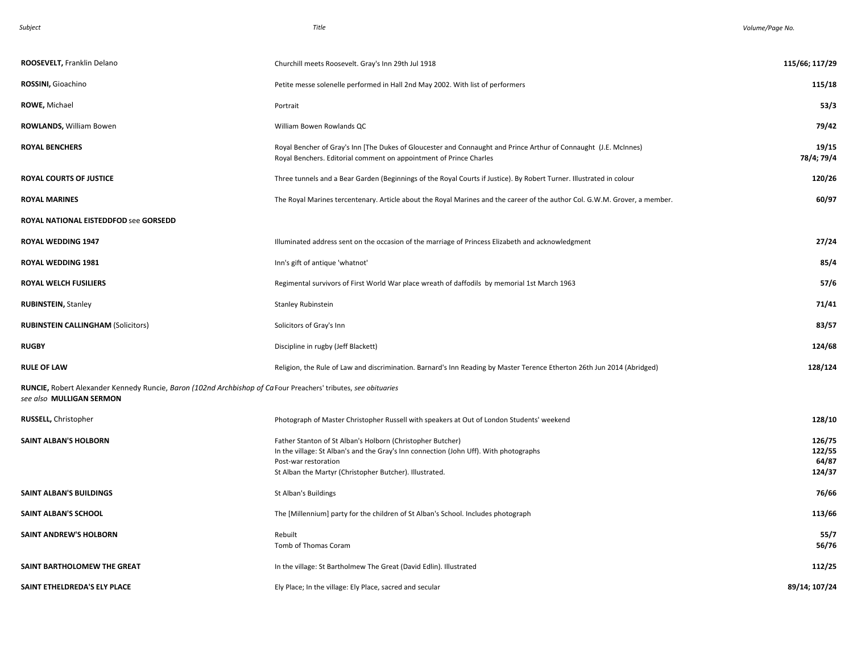| iubiec |  |
|--------|--|
|--------|--|

| ROOSEVELT, Franklin Delano                                                                                                                  | Churchill meets Roosevelt. Gray's Inn 29th Jul 1918                                                                                                                                                                                    | 115/66; 117/29                      |
|---------------------------------------------------------------------------------------------------------------------------------------------|----------------------------------------------------------------------------------------------------------------------------------------------------------------------------------------------------------------------------------------|-------------------------------------|
| ROSSINI, Gioachino                                                                                                                          | Petite messe solenelle performed in Hall 2nd May 2002. With list of performers                                                                                                                                                         | 115/18                              |
| <b>ROWE, Michael</b>                                                                                                                        | Portrait                                                                                                                                                                                                                               | 53/3                                |
| ROWLANDS, William Bowen                                                                                                                     | William Bowen Rowlands QC                                                                                                                                                                                                              | 79/42                               |
| <b>ROYAL BENCHERS</b>                                                                                                                       | Royal Bencher of Gray's Inn [The Dukes of Gloucester and Connaught and Prince Arthur of Connaught (J.E. McInnes)<br>Royal Benchers. Editorial comment on appointment of Prince Charles                                                 | 19/15<br>78/4; 79/4                 |
| <b>ROYAL COURTS OF JUSTICE</b>                                                                                                              | Three tunnels and a Bear Garden (Beginnings of the Royal Courts if Justice). By Robert Turner. Illustrated in colour                                                                                                                   | 120/26                              |
| <b>ROYAL MARINES</b>                                                                                                                        | The Royal Marines tercentenary. Article about the Royal Marines and the career of the author Col. G.W.M. Grover, a member.                                                                                                             | 60/97                               |
| ROYAL NATIONAL EISTEDDFOD see GORSEDD                                                                                                       |                                                                                                                                                                                                                                        |                                     |
| ROYAL WEDDING 1947                                                                                                                          | Illuminated address sent on the occasion of the marriage of Princess Elizabeth and acknowledgment                                                                                                                                      | 27/24                               |
| ROYAL WEDDING 1981                                                                                                                          | Inn's gift of antique 'whatnot'                                                                                                                                                                                                        | 85/4                                |
| <b>ROYAL WELCH FUSILIERS</b>                                                                                                                | Regimental survivors of First World War place wreath of daffodils by memorial 1st March 1963                                                                                                                                           | 57/6                                |
| <b>RUBINSTEIN, Stanley</b>                                                                                                                  | <b>Stanley Rubinstein</b>                                                                                                                                                                                                              | 71/41                               |
| <b>RUBINSTEIN CALLINGHAM (Solicitors)</b>                                                                                                   | Solicitors of Gray's Inn                                                                                                                                                                                                               | 83/57                               |
| <b>RUGBY</b>                                                                                                                                | Discipline in rugby (Jeff Blackett)                                                                                                                                                                                                    | 124/68                              |
| <b>RULE OF LAW</b>                                                                                                                          | Religion, the Rule of Law and discrimination. Barnard's Inn Reading by Master Terence Etherton 26th Jun 2014 (Abridged)                                                                                                                | 128/124                             |
| RUNCIE, Robert Alexander Kennedy Runcie, Baron (102nd Archbishop of Ca Four Preachers' tributes, see obituaries<br>see also MULLIGAN SERMON |                                                                                                                                                                                                                                        |                                     |
| <b>RUSSELL, Christopher</b>                                                                                                                 | Photograph of Master Christopher Russell with speakers at Out of London Students' weekend                                                                                                                                              | 128/10                              |
| <b>SAINT ALBAN'S HOLBORN</b>                                                                                                                | Father Stanton of St Alban's Holborn (Christopher Butcher)<br>In the village: St Alban's and the Gray's Inn connection (John Uff). With photographs<br>Post-war restoration<br>St Alban the Martyr (Christopher Butcher). Illustrated. | 126/75<br>122/55<br>64/87<br>124/37 |
| <b>SAINT ALBAN'S BUILDINGS</b>                                                                                                              | St Alban's Buildings                                                                                                                                                                                                                   | 76/66                               |
| <b>SAINT ALBAN'S SCHOOL</b>                                                                                                                 | The [Millennium] party for the children of St Alban's School. Includes photograph                                                                                                                                                      | 113/66                              |
| <b>SAINT ANDREW'S HOLBORN</b>                                                                                                               | Rebuilt<br>Tomb of Thomas Coram                                                                                                                                                                                                        | 55/7<br>56/76                       |
| SAINT BARTHOLOMEW THE GREAT                                                                                                                 | In the village: St Bartholmew The Great (David Edlin). Illustrated                                                                                                                                                                     | 112/25                              |
| SAINT ETHELDREDA'S ELY PLACE                                                                                                                | Ely Place; In the village: Ely Place, sacred and secular                                                                                                                                                                               | 89/14; 107/24                       |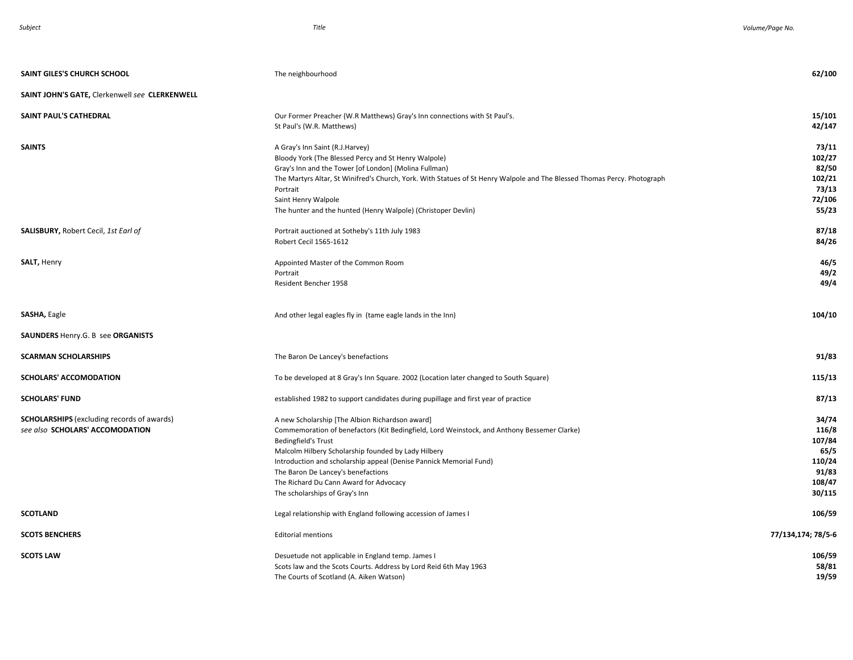| SAINT GILES'S CHURCH SCHOOL                                                          | The neighbourhood                                                                                                                                                                                                                                                                                                                                                                                                           | 62/100                                                                  |
|--------------------------------------------------------------------------------------|-----------------------------------------------------------------------------------------------------------------------------------------------------------------------------------------------------------------------------------------------------------------------------------------------------------------------------------------------------------------------------------------------------------------------------|-------------------------------------------------------------------------|
| SAINT JOHN'S GATE, Clerkenwell see CLERKENWELL                                       |                                                                                                                                                                                                                                                                                                                                                                                                                             |                                                                         |
| SAINT PAUL'S CATHEDRAL                                                               | Our Former Preacher (W.R Matthews) Gray's Inn connections with St Paul's.<br>St Paul's (W.R. Matthews)                                                                                                                                                                                                                                                                                                                      | 15/101<br>42/147                                                        |
| <b>SAINTS</b>                                                                        | A Gray's Inn Saint (R.J.Harvey)<br>Bloody York (The Blessed Percy and St Henry Walpole)<br>Gray's Inn and the Tower [of London] (Molina Fullman)<br>The Martyrs Altar, St Winifred's Church, York. With Statues of St Henry Walpole and The Blessed Thomas Percy. Photograph<br>Portrait<br>Saint Henry Walpole<br>The hunter and the hunted (Henry Walpole) (Christoper Devlin)                                            | 73/11<br>102/27<br>82/50<br>102/21<br>73/13<br>72/106<br>55/23          |
| <b>SALISBURY, Robert Cecil, 1st Earl of</b>                                          | Portrait auctioned at Sotheby's 11th July 1983<br><b>Robert Cecil 1565-1612</b>                                                                                                                                                                                                                                                                                                                                             | 87/18<br>84/26                                                          |
| SALT, Henry                                                                          | Appointed Master of the Common Room<br>Portrait<br>Resident Bencher 1958                                                                                                                                                                                                                                                                                                                                                    | 46/5<br>49/2<br>49/4                                                    |
| SASHA, Eagle                                                                         | And other legal eagles fly in (tame eagle lands in the Inn)                                                                                                                                                                                                                                                                                                                                                                 | 104/10                                                                  |
| SAUNDERS Henry.G. B see ORGANISTS                                                    |                                                                                                                                                                                                                                                                                                                                                                                                                             |                                                                         |
| <b>SCARMAN SCHOLARSHIPS</b>                                                          | The Baron De Lancey's benefactions                                                                                                                                                                                                                                                                                                                                                                                          | 91/83                                                                   |
| <b>SCHOLARS' ACCOMODATION</b>                                                        | To be developed at 8 Gray's Inn Square. 2002 (Location later changed to South Square)                                                                                                                                                                                                                                                                                                                                       | 115/13                                                                  |
| <b>SCHOLARS' FUND</b>                                                                | established 1982 to support candidates during pupillage and first year of practice                                                                                                                                                                                                                                                                                                                                          | 87/13                                                                   |
| <b>SCHOLARSHIPS</b> (excluding records of awards)<br>see also SCHOLARS' ACCOMODATION | A new Scholarship [The Albion Richardson award]<br>Commemoration of benefactors (Kit Bedingfield, Lord Weinstock, and Anthony Bessemer Clarke)<br><b>Bedingfield's Trust</b><br>Malcolm Hilbery Scholarship founded by Lady Hilbery<br>Introduction and scholarship appeal (Denise Pannick Memorial Fund)<br>The Baron De Lancey's benefactions<br>The Richard Du Cann Award for Advocacy<br>The scholarships of Gray's Inn | 34/74<br>116/8<br>107/84<br>65/5<br>110/24<br>91/83<br>108/47<br>30/115 |
| <b>SCOTLAND</b>                                                                      | Legal relationship with England following accession of James I                                                                                                                                                                                                                                                                                                                                                              | 106/59                                                                  |
| <b>SCOTS BENCHERS</b>                                                                | <b>Editorial mentions</b>                                                                                                                                                                                                                                                                                                                                                                                                   | 77/134,174; 78/5-6                                                      |
| <b>SCOTS LAW</b>                                                                     | Desuetude not applicable in England temp. James I<br>Scots law and the Scots Courts. Address by Lord Reid 6th May 1963<br>The Courts of Scotland (A. Aiken Watson)                                                                                                                                                                                                                                                          | 106/59<br>58/81<br>19/59                                                |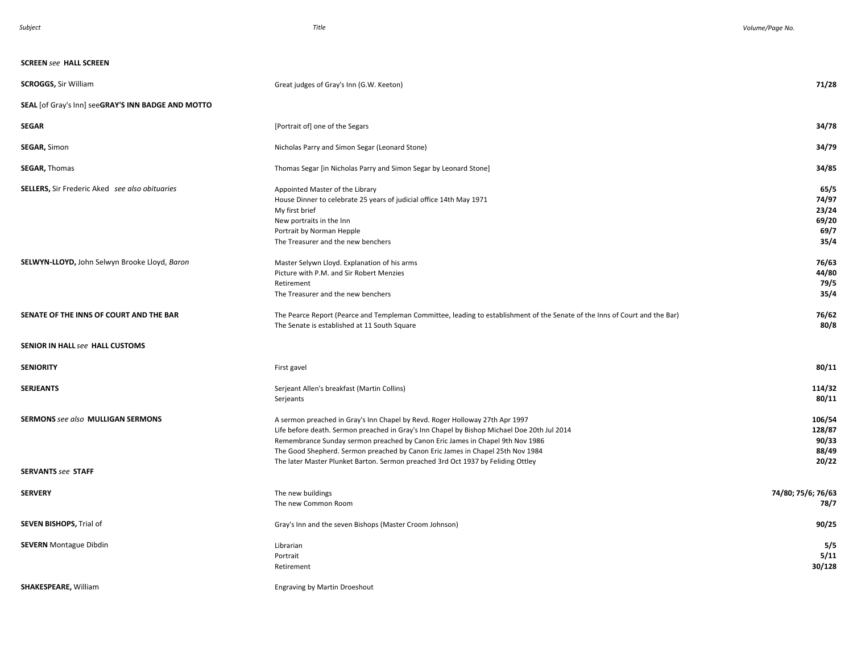#### **SCREEN** *see* **HALL SCREEN**

| <b>SCROGGS, Sir William</b>                           | Great judges of Gray's Inn (G.W. Keeton)                                                                                                                                                                                                                                                                                                       | 71/28                                           |
|-------------------------------------------------------|------------------------------------------------------------------------------------------------------------------------------------------------------------------------------------------------------------------------------------------------------------------------------------------------------------------------------------------------|-------------------------------------------------|
| SEAL [of Gray's Inn] seeGRAY'S INN BADGE AND MOTTO    |                                                                                                                                                                                                                                                                                                                                                |                                                 |
| <b>SEGAR</b>                                          | [Portrait of] one of the Segars                                                                                                                                                                                                                                                                                                                | 34/78                                           |
| <b>SEGAR, Simon</b>                                   | Nicholas Parry and Simon Segar (Leonard Stone)                                                                                                                                                                                                                                                                                                 | 34/79                                           |
| <b>SEGAR, Thomas</b>                                  | Thomas Segar [in Nicholas Parry and Simon Segar by Leonard Stone]                                                                                                                                                                                                                                                                              | 34/85                                           |
| <b>SELLERS, Sir Frederic Aked</b> see also obituaries | Appointed Master of the Library<br>House Dinner to celebrate 25 years of judicial office 14th May 1971<br>My first brief<br>New portraits in the Inn<br>Portrait by Norman Hepple<br>The Treasurer and the new benchers                                                                                                                        | 65/5<br>74/97<br>23/24<br>69/20<br>69/7<br>35/4 |
| SELWYN-LLOYD, John Selwyn Brooke Lloyd, Baron         | Master Selywn Lloyd. Explanation of his arms<br>Picture with P.M. and Sir Robert Menzies<br>Retirement<br>The Treasurer and the new benchers                                                                                                                                                                                                   | 76/63<br>44/80<br>79/5<br>35/4                  |
| SENATE OF THE INNS OF COURT AND THE BAR               | The Pearce Report (Pearce and Templeman Committee, leading to establishment of the Senate of the Inns of Court and the Bar)<br>The Senate is established at 11 South Square                                                                                                                                                                    | 76/62<br>80/8                                   |
| <b>SENIOR IN HALL see HALL CUSTOMS</b>                |                                                                                                                                                                                                                                                                                                                                                |                                                 |
| <b>SENIORITY</b>                                      | First gavel                                                                                                                                                                                                                                                                                                                                    | 80/11                                           |
| <b>SERJEANTS</b>                                      | Serjeant Allen's breakfast (Martin Collins)<br>Serjeants                                                                                                                                                                                                                                                                                       | 114/32<br>80/11                                 |
| <b>SERMONS see also MULLIGAN SERMONS</b>              | A sermon preached in Gray's Inn Chapel by Revd. Roger Holloway 27th Apr 1997<br>Life before death. Sermon preached in Gray's Inn Chapel by Bishop Michael Doe 20th Jul 2014<br>Remembrance Sunday sermon preached by Canon Eric James in Chapel 9th Nov 1986<br>The Good Shepherd. Sermon preached by Canon Eric James in Chapel 25th Nov 1984 | 106/54<br>128/87<br>90/33<br>88/49              |
| <b>SERVANTS see STAFF</b>                             | The later Master Plunket Barton. Sermon preached 3rd Oct 1937 by Feliding Ottley                                                                                                                                                                                                                                                               | 20/22                                           |
| <b>SERVERY</b>                                        | The new buildings<br>The new Common Room                                                                                                                                                                                                                                                                                                       | 74/80; 75/6; 76/63<br>78/7                      |
| <b>SEVEN BISHOPS, Trial of</b>                        | Gray's Inn and the seven Bishops (Master Croom Johnson)                                                                                                                                                                                                                                                                                        | 90/25                                           |
| <b>SEVERN</b> Montague Dibdin                         | Librarian<br>Portrait<br>Retirement                                                                                                                                                                                                                                                                                                            | 5/5<br>5/11<br>30/128                           |
| <b>SHAKESPEARE, William</b>                           | <b>Engraving by Martin Droeshout</b>                                                                                                                                                                                                                                                                                                           |                                                 |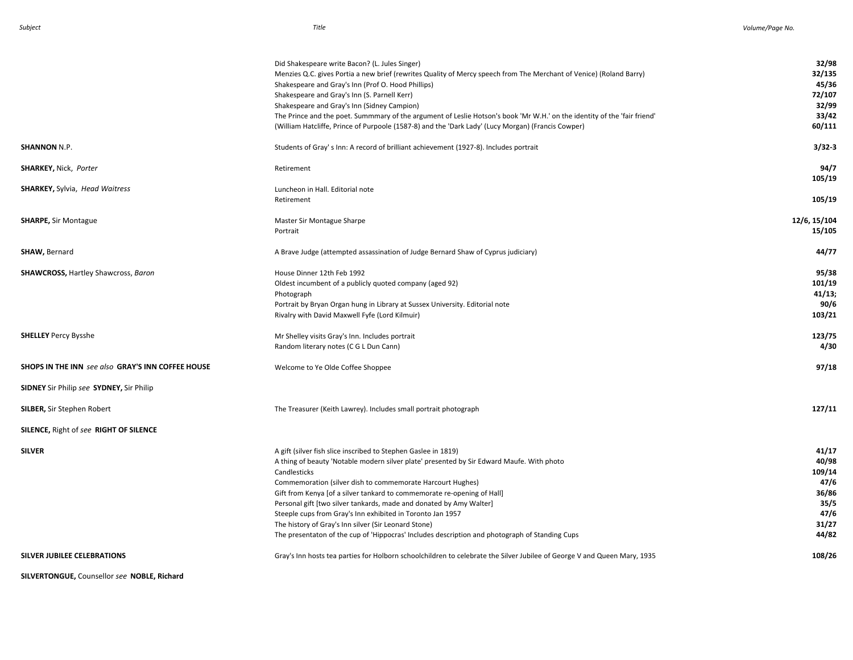|                                                          | Did Shakespeare write Bacon? (L. Jules Singer)                                                                           | 32/98        |
|----------------------------------------------------------|--------------------------------------------------------------------------------------------------------------------------|--------------|
|                                                          | Menzies Q.C. gives Portia a new brief (rewrites Quality of Mercy speech from The Merchant of Venice) (Roland Barry)      | 32/135       |
|                                                          | Shakespeare and Gray's Inn (Prof O. Hood Phillips)                                                                       | 45/36        |
|                                                          | Shakespeare and Gray's Inn (S. Parnell Kerr)                                                                             | 72/107       |
|                                                          | Shakespeare and Gray's Inn (Sidney Campion)                                                                              | 32/99        |
|                                                          | The Prince and the poet. Summmary of the argument of Leslie Hotson's book 'Mr W.H.' on the identity of the 'fair friend' | 33/42        |
|                                                          | (William Hatcliffe, Prince of Purpoole (1587-8) and the 'Dark Lady' (Lucy Morgan) (Francis Cowper)                       | 60/111       |
| <b>SHANNON N.P.</b>                                      | Students of Gray's Inn: A record of brilliant achievement (1927-8). Includes portrait                                    | $3/32 - 3$   |
| <b>SHARKEY, Nick, Porter</b>                             | Retirement                                                                                                               | 94/7         |
|                                                          |                                                                                                                          | 105/19       |
| <b>SHARKEY, Sylvia, Head Waitress</b>                    | Luncheon in Hall. Editorial note                                                                                         |              |
|                                                          | Retirement                                                                                                               | 105/19       |
| <b>SHARPE, Sir Montague</b>                              | Master Sir Montague Sharpe                                                                                               | 12/6, 15/104 |
|                                                          | Portrait                                                                                                                 | 15/105       |
| SHAW, Bernard                                            | A Brave Judge (attempted assassination of Judge Bernard Shaw of Cyprus judiciary)                                        | 44/77        |
| <b>SHAWCROSS, Hartley Shawcross, Baron</b>               | House Dinner 12th Feb 1992                                                                                               | 95/38        |
|                                                          | Oldest incumbent of a publicly quoted company (aged 92)                                                                  | 101/19       |
|                                                          | Photograph                                                                                                               | 41/13;       |
|                                                          | Portrait by Bryan Organ hung in Library at Sussex University. Editorial note                                             | 90/6         |
|                                                          | Rivalry with David Maxwell Fyfe (Lord Kilmuir)                                                                           | 103/21       |
| <b>SHELLEY Percy Bysshe</b>                              | Mr Shelley visits Gray's Inn. Includes portrait                                                                          | 123/75       |
|                                                          | Random literary notes (C G L Dun Cann)                                                                                   | 4/30         |
| <b>SHOPS IN THE INN</b> see also GRAY'S INN COFFEE HOUSE | Welcome to Ye Olde Coffee Shoppee                                                                                        | 97/18        |
| <b>SIDNEY</b> Sir Philip see <b>SYDNEY</b> , Sir Philip  |                                                                                                                          |              |
| <b>SILBER, Sir Stephen Robert</b>                        | The Treasurer (Keith Lawrey). Includes small portrait photograph                                                         | 127/11       |
| SILENCE, Right of see RIGHT OF SILENCE                   |                                                                                                                          |              |
| <b>SILVER</b>                                            | A gift (silver fish slice inscribed to Stephen Gaslee in 1819)                                                           | 41/17        |
|                                                          | A thing of beauty 'Notable modern silver plate' presented by Sir Edward Maufe. With photo                                | 40/98        |
|                                                          | Candlesticks                                                                                                             | 109/14       |
|                                                          | Commemoration (silver dish to commemorate Harcourt Hughes)                                                               | 47/6         |
|                                                          | Gift from Kenya [of a silver tankard to commemorate re-opening of Hall]                                                  | 36/86        |
|                                                          | Personal gift [two silver tankards, made and donated by Amy Walter]                                                      | 35/5         |
|                                                          | Steeple cups from Gray's Inn exhibited in Toronto Jan 1957                                                               | 47/6         |
|                                                          | The history of Gray's Inn silver (Sir Leonard Stone)                                                                     | 31/27        |
|                                                          | The presentaton of the cup of 'Hippocras' Includes description and photograph of Standing Cups                           | 44/82        |
| <b>SILVER JUBILEE CELEBRATIONS</b>                       | Gray's Inn hosts tea parties for Holborn schoolchildren to celebrate the Silver Jubilee of George V and Queen Mary, 1935 | 108/26       |

**SILVERTONGUE,** Counsellor *see* **NOBLE, Richard**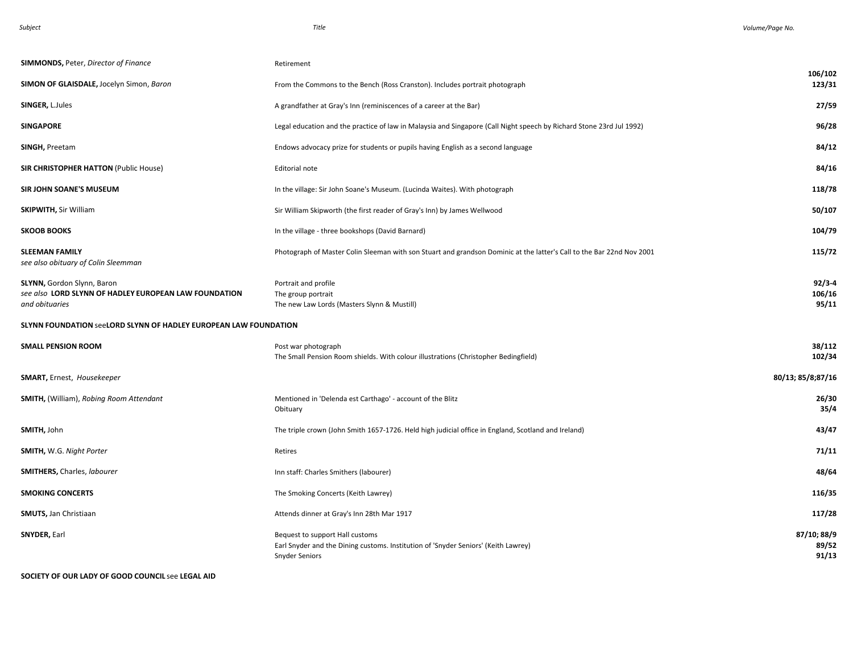| <b>SIMMONDS, Peter, Director of Finance</b>                                                           | Retirement                                                                                                                                     |                               |
|-------------------------------------------------------------------------------------------------------|------------------------------------------------------------------------------------------------------------------------------------------------|-------------------------------|
| SIMON OF GLAISDALE, Jocelyn Simon, Baron                                                              | From the Commons to the Bench (Ross Cranston). Includes portrait photograph                                                                    | 106/102<br>123/31             |
| SINGER, L.Jules                                                                                       | A grandfather at Gray's Inn (reminiscences of a career at the Bar)                                                                             | 27/59                         |
| <b>SINGAPORE</b>                                                                                      | Legal education and the practice of law in Malaysia and Singapore (Call Night speech by Richard Stone 23rd Jul 1992)                           | 96/28                         |
| SINGH, Preetam                                                                                        | Endows advocacy prize for students or pupils having English as a second language                                                               | 84/12                         |
| <b>SIR CHRISTOPHER HATTON (Public House)</b>                                                          | Editorial note                                                                                                                                 | 84/16                         |
| <b>SIR JOHN SOANE'S MUSEUM</b>                                                                        | In the village: Sir John Soane's Museum. (Lucinda Waites). With photograph                                                                     | 118/78                        |
| <b>SKIPWITH, Sir William</b>                                                                          | Sir William Skipworth (the first reader of Gray's Inn) by James Wellwood                                                                       | 50/107                        |
| <b>SKOOB BOOKS</b>                                                                                    | In the village - three bookshops (David Barnard)                                                                                               | 104/79                        |
| <b>SLEEMAN FAMILY</b><br>see also obituary of Colin Sleemman                                          | Photograph of Master Colin Sleeman with son Stuart and grandson Dominic at the latter's Call to the Bar 22nd Nov 2001                          | 115/72                        |
| SLYNN, Gordon Slynn, Baron<br>see also LORD SLYNN OF HADLEY EUROPEAN LAW FOUNDATION<br>and obituaries | Portrait and profile<br>The group portrait<br>The new Law Lords (Masters Slynn & Mustill)                                                      | $92/3 - 4$<br>106/16<br>95/11 |
| <b>SLYNN FOUNDATION SeeLORD SLYNN OF HADLEY EUROPEAN LAW FOUNDATION</b>                               |                                                                                                                                                |                               |
| <b>SMALL PENSION ROOM</b>                                                                             | Post war photograph<br>The Small Pension Room shields. With colour illustrations (Christopher Bedingfield)                                     | 38/112<br>102/34              |
| <b>SMART, Ernest, Housekeeper</b>                                                                     |                                                                                                                                                | 80/13; 85/8;87/16             |
| <b>SMITH, (William), Robing Room Attendant</b>                                                        | Mentioned in 'Delenda est Carthago' - account of the Blitz<br>Obituary                                                                         | 26/30<br>35/4                 |
| SMITH, John                                                                                           | The triple crown (John Smith 1657-1726. Held high judicial office in England, Scotland and Ireland)                                            | 43/47                         |
| <b>SMITH, W.G. Night Porter</b>                                                                       | Retires                                                                                                                                        | 71/11                         |
| <b>SMITHERS, Charles, labourer</b>                                                                    | Inn staff: Charles Smithers (labourer)                                                                                                         | 48/64                         |
| <b>SMOKING CONCERTS</b>                                                                               | The Smoking Concerts (Keith Lawrey)                                                                                                            | 116/35                        |
| <b>SMUTS, Jan Christiaan</b>                                                                          | Attends dinner at Gray's Inn 28th Mar 1917                                                                                                     | 117/28                        |
| SNYDER, Earl                                                                                          | Bequest to support Hall customs<br>Earl Snyder and the Dining customs. Institution of 'Snyder Seniors' (Keith Lawrey)<br><b>Snyder Seniors</b> | 87/10; 88/9<br>89/52<br>91/13 |

**SOCIETY OF OUR LADY OF GOOD COUNCIL** see **LEGAL AID**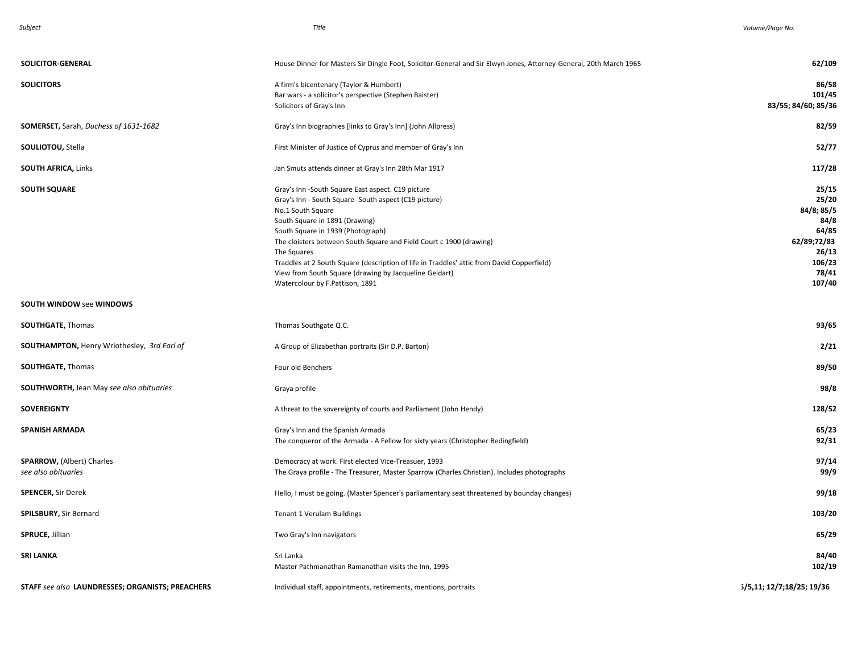| SOLICITOR-GENERAL                                       | House Dinner for Masters Sir Dingle Foot, Solicitor-General and Sir Elwyn Jones, Attorney-General, 20th March 1965                                                                                                                                                                                                                                                                                                                                                                      | 62/109                                                                                             |
|---------------------------------------------------------|-----------------------------------------------------------------------------------------------------------------------------------------------------------------------------------------------------------------------------------------------------------------------------------------------------------------------------------------------------------------------------------------------------------------------------------------------------------------------------------------|----------------------------------------------------------------------------------------------------|
| <b>SOLICITORS</b>                                       | A firm's bicentenary (Taylor & Humbert)<br>Bar wars - a solicitor's perspective (Stephen Baister)<br>Solicitors of Gray's Inn                                                                                                                                                                                                                                                                                                                                                           | 86/58<br>101/45<br>83/55; 84/60; 85/36                                                             |
| SOMERSET, Sarah, Duchess of 1631-1682                   | Gray's Inn biographies [links to Gray's Inn] (John Allpress)                                                                                                                                                                                                                                                                                                                                                                                                                            | 82/59                                                                                              |
| <b>SOULIOTOU, Stella</b>                                | First Minister of Justice of Cyprus and member of Gray's Inn                                                                                                                                                                                                                                                                                                                                                                                                                            | 52/77                                                                                              |
| <b>SOUTH AFRICA, Links</b>                              | Jan Smuts attends dinner at Gray's Inn 28th Mar 1917                                                                                                                                                                                                                                                                                                                                                                                                                                    | 117/28                                                                                             |
| <b>SOUTH SQUARE</b>                                     | Gray's Inn -South Square East aspect. C19 picture<br>Gray's Inn - South Square- South aspect (C19 picture)<br>No.1 South Square<br>South Square in 1891 (Drawing)<br>South Square in 1939 (Photograph)<br>The cloisters between South Square and Field Court c 1900 (drawing)<br>The Squares<br>Traddles at 2 South Square (description of life in Traddles' attic from David Copperfield)<br>View from South Square (drawing by Jacqueline Geldart)<br>Watercolour by F.Pattison, 1891 | 25/15<br>25/20<br>84/8; 85/5<br>84/8<br>64/85<br>62/89;72/83<br>26/13<br>106/23<br>78/41<br>107/40 |
| <b>SOUTH WINDOW see WINDOWS</b>                         |                                                                                                                                                                                                                                                                                                                                                                                                                                                                                         |                                                                                                    |
| <b>SOUTHGATE, Thomas</b>                                | Thomas Southgate Q.C.                                                                                                                                                                                                                                                                                                                                                                                                                                                                   | 93/65                                                                                              |
| SOUTHAMPTON, Henry Wriothesley, 3rd Earl of             | A Group of Elizabethan portraits (Sir D.P. Barton)                                                                                                                                                                                                                                                                                                                                                                                                                                      | 2/21                                                                                               |
| <b>SOUTHGATE, Thomas</b>                                | Four old Benchers                                                                                                                                                                                                                                                                                                                                                                                                                                                                       | 89/50                                                                                              |
| <b>SOUTHWORTH, Jean May see also obituaries</b>         | Graya profile                                                                                                                                                                                                                                                                                                                                                                                                                                                                           | 98/8                                                                                               |
| <b>SOVEREIGNTY</b>                                      | A threat to the sovereignty of courts and Parliament (John Hendy)                                                                                                                                                                                                                                                                                                                                                                                                                       | 128/52                                                                                             |
| <b>SPANISH ARMADA</b>                                   | Gray's Inn and the Spanish Armada<br>The conqueror of the Armada - A Fellow for sixty years (Christopher Bedingfield)                                                                                                                                                                                                                                                                                                                                                                   | 65/23<br>92/31                                                                                     |
| <b>SPARROW, (Albert) Charles</b><br>see also obituaries | Democracy at work. First elected Vice-Treasuer, 1993<br>The Graya profile - The Treasurer, Master Sparrow (Charles Christian). Includes photographs                                                                                                                                                                                                                                                                                                                                     | 97/14<br>99/9                                                                                      |
| <b>SPENCER, Sir Derek</b>                               | Hello, I must be going. (Master Spencer's parliamentary seat threatened by bounday changes)                                                                                                                                                                                                                                                                                                                                                                                             | 99/18                                                                                              |
| <b>SPILSBURY, Sir Bernard</b>                           | Tenant 1 Verulam Buildings                                                                                                                                                                                                                                                                                                                                                                                                                                                              | 103/20                                                                                             |
| SPRUCE, Jillian                                         | Two Gray's Inn navigators                                                                                                                                                                                                                                                                                                                                                                                                                                                               | 65/29                                                                                              |
| <b>SRI LANKA</b>                                        | Sri Lanka<br>Master Pathmanathan Ramanathan visits the Inn, 1995                                                                                                                                                                                                                                                                                                                                                                                                                        | 84/40<br>102/19                                                                                    |
| STAFF see also LAUNDRESSES; ORGANISTS; PREACHERS        | Individual staff, appointments, retirements, mentions, portraits                                                                                                                                                                                                                                                                                                                                                                                                                        | 5/5,11; 12/7;18/25; 19/36                                                                          |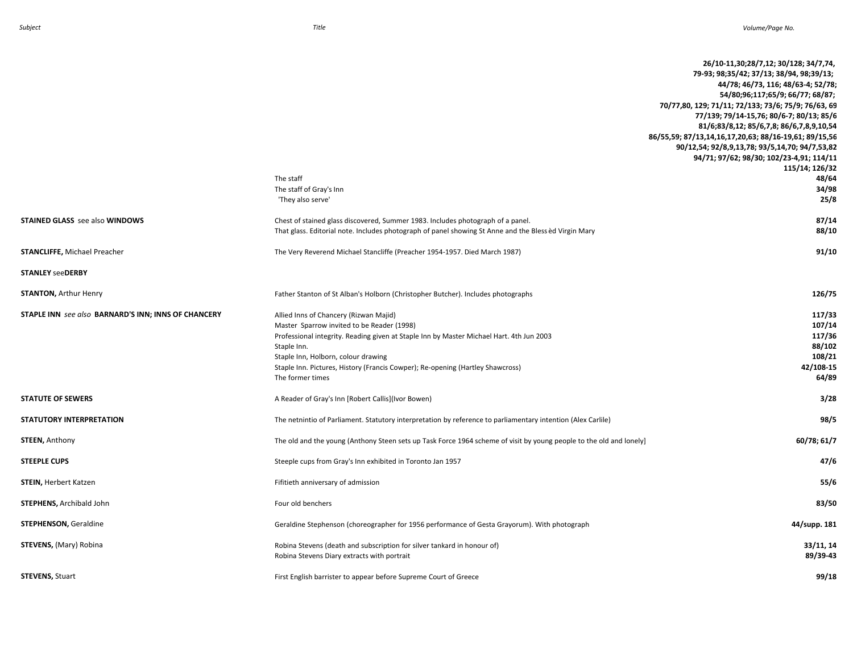|                                                     | The staff<br>The staff of Gray's Inn<br>'They also serve'                                                                                                                                                                                                                                                                                    | 26/10-11,30;28/7,12; 30/128; 34/7,74,<br>79-93; 98;35/42; 37/13; 38/94, 98;39/13;<br>44/78; 46/73, 116; 48/63-4; 52/78;<br>54/80;96;117;65/9; 66/77; 68/87;<br>70/77,80, 129; 71/11; 72/133; 73/6; 75/9; 76/63, 69<br>77/139; 79/14-15,76; 80/6-7; 80/13; 85/6<br>81/6;83/8,12; 85/6,7,8; 86/6,7,8,9,10,54<br>86/55,59; 87/13,14,16,17,20,63; 88/16-19,61; 89/15,56<br>90/12,54; 92/8,9,13,78; 93/5,14,70; 94/7,53,82<br>94/71; 97/62; 98/30; 102/23-4,91; 114/11<br>115/14; 126/32<br>48/64<br>34/98<br>25/8 |
|-----------------------------------------------------|----------------------------------------------------------------------------------------------------------------------------------------------------------------------------------------------------------------------------------------------------------------------------------------------------------------------------------------------|---------------------------------------------------------------------------------------------------------------------------------------------------------------------------------------------------------------------------------------------------------------------------------------------------------------------------------------------------------------------------------------------------------------------------------------------------------------------------------------------------------------|
| <b>STAINED GLASS</b> see also WINDOWS               | Chest of stained glass discovered, Summer 1983. Includes photograph of a panel.<br>That glass. Editorial note. Includes photograph of panel showing St Anne and the Bless ed Virgin Mary                                                                                                                                                     | 87/14<br>88/10                                                                                                                                                                                                                                                                                                                                                                                                                                                                                                |
| STANCLIFFE, Michael Preacher                        | The Very Reverend Michael Stancliffe (Preacher 1954-1957. Died March 1987)                                                                                                                                                                                                                                                                   | 91/10                                                                                                                                                                                                                                                                                                                                                                                                                                                                                                         |
| <b>STANLEY seeDERBY</b>                             |                                                                                                                                                                                                                                                                                                                                              |                                                                                                                                                                                                                                                                                                                                                                                                                                                                                                               |
| <b>STANTON, Arthur Henry</b>                        | Father Stanton of St Alban's Holborn (Christopher Butcher). Includes photographs                                                                                                                                                                                                                                                             | 126/75                                                                                                                                                                                                                                                                                                                                                                                                                                                                                                        |
| STAPLE INN see also BARNARD'S INN; INNS OF CHANCERY | Allied Inns of Chancery (Rizwan Majid)<br>Master Sparrow invited to be Reader (1998)<br>Professional integrity. Reading given at Staple Inn by Master Michael Hart. 4th Jun 2003<br>Staple Inn.<br>Staple Inn, Holborn, colour drawing<br>Staple Inn. Pictures, History (Francis Cowper); Re-opening (Hartley Shawcross)<br>The former times | 117/33<br>107/14<br>117/36<br>88/102<br>108/21<br>42/108-15<br>64/89                                                                                                                                                                                                                                                                                                                                                                                                                                          |
| <b>STATUTE OF SEWERS</b>                            | A Reader of Gray's Inn [Robert Callis](Ivor Bowen)                                                                                                                                                                                                                                                                                           | 3/28                                                                                                                                                                                                                                                                                                                                                                                                                                                                                                          |
| STATUTORY INTERPRETATION                            | The netnintio of Parliament. Statutory interpretation by reference to parliamentary intention (Alex Carlile)                                                                                                                                                                                                                                 | 98/5                                                                                                                                                                                                                                                                                                                                                                                                                                                                                                          |
| <b>STEEN, Anthony</b>                               | The old and the young (Anthony Steen sets up Task Force 1964 scheme of visit by young people to the old and lonely)                                                                                                                                                                                                                          | 60/78; 61/7                                                                                                                                                                                                                                                                                                                                                                                                                                                                                                   |
| <b>STEEPLE CUPS</b>                                 | Steeple cups from Gray's Inn exhibited in Toronto Jan 1957                                                                                                                                                                                                                                                                                   | 47/6                                                                                                                                                                                                                                                                                                                                                                                                                                                                                                          |
| STEIN, Herbert Katzen                               | Fifitieth anniversary of admission                                                                                                                                                                                                                                                                                                           | 55/6                                                                                                                                                                                                                                                                                                                                                                                                                                                                                                          |
| STEPHENS, Archibald John                            | Four old benchers                                                                                                                                                                                                                                                                                                                            | 83/50                                                                                                                                                                                                                                                                                                                                                                                                                                                                                                         |
| STEPHENSON, Geraldine                               | Geraldine Stephenson (choreographer for 1956 performance of Gesta Grayorum). With photograph                                                                                                                                                                                                                                                 | 44/supp. 181                                                                                                                                                                                                                                                                                                                                                                                                                                                                                                  |
| STEVENS, (Mary) Robina                              | Robina Stevens (death and subscription for silver tankard in honour of)<br>Robina Stevens Diary extracts with portrait                                                                                                                                                                                                                       | 33/11, 14<br>89/39-43                                                                                                                                                                                                                                                                                                                                                                                                                                                                                         |
| <b>STEVENS, Stuart</b>                              | First English barrister to appear before Supreme Court of Greece                                                                                                                                                                                                                                                                             | 99/18                                                                                                                                                                                                                                                                                                                                                                                                                                                                                                         |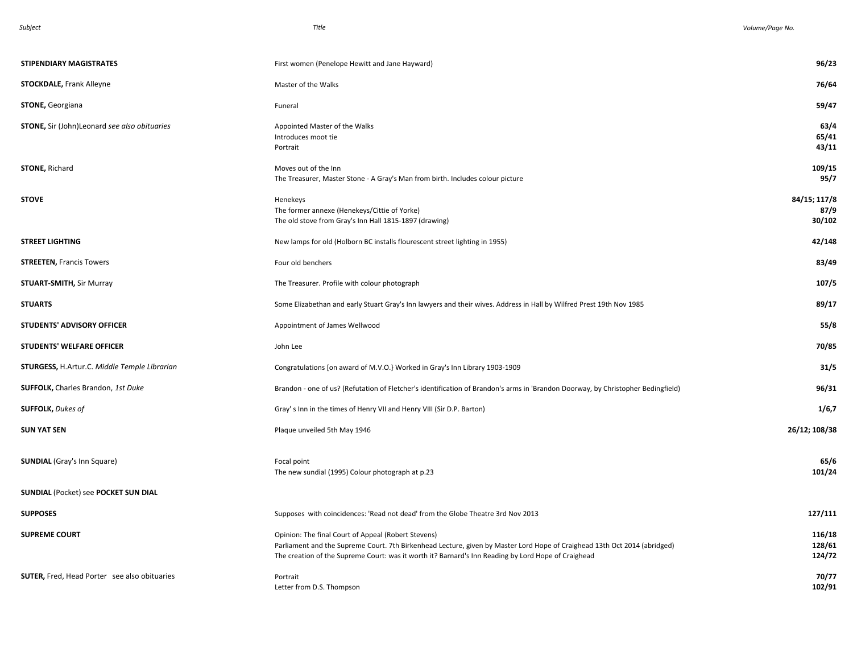| STIPENDIARY MAGISTRATES                             | First women (Penelope Hewitt and Jane Hayward)                                                                                                                                                                                                                                          | 96/23                          |
|-----------------------------------------------------|-----------------------------------------------------------------------------------------------------------------------------------------------------------------------------------------------------------------------------------------------------------------------------------------|--------------------------------|
| <b>STOCKDALE, Frank Alleyne</b>                     | Master of the Walks                                                                                                                                                                                                                                                                     | 76/64                          |
| <b>STONE, Georgiana</b>                             | Funeral                                                                                                                                                                                                                                                                                 | 59/47                          |
| <b>STONE, Sir (John)Leonard see also obituaries</b> | Appointed Master of the Walks<br>Introduces moot tie<br>Portrait                                                                                                                                                                                                                        | 63/4<br>65/41<br>43/11         |
| <b>STONE, Richard</b>                               | Moves out of the Inn<br>The Treasurer, Master Stone - A Gray's Man from birth. Includes colour picture                                                                                                                                                                                  | 109/15<br>95/7                 |
| <b>STOVE</b>                                        | Henekeys<br>The former annexe (Henekeys/Cittie of Yorke)<br>The old stove from Gray's Inn Hall 1815-1897 (drawing)                                                                                                                                                                      | 84/15; 117/8<br>87/9<br>30/102 |
| <b>STREET LIGHTING</b>                              | New lamps for old (Holborn BC installs flourescent street lighting in 1955)                                                                                                                                                                                                             | 42/148                         |
| <b>STREETEN, Francis Towers</b>                     | Four old benchers                                                                                                                                                                                                                                                                       | 83/49                          |
| <b>STUART-SMITH, Sir Murray</b>                     | The Treasurer. Profile with colour photograph                                                                                                                                                                                                                                           | 107/5                          |
| <b>STUARTS</b>                                      | Some Elizabethan and early Stuart Gray's Inn lawyers and their wives. Address in Hall by Wilfred Prest 19th Nov 1985                                                                                                                                                                    | 89/17                          |
| STUDENTS' ADVISORY OFFICER                          | Appointment of James Wellwood                                                                                                                                                                                                                                                           | 55/8                           |
| <b>STUDENTS' WELFARE OFFICER</b>                    | John Lee                                                                                                                                                                                                                                                                                | 70/85                          |
| <b>STURGESS, H.Artur.C. Middle Temple Librarian</b> | Congratulations [on award of M.V.O.} Worked in Gray's Inn Library 1903-1909                                                                                                                                                                                                             | 31/5                           |
| <b>SUFFOLK, Charles Brandon, 1st Duke</b>           | Brandon - one of us? (Refutation of Fletcher's identification of Brandon's arms in 'Brandon Doorway, by Christopher Bedingfield)                                                                                                                                                        | 96/31                          |
| <b>SUFFOLK, Dukes of</b>                            | Gray's Inn in the times of Henry VII and Henry VIII (Sir D.P. Barton)                                                                                                                                                                                                                   | 1/6,7                          |
| <b>SUN YAT SEN</b>                                  | Plaque unveiled 5th May 1946                                                                                                                                                                                                                                                            | 26/12; 108/38                  |
| <b>SUNDIAL</b> (Gray's Inn Square)                  | Focal point<br>The new sundial (1995) Colour photograph at p.23                                                                                                                                                                                                                         | 65/6<br>101/24                 |
| <b>SUNDIAL (Pocket) see POCKET SUN DIAL</b>         |                                                                                                                                                                                                                                                                                         |                                |
| <b>SUPPOSES</b>                                     | Supposes with coincidences: 'Read not dead' from the Globe Theatre 3rd Nov 2013                                                                                                                                                                                                         | 127/111                        |
| <b>SUPREME COURT</b>                                | Opinion: The final Court of Appeal (Robert Stevens)<br>Parliament and the Supreme Court. 7th Birkenhead Lecture, given by Master Lord Hope of Craighead 13th Oct 2014 (abridged)<br>The creation of the Supreme Court: was it worth it? Barnard's Inn Reading by Lord Hope of Craighead | 116/18<br>128/61<br>124/72     |
| SUTER, Fred, Head Porter see also obituaries        | Portrait<br>Letter from D.S. Thompson                                                                                                                                                                                                                                                   | 70/77<br>102/91                |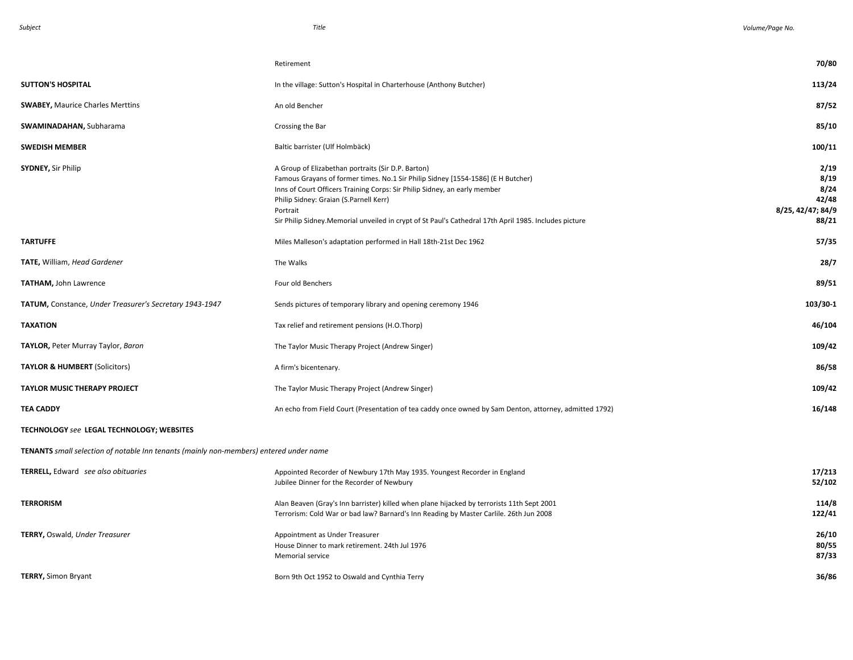|                                                                                               | Retirement                                                                                                                                                                                                                                                                                                                                                                          | 70/80                                                       |
|-----------------------------------------------------------------------------------------------|-------------------------------------------------------------------------------------------------------------------------------------------------------------------------------------------------------------------------------------------------------------------------------------------------------------------------------------------------------------------------------------|-------------------------------------------------------------|
| <b>SUTTON'S HOSPITAL</b>                                                                      | In the village: Sutton's Hospital in Charterhouse (Anthony Butcher)                                                                                                                                                                                                                                                                                                                 | 113/24                                                      |
| <b>SWABEY, Maurice Charles Merttins</b>                                                       | An old Bencher                                                                                                                                                                                                                                                                                                                                                                      | 87/52                                                       |
| <b>SWAMINADAHAN, Subharama</b>                                                                | Crossing the Bar                                                                                                                                                                                                                                                                                                                                                                    | 85/10                                                       |
| <b>SWEDISH MEMBER</b>                                                                         | Baltic barrister (Ulf Holmbäck)                                                                                                                                                                                                                                                                                                                                                     | 100/11                                                      |
| <b>SYDNEY, Sir Philip</b>                                                                     | A Group of Elizabethan portraits (Sir D.P. Barton)<br>Famous Grayans of former times. No.1 Sir Philip Sidney [1554-1586] (E H Butcher)<br>Inns of Court Officers Training Corps: Sir Philip Sidney, an early member<br>Philip Sidney: Graian (S.Parnell Kerr)<br>Portrait<br>Sir Philip Sidney. Memorial unveiled in crypt of St Paul's Cathedral 17th April 1985. Includes picture | 2/19<br>8/19<br>8/24<br>42/48<br>8/25, 42/47; 84/9<br>88/21 |
| <b>TARTUFFE</b>                                                                               | Miles Malleson's adaptation performed in Hall 18th-21st Dec 1962                                                                                                                                                                                                                                                                                                                    | 57/35                                                       |
| TATE, William, Head Gardener                                                                  | The Walks                                                                                                                                                                                                                                                                                                                                                                           | 28/7                                                        |
| <b>TATHAM, John Lawrence</b>                                                                  | Four old Benchers                                                                                                                                                                                                                                                                                                                                                                   | 89/51                                                       |
| TATUM, Constance, Under Treasurer's Secretary 1943-1947                                       | Sends pictures of temporary library and opening ceremony 1946                                                                                                                                                                                                                                                                                                                       | 103/30-1                                                    |
| <b>TAXATION</b>                                                                               | Tax relief and retirement pensions (H.O.Thorp)                                                                                                                                                                                                                                                                                                                                      | 46/104                                                      |
| TAYLOR, Peter Murray Taylor, Baron                                                            | The Taylor Music Therapy Project (Andrew Singer)                                                                                                                                                                                                                                                                                                                                    | 109/42                                                      |
| <b>TAYLOR &amp; HUMBERT (Solicitors)</b>                                                      | A firm's bicentenary.                                                                                                                                                                                                                                                                                                                                                               | 86/58                                                       |
| <b>TAYLOR MUSIC THERAPY PROJECT</b>                                                           | The Taylor Music Therapy Project (Andrew Singer)                                                                                                                                                                                                                                                                                                                                    | 109/42                                                      |
| <b>TEA CADDY</b>                                                                              | An echo from Field Court (Presentation of tea caddy once owned by Sam Denton, attorney, admitted 1792)                                                                                                                                                                                                                                                                              | 16/148                                                      |
| TECHNOLOGY see LEGAL TECHNOLOGY; WEBSITES                                                     |                                                                                                                                                                                                                                                                                                                                                                                     |                                                             |
| <b>TENANTS</b> small selection of notable Inn tenants (mainly non-members) entered under name |                                                                                                                                                                                                                                                                                                                                                                                     |                                                             |
| TERRELL, Edward see also obituaries                                                           | Appointed Recorder of Newbury 17th May 1935. Youngest Recorder in England<br>Jubilee Dinner for the Recorder of Newbury                                                                                                                                                                                                                                                             | 17/213<br>52/102                                            |
| <b>TERRORISM</b>                                                                              | Alan Beaven (Gray's Inn barrister) killed when plane hijacked by terrorists 11th Sept 2001<br>Terrorism: Cold War or bad law? Barnard's Inn Reading by Master Carlile. 26th Jun 2008                                                                                                                                                                                                | 114/8<br>122/41                                             |
| TERRY, Oswald, Under Treasurer                                                                | Appointment as Under Treasurer<br>House Dinner to mark retirement. 24th Jul 1976<br>Memorial service                                                                                                                                                                                                                                                                                | 26/10<br>80/55<br>87/33                                     |
| <b>TERRY, Simon Bryant</b>                                                                    | Born 9th Oct 1952 to Oswald and Cynthia Terry                                                                                                                                                                                                                                                                                                                                       | 36/86                                                       |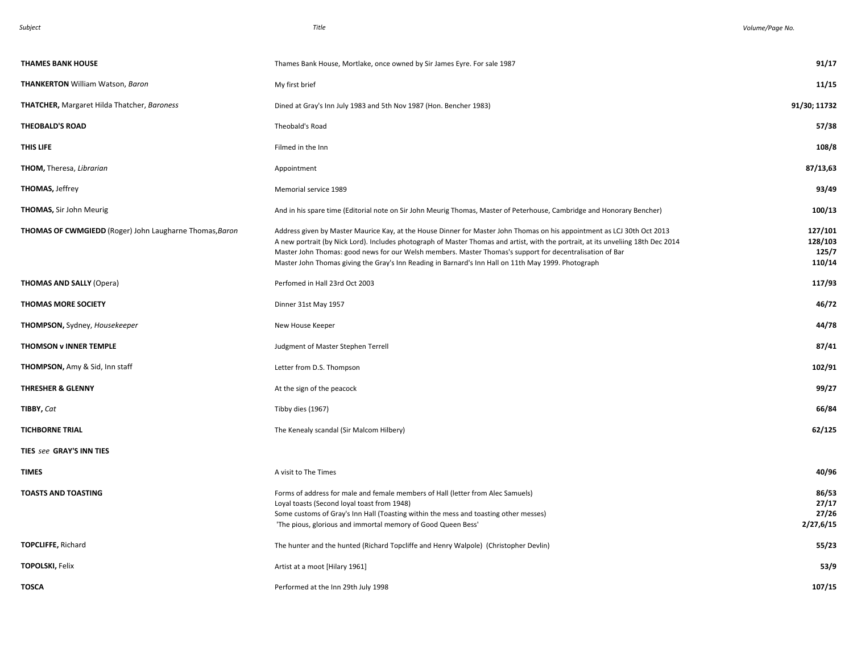| <b>THAMES BANK HOUSE</b>                                       | Thames Bank House, Mortlake, once owned by Sir James Eyre. For sale 1987                                                                                                                                                                                                                                                                                                                                                                                                        | 91/17                                 |
|----------------------------------------------------------------|---------------------------------------------------------------------------------------------------------------------------------------------------------------------------------------------------------------------------------------------------------------------------------------------------------------------------------------------------------------------------------------------------------------------------------------------------------------------------------|---------------------------------------|
| <b>THANKERTON</b> William Watson, Baron                        | My first brief                                                                                                                                                                                                                                                                                                                                                                                                                                                                  | 11/15                                 |
| <b>THATCHER, Margaret Hilda Thatcher, Baroness</b>             | Dined at Gray's Inn July 1983 and 5th Nov 1987 (Hon. Bencher 1983)                                                                                                                                                                                                                                                                                                                                                                                                              | 91/30; 11732                          |
| <b>THEOBALD'S ROAD</b>                                         | Theobald's Road                                                                                                                                                                                                                                                                                                                                                                                                                                                                 | 57/38                                 |
| THIS LIFE                                                      | Filmed in the Inn                                                                                                                                                                                                                                                                                                                                                                                                                                                               | 108/8                                 |
| THOM, Theresa, Librarian                                       | Appointment                                                                                                                                                                                                                                                                                                                                                                                                                                                                     | 87/13,63                              |
| <b>THOMAS, Jeffrey</b>                                         | Memorial service 1989                                                                                                                                                                                                                                                                                                                                                                                                                                                           | 93/49                                 |
| <b>THOMAS, Sir John Meurig</b>                                 | And in his spare time (Editorial note on Sir John Meurig Thomas, Master of Peterhouse, Cambridge and Honorary Bencher)                                                                                                                                                                                                                                                                                                                                                          | 100/13                                |
| <b>THOMAS OF CWMGIEDD</b> (Roger) John Laugharne Thomas, Baron | Address given by Master Maurice Kay, at the House Dinner for Master John Thomas on his appointment as LCJ 30th Oct 2013<br>A new portrait (by Nick Lord). Includes photograph of Master Thomas and artist, with the portrait, at its unveliing 18th Dec 2014<br>Master John Thomas: good news for our Welsh members. Master Thomas's support for decentralisation of Bar<br>Master John Thomas giving the Gray's Inn Reading in Barnard's Inn Hall on 11th May 1999. Photograph | 127/101<br>128/103<br>125/7<br>110/14 |
| <b>THOMAS AND SALLY (Opera)</b>                                | Perfomed in Hall 23rd Oct 2003                                                                                                                                                                                                                                                                                                                                                                                                                                                  | 117/93                                |
| <b>THOMAS MORE SOCIETY</b>                                     | Dinner 31st May 1957                                                                                                                                                                                                                                                                                                                                                                                                                                                            | 46/72                                 |
| <b>THOMPSON, Sydney, Housekeeper</b>                           | New House Keeper                                                                                                                                                                                                                                                                                                                                                                                                                                                                | 44/78                                 |
| <b>THOMSON v INNER TEMPLE</b>                                  | Judgment of Master Stephen Terrell                                                                                                                                                                                                                                                                                                                                                                                                                                              | 87/41                                 |
| THOMPSON, Amy & Sid, Inn staff                                 | Letter from D.S. Thompson                                                                                                                                                                                                                                                                                                                                                                                                                                                       | 102/91                                |
| <b>THRESHER &amp; GLENNY</b>                                   | At the sign of the peacock                                                                                                                                                                                                                                                                                                                                                                                                                                                      | 99/27                                 |
| TIBBY, Cat                                                     | Tibby dies (1967)                                                                                                                                                                                                                                                                                                                                                                                                                                                               | 66/84                                 |
| <b>TICHBORNE TRIAL</b>                                         | The Kenealy scandal (Sir Malcom Hilbery)                                                                                                                                                                                                                                                                                                                                                                                                                                        | 62/125                                |
| TIES see GRAY'S INN TIES                                       |                                                                                                                                                                                                                                                                                                                                                                                                                                                                                 |                                       |
| <b>TIMES</b>                                                   | A visit to The Times                                                                                                                                                                                                                                                                                                                                                                                                                                                            | 40/96                                 |
| <b>TOASTS AND TOASTING</b>                                     | Forms of address for male and female members of Hall (letter from Alec Samuels)<br>Loyal toasts (Second loyal toast from 1948)<br>Some customs of Gray's Inn Hall (Toasting within the mess and toasting other messes)<br>'The pious, glorious and immortal memory of Good Queen Bess'                                                                                                                                                                                          | 86/53<br>27/17<br>27/26<br>2/27,6/15  |
| <b>TOPCLIFFE, Richard</b>                                      | The hunter and the hunted (Richard Topcliffe and Henry Walpole) (Christopher Devlin)                                                                                                                                                                                                                                                                                                                                                                                            | 55/23                                 |
| <b>TOPOLSKI, Felix</b>                                         | Artist at a moot [Hilary 1961]                                                                                                                                                                                                                                                                                                                                                                                                                                                  | 53/9                                  |
| <b>TOSCA</b>                                                   | Performed at the Inn 29th July 1998                                                                                                                                                                                                                                                                                                                                                                                                                                             | 107/15                                |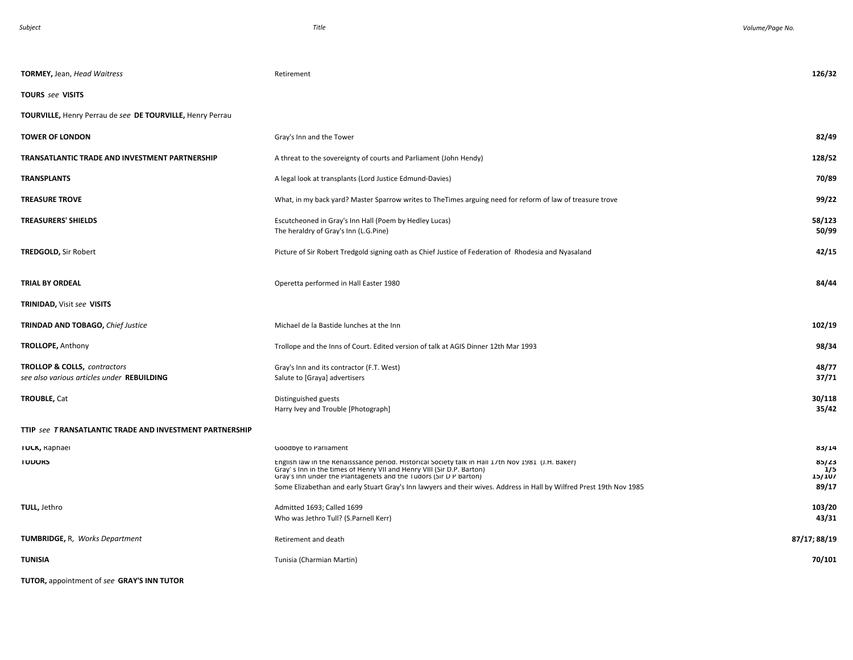| <b>TORMEY, Jean, Head Waitress</b>                                                    | Retirement                                                                                                                                                                                                                                                                                                                                                               | 126/32                          |
|---------------------------------------------------------------------------------------|--------------------------------------------------------------------------------------------------------------------------------------------------------------------------------------------------------------------------------------------------------------------------------------------------------------------------------------------------------------------------|---------------------------------|
| <b>TOURS</b> see VISITS                                                               |                                                                                                                                                                                                                                                                                                                                                                          |                                 |
| TOURVILLE, Henry Perrau de see DE TOURVILLE, Henry Perrau                             |                                                                                                                                                                                                                                                                                                                                                                          |                                 |
| <b>TOWER OF LONDON</b>                                                                | Gray's Inn and the Tower                                                                                                                                                                                                                                                                                                                                                 | 82/49                           |
| TRANSATLANTIC TRADE AND INVESTMENT PARTNERSHIP                                        | A threat to the sovereignty of courts and Parliament (John Hendy)                                                                                                                                                                                                                                                                                                        | 128/52                          |
| <b>TRANSPLANTS</b>                                                                    | A legal look at transplants (Lord Justice Edmund-Davies)                                                                                                                                                                                                                                                                                                                 | 70/89                           |
| <b>TREASURE TROVE</b>                                                                 | What, in my back yard? Master Sparrow writes to TheTimes arguing need for reform of law of treasure trove                                                                                                                                                                                                                                                                | 99/22                           |
| <b>TREASURERS' SHIELDS</b>                                                            | Escutcheoned in Gray's Inn Hall (Poem by Hedley Lucas)<br>The heraldry of Gray's Inn (L.G.Pine)                                                                                                                                                                                                                                                                          | 58/123<br>50/99                 |
| <b>TREDGOLD, Sir Robert</b>                                                           | Picture of Sir Robert Tredgold signing oath as Chief Justice of Federation of Rhodesia and Nyasaland                                                                                                                                                                                                                                                                     | 42/15                           |
| TRIAL BY ORDEAL                                                                       | Operetta performed in Hall Easter 1980                                                                                                                                                                                                                                                                                                                                   | 84/44                           |
| TRINIDAD, Visit see VISITS                                                            |                                                                                                                                                                                                                                                                                                                                                                          |                                 |
| <b>TRINDAD AND TOBAGO, Chief Justice</b>                                              | Michael de la Bastide lunches at the Inn                                                                                                                                                                                                                                                                                                                                 | 102/19                          |
| <b>TROLLOPE, Anthony</b>                                                              | Trollope and the Inns of Court. Edited version of talk at AGIS Dinner 12th Mar 1993                                                                                                                                                                                                                                                                                      | 98/34                           |
| <b>TROLLOP &amp; COLLS, contractors</b><br>see also various articles under REBUILDING | Gray's Inn and its contractor (F.T. West)<br>Salute to [Graya] advertisers                                                                                                                                                                                                                                                                                               | 48/77<br>37/71                  |
| <b>TROUBLE, Cat</b>                                                                   | Distinguished guests<br>Harry Ivey and Trouble [Photograph]                                                                                                                                                                                                                                                                                                              | 30/118<br>35/42                 |
| TTIP see TRANSATLANTIC TRADE AND INVESTMENT PARTNERSHIP                               |                                                                                                                                                                                                                                                                                                                                                                          |                                 |
| IUCK, Kapnaei                                                                         | Goodbye to Parliament                                                                                                                                                                                                                                                                                                                                                    | 83/14                           |
| <b>TUDORS</b>                                                                         | English law in the Renaisssance period. Historical Society talk in Hall 17th Nov 1981 (J.H. Baker)<br>Gray's Inn in the times of Henry VII and Henry VIII (Sir D.P. Barton)<br>Gray's Inn under the Plantagenets and the Tudors (Sir D P Barton)<br>Some Elizabethan and early Stuart Gray's Inn lawyers and their wives. Address in Hall by Wilfred Prest 19th Nov 1985 | 85/23<br>1/5<br>15/107<br>89/17 |
| TULL, Jethro                                                                          | Admitted 1693; Called 1699<br>Who was Jethro Tull? (S.Parnell Kerr)                                                                                                                                                                                                                                                                                                      | 103/20<br>43/31                 |
| <b>TUMBRIDGE, R, Works Department</b>                                                 | Retirement and death                                                                                                                                                                                                                                                                                                                                                     | 87/17; 88/19                    |
| <b>TUNISIA</b>                                                                        | Tunisia (Charmian Martin)                                                                                                                                                                                                                                                                                                                                                | 70/101                          |

**TUTOR,** appointment of *see* **GRAY'S INN TUTOR**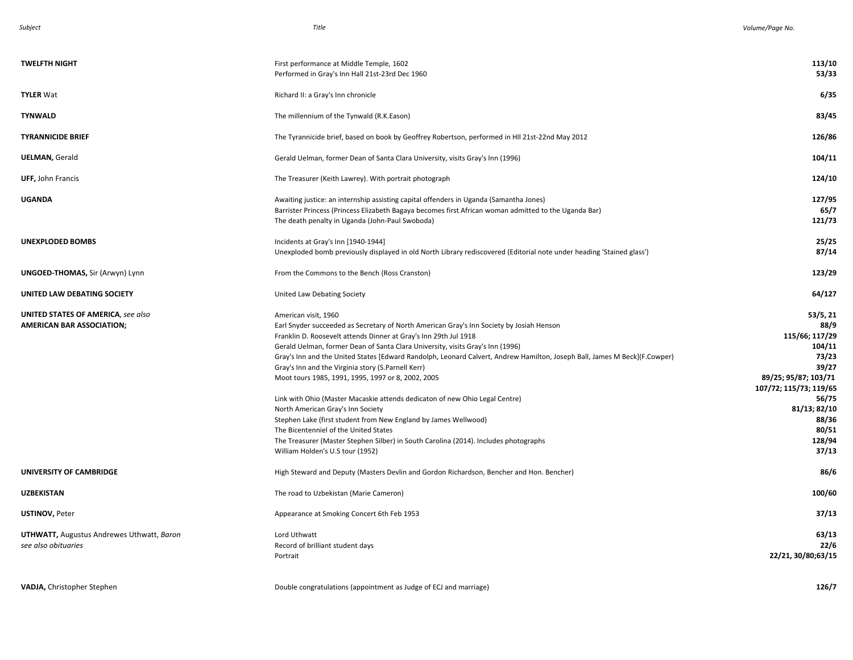| <b>TWELFTH NIGHT</b>                                                          | First performance at Middle Temple, 1602<br>Performed in Gray's Inn Hall 21st-23rd Dec 1960                                                                                                                                                                                                                                                                                                                                                                                                                                                                                                                                                                                                                                                                                                                                                                                 | 113/10<br>53/33                                                                                                                                                                |
|-------------------------------------------------------------------------------|-----------------------------------------------------------------------------------------------------------------------------------------------------------------------------------------------------------------------------------------------------------------------------------------------------------------------------------------------------------------------------------------------------------------------------------------------------------------------------------------------------------------------------------------------------------------------------------------------------------------------------------------------------------------------------------------------------------------------------------------------------------------------------------------------------------------------------------------------------------------------------|--------------------------------------------------------------------------------------------------------------------------------------------------------------------------------|
| <b>TYLER Wat</b>                                                              | Richard II: a Gray's Inn chronicle                                                                                                                                                                                                                                                                                                                                                                                                                                                                                                                                                                                                                                                                                                                                                                                                                                          | 6/35                                                                                                                                                                           |
| <b>TYNWALD</b>                                                                | The millennium of the Tynwald (R.K.Eason)                                                                                                                                                                                                                                                                                                                                                                                                                                                                                                                                                                                                                                                                                                                                                                                                                                   | 83/45                                                                                                                                                                          |
| <b>TYRANNICIDE BRIEF</b>                                                      | The Tyrannicide brief, based on book by Geoffrey Robertson, performed in HII 21st-22nd May 2012                                                                                                                                                                                                                                                                                                                                                                                                                                                                                                                                                                                                                                                                                                                                                                             | 126/86                                                                                                                                                                         |
| <b>UELMAN, Gerald</b>                                                         | Gerald Uelman, former Dean of Santa Clara University, visits Gray's Inn (1996)                                                                                                                                                                                                                                                                                                                                                                                                                                                                                                                                                                                                                                                                                                                                                                                              | 104/11                                                                                                                                                                         |
| UFF, John Francis                                                             | The Treasurer (Keith Lawrey). With portrait photograph                                                                                                                                                                                                                                                                                                                                                                                                                                                                                                                                                                                                                                                                                                                                                                                                                      | 124/10                                                                                                                                                                         |
| <b>UGANDA</b>                                                                 | Awaiting justice: an internship assisting capital offenders in Uganda (Samantha Jones)<br>Barrister Princess (Princess Elizabeth Bagaya becomes first African woman admitted to the Uganda Bar)<br>The death penalty in Uganda (John-Paul Swoboda)                                                                                                                                                                                                                                                                                                                                                                                                                                                                                                                                                                                                                          | 127/95<br>65/7<br>121/73                                                                                                                                                       |
| <b>UNEXPLODED BOMBS</b>                                                       | Incidents at Gray's Inn [1940-1944]<br>Unexploded bomb previously displayed in old North Library rediscovered (Editorial note under heading 'Stained glass')                                                                                                                                                                                                                                                                                                                                                                                                                                                                                                                                                                                                                                                                                                                | 25/25<br>87/14                                                                                                                                                                 |
| <b>UNGOED-THOMAS, Sir (Arwyn) Lynn</b>                                        | From the Commons to the Bench (Ross Cranston)                                                                                                                                                                                                                                                                                                                                                                                                                                                                                                                                                                                                                                                                                                                                                                                                                               | 123/29                                                                                                                                                                         |
| UNITED LAW DEBATING SOCIETY                                                   | United Law Debating Society                                                                                                                                                                                                                                                                                                                                                                                                                                                                                                                                                                                                                                                                                                                                                                                                                                                 | 64/127                                                                                                                                                                         |
| <b>UNITED STATES OF AMERICA, see also</b><br><b>AMERICAN BAR ASSOCIATION;</b> | American visit, 1960<br>Earl Snyder succeeded as Secretary of North American Gray's Inn Society by Josiah Henson<br>Franklin D. Roosevelt attends Dinner at Gray's Inn 29th Jul 1918<br>Gerald Uelman, former Dean of Santa Clara University, visits Gray's Inn (1996)<br>Gray's Inn and the United States [Edward Randolph, Leonard Calvert, Andrew Hamilton, Joseph Ball, James M Beck](F.Cowper)<br>Gray's Inn and the Virginia story (S.Parnell Kerr)<br>Moot tours 1985, 1991, 1995, 1997 or 8, 2002, 2005<br>Link with Ohio (Master Macaskie attends dedicaton of new Ohio Legal Centre)<br>North American Gray's Inn Society<br>Stephen Lake (first student from New England by James Wellwood)<br>The Bicentenniel of the United States<br>The Treasurer (Master Stephen Silber) in South Carolina (2014). Includes photographs<br>William Holden's U.S tour (1952) | 53/5, 21<br>88/9<br>115/66; 117/29<br>104/11<br>73/23<br>39/27<br>89/25; 95/87; 103/71<br>107/72; 115/73; 119/65<br>56/75<br>81/13; 82/10<br>88/36<br>80/51<br>128/94<br>37/13 |
| UNIVERSITY OF CAMBRIDGE                                                       | High Steward and Deputy (Masters Devlin and Gordon Richardson, Bencher and Hon. Bencher)                                                                                                                                                                                                                                                                                                                                                                                                                                                                                                                                                                                                                                                                                                                                                                                    | 86/6                                                                                                                                                                           |
| <b>UZBEKISTAN</b>                                                             | The road to Uzbekistan (Marie Cameron)                                                                                                                                                                                                                                                                                                                                                                                                                                                                                                                                                                                                                                                                                                                                                                                                                                      | 100/60                                                                                                                                                                         |
| <b>USTINOV, Peter</b>                                                         | Appearance at Smoking Concert 6th Feb 1953                                                                                                                                                                                                                                                                                                                                                                                                                                                                                                                                                                                                                                                                                                                                                                                                                                  | 37/13                                                                                                                                                                          |
| <b>UTHWATT, Augustus Andrewes Uthwatt, Baron</b><br>see also obituaries       | Lord Uthwatt<br>Record of brilliant student days<br>Portrait                                                                                                                                                                                                                                                                                                                                                                                                                                                                                                                                                                                                                                                                                                                                                                                                                | 63/13<br>22/6<br>22/21, 30/80;63/15                                                                                                                                            |
| VADJA, Christopher Stephen                                                    | Double congratulations (appointment as Judge of ECJ and marriage)                                                                                                                                                                                                                                                                                                                                                                                                                                                                                                                                                                                                                                                                                                                                                                                                           | 126/7                                                                                                                                                                          |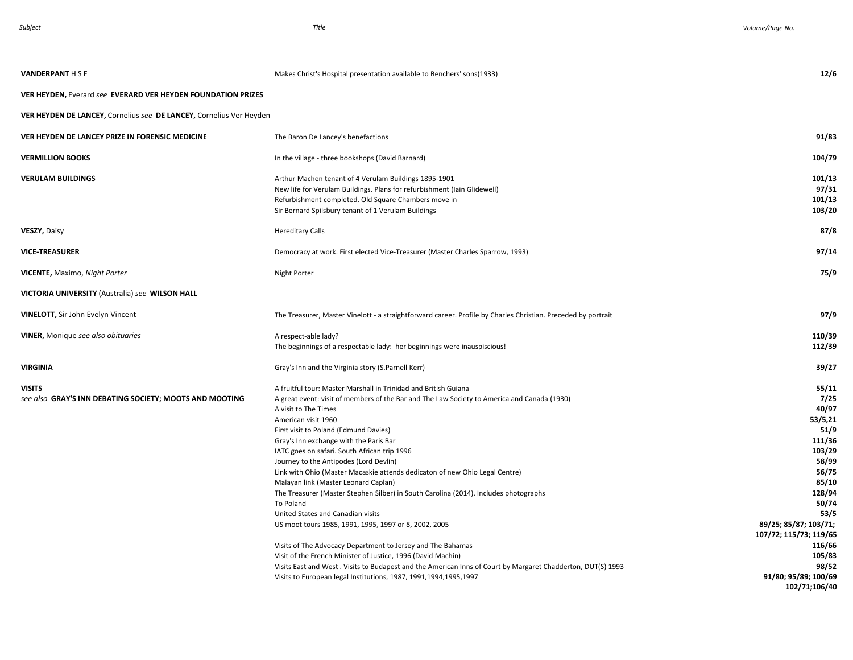| <b>VANDERPANT H S E</b>                                             | Makes Christ's Hospital presentation available to Benchers' sons(1933)                                                                                                                                                                                                                                                                                                                                                                                                                                                                                                                                                                                                                                               | 12/6                                                                                                                                                                   |
|---------------------------------------------------------------------|----------------------------------------------------------------------------------------------------------------------------------------------------------------------------------------------------------------------------------------------------------------------------------------------------------------------------------------------------------------------------------------------------------------------------------------------------------------------------------------------------------------------------------------------------------------------------------------------------------------------------------------------------------------------------------------------------------------------|------------------------------------------------------------------------------------------------------------------------------------------------------------------------|
| VER HEYDEN, Everard see EVERARD VER HEYDEN FOUNDATION PRIZES        |                                                                                                                                                                                                                                                                                                                                                                                                                                                                                                                                                                                                                                                                                                                      |                                                                                                                                                                        |
| VER HEYDEN DE LANCEY, Cornelius see DE LANCEY, Cornelius Ver Heyden |                                                                                                                                                                                                                                                                                                                                                                                                                                                                                                                                                                                                                                                                                                                      |                                                                                                                                                                        |
| VER HEYDEN DE LANCEY PRIZE IN FORENSIC MEDICINE                     | The Baron De Lancey's benefactions                                                                                                                                                                                                                                                                                                                                                                                                                                                                                                                                                                                                                                                                                   | 91/83                                                                                                                                                                  |
| <b>VERMILLION BOOKS</b>                                             | In the village - three bookshops (David Barnard)                                                                                                                                                                                                                                                                                                                                                                                                                                                                                                                                                                                                                                                                     | 104/79                                                                                                                                                                 |
| VERULAM BUILDINGS                                                   | Arthur Machen tenant of 4 Verulam Buildings 1895-1901<br>New life for Verulam Buildings. Plans for refurbishment (Iain Glidewell)<br>Refurbishment completed. Old Square Chambers move in<br>Sir Bernard Spilsbury tenant of 1 Verulam Buildings                                                                                                                                                                                                                                                                                                                                                                                                                                                                     | 101/13<br>97/31<br>101/13<br>103/20                                                                                                                                    |
| VESZY, Daisy                                                        | <b>Hereditary Calls</b>                                                                                                                                                                                                                                                                                                                                                                                                                                                                                                                                                                                                                                                                                              | 87/8                                                                                                                                                                   |
| <b>VICE-TREASURER</b>                                               | Democracy at work. First elected Vice-Treasurer (Master Charles Sparrow, 1993)                                                                                                                                                                                                                                                                                                                                                                                                                                                                                                                                                                                                                                       | 97/14                                                                                                                                                                  |
| <b>VICENTE, Maximo, Night Porter</b>                                | <b>Night Porter</b>                                                                                                                                                                                                                                                                                                                                                                                                                                                                                                                                                                                                                                                                                                  | 75/9                                                                                                                                                                   |
| VICTORIA UNIVERSITY (Australia) see WILSON HALL                     |                                                                                                                                                                                                                                                                                                                                                                                                                                                                                                                                                                                                                                                                                                                      |                                                                                                                                                                        |
| VINELOTT, Sir John Evelyn Vincent                                   | The Treasurer, Master Vinelott - a straightforward career. Profile by Charles Christian. Preceded by portrait                                                                                                                                                                                                                                                                                                                                                                                                                                                                                                                                                                                                        | 97/9                                                                                                                                                                   |
| <b>VINER, Monique see also obituaries</b>                           | A respect-able lady?<br>The beginnings of a respectable lady: her beginnings were inauspiscious!                                                                                                                                                                                                                                                                                                                                                                                                                                                                                                                                                                                                                     | 110/39<br>112/39                                                                                                                                                       |
| VIRGINIA                                                            | Gray's Inn and the Virginia story (S.Parnell Kerr)                                                                                                                                                                                                                                                                                                                                                                                                                                                                                                                                                                                                                                                                   | 39/27                                                                                                                                                                  |
| VISITS<br>see also GRAY'S INN DEBATING SOCIETY; MOOTS AND MOOTING   | A fruitful tour: Master Marshall in Trinidad and British Guiana<br>A great event: visit of members of the Bar and The Law Society to America and Canada (1930)<br>A visit to The Times<br>American visit 1960<br>First visit to Poland (Edmund Davies)<br>Gray's Inn exchange with the Paris Bar<br>IATC goes on safari. South African trip 1996<br>Journey to the Antipodes (Lord Devlin)<br>Link with Ohio (Master Macaskie attends dedicaton of new Ohio Legal Centre)<br>Malayan link (Master Leonard Caplan)<br>The Treasurer (Master Stephen Silber) in South Carolina (2014). Includes photographs<br>To Poland<br>United States and Canadian visits<br>US moot tours 1985, 1991, 1995, 1997 or 8, 2002, 2005 | 55/11<br>7/25<br>40/97<br>53/5,21<br>51/9<br>111/36<br>103/29<br>58/99<br>56/75<br>85/10<br>128/94<br>50/74<br>53/5<br>89/25; 85/87; 103/71;<br>107/72; 115/73; 119/65 |
|                                                                     | Visits of The Advocacy Department to Jersey and The Bahamas<br>Visit of the French Minister of Justice, 1996 (David Machin)<br>Visits East and West . Visits to Budapest and the American Inns of Court by Margaret Chadderton, DUT(S) 1993<br>Visits to European legal Institutions, 1987, 1991, 1994, 1995, 1997                                                                                                                                                                                                                                                                                                                                                                                                   | 116/66<br>105/83<br>98/52<br>91/80; 95/89; 100/69<br>102/71;106/40                                                                                                     |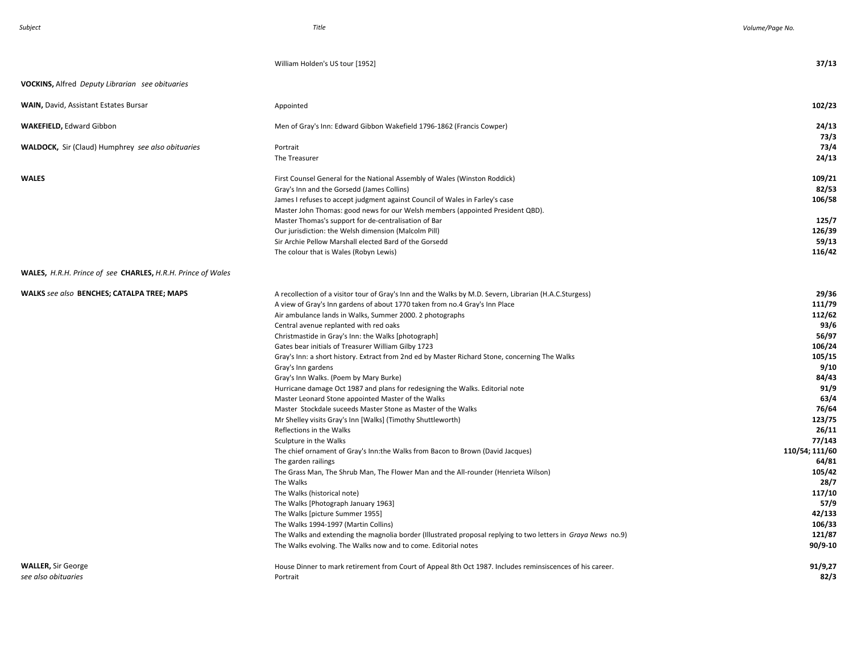|                                                                    | William Holden's US tour [1952]                                                                               | 37/13          |
|--------------------------------------------------------------------|---------------------------------------------------------------------------------------------------------------|----------------|
| <b>VOCKINS, Alfred Deputy Librarian see obituaries</b>             |                                                                                                               |                |
| <b>WAIN, David, Assistant Estates Bursar</b>                       | Appointed                                                                                                     | 102/23         |
| <b>WAKEFIELD, Edward Gibbon</b>                                    | Men of Gray's Inn: Edward Gibbon Wakefield 1796-1862 (Francis Cowper)                                         | 24/13          |
|                                                                    |                                                                                                               | 73/3           |
| <b>WALDOCK, Sir (Claud) Humphrey see also obituaries</b>           | Portrait                                                                                                      | 73/4           |
|                                                                    | The Treasurer                                                                                                 | 24/13          |
| WALES                                                              | First Counsel General for the National Assembly of Wales (Winston Roddick)                                    | 109/21         |
|                                                                    | Gray's Inn and the Gorsedd (James Collins)                                                                    | 82/53          |
|                                                                    | James I refuses to accept judgment against Council of Wales in Farley's case                                  | 106/58         |
|                                                                    | Master John Thomas: good news for our Welsh members (appointed President QBD).                                |                |
|                                                                    | Master Thomas's support for de-centralisation of Bar                                                          | 125/7          |
|                                                                    | Our jurisdiction: the Welsh dimension (Malcolm Pill)                                                          | 126/39         |
|                                                                    | Sir Archie Pellow Marshall elected Bard of the Gorsedd                                                        | 59/13          |
|                                                                    | The colour that is Wales (Robyn Lewis)                                                                        | 116/42         |
| <b>WALES, H.R.H. Prince of see CHARLES, H.R.H. Prince of Wales</b> |                                                                                                               |                |
|                                                                    |                                                                                                               |                |
| WALKS see also BENCHES; CATALPA TREE; MAPS                         | A recollection of a visitor tour of Gray's Inn and the Walks by M.D. Severn, Librarian (H.A.C.Sturgess)       | 29/36          |
|                                                                    | A view of Gray's Inn gardens of about 1770 taken from no.4 Gray's Inn Place                                   | 111/79         |
|                                                                    | Air ambulance lands in Walks, Summer 2000. 2 photographs                                                      | 112/62         |
|                                                                    | Central avenue replanted with red oaks                                                                        | 93/6           |
|                                                                    | Christmastide in Gray's Inn: the Walks [photograph]                                                           | 56/97          |
|                                                                    | Gates bear initials of Treasurer William Gilby 1723                                                           | 106/24         |
|                                                                    | Gray's Inn: a short history. Extract from 2nd ed by Master Richard Stone, concerning The Walks                | 105/15         |
|                                                                    | Gray's Inn gardens                                                                                            | 9/10           |
|                                                                    | Gray's Inn Walks. (Poem by Mary Burke)                                                                        | 84/43          |
|                                                                    | Hurricane damage Oct 1987 and plans for redesigning the Walks. Editorial note                                 | 91/9           |
|                                                                    | Master Leonard Stone appointed Master of the Walks                                                            | 63/4           |
|                                                                    | Master Stockdale suceeds Master Stone as Master of the Walks                                                  | 76/64          |
|                                                                    | Mr Shelley visits Gray's Inn [Walks] (Timothy Shuttleworth)                                                   | 123/75         |
|                                                                    | Reflections in the Walks                                                                                      | 26/11          |
|                                                                    | Sculpture in the Walks                                                                                        | 77/143         |
|                                                                    | The chief ornament of Gray's Inn: the Walks from Bacon to Brown (David Jacques)                               | 110/54; 111/60 |
|                                                                    | The garden railings                                                                                           | 64/81          |
|                                                                    | The Grass Man, The Shrub Man, The Flower Man and the All-rounder (Henrieta Wilson)                            | 105/42         |
|                                                                    | The Walks                                                                                                     | 28/7           |
|                                                                    | The Walks (historical note)                                                                                   | 117/10         |
|                                                                    | The Walks [Photograph January 1963]                                                                           | 57/9           |
|                                                                    | The Walks [picture Summer 1955]                                                                               | 42/133         |
|                                                                    | The Walks 1994-1997 (Martin Collins)                                                                          | 106/33         |
|                                                                    | The Walks and extending the magnolia border (Illustrated proposal replying to two letters in Graya News no.9) | 121/87         |
|                                                                    | The Walks evolving. The Walks now and to come. Editorial notes                                                | 90/9-10        |
| <b>WALLER, Sir George</b>                                          | House Dinner to mark retirement from Court of Appeal 8th Oct 1987. Includes reminsiscences of his career.     | 91/9,27        |
| see also obituaries                                                | Portrait                                                                                                      | 82/3           |
|                                                                    |                                                                                                               |                |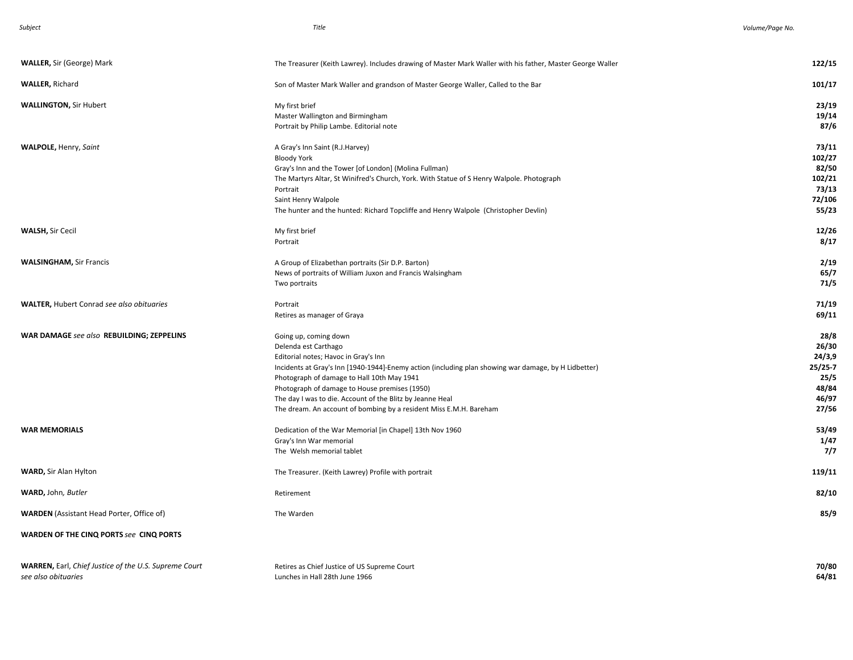| <b>WALLER, Sir (George) Mark</b>                                                    | The Treasurer (Keith Lawrey). Includes drawing of Master Mark Waller with his father, Master George Waller                                                                                                                                                                                                                                                                                                                      | 122/15                                                                  |
|-------------------------------------------------------------------------------------|---------------------------------------------------------------------------------------------------------------------------------------------------------------------------------------------------------------------------------------------------------------------------------------------------------------------------------------------------------------------------------------------------------------------------------|-------------------------------------------------------------------------|
| <b>WALLER, Richard</b>                                                              | Son of Master Mark Waller and grandson of Master George Waller, Called to the Bar                                                                                                                                                                                                                                                                                                                                               | 101/17                                                                  |
| <b>WALLINGTON, Sir Hubert</b>                                                       | My first brief<br>Master Wallington and Birmingham<br>Portrait by Philip Lambe. Editorial note                                                                                                                                                                                                                                                                                                                                  | 23/19<br>19/14<br>87/6                                                  |
| <b>WALPOLE, Henry, Saint</b>                                                        | A Gray's Inn Saint (R.J.Harvey)<br><b>Bloody York</b><br>Gray's Inn and the Tower [of London] (Molina Fullman)<br>The Martyrs Altar, St Winifred's Church, York. With Statue of S Henry Walpole. Photograph<br>Portrait<br>Saint Henry Walpole<br>The hunter and the hunted: Richard Topcliffe and Henry Walpole (Christopher Devlin)                                                                                           | 73/11<br>102/27<br>82/50<br>102/21<br>73/13<br>72/106<br>55/23          |
| <b>WALSH, Sir Cecil</b>                                                             | My first brief<br>Portrait                                                                                                                                                                                                                                                                                                                                                                                                      | 12/26<br>8/17                                                           |
| <b>WALSINGHAM, Sir Francis</b>                                                      | A Group of Elizabethan portraits (Sir D.P. Barton)<br>News of portraits of William Juxon and Francis Walsingham<br>Two portraits                                                                                                                                                                                                                                                                                                | 2/19<br>65/7<br>71/5                                                    |
| <b>WALTER, Hubert Conrad see also obituaries</b>                                    | Portrait<br>Retires as manager of Graya                                                                                                                                                                                                                                                                                                                                                                                         | 71/19<br>69/11                                                          |
| WAR DAMAGE see also REBUILDING; ZEPPELINS                                           | Going up, coming down<br>Delenda est Carthago<br>Editorial notes; Havoc in Gray's Inn<br>Incidents at Gray's Inn [1940-1944]-Enemy action (including plan showing war damage, by H Lidbetter)<br>Photograph of damage to Hall 10th May 1941<br>Photograph of damage to House premises (1950)<br>The day I was to die. Account of the Blitz by Jeanne Heal<br>The dream. An account of bombing by a resident Miss E.M.H. Bareham | 28/8<br>26/30<br>24/3,9<br>$25/25-7$<br>25/5<br>48/84<br>46/97<br>27/56 |
| <b>WAR MEMORIALS</b>                                                                | Dedication of the War Memorial [in Chapel] 13th Nov 1960<br>Gray's Inn War memorial<br>The Welsh memorial tablet                                                                                                                                                                                                                                                                                                                | 53/49<br>1/47<br>7/7                                                    |
| <b>WARD, Sir Alan Hylton</b>                                                        | The Treasurer. (Keith Lawrey) Profile with portrait                                                                                                                                                                                                                                                                                                                                                                             | 119/11                                                                  |
| WARD, John, Butler                                                                  | Retirement                                                                                                                                                                                                                                                                                                                                                                                                                      | 82/10                                                                   |
| <b>WARDEN</b> (Assistant Head Porter, Office of)                                    | The Warden                                                                                                                                                                                                                                                                                                                                                                                                                      | 85/9                                                                    |
| WARDEN OF THE CINQ PORTS see CINQ PORTS                                             |                                                                                                                                                                                                                                                                                                                                                                                                                                 |                                                                         |
| <b>WARREN, Earl, Chief Justice of the U.S. Supreme Court</b><br>see also obituaries | Retires as Chief Justice of US Supreme Court<br>Lunches in Hall 28th June 1966                                                                                                                                                                                                                                                                                                                                                  | 70/80<br>64/81                                                          |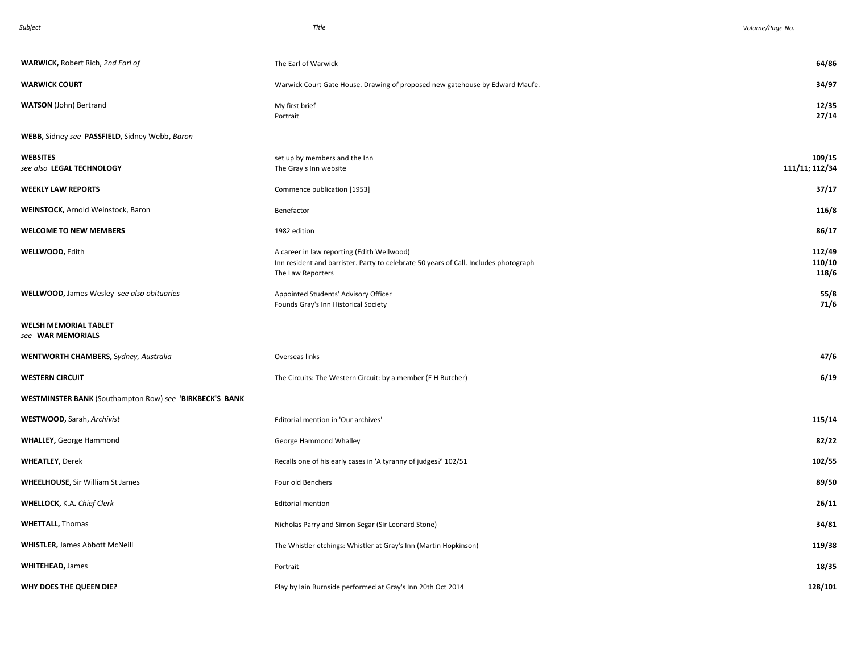| n<br>٣ |
|--------|
|--------|

| WARWICK, Robert Rich, 2nd Earl of                       | The Earl of Warwick                                                                                                                                     | 64/86                     |
|---------------------------------------------------------|---------------------------------------------------------------------------------------------------------------------------------------------------------|---------------------------|
| <b>WARWICK COURT</b>                                    | Warwick Court Gate House. Drawing of proposed new gatehouse by Edward Maufe.                                                                            | 34/97                     |
| <b>WATSON</b> (John) Bertrand                           | My first brief<br>Portrait                                                                                                                              | 12/35<br>27/14            |
| WEBB, Sidney see PASSFIELD, Sidney Webb, Baron          |                                                                                                                                                         |                           |
| WEBSITES<br>see also LEGAL TECHNOLOGY                   | set up by members and the Inn<br>The Gray's Inn website                                                                                                 | 109/15<br>111/11; 112/34  |
| <b>WEEKLY LAW REPORTS</b>                               | Commence publication [1953]                                                                                                                             | 37/17                     |
| WEINSTOCK, Arnold Weinstock, Baron                      | Benefactor                                                                                                                                              | 116/8                     |
| <b>WELCOME TO NEW MEMBERS</b>                           | 1982 edition                                                                                                                                            | 86/17                     |
| WELLWOOD, Edith                                         | A career in law reporting (Edith Wellwood)<br>Inn resident and barrister. Party to celebrate 50 years of Call. Includes photograph<br>The Law Reporters | 112/49<br>110/10<br>118/6 |
| WELLWOOD, James Wesley see also obituaries              | Appointed Students' Advisory Officer<br>Founds Gray's Inn Historical Society                                                                            | 55/8<br>71/6              |
| WELSH MEMORIAL TABLET<br>see WAR MEMORIALS              |                                                                                                                                                         |                           |
| WENTWORTH CHAMBERS, Sydney, Australia                   | Overseas links                                                                                                                                          | 47/6                      |
| <b>WESTERN CIRCUIT</b>                                  | The Circuits: The Western Circuit: by a member (E H Butcher)                                                                                            | 6/19                      |
| WESTMINSTER BANK (Southampton Row) see 'BIRKBECK'S BANK |                                                                                                                                                         |                           |
| WESTWOOD, Sarah, Archivist                              | Editorial mention in 'Our archives'                                                                                                                     | 115/14                    |
| <b>WHALLEY, George Hammond</b>                          | George Hammond Whalley                                                                                                                                  | 82/22                     |
| <b>WHEATLEY, Derek</b>                                  | Recalls one of his early cases in 'A tyranny of judges?' 102/51                                                                                         | 102/55                    |
| <b>WHEELHOUSE, Sir William St James</b>                 | Four old Benchers                                                                                                                                       | 89/50                     |
| WHELLOCK, K.A. Chief Clerk                              | <b>Editorial mention</b>                                                                                                                                | 26/11                     |
| <b>WHETTALL, Thomas</b>                                 | Nicholas Parry and Simon Segar (Sir Leonard Stone)                                                                                                      | 34/81                     |
| <b>WHISTLER, James Abbott McNeill</b>                   | The Whistler etchings: Whistler at Gray's Inn (Martin Hopkinson)                                                                                        | 119/38                    |
| <b>WHITEHEAD, James</b>                                 | Portrait                                                                                                                                                | 18/35                     |
| WHY DOES THE QUEEN DIE?                                 | Play by Iain Burnside performed at Gray's Inn 20th Oct 2014                                                                                             | 128/101                   |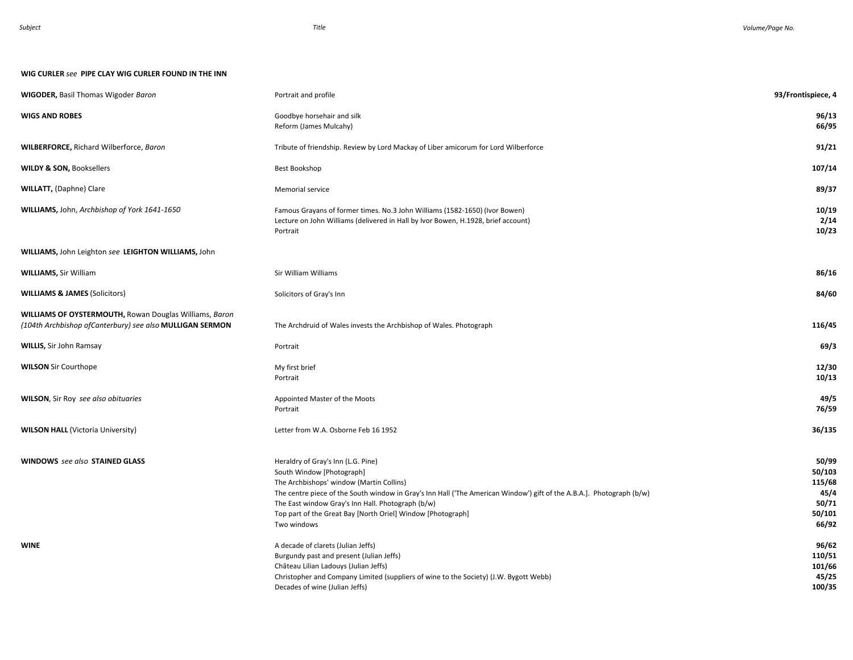## **WIG CURLER** *see* **PIPE CLAY WIG CURLER FOUND IN THE INN**

| <b>WIGODER, Basil Thomas Wigoder Baron</b>                                                                                 | Portrait and profile                                                                                                                                                                                                                                                                                                                                                    | 93/Frontispiece, 4                                            |
|----------------------------------------------------------------------------------------------------------------------------|-------------------------------------------------------------------------------------------------------------------------------------------------------------------------------------------------------------------------------------------------------------------------------------------------------------------------------------------------------------------------|---------------------------------------------------------------|
| <b>WIGS AND ROBES</b>                                                                                                      | Goodbye horsehair and silk<br>Reform (James Mulcahy)                                                                                                                                                                                                                                                                                                                    | 96/13<br>66/95                                                |
| <b>WILBERFORCE, Richard Wilberforce, Baron</b>                                                                             | Tribute of friendship. Review by Lord Mackay of Liber amicorum for Lord Wilberforce                                                                                                                                                                                                                                                                                     | 91/21                                                         |
| <b>WILDY &amp; SON, Booksellers</b>                                                                                        | Best Bookshop                                                                                                                                                                                                                                                                                                                                                           | 107/14                                                        |
| <b>WILLATT, (Daphne) Clare</b>                                                                                             | Memorial service                                                                                                                                                                                                                                                                                                                                                        | 89/37                                                         |
| WILLIAMS, John, Archbishop of York 1641-1650                                                                               | Famous Grayans of former times. No.3 John Williams (1582-1650) (Ivor Bowen)<br>Lecture on John Williams (delivered in Hall by Ivor Bowen, H.1928, brief account)<br>Portrait                                                                                                                                                                                            | 10/19<br>2/14<br>10/23                                        |
| WILLIAMS, John Leighton see LEIGHTON WILLIAMS, John                                                                        |                                                                                                                                                                                                                                                                                                                                                                         |                                                               |
| <b>WILLIAMS, Sir William</b>                                                                                               | Sir William Williams                                                                                                                                                                                                                                                                                                                                                    | 86/16                                                         |
| <b>WILLIAMS &amp; JAMES (Solicitors)</b>                                                                                   | Solicitors of Gray's Inn                                                                                                                                                                                                                                                                                                                                                | 84/60                                                         |
| <b>WILLIAMS OF OYSTERMOUTH, Rowan Douglas Williams, Baron</b><br>(104th Archbishop of Canterbury) see also MULLIGAN SERMON | The Archdruid of Wales invests the Archbishop of Wales. Photograph                                                                                                                                                                                                                                                                                                      | 116/45                                                        |
| <b>WILLIS, Sir John Ramsay</b>                                                                                             | Portrait                                                                                                                                                                                                                                                                                                                                                                | 69/3                                                          |
| <b>WILSON</b> Sir Courthope                                                                                                | My first brief<br>Portrait                                                                                                                                                                                                                                                                                                                                              | 12/30<br>10/13                                                |
| <b>WILSON</b> , Sir Roy see also obituaries                                                                                | Appointed Master of the Moots<br>Portrait                                                                                                                                                                                                                                                                                                                               | 49/5<br>76/59                                                 |
| <b>WILSON HALL (Victoria University)</b>                                                                                   | Letter from W.A. Osborne Feb 16 1952                                                                                                                                                                                                                                                                                                                                    | 36/135                                                        |
| WINDOWS see also STAINED GLASS                                                                                             | Heraldry of Gray's Inn (L.G. Pine)<br>South Window [Photograph]<br>The Archbishops' window (Martin Collins)<br>The centre piece of the South window in Gray's Inn Hall ('The American Window') gift of the A.B.A.]. Photograph (b/w)<br>The East window Gray's Inn Hall. Photograph (b/w)<br>Top part of the Great Bay [North Oriel] Window [Photograph]<br>Two windows | 50/99<br>50/103<br>115/68<br>45/4<br>50/71<br>50/101<br>66/92 |
| <b>WINE</b>                                                                                                                | A decade of clarets (Julian Jeffs)<br>Burgundy past and present (Julian Jeffs)<br>Château Lilian Ladouys (Julian Jeffs)<br>Christopher and Company Limited (suppliers of wine to the Society) (J.W. Bygott Webb)<br>Decades of wine (Julian Jeffs)                                                                                                                      | 96/62<br>110/51<br>101/66<br>45/25<br>100/35                  |